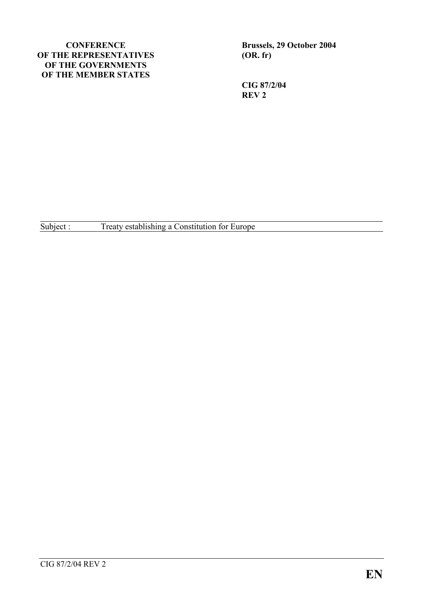#### **CONFERENCE OF THE REPRESENTATIVES OF THE GOVERNMENTS OF THE MEMBER STATES**

**Brussels, 29 October 2004 (OR. fr)** 

**CIG 87/2/04 REV 2** 

Subject : Treaty establishing a Constitution for Europe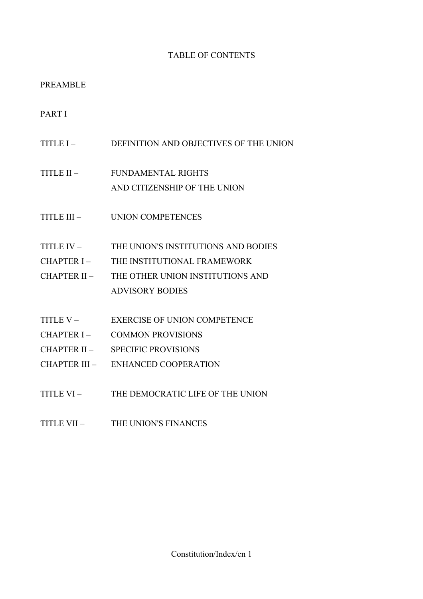### TABLE OF CONTENTS

#### PREAMBLE

- PART I
- TITLE I DEFINITION AND OBJECTIVES OF THE UNION
- TITLE II FUNDAMENTAL RIGHTS AND CITIZENSHIP OF THE UNION
- TITLE III UNION COMPETENCES
- TITLE IV THE UNION'S INSTITUTIONS AND BODIES
- CHAPTER I THE INSTITUTIONAL FRAMEWORK
- CHAPTER II THE OTHER UNION INSTITUTIONS AND ADVISORY BODIES
- TITLE V EXERCISE OF UNION COMPETENCE
- CHAPTER I COMMON PROVISIONS
- CHAPTER II SPECIFIC PROVISIONS
- CHAPTER III ENHANCED COOPERATION
- TITLE VI THE DEMOCRATIC LIFE OF THE UNION
- TITLE VII THE UNION'S FINANCES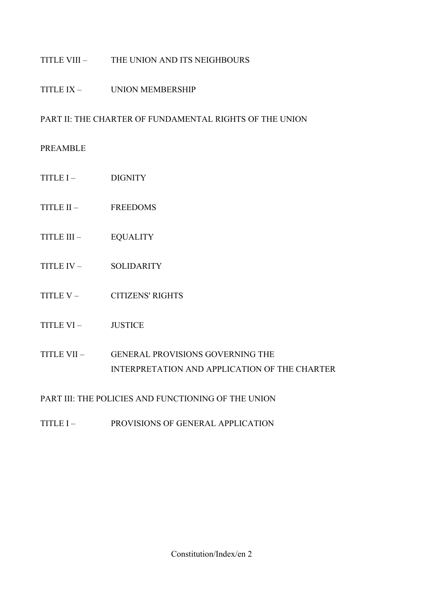### TITLE VIII – THE UNION AND ITS NEIGHBOURS

TITLE IX – UNION MEMBERSHIP

### PART II: THE CHARTER OF FUNDAMENTAL RIGHTS OF THE UNION

#### PREAMBLE

- TITLE I DIGNITY
- TITLE II FREEDOMS
- TITLE III EQUALITY
- TITLE IV SOLIDARITY
- TITLE V CITIZENS' RIGHTS
- TITLE VI JUSTICE
- TITLE VII GENERAL PROVISIONS GOVERNING THE INTERPRETATION AND APPLICATION OF THE CHARTER

PART III: THE POLICIES AND FUNCTIONING OF THE UNION

TITLE I – PROVISIONS OF GENERAL APPLICATION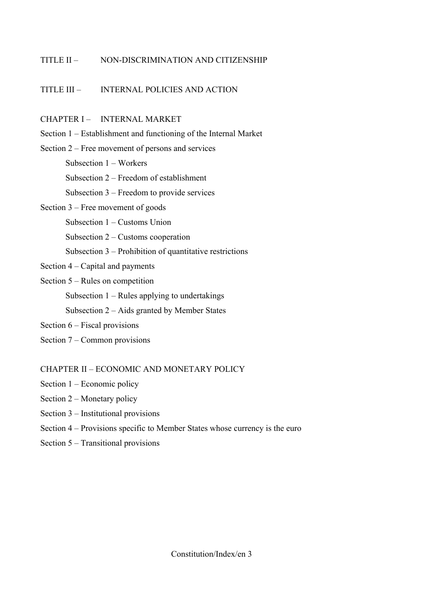#### TITLE II – NON-DISCRIMINATION AND CITIZENSHIP

#### TITLE III – INTERNAL POLICIES AND ACTION

#### CHAPTER I – INTERNAL MARKET

- Section 1 Establishment and functioning of the Internal Market
- Section 2 Free movement of persons and services
	- Subsection 1 Workers
	- Subsection 2 Freedom of establishment
	- Subsection 3 Freedom to provide services
- Section 3 Free movement of goods

Subsection 1 – Customs Union

Subsection 2 – Customs cooperation

Subsection 3 – Prohibition of quantitative restrictions

- Section 4 Capital and payments
- Section 5 Rules on competition

Subsection 1 – Rules applying to undertakings

Subsection 2 – Aids granted by Member States

- Section 6 Fiscal provisions
- Section 7 Common provisions

#### CHAPTER II – ECONOMIC AND MONETARY POLICY

- Section 1 Economic policy
- Section 2 Monetary policy
- Section 3 Institutional provisions
- Section 4 Provisions specific to Member States whose currency is the euro
- Section 5 Transitional provisions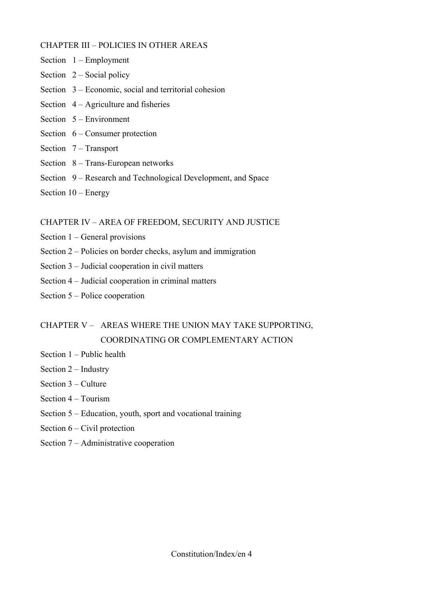#### CHAPTER III – POLICIES IN OTHER AREAS

- Section 1 Employment
- Section  $2 -$  Social policy
- Section 3 Economic, social and territorial cohesion
- Section 4 Agriculture and fisheries
- Section 5 Environment
- Section 6 Consumer protection
- Section 7 Transport
- Section 8 Trans-European networks
- Section 9 Research and Technological Development, and Space
- Section 10 Energy

#### CHAPTER IV – AREA OF FREEDOM, SECURITY AND JUSTICE

- Section 1 General provisions
- Section 2 Policies on border checks, asylum and immigration
- Section 3 Judicial cooperation in civil matters
- Section 4 Judicial cooperation in criminal matters
- Section 5 Police cooperation
- CHAPTER V AREAS WHERE THE UNION MAY TAKE SUPPORTING, COORDINATING OR COMPLEMENTARY ACTION
- Section 1 Public health
- Section 2 Industry
- Section 3 Culture
- Section 4 Tourism
- Section 5 Education, youth, sport and vocational training
- Section 6 Civil protection
- Section 7 Administrative cooperation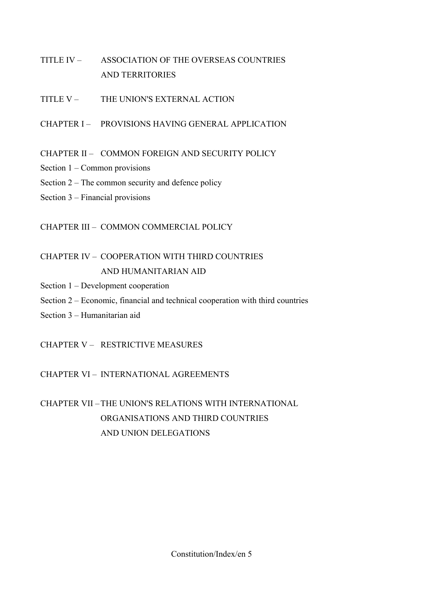# TITLE IV – ASSOCIATION OF THE OVERSEAS COUNTRIES AND TERRITORIES

TITLE V – THE UNION'S EXTERNAL ACTION

#### CHAPTER I - PROVISIONS HAVING GENERAL APPLICATION

#### CHAPTER II – COMMON FOREIGN AND SECURITY POLICY

- Section 1 Common provisions
- Section 2 The common security and defence policy
- Section 3 Financial provisions

#### CHAPTER III – COMMON COMMERCIAL POLICY

# CHAPTER IV – COOPERATION WITH THIRD COUNTRIES AND HUMANITARIAN AID

- Section 1 Development cooperation
- Section 2 Economic, financial and technical cooperation with third countries
- Section 3 Humanitarian aid

#### CHAPTER V – RESTRICTIVE MEASURES

#### CHAPTER VI – INTERNATIONAL AGREEMENTS

# CHAPTER VII – THE UNION'S RELATIONS WITH INTERNATIONAL ORGANISATIONS AND THIRD COUNTRIES AND UNION DELEGATIONS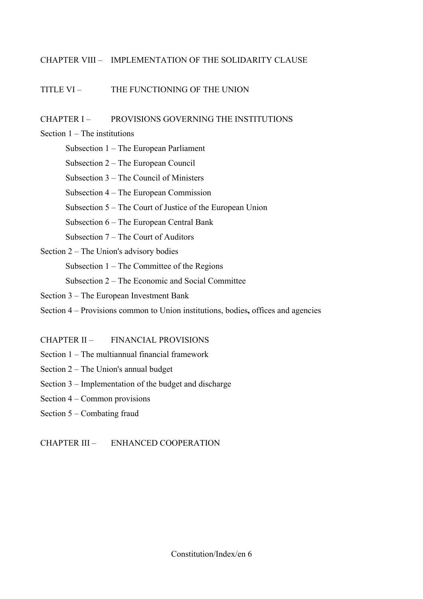#### CHAPTER VIII – IMPLEMENTATION OF THE SOLIDARITY CLAUSE

#### TITLE VI – THE FUNCTIONING OF THE UNION

CHAPTER I – PROVISIONS GOVERNING THE INSTITUTIONS

Section 1 – The institutions

Subsection 1 – The European Parliament

Subsection 2 – The European Council

Subsection 3 – The Council of Ministers

Subsection 4 – The European Commission

Subsection 5 – The Court of Justice of the European Union

Subsection 6 – The European Central Bank

Subsection 7 – The Court of Auditors

Section 2 – The Union's advisory bodies

Subsection 1 – The Committee of the Regions

Subsection 2 – The Economic and Social Committee

Section 3 – The European Investment Bank

Section 4 – Provisions common to Union institutions, bodies**,** offices and agencies

#### CHAPTER II – FINANCIAL PROVISIONS

Section 1 – The multiannual financial framework

- Section 2 The Union's annual budget
- Section 3 Implementation of the budget and discharge
- Section 4 Common provisions
- Section 5 Combating fraud

CHAPTER III – ENHANCED COOPERATION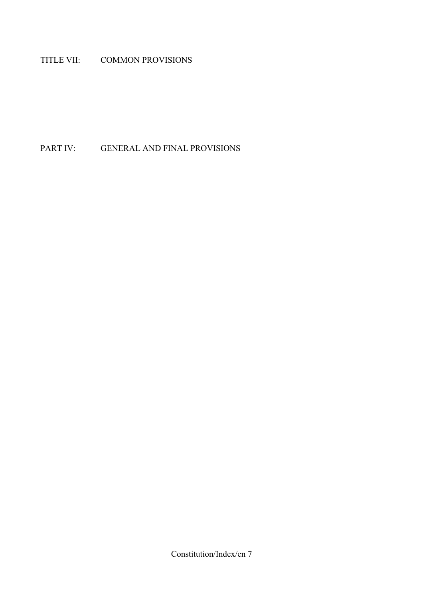TITLE VII: COMMON PROVISIONS

PART IV: GENERAL AND FINAL PROVISIONS

Constitution/Index/en 7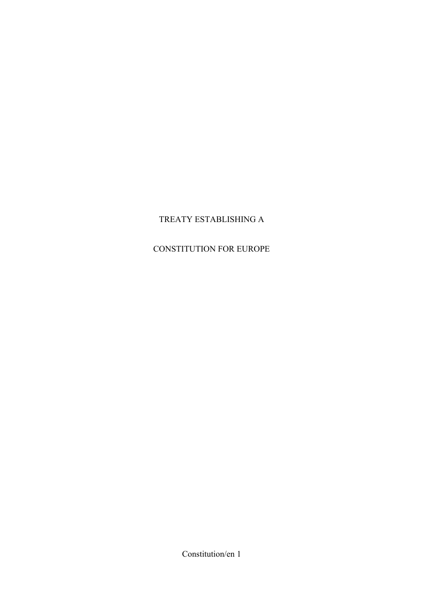# TREATY ESTABLISHING A

# CONSTITUTION FOR EUROPE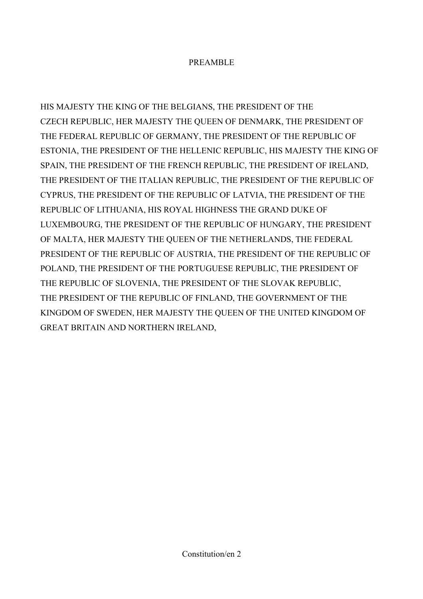#### PREAMBLE

HIS MAJESTY THE KING OF THE BELGIANS, THE PRESIDENT OF THE CZECH REPUBLIC, HER MAJESTY THE QUEEN OF DENMARK, THE PRESIDENT OF THE FEDERAL REPUBLIC OF GERMANY, THE PRESIDENT OF THE REPUBLIC OF ESTONIA, THE PRESIDENT OF THE HELLENIC REPUBLIC, HIS MAJESTY THE KING OF SPAIN, THE PRESIDENT OF THE FRENCH REPUBLIC, THE PRESIDENT OF IRELAND, THE PRESIDENT OF THE ITALIAN REPUBLIC, THE PRESIDENT OF THE REPUBLIC OF CYPRUS, THE PRESIDENT OF THE REPUBLIC OF LATVIA, THE PRESIDENT OF THE REPUBLIC OF LITHUANIA, HIS ROYAL HIGHNESS THE GRAND DUKE OF LUXEMBOURG, THE PRESIDENT OF THE REPUBLIC OF HUNGARY, THE PRESIDENT OF MALTA, HER MAJESTY THE QUEEN OF THE NETHERLANDS, THE FEDERAL PRESIDENT OF THE REPUBLIC OF AUSTRIA, THE PRESIDENT OF THE REPUBLIC OF POLAND, THE PRESIDENT OF THE PORTUGUESE REPUBLIC, THE PRESIDENT OF THE REPUBLIC OF SLOVENIA, THE PRESIDENT OF THE SLOVAK REPUBLIC, THE PRESIDENT OF THE REPUBLIC OF FINLAND, THE GOVERNMENT OF THE KINGDOM OF SWEDEN, HER MAJESTY THE QUEEN OF THE UNITED KINGDOM OF GREAT BRITAIN AND NORTHERN IRELAND,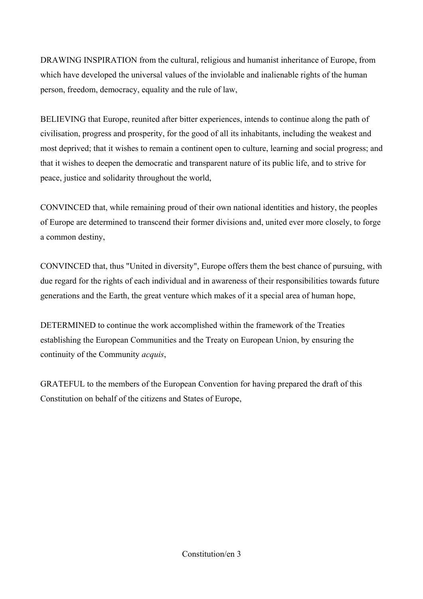DRAWING INSPIRATION from the cultural, religious and humanist inheritance of Europe, from which have developed the universal values of the inviolable and inalienable rights of the human person, freedom, democracy, equality and the rule of law,

BELIEVING that Europe, reunited after bitter experiences, intends to continue along the path of civilisation, progress and prosperity, for the good of all its inhabitants, including the weakest and most deprived; that it wishes to remain a continent open to culture, learning and social progress; and that it wishes to deepen the democratic and transparent nature of its public life, and to strive for peace, justice and solidarity throughout the world,

CONVINCED that, while remaining proud of their own national identities and history, the peoples of Europe are determined to transcend their former divisions and, united ever more closely, to forge a common destiny,

CONVINCED that, thus "United in diversity", Europe offers them the best chance of pursuing, with due regard for the rights of each individual and in awareness of their responsibilities towards future generations and the Earth, the great venture which makes of it a special area of human hope,

DETERMINED to continue the work accomplished within the framework of the Treaties establishing the European Communities and the Treaty on European Union, by ensuring the continuity of the Community *acquis*,

GRATEFUL to the members of the European Convention for having prepared the draft of this Constitution on behalf of the citizens and States of Europe,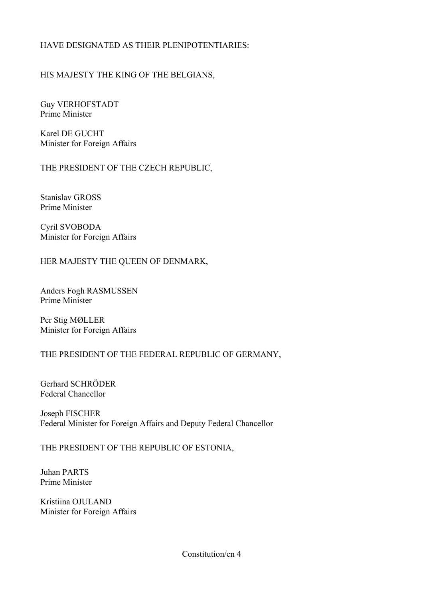### HAVE DESIGNATED AS THEIR PLENIPOTENTIARIES:

#### HIS MAJESTY THE KING OF THE BELGIANS,

Guy VERHOFSTADT Prime Minister

Karel DE GUCHT Minister for Foreign Affairs

THE PRESIDENT OF THE CZECH REPUBLIC,

Stanislav GROSS Prime Minister

Cyril SVOBODA Minister for Foreign Affairs

#### HER MAJESTY THE QUEEN OF DENMARK,

Anders Fogh RASMUSSEN Prime Minister

Per Stig MØLLER Minister for Foreign Affairs

#### THE PRESIDENT OF THE FEDERAL REPUBLIC OF GERMANY,

Gerhard SCHRÖDER Federal Chancellor

Joseph FISCHER Federal Minister for Foreign Affairs and Deputy Federal Chancellor

#### THE PRESIDENT OF THE REPUBLIC OF ESTONIA,

Juhan PARTS Prime Minister

Kristiina OJULAND Minister for Foreign Affairs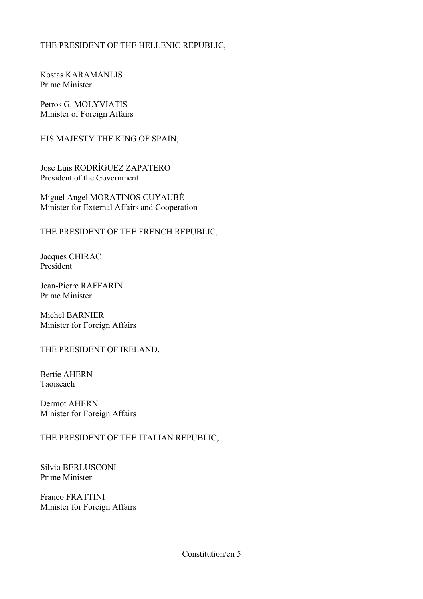#### THE PRESIDENT OF THE HELLENIC REPUBLIC,

Kostas KARAMANLIS Prime Minister

Petros G. MOLYVIATIS Minister of Foreign Affairs

HIS MAJESTY THE KING OF SPAIN,

José Luis RODRÍGUEZ ZAPATERO President of the Government

Miguel Angel MORATINOS CUYAUBÉ Minister for External Affairs and Cooperation

THE PRESIDENT OF THE FRENCH REPUBLIC,

Jacques CHIRAC President

Jean-Pierre RAFFARIN Prime Minister

Michel BARNIER Minister for Foreign Affairs

THE PRESIDENT OF IRELAND,

Bertie AHERN Taoiseach

Dermot AHERN Minister for Foreign Affairs

THE PRESIDENT OF THE ITALIAN REPUBLIC,

Silvio BERLUSCONI Prime Minister

Franco FRATTINI Minister for Foreign Affairs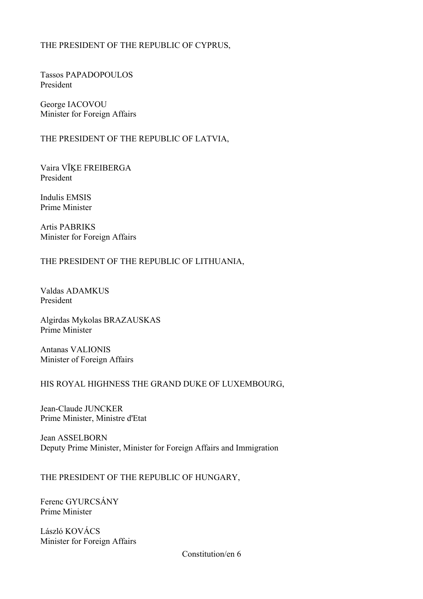#### THE PRESIDENT OF THE REPUBLIC OF CYPRUS,

Tassos PAPADOPOULOS President

George IACOVOU Minister for Foreign Affairs

THE PRESIDENT OF THE REPUBLIC OF LATVIA,

Vaira VĪĶE FREIBERGA President

Indulis EMSIS Prime Minister

Artis PABRIKS Minister for Foreign Affairs

#### THE PRESIDENT OF THE REPUBLIC OF LITHUANIA,

Valdas ADAMKUS President

Algirdas Mykolas BRAZAUSKAS Prime Minister

Antanas VALIONIS Minister of Foreign Affairs

#### HIS ROYAL HIGHNESS THE GRAND DUKE OF LUXEMBOURG,

Jean-Claude JUNCKER Prime Minister, Ministre d'Etat

Jean ASSELBORN Deputy Prime Minister, Minister for Foreign Affairs and Immigration

#### THE PRESIDENT OF THE REPUBLIC OF HUNGARY,

Ferenc GYURCSÁNY Prime Minister

László KOVÁCS Minister for Foreign Affairs

Constitution/en 6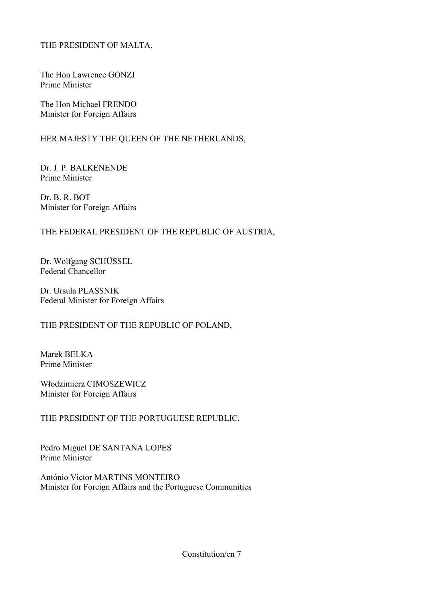THE PRESIDENT OF MALTA,

The Hon Lawrence GONZI Prime Minister

The Hon Michael FRENDO Minister for Foreign Affairs

HER MAJESTY THE QUEEN OF THE NETHERLANDS,

Dr. J. P. BALKENENDE Prime Minister

Dr. B. R. BOT Minister for Foreign Affairs

#### THE FEDERAL PRESIDENT OF THE REPUBLIC OF AUSTRIA,

Dr. Wolfgang SCHÜSSEL Federal Chancellor

Dr. Ursula PLASSNIK Federal Minister for Foreign Affairs

THE PRESIDENT OF THE REPUBLIC OF POLAND,

Marek BELKA Prime Minister

Włodzimierz CIMOSZEWICZ Minister for Foreign Affairs

THE PRESIDENT OF THE PORTUGUESE REPUBLIC,

Pedro Miguel DE SANTANA LOPES Prime Minister

António Victor MARTINS MONTEIRO Minister for Foreign Affairs and the Portuguese Communities

Constitution/en 7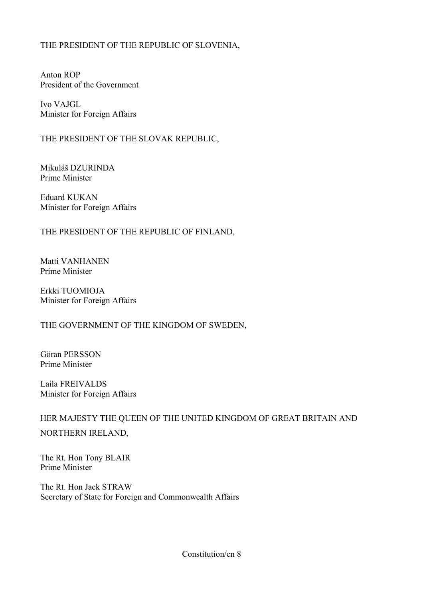#### THE PRESIDENT OF THE REPUBLIC OF SLOVENIA,

Anton ROP President of the Government

Ivo VAJGL Minister for Foreign Affairs

THE PRESIDENT OF THE SLOVAK REPUBLIC,

Mikuláš DZURINDA Prime Minister

Eduard KUKAN Minister for Foreign Affairs

#### THE PRESIDENT OF THE REPUBLIC OF FINLAND,

Matti VANHANEN Prime Minister

Erkki TUOMIOJA Minister for Foreign Affairs

THE GOVERNMENT OF THE KINGDOM OF SWEDEN,

Göran PERSSON Prime Minister

Laila FREIVALDS Minister for Foreign Affairs

HER MAJESTY THE QUEEN OF THE UNITED KINGDOM OF GREAT BRITAIN AND NORTHERN IRELAND,

The Rt. Hon Tony BLAIR Prime Minister

The Rt. Hon Jack STRAW Secretary of State for Foreign and Commonwealth Affairs

Constitution/en 8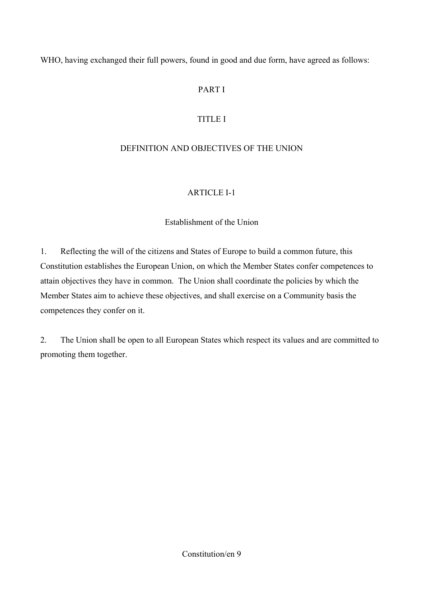WHO, having exchanged their full powers, found in good and due form, have agreed as follows:

# PART I

# TITLE I

## DEFINITION AND OBJECTIVES OF THE UNION

# ARTICLE I-1

### Establishment of the Union

1. Reflecting the will of the citizens and States of Europe to build a common future, this Constitution establishes the European Union, on which the Member States confer competences to attain objectives they have in common. The Union shall coordinate the policies by which the Member States aim to achieve these objectives, and shall exercise on a Community basis the competences they confer on it.

2. The Union shall be open to all European States which respect its values and are committed to promoting them together.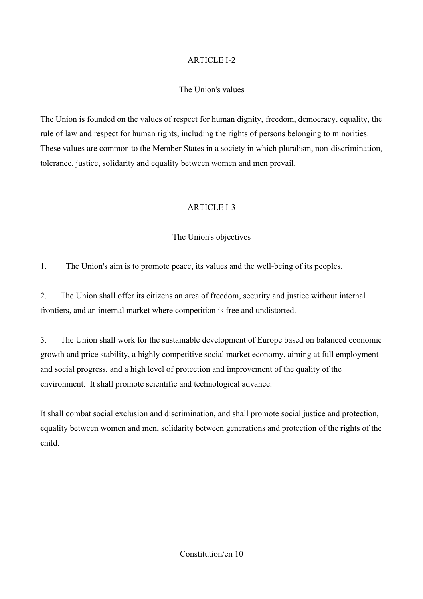### ARTICLE I-2

### The Union's values

The Union is founded on the values of respect for human dignity, freedom, democracy, equality, the rule of law and respect for human rights, including the rights of persons belonging to minorities. These values are common to the Member States in a society in which pluralism, non-discrimination, tolerance, justice, solidarity and equality between women and men prevail.

# ARTICLE I-3

### The Union's objectives

1. The Union's aim is to promote peace, its values and the well-being of its peoples.

2. The Union shall offer its citizens an area of freedom, security and justice without internal frontiers, and an internal market where competition is free and undistorted.

3. The Union shall work for the sustainable development of Europe based on balanced economic growth and price stability, a highly competitive social market economy, aiming at full employment and social progress, and a high level of protection and improvement of the quality of the environment. It shall promote scientific and technological advance.

It shall combat social exclusion and discrimination, and shall promote social justice and protection, equality between women and men, solidarity between generations and protection of the rights of the child.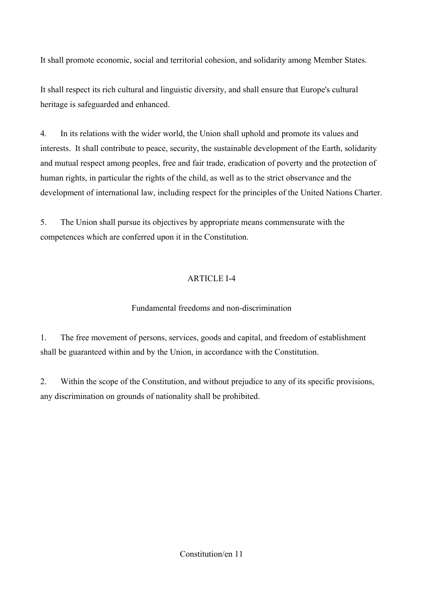It shall promote economic, social and territorial cohesion, and solidarity among Member States.

It shall respect its rich cultural and linguistic diversity, and shall ensure that Europe's cultural heritage is safeguarded and enhanced.

4. In its relations with the wider world, the Union shall uphold and promote its values and interests. It shall contribute to peace, security, the sustainable development of the Earth, solidarity and mutual respect among peoples, free and fair trade, eradication of poverty and the protection of human rights, in particular the rights of the child, as well as to the strict observance and the development of international law, including respect for the principles of the United Nations Charter.

5. The Union shall pursue its objectives by appropriate means commensurate with the competences which are conferred upon it in the Constitution.

# $ARTICI$  F L4

### Fundamental freedoms and non-discrimination

1. The free movement of persons, services, goods and capital, and freedom of establishment shall be guaranteed within and by the Union, in accordance with the Constitution.

2. Within the scope of the Constitution, and without prejudice to any of its specific provisions, any discrimination on grounds of nationality shall be prohibited.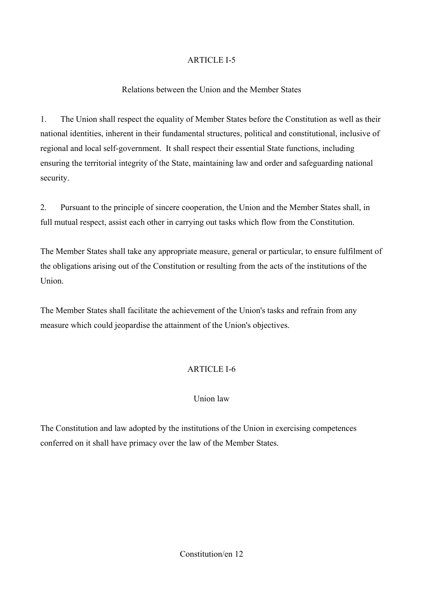### **ARTICLE I-5**

### Relations between the Union and the Member States

1. The Union shall respect the equality of Member States before the Constitution as well as their national identities, inherent in their fundamental structures, political and constitutional, inclusive of regional and local self-government. It shall respect their essential State functions, including ensuring the territorial integrity of the State, maintaining law and order and safeguarding national security.

2. Pursuant to the principle of sincere cooperation, the Union and the Member States shall, in full mutual respect, assist each other in carrying out tasks which flow from the Constitution.

The Member States shall take any appropriate measure, general or particular, to ensure fulfilment of the obligations arising out of the Constitution or resulting from the acts of the institutions of the Union.

The Member States shall facilitate the achievement of the Union's tasks and refrain from any measure which could jeopardise the attainment of the Union's objectives.

### ARTICLE I-6

### Union law

The Constitution and law adopted by the institutions of the Union in exercising competences conferred on it shall have primacy over the law of the Member States.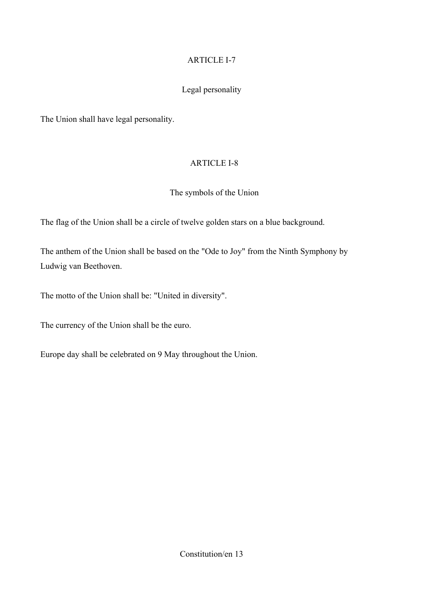### ARTICLE I-7

### Legal personality

The Union shall have legal personality.

### ARTICLE I-8

### The symbols of the Union

The flag of the Union shall be a circle of twelve golden stars on a blue background.

The anthem of the Union shall be based on the "Ode to Joy" from the Ninth Symphony by Ludwig van Beethoven.

The motto of the Union shall be: "United in diversity".

The currency of the Union shall be the euro.

Europe day shall be celebrated on 9 May throughout the Union.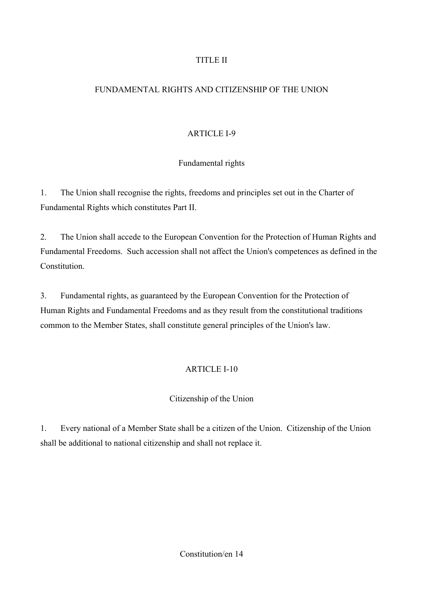### TITLE II

### FUNDAMENTAL RIGHTS AND CITIZENSHIP OF THE UNION

# ARTICLE I-9

# Fundamental rights

1. The Union shall recognise the rights, freedoms and principles set out in the Charter of Fundamental Rights which constitutes Part II.

2. The Union shall accede to the European Convention for the Protection of Human Rights and Fundamental Freedoms. Such accession shall not affect the Union's competences as defined in the Constitution

3. Fundamental rights, as guaranteed by the European Convention for the Protection of Human Rights and Fundamental Freedoms and as they result from the constitutional traditions common to the Member States, shall constitute general principles of the Union's law.

### ARTICLE I-10

# Citizenship of the Union

1. Every national of a Member State shall be a citizen of the Union. Citizenship of the Union shall be additional to national citizenship and shall not replace it.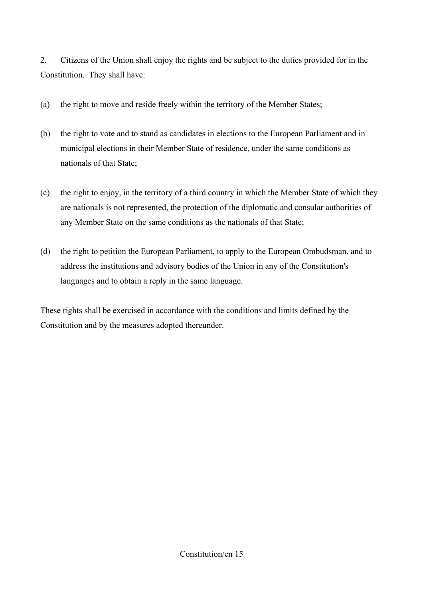2. Citizens of the Union shall enjoy the rights and be subject to the duties provided for in the Constitution. They shall have:

- (a) the right to move and reside freely within the territory of the Member States;
- (b) the right to vote and to stand as candidates in elections to the European Parliament and in municipal elections in their Member State of residence, under the same conditions as nationals of that State;
- (c) the right to enjoy, in the territory of a third country in which the Member State of which they are nationals is not represented, the protection of the diplomatic and consular authorities of any Member State on the same conditions as the nationals of that State;
- (d) the right to petition the European Parliament, to apply to the European Ombudsman, and to address the institutions and advisory bodies of the Union in any of the Constitution's languages and to obtain a reply in the same language.

These rights shall be exercised in accordance with the conditions and limits defined by the Constitution and by the measures adopted thereunder.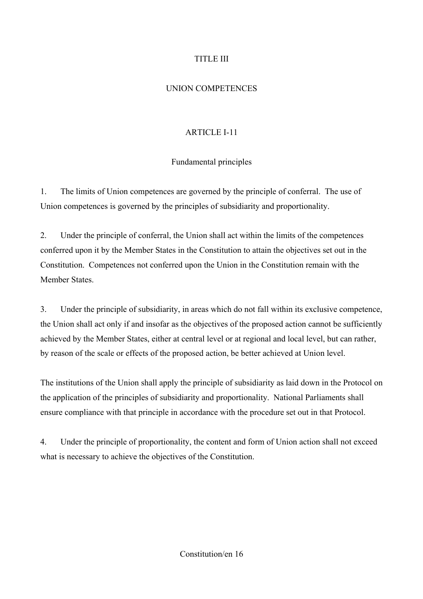### TITLE III

# UNION COMPETENCES

# ARTICLE I-11

# Fundamental principles

1. The limits of Union competences are governed by the principle of conferral. The use of Union competences is governed by the principles of subsidiarity and proportionality.

2. Under the principle of conferral, the Union shall act within the limits of the competences conferred upon it by the Member States in the Constitution to attain the objectives set out in the Constitution. Competences not conferred upon the Union in the Constitution remain with the Member States.

3. Under the principle of subsidiarity, in areas which do not fall within its exclusive competence, the Union shall act only if and insofar as the objectives of the proposed action cannot be sufficiently achieved by the Member States, either at central level or at regional and local level, but can rather, by reason of the scale or effects of the proposed action, be better achieved at Union level.

The institutions of the Union shall apply the principle of subsidiarity as laid down in the Protocol on the application of the principles of subsidiarity and proportionality. National Parliaments shall ensure compliance with that principle in accordance with the procedure set out in that Protocol.

4. Under the principle of proportionality, the content and form of Union action shall not exceed what is necessary to achieve the objectives of the Constitution.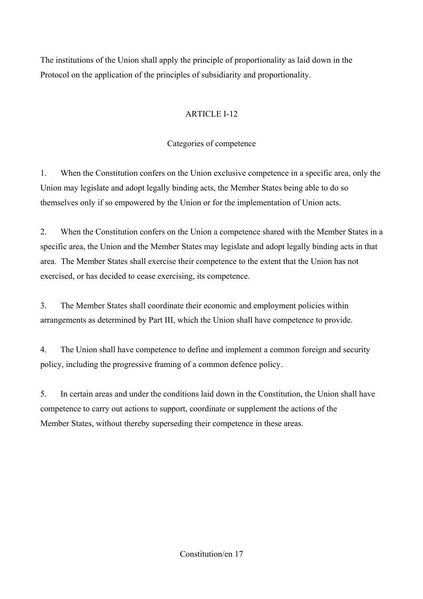The institutions of the Union shall apply the principle of proportionality as laid down in the Protocol on the application of the principles of subsidiarity and proportionality.

# ARTICLE I-12

## Categories of competence

1. When the Constitution confers on the Union exclusive competence in a specific area, only the Union may legislate and adopt legally binding acts, the Member States being able to do so themselves only if so empowered by the Union or for the implementation of Union acts.

2. When the Constitution confers on the Union a competence shared with the Member States in a specific area, the Union and the Member States may legislate and adopt legally binding acts in that area. The Member States shall exercise their competence to the extent that the Union has not exercised, or has decided to cease exercising, its competence.

3. The Member States shall coordinate their economic and employment policies within arrangements as determined by Part III, which the Union shall have competence to provide.

4. The Union shall have competence to define and implement a common foreign and security policy, including the progressive framing of a common defence policy.

5. In certain areas and under the conditions laid down in the Constitution, the Union shall have competence to carry out actions to support, coordinate or supplement the actions of the Member States, without thereby superseding their competence in these areas.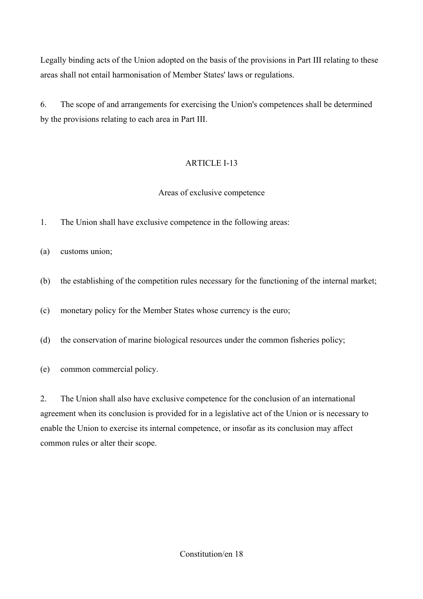Legally binding acts of the Union adopted on the basis of the provisions in Part III relating to these areas shall not entail harmonisation of Member States' laws or regulations.

6. The scope of and arrangements for exercising the Union's competences shall be determined by the provisions relating to each area in Part III.

# ARTICLE I-13

### Areas of exclusive competence

- 1. The Union shall have exclusive competence in the following areas:
- (a) customs union;
- (b) the establishing of the competition rules necessary for the functioning of the internal market;

(c) monetary policy for the Member States whose currency is the euro;

- (d) the conservation of marine biological resources under the common fisheries policy;
- (e) common commercial policy.

2. The Union shall also have exclusive competence for the conclusion of an international agreement when its conclusion is provided for in a legislative act of the Union or is necessary to enable the Union to exercise its internal competence, or insofar as its conclusion may affect common rules or alter their scope.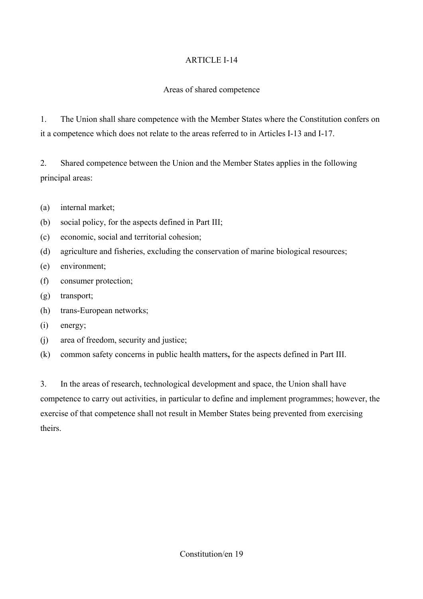### ARTICLE I-14

### Areas of shared competence

1. The Union shall share competence with the Member States where the Constitution confers on it a competence which does not relate to the areas referred to in Articles I-13 and I-17.

2. Shared competence between the Union and the Member States applies in the following principal areas:

- (a) internal market;
- (b) social policy, for the aspects defined in Part III;
- (c) economic, social and territorial cohesion;
- (d) agriculture and fisheries, excluding the conservation of marine biological resources;
- (e) environment;
- (f) consumer protection;
- (g) transport;
- (h) trans-European networks;
- (i) energy;
- (j) area of freedom, security and justice;
- (k) common safety concerns in public health matters**,** for the aspects defined in Part III.

3. In the areas of research, technological development and space, the Union shall have competence to carry out activities, in particular to define and implement programmes; however, the exercise of that competence shall not result in Member States being prevented from exercising theirs.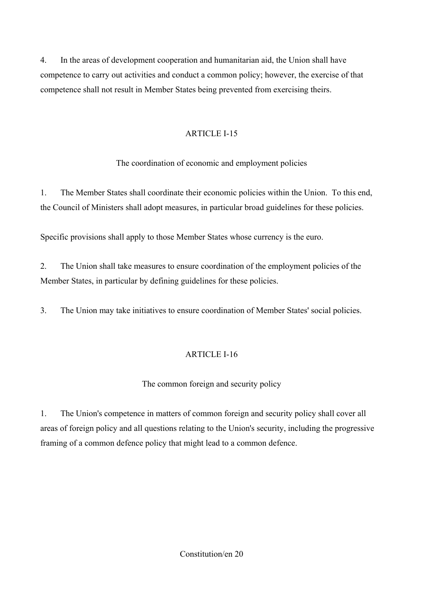4. In the areas of development cooperation and humanitarian aid, the Union shall have competence to carry out activities and conduct a common policy; however, the exercise of that competence shall not result in Member States being prevented from exercising theirs.

### ARTICLE I-15

# The coordination of economic and employment policies

1. The Member States shall coordinate their economic policies within the Union. To this end, the Council of Ministers shall adopt measures, in particular broad guidelines for these policies.

Specific provisions shall apply to those Member States whose currency is the euro.

2. The Union shall take measures to ensure coordination of the employment policies of the Member States, in particular by defining guidelines for these policies.

3. The Union may take initiatives to ensure coordination of Member States' social policies.

# ARTICLE I-16

# The common foreign and security policy

1. The Union's competence in matters of common foreign and security policy shall cover all areas of foreign policy and all questions relating to the Union's security, including the progressive framing of a common defence policy that might lead to a common defence.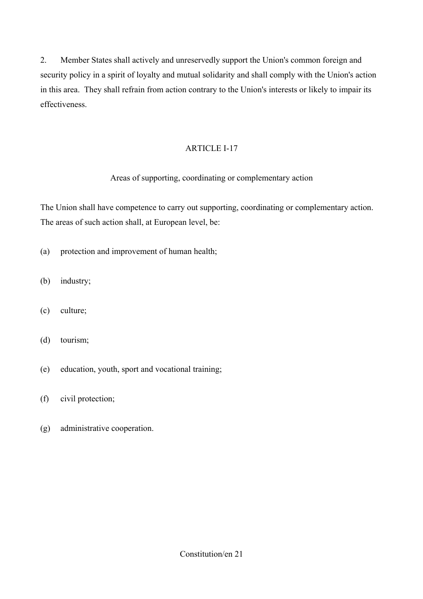2. Member States shall actively and unreservedly support the Union's common foreign and security policy in a spirit of loyalty and mutual solidarity and shall comply with the Union's action in this area. They shall refrain from action contrary to the Union's interests or likely to impair its effectiveness.

### ARTICLE I-17

### Areas of supporting, coordinating or complementary action

The Union shall have competence to carry out supporting, coordinating or complementary action. The areas of such action shall, at European level, be:

- (a) protection and improvement of human health;
- (b) industry;
- (c) culture;
- (d) tourism;
- (e) education, youth, sport and vocational training;
- (f) civil protection;
- (g) administrative cooperation.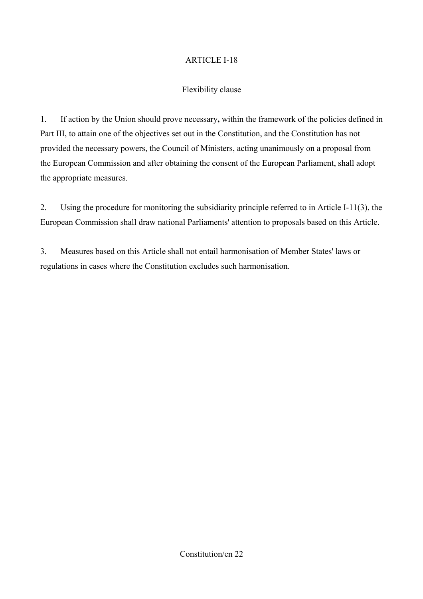### ARTICLE I-18

### Flexibility clause

1. If action by the Union should prove necessary**,** within the framework of the policies defined in Part III, to attain one of the objectives set out in the Constitution, and the Constitution has not provided the necessary powers, the Council of Ministers, acting unanimously on a proposal from the European Commission and after obtaining the consent of the European Parliament, shall adopt the appropriate measures.

2. Using the procedure for monitoring the subsidiarity principle referred to in Article I-11(3), the European Commission shall draw national Parliaments' attention to proposals based on this Article.

3. Measures based on this Article shall not entail harmonisation of Member States' laws or regulations in cases where the Constitution excludes such harmonisation.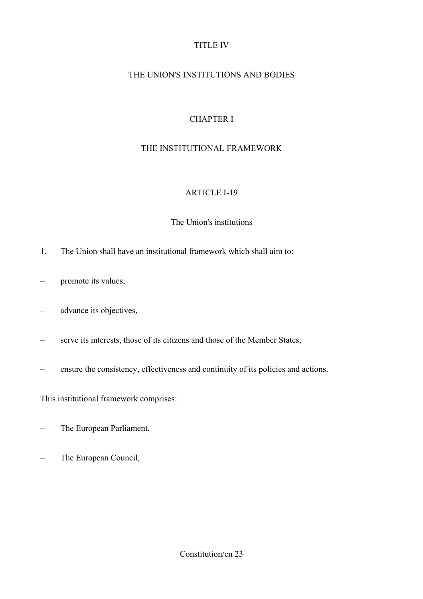### TITLE IV

### THE UNION'S INSTITUTIONS AND BODIES

### CHAPTER I

#### THE INSTITUTIONAL FRAMEWORK

#### ARTICLE I-19

#### The Union's institutions

- 1. The Union shall have an institutional framework which shall aim to:
- promote its values,
- advance its objectives,
- serve its interests, those of its citizens and those of the Member States,
- ensure the consistency, effectiveness and continuity of its policies and actions.

This institutional framework comprises:

- The European Parliament,
- The European Council,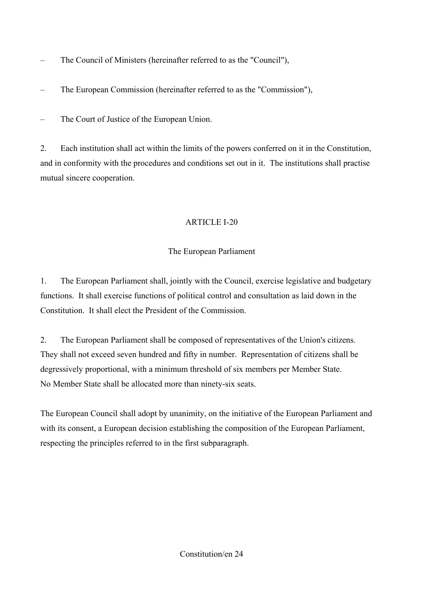- The Council of Ministers (hereinafter referred to as the "Council"),
- The European Commission (hereinafter referred to as the "Commission"),
- The Court of Justice of the European Union.

2. Each institution shall act within the limits of the powers conferred on it in the Constitution, and in conformity with the procedures and conditions set out in it. The institutions shall practise mutual sincere cooperation.

# ARTICLE I-20

# The European Parliament

1. The European Parliament shall, jointly with the Council, exercise legislative and budgetary functions. It shall exercise functions of political control and consultation as laid down in the Constitution. It shall elect the President of the Commission.

2. The European Parliament shall be composed of representatives of the Union's citizens. They shall not exceed seven hundred and fifty in number. Representation of citizens shall be degressively proportional, with a minimum threshold of six members per Member State. No Member State shall be allocated more than ninety-six seats.

The European Council shall adopt by unanimity, on the initiative of the European Parliament and with its consent, a European decision establishing the composition of the European Parliament, respecting the principles referred to in the first subparagraph.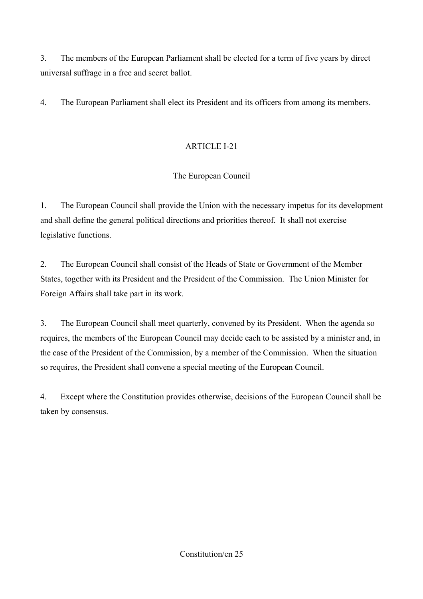3. The members of the European Parliament shall be elected for a term of five years by direct universal suffrage in a free and secret ballot.

4. The European Parliament shall elect its President and its officers from among its members.

# ARTICLE I-21

# The European Council

1. The European Council shall provide the Union with the necessary impetus for its development and shall define the general political directions and priorities thereof. It shall not exercise legislative functions.

2. The European Council shall consist of the Heads of State or Government of the Member States, together with its President and the President of the Commission. The Union Minister for Foreign Affairs shall take part in its work.

3. The European Council shall meet quarterly, convened by its President. When the agenda so requires, the members of the European Council may decide each to be assisted by a minister and, in the case of the President of the Commission, by a member of the Commission. When the situation so requires, the President shall convene a special meeting of the European Council.

4. Except where the Constitution provides otherwise, decisions of the European Council shall be taken by consensus.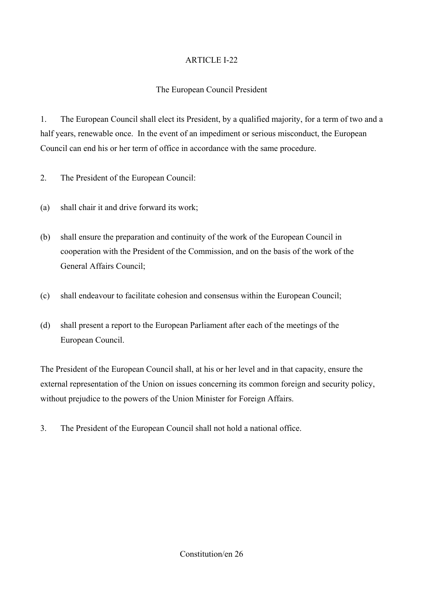### ARTICLE I-22

### The European Council President

1. The European Council shall elect its President, by a qualified majority, for a term of two and a half years, renewable once. In the event of an impediment or serious misconduct, the European Council can end his or her term of office in accordance with the same procedure.

- 2. The President of the European Council:
- (a) shall chair it and drive forward its work;
- (b) shall ensure the preparation and continuity of the work of the European Council in cooperation with the President of the Commission, and on the basis of the work of the General Affairs Council;
- (c) shall endeavour to facilitate cohesion and consensus within the European Council;
- (d) shall present a report to the European Parliament after each of the meetings of the European Council.

The President of the European Council shall, at his or her level and in that capacity, ensure the external representation of the Union on issues concerning its common foreign and security policy, without prejudice to the powers of the Union Minister for Foreign Affairs.

3. The President of the European Council shall not hold a national office.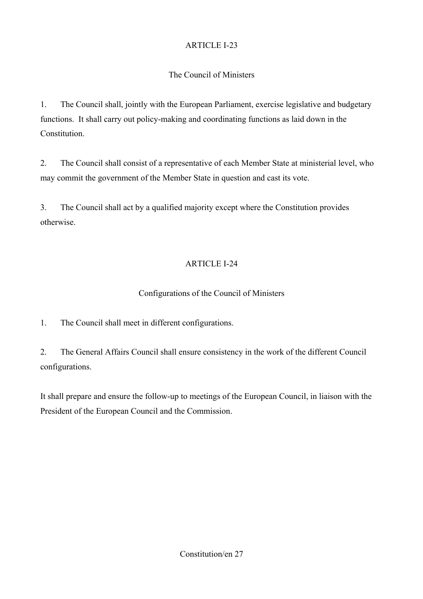# ARTICLE I-23

# The Council of Ministers

1. The Council shall, jointly with the European Parliament, exercise legislative and budgetary functions. It shall carry out policy-making and coordinating functions as laid down in the Constitution.

2. The Council shall consist of a representative of each Member State at ministerial level, who may commit the government of the Member State in question and cast its vote.

3. The Council shall act by a qualified majority except where the Constitution provides otherwise.

# ARTICLE I-24

# Configurations of the Council of Ministers

1. The Council shall meet in different configurations.

2. The General Affairs Council shall ensure consistency in the work of the different Council configurations.

It shall prepare and ensure the follow-up to meetings of the European Council, in liaison with the President of the European Council and the Commission.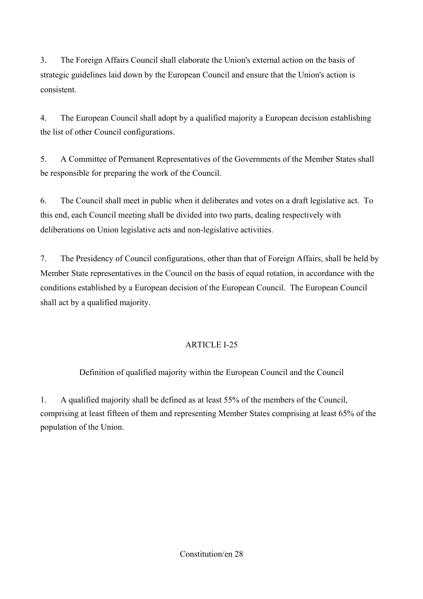3. The Foreign Affairs Council shall elaborate the Union's external action on the basis of strategic guidelines laid down by the European Council and ensure that the Union's action is consistent.

4. The European Council shall adopt by a qualified majority a European decision establishing the list of other Council configurations.

5. A Committee of Permanent Representatives of the Governments of the Member States shall be responsible for preparing the work of the Council.

6. The Council shall meet in public when it deliberates and votes on a draft legislative act. To this end, each Council meeting shall be divided into two parts, dealing respectively with deliberations on Union legislative acts and non-legislative activities.

7. The Presidency of Council configurations, other than that of Foreign Affairs, shall be held by Member State representatives in the Council on the basis of equal rotation, in accordance with the conditions established by a European decision of the European Council. The European Council shall act by a qualified majority.

# ARTICLE I-25

Definition of qualified majority within the European Council and the Council

1. A qualified majority shall be defined as at least 55% of the members of the Council, comprising at least fifteen of them and representing Member States comprising at least 65% of the population of the Union.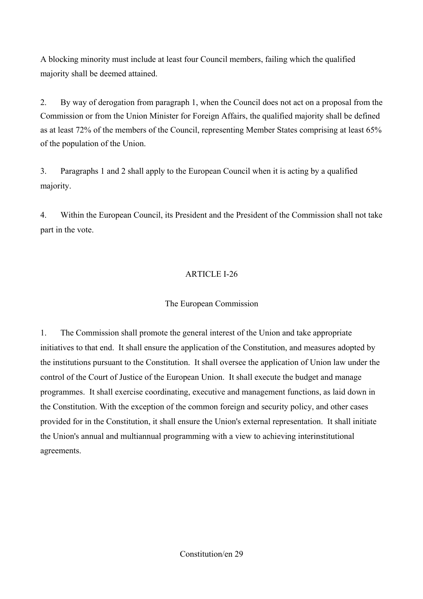A blocking minority must include at least four Council members, failing which the qualified majority shall be deemed attained.

2. By way of derogation from paragraph 1, when the Council does not act on a proposal from the Commission or from the Union Minister for Foreign Affairs, the qualified majority shall be defined as at least 72% of the members of the Council, representing Member States comprising at least 65% of the population of the Union.

3. Paragraphs 1 and 2 shall apply to the European Council when it is acting by a qualified majority.

4. Within the European Council, its President and the President of the Commission shall not take part in the vote.

# ARTICLE I-26

## The European Commission

1. The Commission shall promote the general interest of the Union and take appropriate initiatives to that end. It shall ensure the application of the Constitution, and measures adopted by the institutions pursuant to the Constitution. It shall oversee the application of Union law under the control of the Court of Justice of the European Union. It shall execute the budget and manage programmes. It shall exercise coordinating, executive and management functions, as laid down in the Constitution. With the exception of the common foreign and security policy, and other cases provided for in the Constitution, it shall ensure the Union's external representation. It shall initiate the Union's annual and multiannual programming with a view to achieving interinstitutional agreements.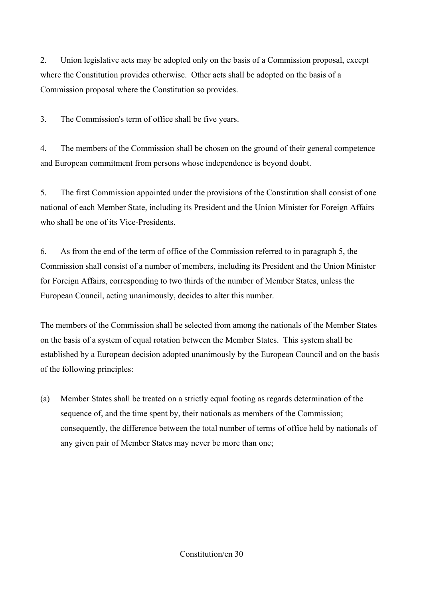2. Union legislative acts may be adopted only on the basis of a Commission proposal, except where the Constitution provides otherwise. Other acts shall be adopted on the basis of a Commission proposal where the Constitution so provides.

3. The Commission's term of office shall be five years.

4. The members of the Commission shall be chosen on the ground of their general competence and European commitment from persons whose independence is beyond doubt.

5. The first Commission appointed under the provisions of the Constitution shall consist of one national of each Member State, including its President and the Union Minister for Foreign Affairs who shall be one of its Vice-Presidents.

6. As from the end of the term of office of the Commission referred to in paragraph 5, the Commission shall consist of a number of members, including its President and the Union Minister for Foreign Affairs, corresponding to two thirds of the number of Member States, unless the European Council, acting unanimously, decides to alter this number.

The members of the Commission shall be selected from among the nationals of the Member States on the basis of a system of equal rotation between the Member States. This system shall be established by a European decision adopted unanimously by the European Council and on the basis of the following principles:

(a) Member States shall be treated on a strictly equal footing as regards determination of the sequence of, and the time spent by, their nationals as members of the Commission; consequently, the difference between the total number of terms of office held by nationals of any given pair of Member States may never be more than one;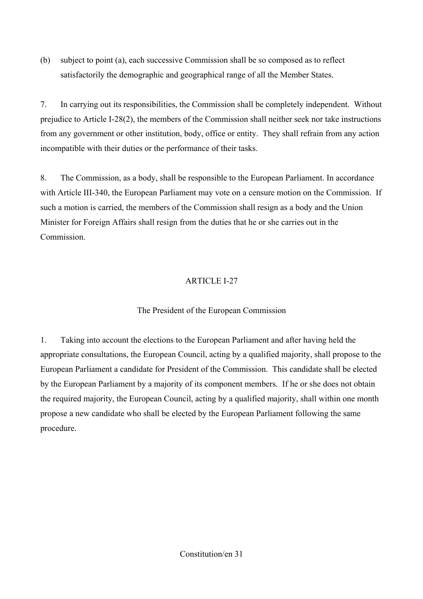(b) subject to point (a), each successive Commission shall be so composed as to reflect satisfactorily the demographic and geographical range of all the Member States.

7. In carrying out its responsibilities, the Commission shall be completely independent. Without prejudice to Article I-28(2), the members of the Commission shall neither seek nor take instructions from any government or other institution, body, office or entity. They shall refrain from any action incompatible with their duties or the performance of their tasks.

8. The Commission, as a body, shall be responsible to the European Parliament. In accordance with Article III-340, the European Parliament may vote on a censure motion on the Commission. If such a motion is carried, the members of the Commission shall resign as a body and the Union Minister for Foreign Affairs shall resign from the duties that he or she carries out in the Commission.

# ARTICLE I-27

# The President of the European Commission

1. Taking into account the elections to the European Parliament and after having held the appropriate consultations, the European Council, acting by a qualified majority, shall propose to the European Parliament a candidate for President of the Commission. This candidate shall be elected by the European Parliament by a majority of its component members. If he or she does not obtain the required majority, the European Council, acting by a qualified majority, shall within one month propose a new candidate who shall be elected by the European Parliament following the same procedure.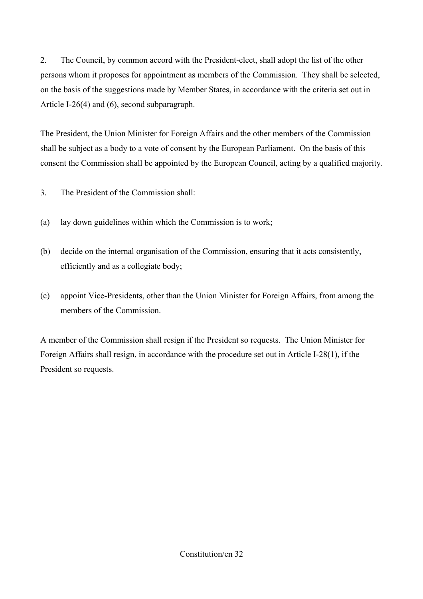2. The Council, by common accord with the President-elect, shall adopt the list of the other persons whom it proposes for appointment as members of the Commission. They shall be selected, on the basis of the suggestions made by Member States, in accordance with the criteria set out in Article I-26(4) and (6), second subparagraph.

The President, the Union Minister for Foreign Affairs and the other members of the Commission shall be subject as a body to a vote of consent by the European Parliament. On the basis of this consent the Commission shall be appointed by the European Council, acting by a qualified majority.

3. The President of the Commission shall:

- (a) lay down guidelines within which the Commission is to work;
- (b) decide on the internal organisation of the Commission, ensuring that it acts consistently, efficiently and as a collegiate body;
- (c) appoint Vice-Presidents, other than the Union Minister for Foreign Affairs, from among the members of the Commission.

A member of the Commission shall resign if the President so requests. The Union Minister for Foreign Affairs shall resign, in accordance with the procedure set out in Article I-28(1), if the President so requests.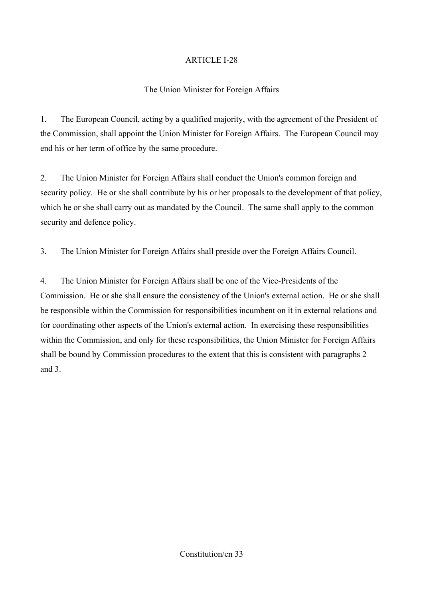## The Union Minister for Foreign Affairs

1. The European Council, acting by a qualified majority, with the agreement of the President of the Commission, shall appoint the Union Minister for Foreign Affairs. The European Council may end his or her term of office by the same procedure.

2. The Union Minister for Foreign Affairs shall conduct the Union's common foreign and security policy. He or she shall contribute by his or her proposals to the development of that policy, which he or she shall carry out as mandated by the Council. The same shall apply to the common security and defence policy.

3. The Union Minister for Foreign Affairs shall preside over the Foreign Affairs Council.

4. The Union Minister for Foreign Affairs shall be one of the Vice-Presidents of the Commission. He or she shall ensure the consistency of the Union's external action. He or she shall be responsible within the Commission for responsibilities incumbent on it in external relations and for coordinating other aspects of the Union's external action. In exercising these responsibilities within the Commission, and only for these responsibilities, the Union Minister for Foreign Affairs shall be bound by Commission procedures to the extent that this is consistent with paragraphs 2 and 3.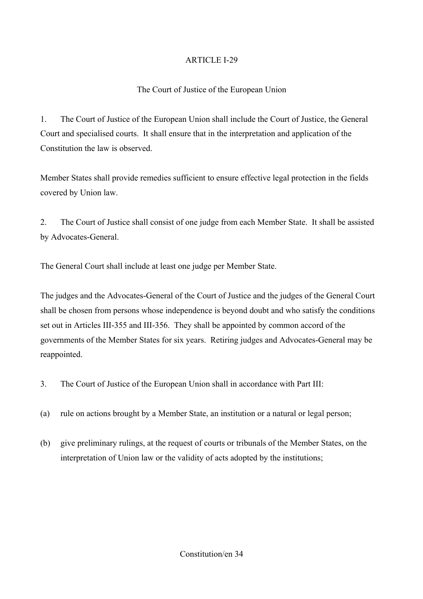#### The Court of Justice of the European Union

1. The Court of Justice of the European Union shall include the Court of Justice, the General Court and specialised courts. It shall ensure that in the interpretation and application of the Constitution the law is observed.

Member States shall provide remedies sufficient to ensure effective legal protection in the fields covered by Union law.

2. The Court of Justice shall consist of one judge from each Member State. It shall be assisted by Advocates-General.

The General Court shall include at least one judge per Member State.

The judges and the Advocates-General of the Court of Justice and the judges of the General Court shall be chosen from persons whose independence is beyond doubt and who satisfy the conditions set out in Articles III-355 and III-356. They shall be appointed by common accord of the governments of the Member States for six years. Retiring judges and Advocates-General may be reappointed.

- 3. The Court of Justice of the European Union shall in accordance with Part III:
- (a) rule on actions brought by a Member State, an institution or a natural or legal person;
- (b) give preliminary rulings, at the request of courts or tribunals of the Member States, on the interpretation of Union law or the validity of acts adopted by the institutions;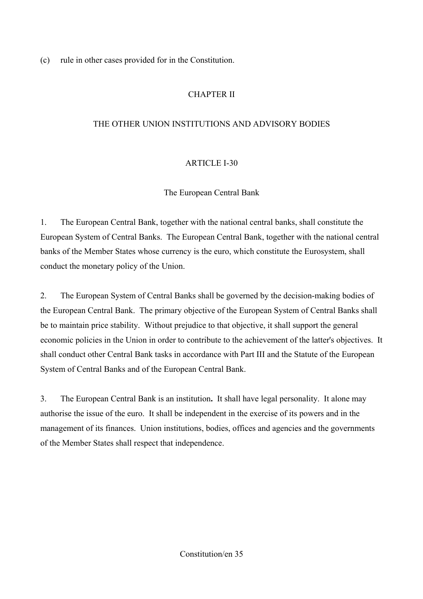(c) rule in other cases provided for in the Constitution.

# CHAPTER II

## THE OTHER UNION INSTITUTIONS AND ADVISORY BODIES

## ARTICLE I-30

The European Central Bank

1. The European Central Bank, together with the national central banks, shall constitute the European System of Central Banks. The European Central Bank, together with the national central banks of the Member States whose currency is the euro, which constitute the Eurosystem, shall conduct the monetary policy of the Union.

2. The European System of Central Banks shall be governed by the decision-making bodies of the European Central Bank. The primary objective of the European System of Central Banks shall be to maintain price stability. Without prejudice to that objective, it shall support the general economic policies in the Union in order to contribute to the achievement of the latter's objectives. It shall conduct other Central Bank tasks in accordance with Part III and the Statute of the European System of Central Banks and of the European Central Bank.

3. The European Central Bank is an institution**.** It shall have legal personality. It alone may authorise the issue of the euro. It shall be independent in the exercise of its powers and in the management of its finances. Union institutions, bodies, offices and agencies and the governments of the Member States shall respect that independence.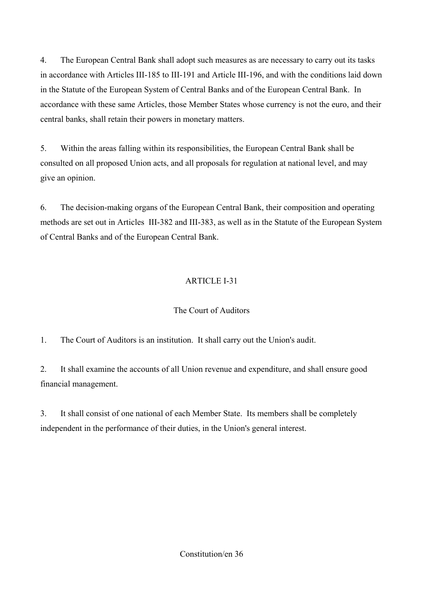4. The European Central Bank shall adopt such measures as are necessary to carry out its tasks in accordance with Articles III-185 to III-191 and Article III-196, and with the conditions laid down in the Statute of the European System of Central Banks and of the European Central Bank. In accordance with these same Articles, those Member States whose currency is not the euro, and their central banks, shall retain their powers in monetary matters.

5. Within the areas falling within its responsibilities, the European Central Bank shall be consulted on all proposed Union acts, and all proposals for regulation at national level, and may give an opinion.

6. The decision-making organs of the European Central Bank, their composition and operating methods are set out in Articles III-382 and III-383, as well as in the Statute of the European System of Central Banks and of the European Central Bank.

# ARTICLE I-31

# The Court of Auditors

1. The Court of Auditors is an institution. It shall carry out the Union's audit.

2. It shall examine the accounts of all Union revenue and expenditure, and shall ensure good financial management.

3. It shall consist of one national of each Member State. Its members shall be completely independent in the performance of their duties, in the Union's general interest.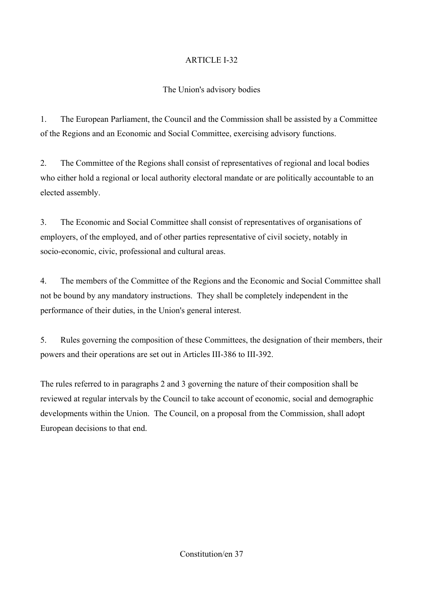#### The Union's advisory bodies

1. The European Parliament, the Council and the Commission shall be assisted by a Committee of the Regions and an Economic and Social Committee, exercising advisory functions.

2. The Committee of the Regions shall consist of representatives of regional and local bodies who either hold a regional or local authority electoral mandate or are politically accountable to an elected assembly.

3. The Economic and Social Committee shall consist of representatives of organisations of employers, of the employed, and of other parties representative of civil society, notably in socio-economic, civic, professional and cultural areas.

4. The members of the Committee of the Regions and the Economic and Social Committee shall not be bound by any mandatory instructions. They shall be completely independent in the performance of their duties, in the Union's general interest.

5. Rules governing the composition of these Committees, the designation of their members, their powers and their operations are set out in Articles III-386 to III-392.

The rules referred to in paragraphs 2 and 3 governing the nature of their composition shall be reviewed at regular intervals by the Council to take account of economic, social and demographic developments within the Union. The Council, on a proposal from the Commission, shall adopt European decisions to that end.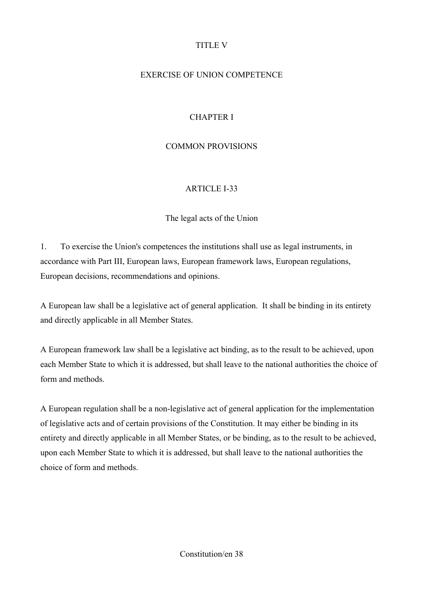#### TITLE V

## EXERCISE OF UNION COMPETENCE

# CHAPTER I

#### COMMON PROVISIONS

## ARTICLE I-33

#### The legal acts of the Union

1. To exercise the Union's competences the institutions shall use as legal instruments, in accordance with Part III, European laws, European framework laws, European regulations, European decisions, recommendations and opinions.

A European law shall be a legislative act of general application. It shall be binding in its entirety and directly applicable in all Member States.

A European framework law shall be a legislative act binding, as to the result to be achieved, upon each Member State to which it is addressed, but shall leave to the national authorities the choice of form and methods.

A European regulation shall be a non-legislative act of general application for the implementation of legislative acts and of certain provisions of the Constitution. It may either be binding in its entirety and directly applicable in all Member States, or be binding, as to the result to be achieved, upon each Member State to which it is addressed, but shall leave to the national authorities the choice of form and methods.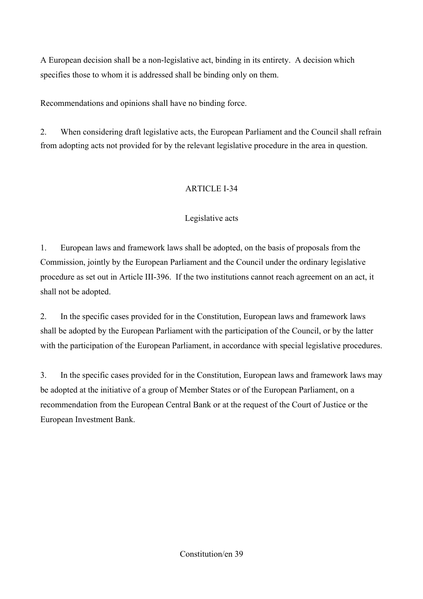A European decision shall be a non-legislative act, binding in its entirety. A decision which specifies those to whom it is addressed shall be binding only on them.

Recommendations and opinions shall have no binding force.

2. When considering draft legislative acts, the European Parliament and the Council shall refrain from adopting acts not provided for by the relevant legislative procedure in the area in question.

# ARTICLE I-34

# Legislative acts

1. European laws and framework laws shall be adopted, on the basis of proposals from the Commission, jointly by the European Parliament and the Council under the ordinary legislative procedure as set out in Article III-396. If the two institutions cannot reach agreement on an act, it shall not be adopted.

2. In the specific cases provided for in the Constitution, European laws and framework laws shall be adopted by the European Parliament with the participation of the Council, or by the latter with the participation of the European Parliament, in accordance with special legislative procedures.

3. In the specific cases provided for in the Constitution, European laws and framework laws may be adopted at the initiative of a group of Member States or of the European Parliament, on a recommendation from the European Central Bank or at the request of the Court of Justice or the European Investment Bank.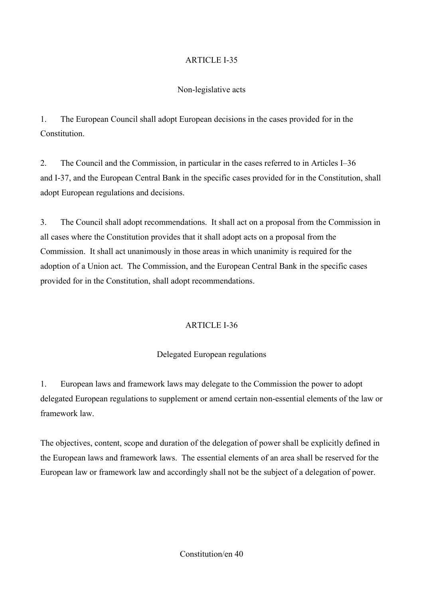#### Non-legislative acts

1. The European Council shall adopt European decisions in the cases provided for in the Constitution.

2. The Council and the Commission, in particular in the cases referred to in Articles I–36 and I-37, and the European Central Bank in the specific cases provided for in the Constitution, shall adopt European regulations and decisions.

3. The Council shall adopt recommendations. It shall act on a proposal from the Commission in all cases where the Constitution provides that it shall adopt acts on a proposal from the Commission. It shall act unanimously in those areas in which unanimity is required for the adoption of a Union act. The Commission, and the European Central Bank in the specific cases provided for in the Constitution, shall adopt recommendations.

## ARTICLE I-36

## Delegated European regulations

1. European laws and framework laws may delegate to the Commission the power to adopt delegated European regulations to supplement or amend certain non-essential elements of the law or framework law.

The objectives, content, scope and duration of the delegation of power shall be explicitly defined in the European laws and framework laws. The essential elements of an area shall be reserved for the European law or framework law and accordingly shall not be the subject of a delegation of power.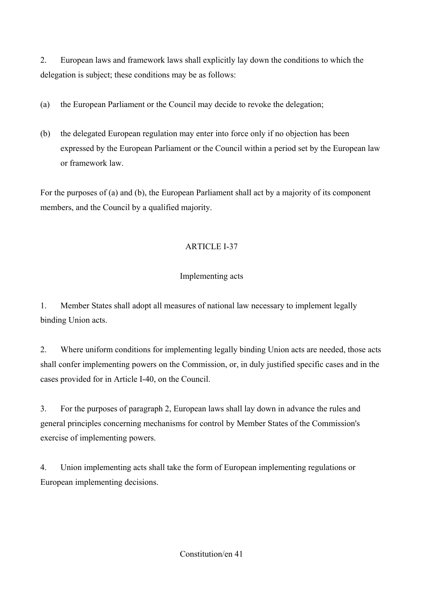2. European laws and framework laws shall explicitly lay down the conditions to which the delegation is subject; these conditions may be as follows:

- (a) the European Parliament or the Council may decide to revoke the delegation;
- (b) the delegated European regulation may enter into force only if no objection has been expressed by the European Parliament or the Council within a period set by the European law or framework law.

For the purposes of (a) and (b), the European Parliament shall act by a majority of its component members, and the Council by a qualified majority.

## ARTICLE I-37

## Implementing acts

1. Member States shall adopt all measures of national law necessary to implement legally binding Union acts.

2. Where uniform conditions for implementing legally binding Union acts are needed, those acts shall confer implementing powers on the Commission, or, in duly justified specific cases and in the cases provided for in Article I-40, on the Council.

3. For the purposes of paragraph 2, European laws shall lay down in advance the rules and general principles concerning mechanisms for control by Member States of the Commission's exercise of implementing powers.

4. Union implementing acts shall take the form of European implementing regulations or European implementing decisions.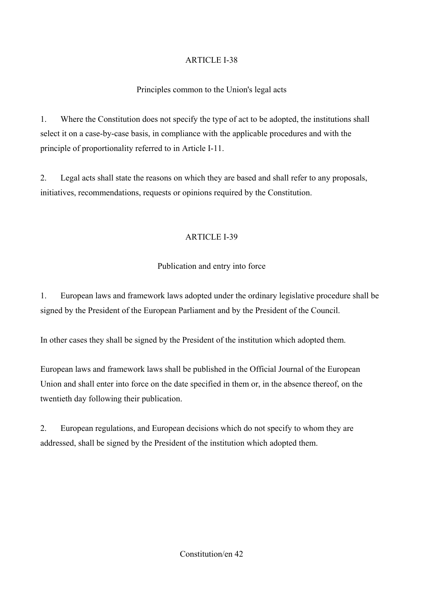#### Principles common to the Union's legal acts

1. Where the Constitution does not specify the type of act to be adopted, the institutions shall select it on a case-by-case basis, in compliance with the applicable procedures and with the principle of proportionality referred to in Article I-11.

2. Legal acts shall state the reasons on which they are based and shall refer to any proposals, initiatives, recommendations, requests or opinions required by the Constitution.

#### ARTICLE I-39

## Publication and entry into force

1. European laws and framework laws adopted under the ordinary legislative procedure shall be signed by the President of the European Parliament and by the President of the Council.

In other cases they shall be signed by the President of the institution which adopted them.

European laws and framework laws shall be published in the Official Journal of the European Union and shall enter into force on the date specified in them or, in the absence thereof, on the twentieth day following their publication.

2. European regulations, and European decisions which do not specify to whom they are addressed, shall be signed by the President of the institution which adopted them.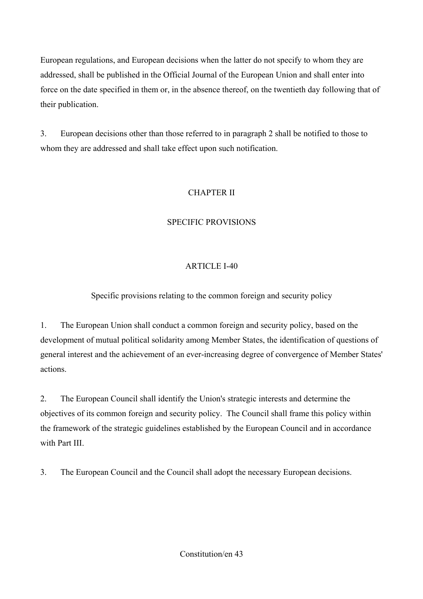European regulations, and European decisions when the latter do not specify to whom they are addressed, shall be published in the Official Journal of the European Union and shall enter into force on the date specified in them or, in the absence thereof, on the twentieth day following that of their publication.

3. European decisions other than those referred to in paragraph 2 shall be notified to those to whom they are addressed and shall take effect upon such notification.

# CHAPTER II

# SPECIFIC PROVISIONS

# ARTICLE I-40

# Specific provisions relating to the common foreign and security policy

1. The European Union shall conduct a common foreign and security policy, based on the development of mutual political solidarity among Member States, the identification of questions of general interest and the achievement of an ever-increasing degree of convergence of Member States' actions.

2. The European Council shall identify the Union's strategic interests and determine the objectives of its common foreign and security policy. The Council shall frame this policy within the framework of the strategic guidelines established by the European Council and in accordance with Part III

3. The European Council and the Council shall adopt the necessary European decisions.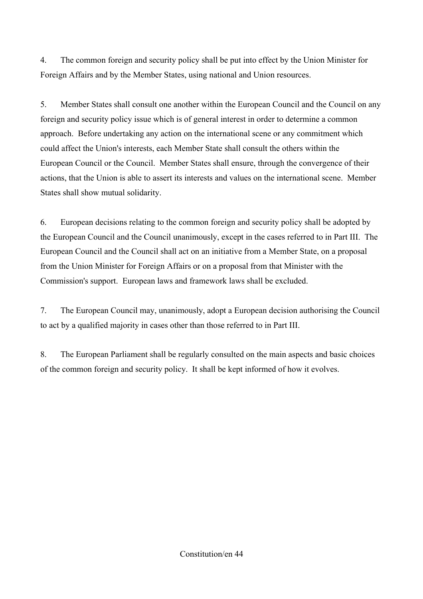4. The common foreign and security policy shall be put into effect by the Union Minister for Foreign Affairs and by the Member States, using national and Union resources.

5. Member States shall consult one another within the European Council and the Council on any foreign and security policy issue which is of general interest in order to determine a common approach. Before undertaking any action on the international scene or any commitment which could affect the Union's interests, each Member State shall consult the others within the European Council or the Council. Member States shall ensure, through the convergence of their actions, that the Union is able to assert its interests and values on the international scene. Member States shall show mutual solidarity.

6. European decisions relating to the common foreign and security policy shall be adopted by the European Council and the Council unanimously, except in the cases referred to in Part III. The European Council and the Council shall act on an initiative from a Member State, on a proposal from the Union Minister for Foreign Affairs or on a proposal from that Minister with the Commission's support.European laws and framework laws shall be excluded.

7. The European Council may, unanimously, adopt a European decision authorising the Council to act by a qualified majority in cases other than those referred to in Part III.

8. The European Parliament shall be regularly consulted on the main aspects and basic choices of the common foreign and security policy. It shall be kept informed of how it evolves.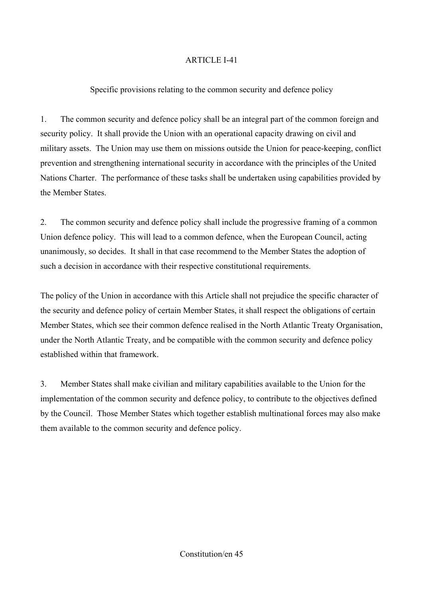Specific provisions relating to the common security and defence policy

1. The common security and defence policy shall be an integral part of the common foreign and security policy. It shall provide the Union with an operational capacity drawing on civil and military assets. The Union may use them on missions outside the Union for peace-keeping, conflict prevention and strengthening international security in accordance with the principles of the United Nations Charter. The performance of these tasks shall be undertaken using capabilities provided by the Member States.

2. The common security and defence policy shall include the progressive framing of a common Union defence policy. This will lead to a common defence, when the European Council, acting unanimously, so decides. It shall in that case recommend to the Member States the adoption of such a decision in accordance with their respective constitutional requirements.

The policy of the Union in accordance with this Article shall not prejudice the specific character of the security and defence policy of certain Member States, it shall respect the obligations of certain Member States, which see their common defence realised in the North Atlantic Treaty Organisation, under the North Atlantic Treaty, and be compatible with the common security and defence policy established within that framework.

3. Member States shall make civilian and military capabilities available to the Union for the implementation of the common security and defence policy, to contribute to the objectives defined by the Council. Those Member States which together establish multinational forces may also make them available to the common security and defence policy.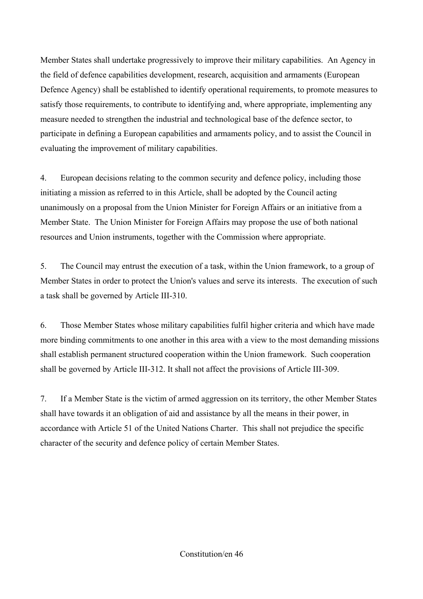Member States shall undertake progressively to improve their military capabilities. An Agency in the field of defence capabilities development, research, acquisition and armaments (European Defence Agency) shall be established to identify operational requirements, to promote measures to satisfy those requirements, to contribute to identifying and, where appropriate, implementing any measure needed to strengthen the industrial and technological base of the defence sector, to participate in defining a European capabilities and armaments policy, and to assist the Council in evaluating the improvement of military capabilities.

4. European decisions relating to the common security and defence policy, including those initiating a mission as referred to in this Article, shall be adopted by the Council acting unanimously on a proposal from the Union Minister for Foreign Affairs or an initiative from a Member State. The Union Minister for Foreign Affairs may propose the use of both national resources and Union instruments, together with the Commission where appropriate.

5. The Council may entrust the execution of a task, within the Union framework, to a group of Member States in order to protect the Union's values and serve its interests. The execution of such a task shall be governed by Article III-310.

6. Those Member States whose military capabilities fulfil higher criteria and which have made more binding commitments to one another in this area with a view to the most demanding missions shall establish permanent structured cooperation within the Union framework. Such cooperation shall be governed by Article III-312. It shall not affect the provisions of Article III-309.

7. If a Member State is the victim of armed aggression on its territory, the other Member States shall have towards it an obligation of aid and assistance by all the means in their power, in accordance with Article 51 of the United Nations Charter. This shall not prejudice the specific character of the security and defence policy of certain Member States.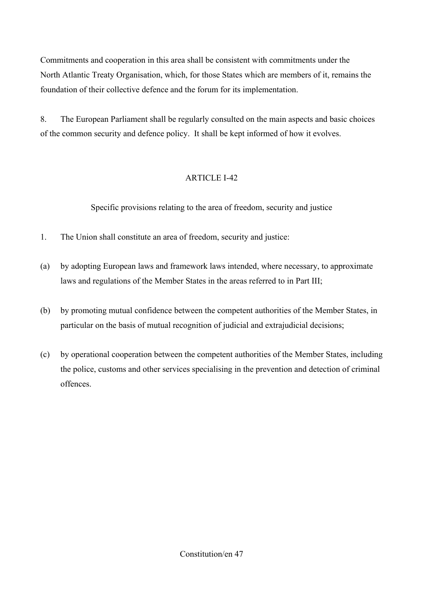Commitments and cooperation in this area shall be consistent with commitments under the North Atlantic Treaty Organisation, which, for those States which are members of it, remains the foundation of their collective defence and the forum for its implementation.

8. The European Parliament shall be regularly consulted on the main aspects and basic choices of the common security and defence policy. It shall be kept informed of how it evolves.

## ARTICLE I-42

Specific provisions relating to the area of freedom, security and justice

- 1. The Union shall constitute an area of freedom, security and justice:
- (a) by adopting European laws and framework laws intended, where necessary, to approximate laws and regulations of the Member States in the areas referred to in Part III;
- (b) by promoting mutual confidence between the competent authorities of the Member States, in particular on the basis of mutual recognition of judicial and extrajudicial decisions;
- (c) by operational cooperation between the competent authorities of the Member States, including the police, customs and other services specialising in the prevention and detection of criminal offences.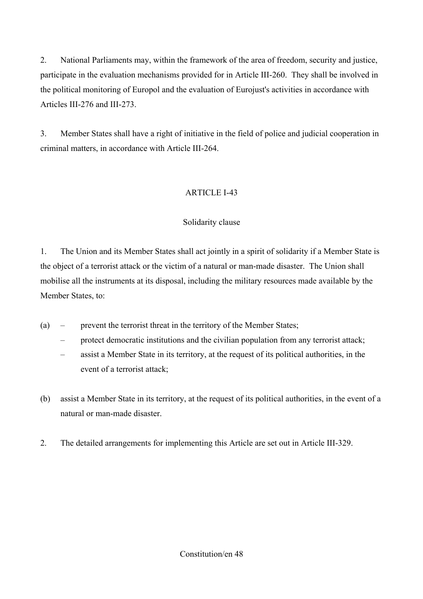2. National Parliaments may, within the framework of the area of freedom, security and justice, participate in the evaluation mechanisms provided for in Article III-260. They shall be involved in the political monitoring of Europol and the evaluation of Eurojust's activities in accordance with Articles III-276 and III-273.

3. Member States shall have a right of initiative in the field of police and judicial cooperation in criminal matters, in accordance with Article III-264.

## ARTICLE I-43

# Solidarity clause

1. The Union and its Member States shall act jointly in a spirit of solidarity if a Member State is the object of a terrorist attack or the victim of a natural or man-made disaster. The Union shall mobilise all the instruments at its disposal, including the military resources made available by the Member States, to:

- (a) prevent the terrorist threat in the territory of the Member States;
	- protect democratic institutions and the civilian population from any terrorist attack;
	- assist a Member State in its territory, at the request of its political authorities, in the event of a terrorist attack;
- (b) assist a Member State in its territory, at the request of its political authorities, in the event of a natural or man-made disaster.
- 2. The detailed arrangements for implementing this Article are set out in Article III-329.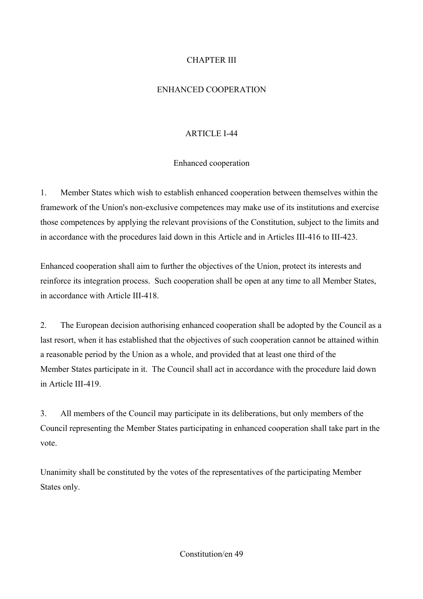#### CHAPTER III

#### ENHANCED COOPERATION

#### ARTICLE I-44

## Enhanced cooperation

1. Member States which wish to establish enhanced cooperation between themselves within the framework of the Union's non-exclusive competences may make use of its institutions and exercise those competences by applying the relevant provisions of the Constitution, subject to the limits and in accordance with the procedures laid down in this Article and in Articles III-416 to III-423.

Enhanced cooperation shall aim to further the objectives of the Union, protect its interests and reinforce its integration process. Such cooperation shall be open at any time to all Member States, in accordance with Article III-418.

2. The European decision authorising enhanced cooperation shall be adopted by the Council as a last resort, when it has established that the objectives of such cooperation cannot be attained within a reasonable period by the Union as a whole, and provided that at least one third of the Member States participate in it. The Council shall act in accordance with the procedure laid down in Article III-419.

3. All members of the Council may participate in its deliberations, but only members of the Council representing the Member States participating in enhanced cooperation shall take part in the vote.

Unanimity shall be constituted by the votes of the representatives of the participating Member States only.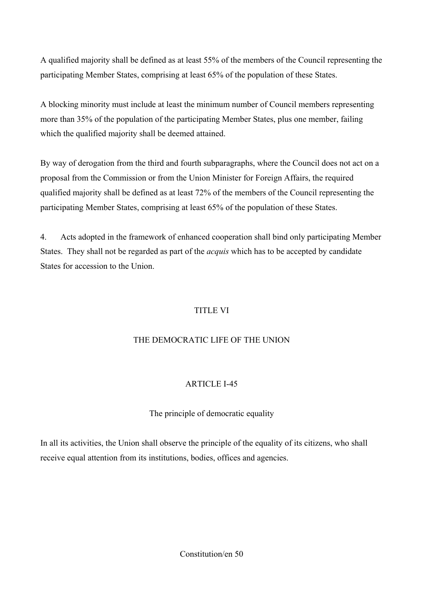A qualified majority shall be defined as at least 55% of the members of the Council representing the participating Member States, comprising at least 65% of the population of these States.

A blocking minority must include at least the minimum number of Council members representing more than 35% of the population of the participating Member States, plus one member, failing which the qualified majority shall be deemed attained.

By way of derogation from the third and fourth subparagraphs, where the Council does not act on a proposal from the Commission or from the Union Minister for Foreign Affairs, the required qualified majority shall be defined as at least 72% of the members of the Council representing the participating Member States, comprising at least 65% of the population of these States.

4. Acts adopted in the framework of enhanced cooperation shall bind only participating Member States. They shall not be regarded as part of the *acquis* which has to be accepted by candidate States for accession to the Union.

## TITLE VI

#### THE DEMOCRATIC LIFE OF THE UNION

#### **ARTICLE I-45**

#### The principle of democratic equality

In all its activities, the Union shall observe the principle of the equality of its citizens, who shall receive equal attention from its institutions, bodies, offices and agencies.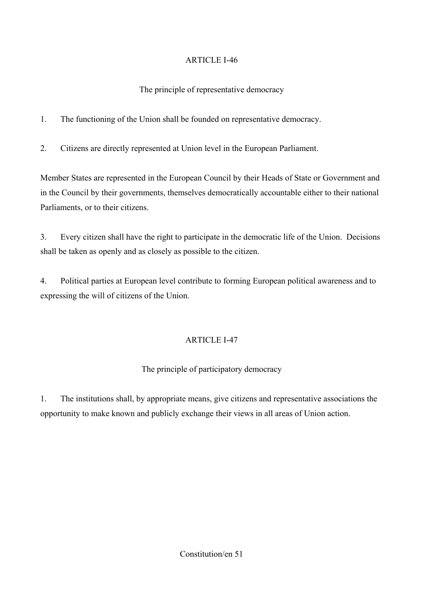#### The principle of representative democracy

1. The functioning of the Union shall be founded on representative democracy.

2. Citizens are directly represented at Union level in the European Parliament.

Member States are represented in the European Council by their Heads of State or Government and in the Council by their governments, themselves democratically accountable either to their national Parliaments, or to their citizens.

3. Every citizen shall have the right to participate in the democratic life of the Union. Decisions shall be taken as openly and as closely as possible to the citizen.

4. Political parties at European level contribute to forming European political awareness and to expressing the will of citizens of the Union.

## ARTICLE I-47

## The principle of participatory democracy

1. The institutions shall, by appropriate means, give citizens and representative associations the opportunity to make known and publicly exchange their views in all areas of Union action.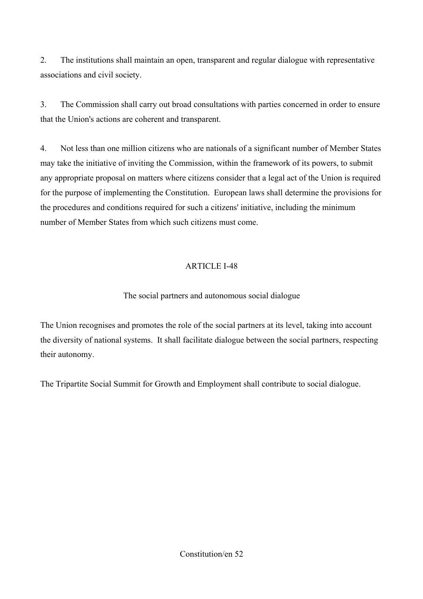2. The institutions shall maintain an open, transparent and regular dialogue with representative associations and civil society.

3. The Commission shall carry out broad consultations with parties concerned in order to ensure that the Union's actions are coherent and transparent.

4. Not less than one million citizens who are nationals of a significant number of Member States may take the initiative of inviting the Commission, within the framework of its powers, to submit any appropriate proposal on matters where citizens consider that a legal act of the Union is required for the purpose of implementing the Constitution. European laws shall determine the provisions for the procedures and conditions required for such a citizens' initiative, including the minimum number of Member States from which such citizens must come.

# **ARTICLE I-48**

## The social partners and autonomous social dialogue

The Union recognises and promotes the role of the social partners at its level, taking into account the diversity of national systems. It shall facilitate dialogue between the social partners, respecting their autonomy.

The Tripartite Social Summit for Growth and Employment shall contribute to social dialogue.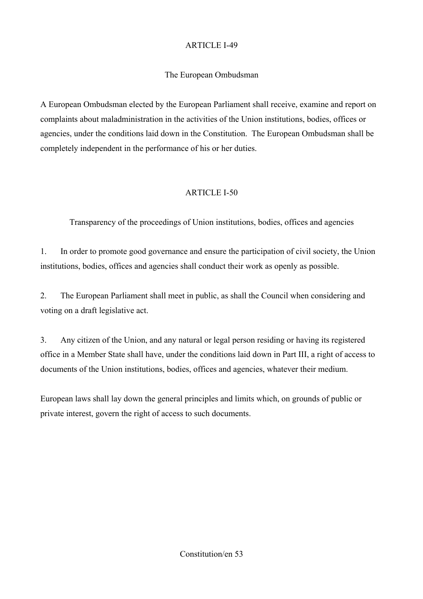## The European Ombudsman

A European Ombudsman elected by the European Parliament shall receive, examine and report on complaints about maladministration in the activities of the Union institutions, bodies, offices or agencies, under the conditions laid down in the Constitution. The European Ombudsman shall be completely independent in the performance of his or her duties.

## ARTICLE I-50

Transparency of the proceedings of Union institutions, bodies, offices and agencies

1. In order to promote good governance and ensure the participation of civil society, the Union institutions, bodies, offices and agencies shall conduct their work as openly as possible.

2. The European Parliament shall meet in public, as shall the Council when considering and voting on a draft legislative act.

3. Any citizen of the Union, and any natural or legal person residing or having its registered office in a Member State shall have, under the conditions laid down in Part III, a right of access to documents of the Union institutions, bodies, offices and agencies, whatever their medium.

European laws shall lay down the general principles and limits which, on grounds of public or private interest, govern the right of access to such documents.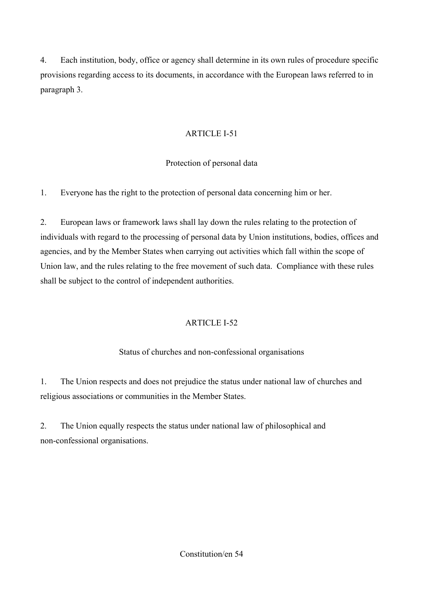4. Each institution, body, office or agency shall determine in its own rules of procedure specific provisions regarding access to its documents, in accordance with the European laws referred to in paragraph 3.

## ARTICLE I-51

# Protection of personal data

1. Everyone has the right to the protection of personal data concerning him or her.

2. European laws or framework laws shall lay down the rules relating to the protection of individuals with regard to the processing of personal data by Union institutions, bodies, offices and agencies, and by the Member States when carrying out activities which fall within the scope of Union law, and the rules relating to the free movement of such data. Compliance with these rules shall be subject to the control of independent authorities.

# ARTICLE I-52

# Status of churches and non-confessional organisations

1. The Union respects and does not prejudice the status under national law of churches and religious associations or communities in the Member States.

2. The Union equally respects the status under national law of philosophical and non-confessional organisations.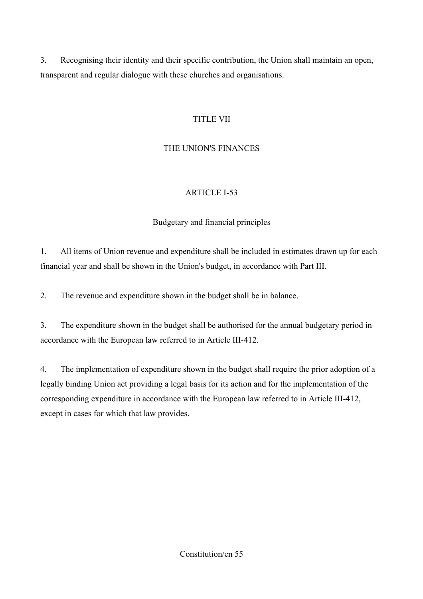3. Recognising their identity and their specific contribution, the Union shall maintain an open, transparent and regular dialogue with these churches and organisations.

#### TITLE VII

#### THE UNION'S FINANCES

## ARTICLE I-53

## Budgetary and financial principles

1. All items of Union revenue and expenditure shall be included in estimates drawn up for each financial year and shall be shown in the Union's budget, in accordance with Part III.

2. The revenue and expenditure shown in the budget shall be in balance.

3. The expenditure shown in the budget shall be authorised for the annual budgetary period in accordance with the European law referred to in Article III-412.

4. The implementation of expenditure shown in the budget shall require the prior adoption of a legally binding Union act providing a legal basis for its action and for the implementation of the corresponding expenditure in accordance with the European law referred to in Article III-412, except in cases for which that law provides.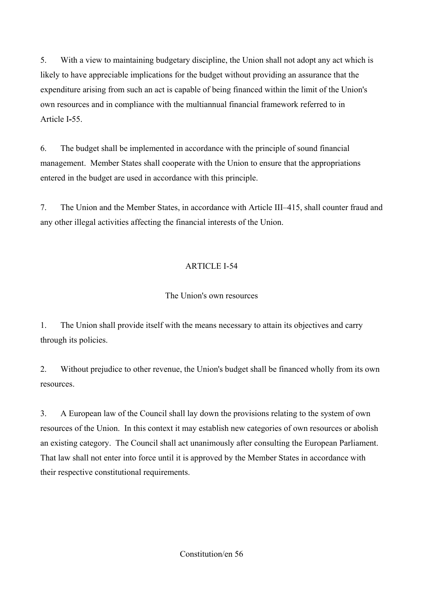5. With a view to maintaining budgetary discipline, the Union shall not adopt any act which is likely to have appreciable implications for the budget without providing an assurance that the expenditure arising from such an act is capable of being financed within the limit of the Union's own resources and in compliance with the multiannual financial framework referred to in Article I**-**55.

6. The budget shall be implemented in accordance with the principle of sound financial management. Member States shall cooperate with the Union to ensure that the appropriations entered in the budget are used in accordance with this principle.

7. The Union and the Member States, in accordance with Article III–415, shall counter fraud and any other illegal activities affecting the financial interests of the Union.

# **ARTICLE I-54**

# The Union's own resources

1. The Union shall provide itself with the means necessary to attain its objectives and carry through its policies.

2. Without prejudice to other revenue, the Union's budget shall be financed wholly from its own resources.

3. A European law of the Council shall lay down the provisions relating to the system of own resources of the Union. In this context it may establish new categories of own resources or abolish an existing category. The Council shall act unanimously after consulting the European Parliament. That law shall not enter into force until it is approved by the Member States in accordance with their respective constitutional requirements.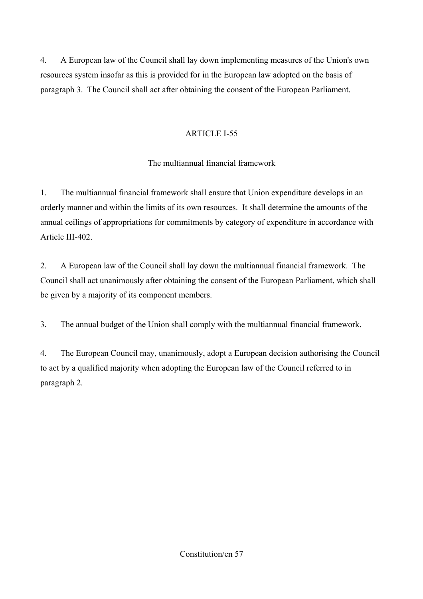4. A European law of the Council shall lay down implementing measures of the Union's own resources system insofar as this is provided for in the European law adopted on the basis of paragraph 3. The Council shall act after obtaining the consent of the European Parliament.

## ARTICLE I-55

# The multiannual financial framework

1. The multiannual financial framework shall ensure that Union expenditure develops in an orderly manner and within the limits of its own resources. It shall determine the amounts of the annual ceilings of appropriations for commitments by category of expenditure in accordance with Article III-402.

2. A European law of the Council shall lay down the multiannual financial framework. The Council shall act unanimously after obtaining the consent of the European Parliament, which shall be given by a majority of its component members.

3. The annual budget of the Union shall comply with the multiannual financial framework.

4. The European Council may, unanimously, adopt a European decision authorising the Council to act by a qualified majority when adopting the European law of the Council referred to in paragraph 2.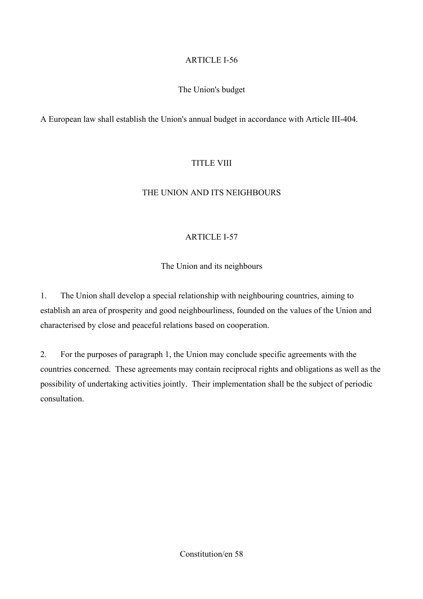#### The Union's budget

A European law shall establish the Union's annual budget in accordance with Article III-404.

# TITLE VIII

#### THE UNION AND ITS NEIGHBOURS

## ARTICLE I-57

#### The Union and its neighbours

1. The Union shall develop a special relationship with neighbouring countries, aiming to establish an area of prosperity and good neighbourliness, founded on the values of the Union and characterised by close and peaceful relations based on cooperation.

2. For the purposes of paragraph 1, the Union may conclude specific agreements with the countries concerned. These agreements may contain reciprocal rights and obligations as well as the possibility of undertaking activities jointly. Their implementation shall be the subject of periodic consultation.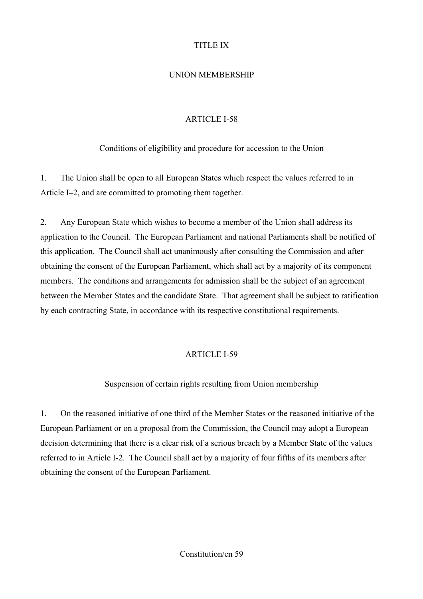#### TITLE IX

#### UNION MEMBERSHIP

#### ARTICLE I-58

Conditions of eligibility and procedure for accession to the Union

1. The Union shall be open to all European States which respect the values referred to in Article I**–**2, and are committed to promoting them together.

2. Any European State which wishes to become a member of the Union shall address its application to the Council. The European Parliament and national Parliaments shall be notified of this application. The Council shall act unanimously after consulting the Commission and after obtaining the consent of the European Parliament, which shall act by a majority of its component members. The conditions and arrangements for admission shall be the subject of an agreement between the Member States and the candidate State. That agreement shall be subject to ratification by each contracting State, in accordance with its respective constitutional requirements.

## ARTICLE I-59

## Suspension of certain rights resulting from Union membership

1. On the reasoned initiative of one third of the Member States or the reasoned initiative of the European Parliament or on a proposal from the Commission, the Council may adopt a European decision determining that there is a clear risk of a serious breach by a Member State of the values referred to in Article I-2. The Council shall act by a majority of four fifths of its members after obtaining the consent of the European Parliament.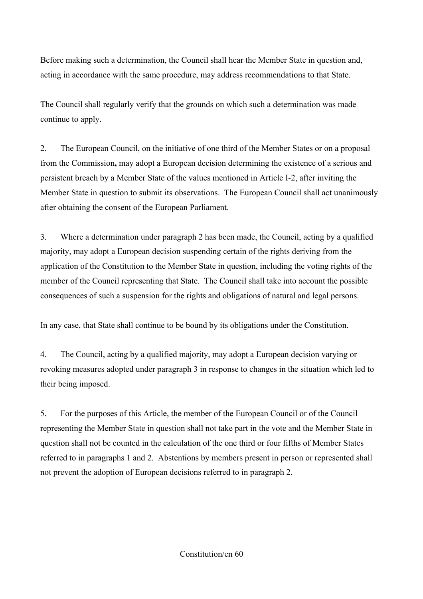Before making such a determination, the Council shall hear the Member State in question and, acting in accordance with the same procedure, may address recommendations to that State.

The Council shall regularly verify that the grounds on which such a determination was made continue to apply.

2. The European Council, on the initiative of one third of the Member States or on a proposal from the Commission**,** may adopt a European decision determining the existence of a serious and persistent breach by a Member State of the values mentioned in Article I-2, after inviting the Member State in question to submit its observations. The European Council shall act unanimously after obtaining the consent of the European Parliament.

3. Where a determination under paragraph 2 has been made, the Council, acting by a qualified majority, may adopt a European decision suspending certain of the rights deriving from the application of the Constitution to the Member State in question, including the voting rights of the member of the Council representing that State. The Council shall take into account the possible consequences of such a suspension for the rights and obligations of natural and legal persons.

In any case, that State shall continue to be bound by its obligations under the Constitution.

4. The Council, acting by a qualified majority, may adopt a European decision varying or revoking measures adopted under paragraph 3 in response to changes in the situation which led to their being imposed.

5. For the purposes of this Article, the member of the European Council or of the Council representing the Member State in question shall not take part in the vote and the Member State in question shall not be counted in the calculation of the one third or four fifths of Member States referred to in paragraphs 1 and 2. Abstentions by members present in person or represented shall not prevent the adoption of European decisions referred to in paragraph 2.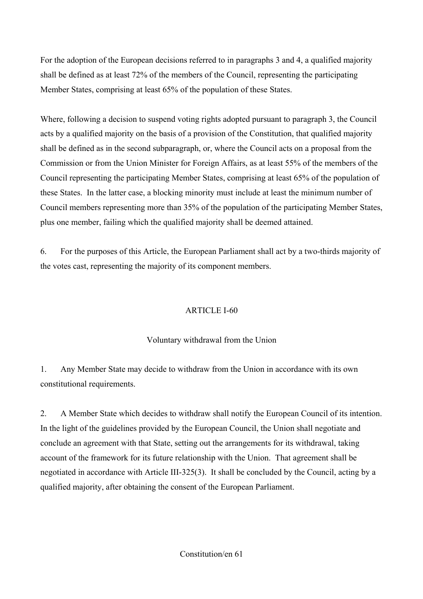For the adoption of the European decisions referred to in paragraphs 3 and 4, a qualified majority shall be defined as at least 72% of the members of the Council, representing the participating Member States, comprising at least 65% of the population of these States.

Where, following a decision to suspend voting rights adopted pursuant to paragraph 3, the Council acts by a qualified majority on the basis of a provision of the Constitution, that qualified majority shall be defined as in the second subparagraph, or, where the Council acts on a proposal from the Commission or from the Union Minister for Foreign Affairs, as at least 55% of the members of the Council representing the participating Member States, comprising at least 65% of the population of these States. In the latter case, a blocking minority must include at least the minimum number of Council members representing more than 35% of the population of the participating Member States, plus one member, failing which the qualified majority shall be deemed attained.

6. For the purposes of this Article, the European Parliament shall act by a two-thirds majority of the votes cast, representing the majority of its component members.

#### ARTICLE I-60

#### Voluntary withdrawal from the Union

1. Any Member State may decide to withdraw from the Union in accordance with its own constitutional requirements.

2. A Member State which decides to withdraw shall notify the European Council of its intention. In the light of the guidelines provided by the European Council, the Union shall negotiate and conclude an agreement with that State, setting out the arrangements for its withdrawal, taking account of the framework for its future relationship with the Union. That agreement shall be negotiated in accordance with Article III-325(3). It shall be concluded by the Council, acting by a qualified majority, after obtaining the consent of the European Parliament.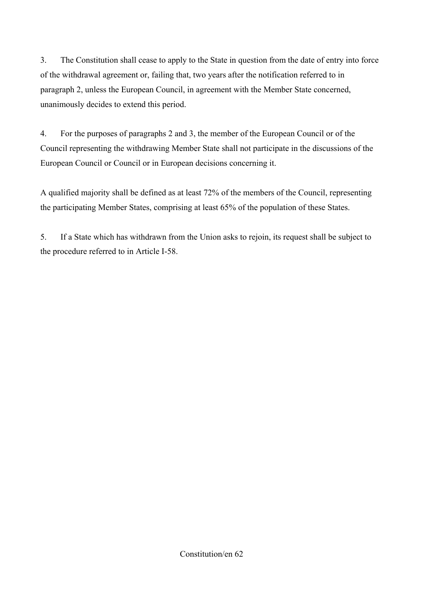3. The Constitution shall cease to apply to the State in question from the date of entry into force of the withdrawal agreement or, failing that, two years after the notification referred to in paragraph 2, unless the European Council, in agreement with the Member State concerned, unanimously decides to extend this period.

4. For the purposes of paragraphs 2 and 3, the member of the European Council or of the Council representing the withdrawing Member State shall not participate in the discussions of the European Council or Council or in European decisions concerning it.

A qualified majority shall be defined as at least 72% of the members of the Council, representing the participating Member States, comprising at least 65% of the population of these States.

5. If a State which has withdrawn from the Union asks to rejoin, its request shall be subject to the procedure referred to in Article I-58.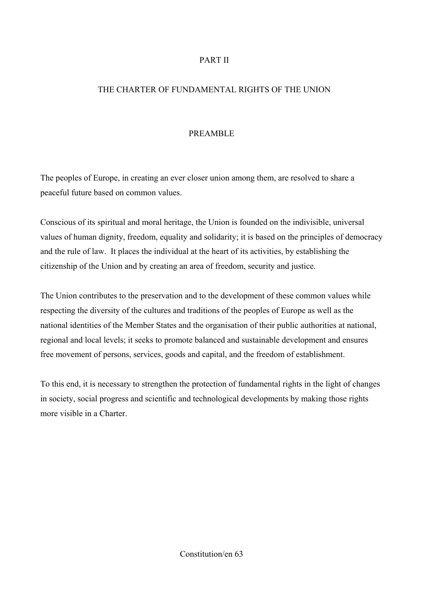#### PART II

#### THE CHARTER OF FUNDAMENTAL RIGHTS OF THE UNION

#### PREAMBLE

The peoples of Europe, in creating an ever closer union among them, are resolved to share a peaceful future based on common values.

Conscious of its spiritual and moral heritage, the Union is founded on the indivisible, universal values of human dignity, freedom, equality and solidarity; it is based on the principles of democracy and the rule of law. It places the individual at the heart of its activities, by establishing the citizenship of the Union and by creating an area of freedom, security and justice.

The Union contributes to the preservation and to the development of these common values while respecting the diversity of the cultures and traditions of the peoples of Europe as well as the national identities of the Member States and the organisation of their public authorities at national, regional and local levels; it seeks to promote balanced and sustainable development and ensures free movement of persons, services, goods and capital, and the freedom of establishment.

To this end, it is necessary to strengthen the protection of fundamental rights in the light of changes in society, social progress and scientific and technological developments by making those rights more visible in a Charter.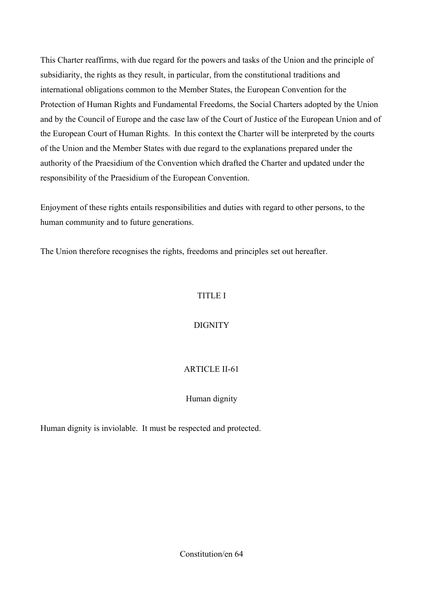This Charter reaffirms, with due regard for the powers and tasks of the Union and the principle of subsidiarity, the rights as they result, in particular, from the constitutional traditions and international obligations common to the Member States, the European Convention for the Protection of Human Rights and Fundamental Freedoms, the Social Charters adopted by the Union and by the Council of Europe and the case law of the Court of Justice of the European Union and of the European Court of Human Rights. In this context the Charter will be interpreted by the courts of the Union and the Member States with due regard to the explanations prepared under the authority of the Praesidium of the Convention which drafted the Charter and updated under the responsibility of the Praesidium of the European Convention.

Enjoyment of these rights entails responsibilities and duties with regard to other persons, to the human community and to future generations.

The Union therefore recognises the rights, freedoms and principles set out hereafter.

#### TITLE I

#### DIGNITY

#### ARTICLE II-61

#### Human dignity

Human dignity is inviolable. It must be respected and protected.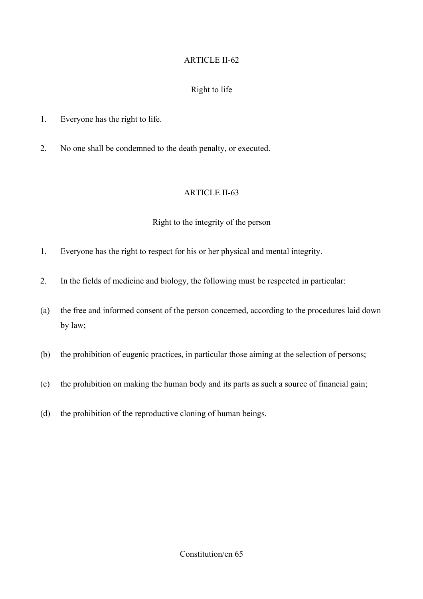#### Right to life

- 1. Everyone has the right to life.
- 2. No one shall be condemned to the death penalty, or executed.

#### ARTICLE II-63

#### Right to the integrity of the person

- 1. Everyone has the right to respect for his or her physical and mental integrity.
- 2. In the fields of medicine and biology, the following must be respected in particular:
- (a) the free and informed consent of the person concerned, according to the procedures laid down by law;
- (b) the prohibition of eugenic practices, in particular those aiming at the selection of persons;
- (c) the prohibition on making the human body and its parts as such a source of financial gain;
- (d) the prohibition of the reproductive cloning of human beings.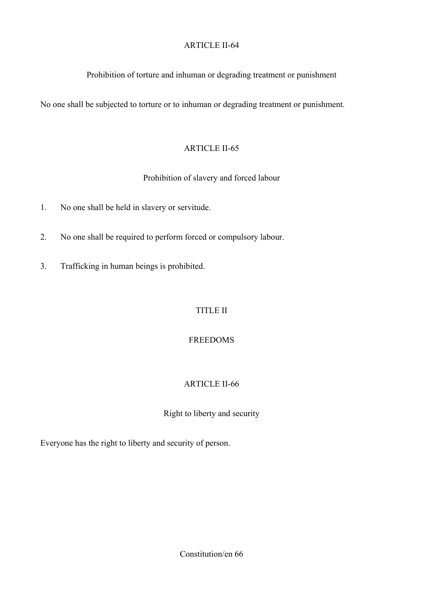Prohibition of torture and inhuman or degrading treatment or punishment

No one shall be subjected to torture or to inhuman or degrading treatment or punishment.

#### ARTICLE II-65

Prohibition of slavery and forced labour

- 1. No one shall be held in slavery or servitude.
- 2. No one shall be required to perform forced or compulsory labour.
- 3. Trafficking in human beings is prohibited.

## TITLE II

#### **FREEDOMS**

#### ARTICLE II-66

## Right to liberty and security

Everyone has the right to liberty and security of person.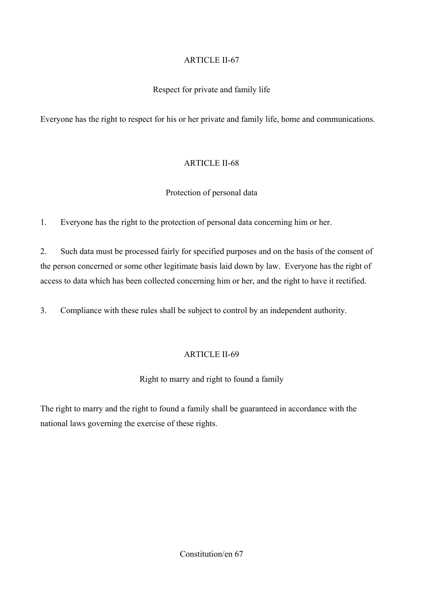## Respect for private and family life

Everyone has the right to respect for his or her private and family life, home and communications.

## ARTICLE II-68

#### Protection of personal data

1. Everyone has the right to the protection of personal data concerning him or her.

2. Such data must be processed fairly for specified purposes and on the basis of the consent of the person concerned or some other legitimate basis laid down by law. Everyone has the right of access to data which has been collected concerning him or her, and the right to have it rectified.

3. Compliance with these rules shall be subject to control by an independent authority.

#### ARTICLE II-69

## Right to marry and right to found a family

The right to marry and the right to found a family shall be guaranteed in accordance with the national laws governing the exercise of these rights.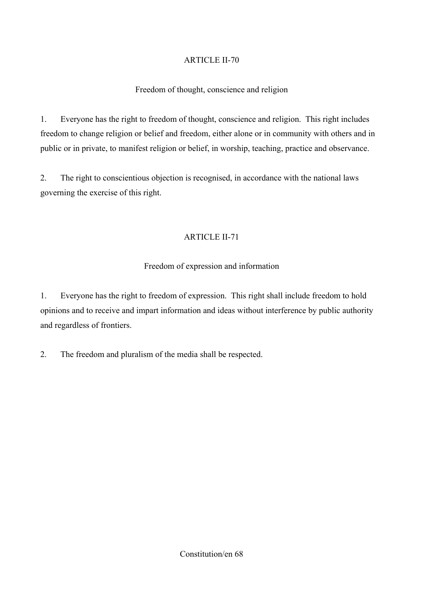## Freedom of thought, conscience and religion

1. Everyone has the right to freedom of thought, conscience and religion. This right includes freedom to change religion or belief and freedom, either alone or in community with others and in public or in private, to manifest religion or belief, in worship, teaching, practice and observance.

2. The right to conscientious objection is recognised, in accordance with the national laws governing the exercise of this right.

## ARTICLE II-71

## Freedom of expression and information

1. Everyone has the right to freedom of expression. This right shall include freedom to hold opinions and to receive and impart information and ideas without interference by public authority and regardless of frontiers.

2. The freedom and pluralism of the media shall be respected.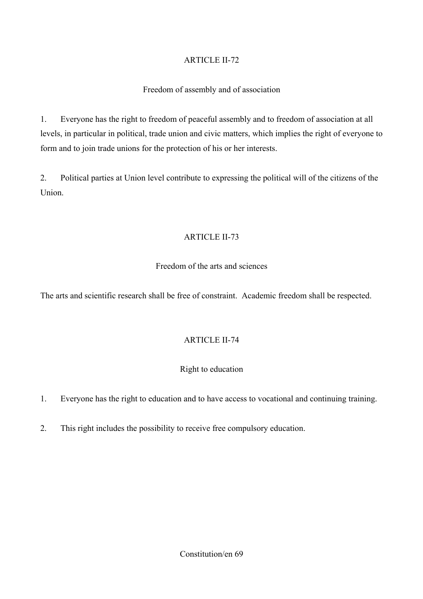## Freedom of assembly and of association

1. Everyone has the right to freedom of peaceful assembly and to freedom of association at all levels, in particular in political, trade union and civic matters, which implies the right of everyone to form and to join trade unions for the protection of his or her interests.

2. Political parties at Union level contribute to expressing the political will of the citizens of the Union.

## ARTICLE II-73

## Freedom of the arts and sciences

The arts and scientific research shall be free of constraint. Academic freedom shall be respected.

#### ARTICLE II-74

#### Right to education

- 1. Everyone has the right to education and to have access to vocational and continuing training.
- 2. This right includes the possibility to receive free compulsory education.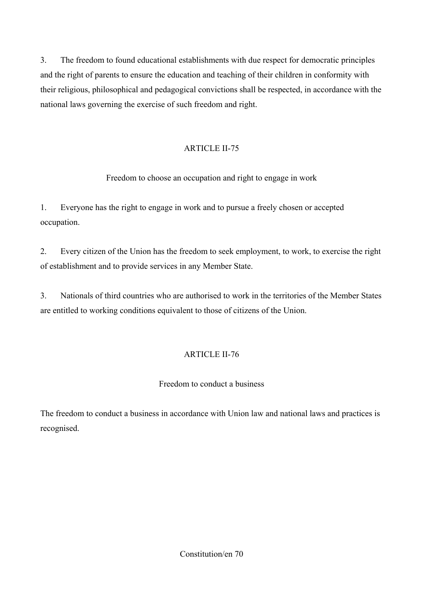3. The freedom to found educational establishments with due respect for democratic principles and the right of parents to ensure the education and teaching of their children in conformity with their religious, philosophical and pedagogical convictions shall be respected, in accordance with the national laws governing the exercise of such freedom and right.

## ARTICLE II-75

Freedom to choose an occupation and right to engage in work

1. Everyone has the right to engage in work and to pursue a freely chosen or accepted occupation.

2. Every citizen of the Union has the freedom to seek employment, to work, to exercise the right of establishment and to provide services in any Member State.

3. Nationals of third countries who are authorised to work in the territories of the Member States are entitled to working conditions equivalent to those of citizens of the Union.

## ARTICLE II-76

#### Freedom to conduct a business

The freedom to conduct a business in accordance with Union law and national laws and practices is recognised.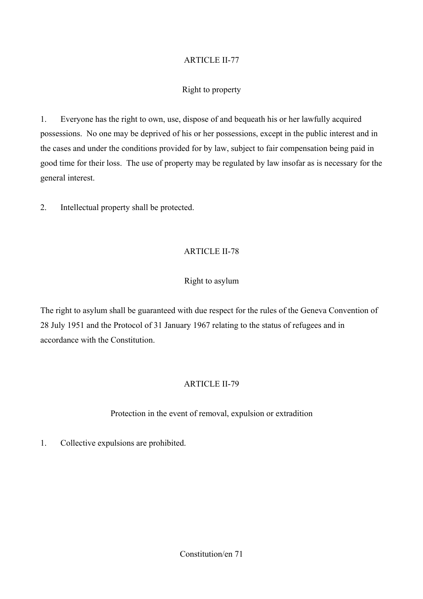#### Right to property

1. Everyone has the right to own, use, dispose of and bequeath his or her lawfully acquired possessions. No one may be deprived of his or her possessions, except in the public interest and in the cases and under the conditions provided for by law, subject to fair compensation being paid in good time for their loss. The use of property may be regulated by law insofar as is necessary for the general interest.

2. Intellectual property shall be protected.

#### ARTICLE II-78

## Right to asylum

The right to asylum shall be guaranteed with due respect for the rules of the Geneva Convention of 28 July 1951 and the Protocol of 31 January 1967 relating to the status of refugees and in accordance with the Constitution.

## ARTICLE II-79

#### Protection in the event of removal, expulsion or extradition

1. Collective expulsions are prohibited.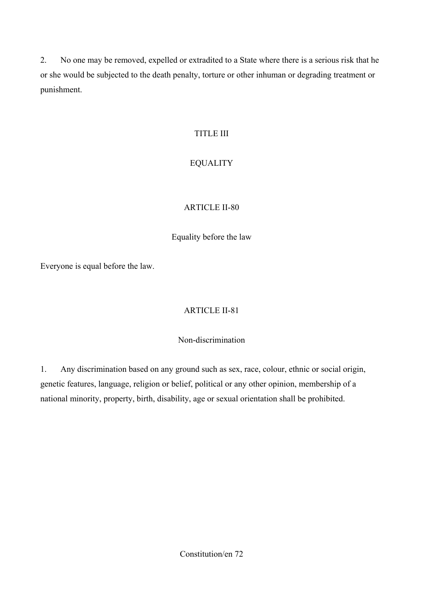2. No one may be removed, expelled or extradited to a State where there is a serious risk that he or she would be subjected to the death penalty, torture or other inhuman or degrading treatment or punishment.

## TITLE III

# EQUALITY

## ARTICLE II-80

## Equality before the law

Everyone is equal before the law.

## ARTICLE II-81

## Non-discrimination

1. Any discrimination based on any ground such as sex, race, colour, ethnic or social origin, genetic features, language, religion or belief, political or any other opinion, membership of a national minority, property, birth, disability, age or sexual orientation shall be prohibited.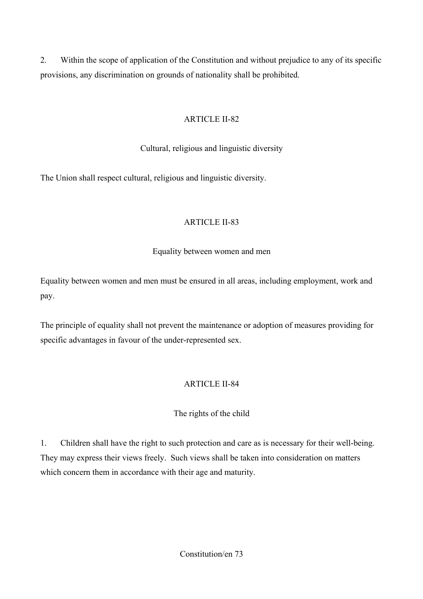2. Within the scope of application of the Constitution and without prejudice to any of its specific provisions, any discrimination on grounds of nationality shall be prohibited.

## ARTICLE II-82

## Cultural, religious and linguistic diversity

The Union shall respect cultural, religious and linguistic diversity.

## ARTICLE II-83

## Equality between women and men

Equality between women and men must be ensured in all areas, including employment, work and pay.

The principle of equality shall not prevent the maintenance or adoption of measures providing for specific advantages in favour of the under-represented sex.

## ARTICLE II-84

## The rights of the child

1. Children shall have the right to such protection and care as is necessary for their well-being. They may express their views freely. Such views shall be taken into consideration on matters which concern them in accordance with their age and maturity.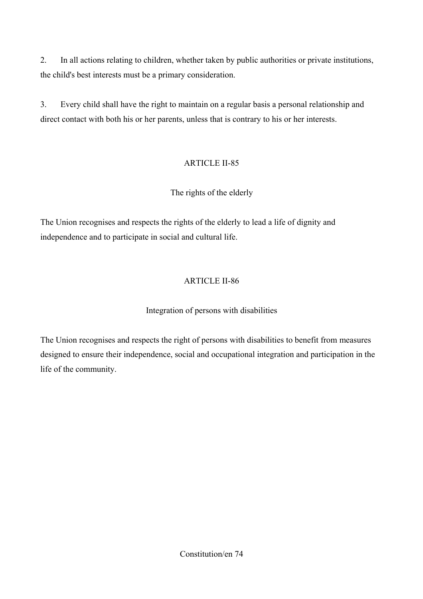2. In all actions relating to children, whether taken by public authorities or private institutions, the child's best interests must be a primary consideration.

3. Every child shall have the right to maintain on a regular basis a personal relationship and direct contact with both his or her parents, unless that is contrary to his or her interests.

# ARTICLE II-85

# The rights of the elderly

The Union recognises and respects the rights of the elderly to lead a life of dignity and independence and to participate in social and cultural life.

# ARTICLE II-86

# Integration of persons with disabilities

The Union recognises and respects the right of persons with disabilities to benefit from measures designed to ensure their independence, social and occupational integration and participation in the life of the community.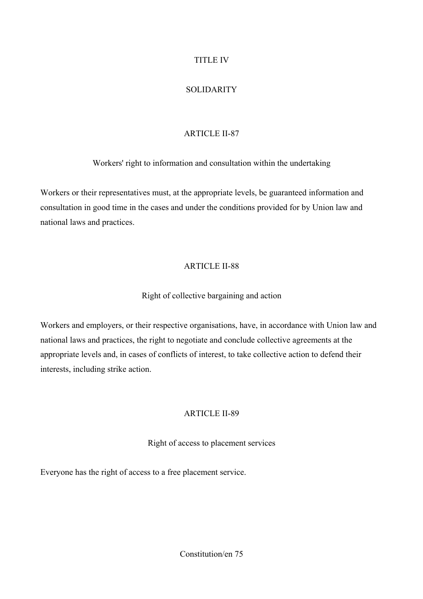#### TITLE IV

## SOLIDARITY

## ARTICLE II-87

Workers' right to information and consultation within the undertaking

Workers or their representatives must, at the appropriate levels, be guaranteed information and consultation in good time in the cases and under the conditions provided for by Union law and national laws and practices.

# ARTICLE II-88

## Right of collective bargaining and action

Workers and employers, or their respective organisations, have, in accordance with Union law and national laws and practices, the right to negotiate and conclude collective agreements at the appropriate levels and, in cases of conflicts of interest, to take collective action to defend their interests, including strike action.

## ARTICLE II-89

#### Right of access to placement services

Everyone has the right of access to a free placement service.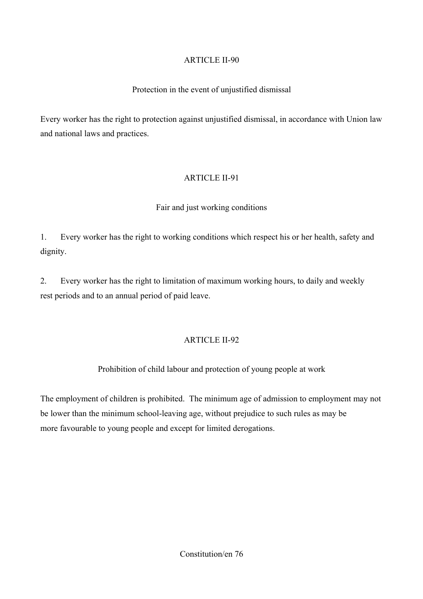#### Protection in the event of unjustified dismissal

Every worker has the right to protection against unjustified dismissal, in accordance with Union law and national laws and practices.

#### ARTICLE II-91

#### Fair and just working conditions

1. Every worker has the right to working conditions which respect his or her health, safety and dignity.

2. Every worker has the right to limitation of maximum working hours, to daily and weekly rest periods and to an annual period of paid leave.

#### ARTICLE II-92

Prohibition of child labour and protection of young people at work

The employment of children is prohibited. The minimum age of admission to employment may not be lower than the minimum school-leaving age, without prejudice to such rules as may be more favourable to young people and except for limited derogations.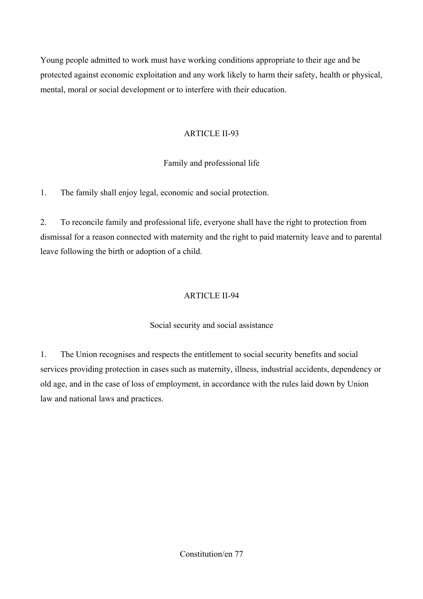Young people admitted to work must have working conditions appropriate to their age and be protected against economic exploitation and any work likely to harm their safety, health or physical, mental, moral or social development or to interfere with their education.

## ARTICLE II-93

# Family and professional life

1. The family shall enjoy legal, economic and social protection.

2. To reconcile family and professional life, everyone shall have the right to protection from dismissal for a reason connected with maternity and the right to paid maternity leave and to parental leave following the birth or adoption of a child.

# ARTICLE II-94

## Social security and social assistance

1. The Union recognises and respects the entitlement to social security benefits and social services providing protection in cases such as maternity, illness, industrial accidents, dependency or old age, and in the case of loss of employment, in accordance with the rules laid down by Union law and national laws and practices.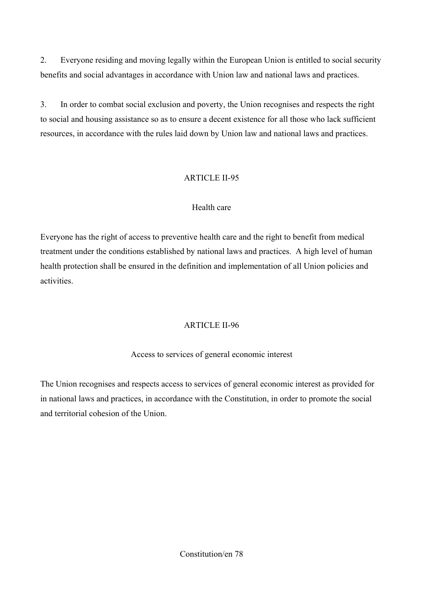2. Everyone residing and moving legally within the European Union is entitled to social security benefits and social advantages in accordance with Union law and national laws and practices.

3. In order to combat social exclusion and poverty, the Union recognises and respects the right to social and housing assistance so as to ensure a decent existence for all those who lack sufficient resources, in accordance with the rules laid down by Union law and national laws and practices.

#### ARTICLE II-95

## Health care

Everyone has the right of access to preventive health care and the right to benefit from medical treatment under the conditions established by national laws and practices. A high level of human health protection shall be ensured in the definition and implementation of all Union policies and activities.

#### ARTICLE II-96

#### Access to services of general economic interest

The Union recognises and respects access to services of general economic interest as provided for in national laws and practices, in accordance with the Constitution, in order to promote the social and territorial cohesion of the Union.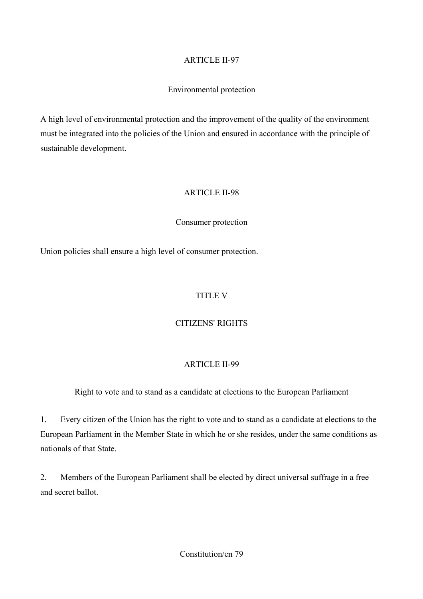#### Environmental protection

A high level of environmental protection and the improvement of the quality of the environment must be integrated into the policies of the Union and ensured in accordance with the principle of sustainable development.

#### ARTICLE II-98

#### Consumer protection

Union policies shall ensure a high level of consumer protection.

## TITLE V

#### CITIZENS' RIGHTS

#### ARTICLE II-99

Right to vote and to stand as a candidate at elections to the European Parliament

1. Every citizen of the Union has the right to vote and to stand as a candidate at elections to the European Parliament in the Member State in which he or she resides, under the same conditions as nationals of that State.

2. Members of the European Parliament shall be elected by direct universal suffrage in a free and secret ballot.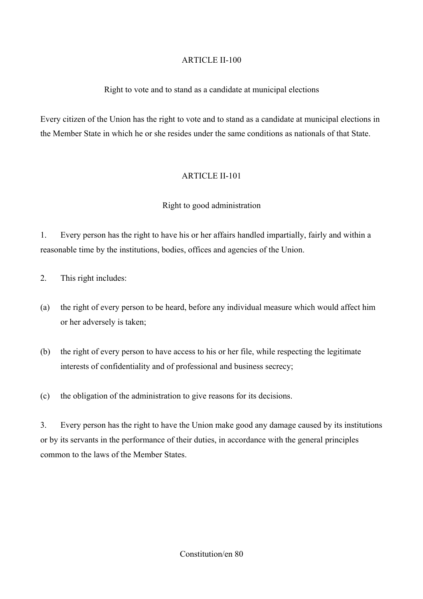#### Right to vote and to stand as a candidate at municipal elections

Every citizen of the Union has the right to vote and to stand as a candidate at municipal elections in the Member State in which he or she resides under the same conditions as nationals of that State.

#### ARTICLE II-101

#### Right to good administration

1. Every person has the right to have his or her affairs handled impartially, fairly and within a reasonable time by the institutions, bodies, offices and agencies of the Union.

- 2. This right includes:
- (a) the right of every person to be heard, before any individual measure which would affect him or her adversely is taken;
- (b) the right of every person to have access to his or her file, while respecting the legitimate interests of confidentiality and of professional and business secrecy;
- (c) the obligation of the administration to give reasons for its decisions.

3. Every person has the right to have the Union make good any damage caused by its institutions or by its servants in the performance of their duties, in accordance with the general principles common to the laws of the Member States.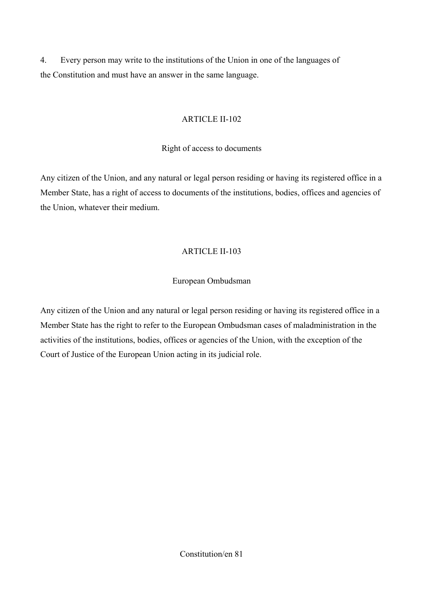4. Every person may write to the institutions of the Union in one of the languages of the Constitution and must have an answer in the same language.

## ARTICLE II-102

## Right of access to documents

Any citizen of the Union, and any natural or legal person residing or having its registered office in a Member State, has a right of access to documents of the institutions, bodies, offices and agencies of the Union, whatever their medium.

## ARTICLE II-103

# European Ombudsman

Any citizen of the Union and any natural or legal person residing or having its registered office in a Member State has the right to refer to the European Ombudsman cases of maladministration in the activities of the institutions, bodies, offices or agencies of the Union, with the exception of the Court of Justice of the European Union acting in its judicial role.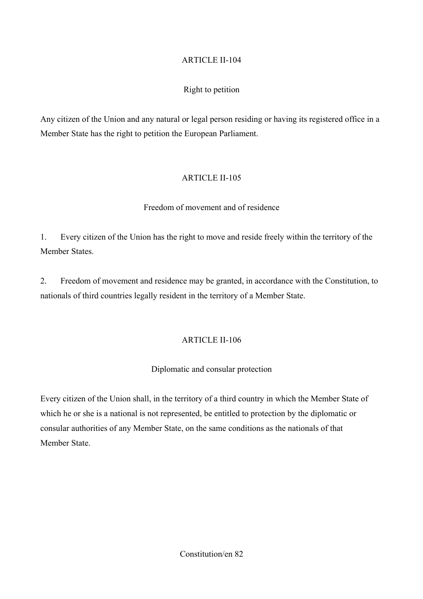## Right to petition

Any citizen of the Union and any natural or legal person residing or having its registered office in a Member State has the right to petition the European Parliament.

## ARTICLE II-105

#### Freedom of movement and of residence

1. Every citizen of the Union has the right to move and reside freely within the territory of the Member States.

2. Freedom of movement and residence may be granted, in accordance with the Constitution, to nationals of third countries legally resident in the territory of a Member State.

#### ARTICLE II-106

#### Diplomatic and consular protection

Every citizen of the Union shall, in the territory of a third country in which the Member State of which he or she is a national is not represented, be entitled to protection by the diplomatic or consular authorities of any Member State, on the same conditions as the nationals of that Member State.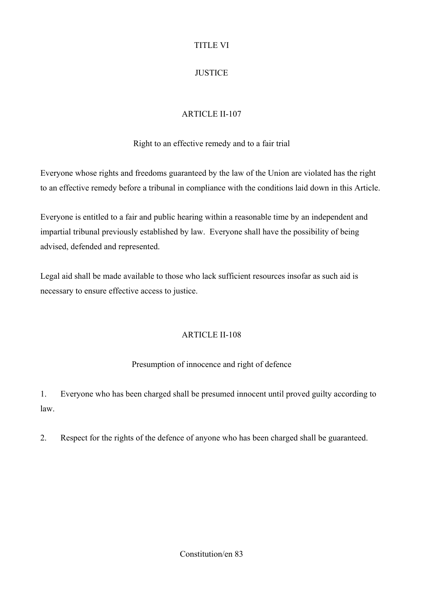## TITLE VI

# **JUSTICE**

# ARTICLE II-107

# Right to an effective remedy and to a fair trial

Everyone whose rights and freedoms guaranteed by the law of the Union are violated has the right to an effective remedy before a tribunal in compliance with the conditions laid down in this Article.

Everyone is entitled to a fair and public hearing within a reasonable time by an independent and impartial tribunal previously established by law. Everyone shall have the possibility of being advised, defended and represented.

Legal aid shall be made available to those who lack sufficient resources insofar as such aid is necessary to ensure effective access to justice.

# ARTICLE II-108

# Presumption of innocence and right of defence

1. Everyone who has been charged shall be presumed innocent until proved guilty according to law.

2. Respect for the rights of the defence of anyone who has been charged shall be guaranteed.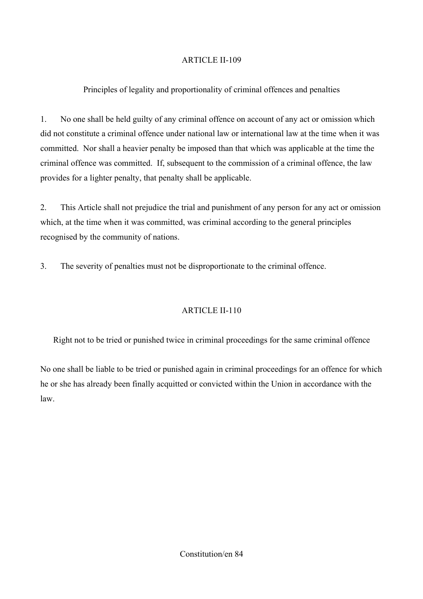## Principles of legality and proportionality of criminal offences and penalties

1. No one shall be held guilty of any criminal offence on account of any act or omission which did not constitute a criminal offence under national law or international law at the time when it was committed. Nor shall a heavier penalty be imposed than that which was applicable at the time the criminal offence was committed. If, subsequent to the commission of a criminal offence, the law provides for a lighter penalty, that penalty shall be applicable.

2. This Article shall not prejudice the trial and punishment of any person for any act or omission which, at the time when it was committed, was criminal according to the general principles recognised by the community of nations.

3. The severity of penalties must not be disproportionate to the criminal offence.

## ARTICLE II-110

Right not to be tried or punished twice in criminal proceedings for the same criminal offence

No one shall be liable to be tried or punished again in criminal proceedings for an offence for which he or she has already been finally acquitted or convicted within the Union in accordance with the law.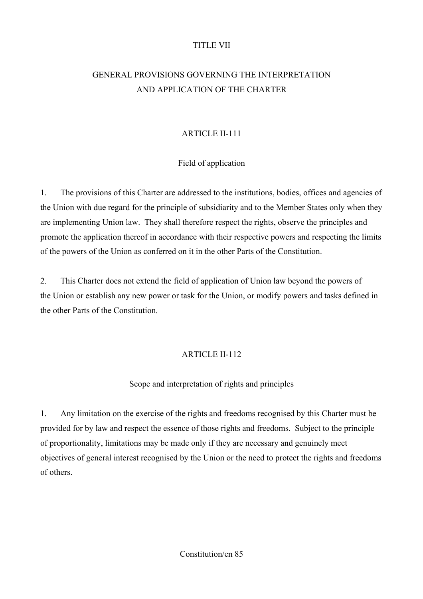## TITLE VII

# GENERAL PROVISIONS GOVERNING THE INTERPRETATION AND APPLICATION OF THE CHARTER

## ARTICLE II-111

# Field of application

1. The provisions of this Charter are addressed to the institutions, bodies, offices and agencies of the Union with due regard for the principle of subsidiarity and to the Member States only when they are implementing Union law. They shall therefore respect the rights, observe the principles and promote the application thereof in accordance with their respective powers and respecting the limits of the powers of the Union as conferred on it in the other Parts of the Constitution.

2. This Charter does not extend the field of application of Union law beyond the powers of the Union or establish any new power or task for the Union, or modify powers and tasks defined in the other Parts of the Constitution.

## ARTICLE II-112

## Scope and interpretation of rights and principles

1. Any limitation on the exercise of the rights and freedoms recognised by this Charter must be provided for by law and respect the essence of those rights and freedoms. Subject to the principle of proportionality, limitations may be made only if they are necessary and genuinely meet objectives of general interest recognised by the Union or the need to protect the rights and freedoms of others.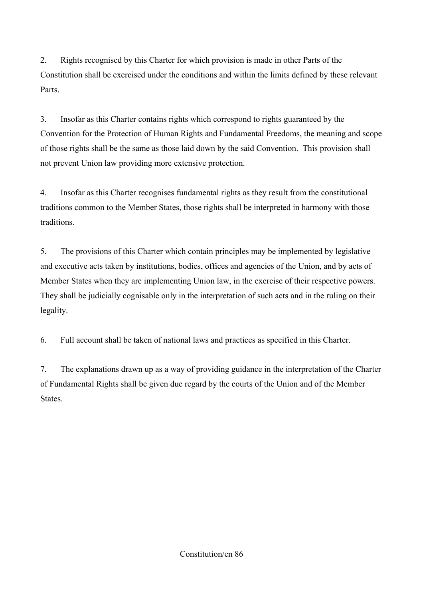2. Rights recognised by this Charter for which provision is made in other Parts of the Constitution shall be exercised under the conditions and within the limits defined by these relevant Parts.

3. Insofar as this Charter contains rights which correspond to rights guaranteed by the Convention for the Protection of Human Rights and Fundamental Freedoms, the meaning and scope of those rights shall be the same as those laid down by the said Convention. This provision shall not prevent Union law providing more extensive protection.

4. Insofar as this Charter recognises fundamental rights as they result from the constitutional traditions common to the Member States, those rights shall be interpreted in harmony with those traditions.

5. The provisions of this Charter which contain principles may be implemented by legislative and executive acts taken by institutions, bodies, offices and agencies of the Union, and by acts of Member States when they are implementing Union law, in the exercise of their respective powers. They shall be judicially cognisable only in the interpretation of such acts and in the ruling on their legality.

6. Full account shall be taken of national laws and practices as specified in this Charter.

7. The explanations drawn up as a way of providing guidance in the interpretation of the Charter of Fundamental Rights shall be given due regard by the courts of the Union and of the Member States.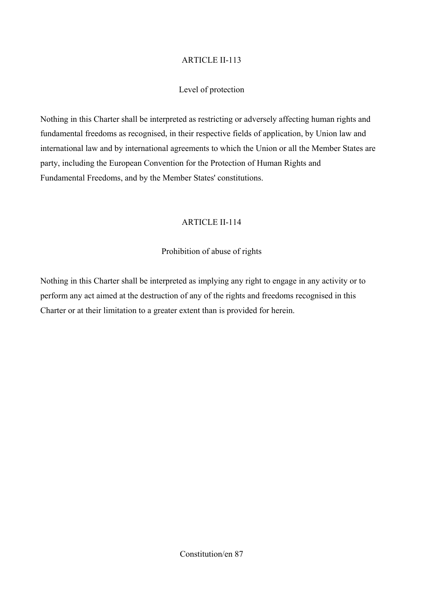## Level of protection

Nothing in this Charter shall be interpreted as restricting or adversely affecting human rights and fundamental freedoms as recognised, in their respective fields of application, by Union law and international law and by international agreements to which the Union or all the Member States are party, including the European Convention for the Protection of Human Rights and Fundamental Freedoms, and by the Member States' constitutions.

## ARTICLE II-114

## Prohibition of abuse of rights

Nothing in this Charter shall be interpreted as implying any right to engage in any activity or to perform any act aimed at the destruction of any of the rights and freedoms recognised in this Charter or at their limitation to a greater extent than is provided for herein.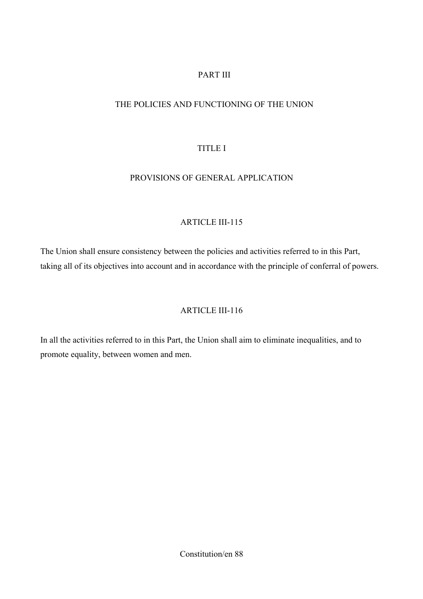## PART III

## THE POLICIES AND FUNCTIONING OF THE UNION

## TITLE I

#### PROVISIONS OF GENERAL APPLICATION

#### ARTICLE III-115

The Union shall ensure consistency between the policies and activities referred to in this Part, taking all of its objectives into account and in accordance with the principle of conferral of powers.

#### ARTICLE III-116

In all the activities referred to in this Part, the Union shall aim to eliminate inequalities, and to promote equality, between women and men.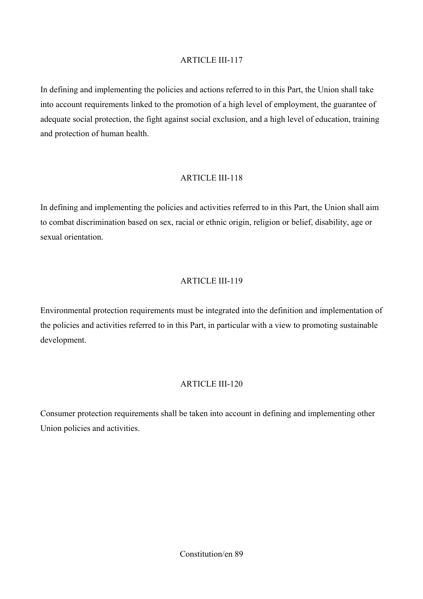In defining and implementing the policies and actions referred to in this Part, the Union shall take into account requirements linked to the promotion of a high level of employment, the guarantee of adequate social protection, the fight against social exclusion, and a high level of education, training and protection of human health.

#### ARTICLE III-118

In defining and implementing the policies and activities referred to in this Part, the Union shall aim to combat discrimination based on sex, racial or ethnic origin, religion or belief, disability, age or sexual orientation.

#### ARTICLE III-119

Environmental protection requirements must be integrated into the definition and implementation of the policies and activities referred to in this Part, in particular with a view to promoting sustainable development.

#### ARTICLE III-120

Consumer protection requirements shall be taken into account in defining and implementing other Union policies and activities.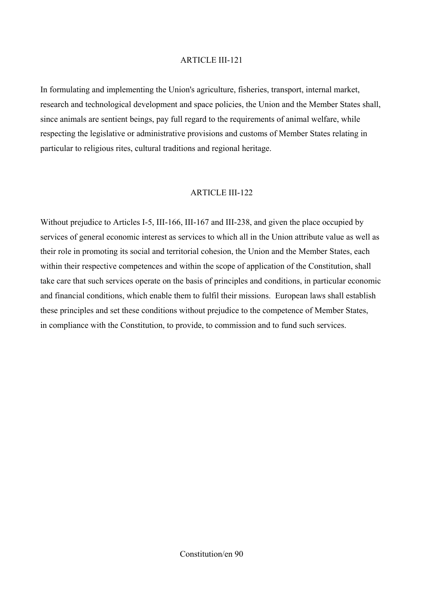In formulating and implementing the Union's agriculture, fisheries, transport, internal market, research and technological development and space policies, the Union and the Member States shall, since animals are sentient beings, pay full regard to the requirements of animal welfare, while respecting the legislative or administrative provisions and customs of Member States relating in particular to religious rites, cultural traditions and regional heritage.

#### ARTICLE III-122

Without prejudice to Articles I-5, III-166, III-167 and III-238, and given the place occupied by services of general economic interest as services to which all in the Union attribute value as well as their role in promoting its social and territorial cohesion, the Union and the Member States, each within their respective competences and within the scope of application of the Constitution, shall take care that such services operate on the basis of principles and conditions, in particular economic and financial conditions, which enable them to fulfil their missions. European laws shall establish these principles and set these conditions without prejudice to the competence of Member States, in compliance with the Constitution, to provide, to commission and to fund such services.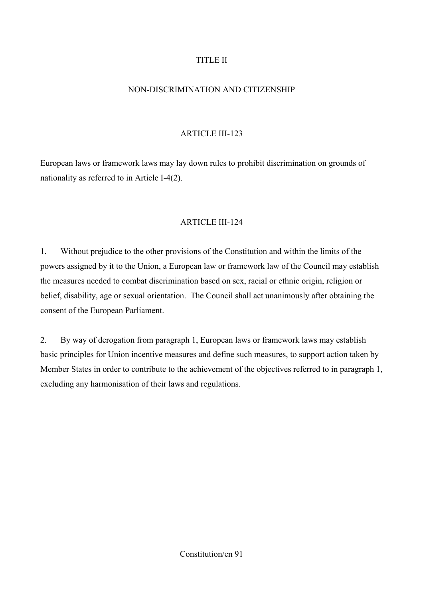#### TITLE II

#### NON-DISCRIMINATION AND CITIZENSHIP

#### ARTICLE III-123

European laws or framework laws may lay down rules to prohibit discrimination on grounds of nationality as referred to in Article I-4(2).

#### ARTICLE III-124

1. Without prejudice to the other provisions of the Constitution and within the limits of the powers assigned by it to the Union, a European law or framework law of the Council may establish the measures needed to combat discrimination based on sex, racial or ethnic origin, religion or belief, disability, age or sexual orientation. The Council shall act unanimously after obtaining the consent of the European Parliament.

2. By way of derogation from paragraph 1, European laws or framework laws may establish basic principles for Union incentive measures and define such measures, to support action taken by Member States in order to contribute to the achievement of the objectives referred to in paragraph 1, excluding any harmonisation of their laws and regulations.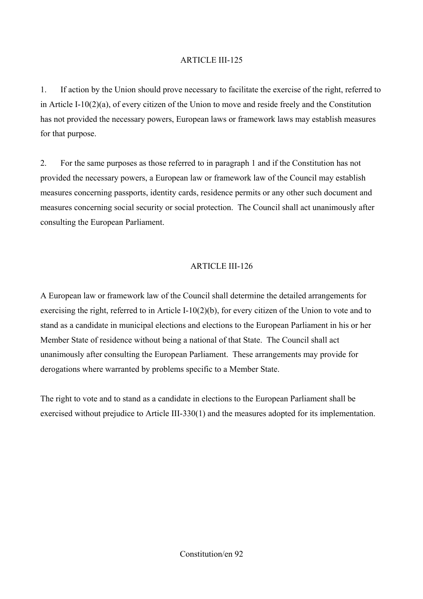1. If action by the Union should prove necessary to facilitate the exercise of the right, referred to in Article I-10(2)(a), of every citizen of the Union to move and reside freely and the Constitution has not provided the necessary powers, European laws or framework laws may establish measures for that purpose.

2. For the same purposes as those referred to in paragraph 1 and if the Constitution has not provided the necessary powers, a European law or framework law of the Council may establish measures concerning passports, identity cards, residence permits or any other such document and measures concerning social security or social protection. The Council shall act unanimously after consulting the European Parliament.

## ARTICLE III-126

A European law or framework law of the Council shall determine the detailed arrangements for exercising the right, referred to in Article I-10(2)(b), for every citizen of the Union to vote and to stand as a candidate in municipal elections and elections to the European Parliament in his or her Member State of residence without being a national of that State. The Council shall act unanimously after consulting the European Parliament. These arrangements may provide for derogations where warranted by problems specific to a Member State.

The right to vote and to stand as a candidate in elections to the European Parliament shall be exercised without prejudice to Article III-330(1) and the measures adopted for its implementation.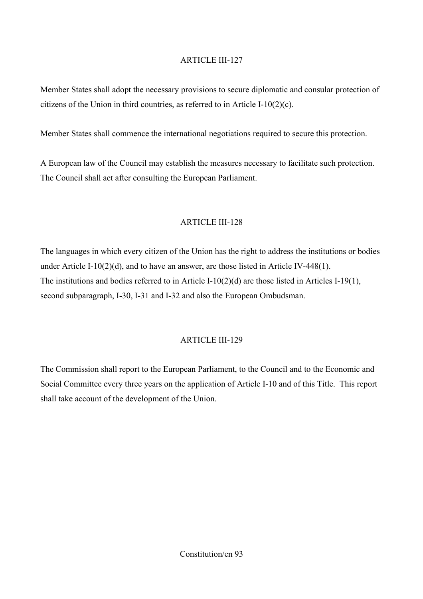Member States shall adopt the necessary provisions to secure diplomatic and consular protection of citizens of the Union in third countries, as referred to in Article I-10(2)(c).

Member States shall commence the international negotiations required to secure this protection.

A European law of the Council may establish the measures necessary to facilitate such protection. The Council shall act after consulting the European Parliament.

## ARTICLE III-128

The languages in which every citizen of the Union has the right to address the institutions or bodies under Article I-10(2)(d), and to have an answer, are those listed in Article IV-448(1). The institutions and bodies referred to in Article I-10(2)(d) are those listed in Articles I-19(1), second subparagraph, I-30, I-31 and I-32 and also the European Ombudsman.

#### ARTICLE III-129

The Commission shall report to the European Parliament, to the Council and to the Economic and Social Committee every three years on the application of Article I-10 and of this Title. This report shall take account of the development of the Union.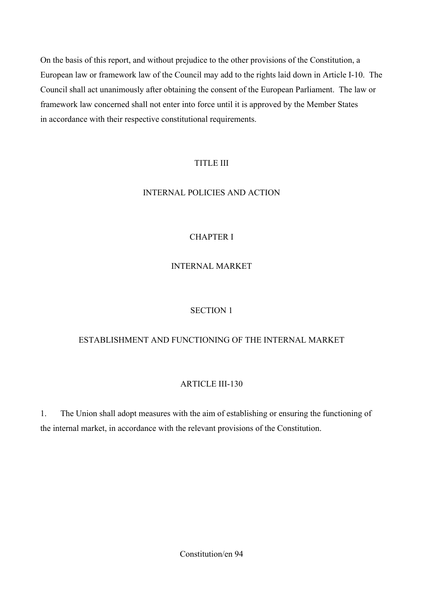On the basis of this report, and without prejudice to the other provisions of the Constitution, a European law or framework law of the Council may add to the rights laid down in Article I-10. The Council shall act unanimously after obtaining the consent of the European Parliament. The law or framework law concerned shall not enter into force until it is approved by the Member States in accordance with their respective constitutional requirements.

# TITLE III

## INTERNAL POLICIES AND ACTION

## CHAPTER I

# INTERNAL MARKET

## SECTION 1

## ESTABLISHMENT AND FUNCTIONING OF THE INTERNAL MARKET

## ARTICLE III-130

1. The Union shall adopt measures with the aim of establishing or ensuring the functioning of the internal market, in accordance with the relevant provisions of the Constitution.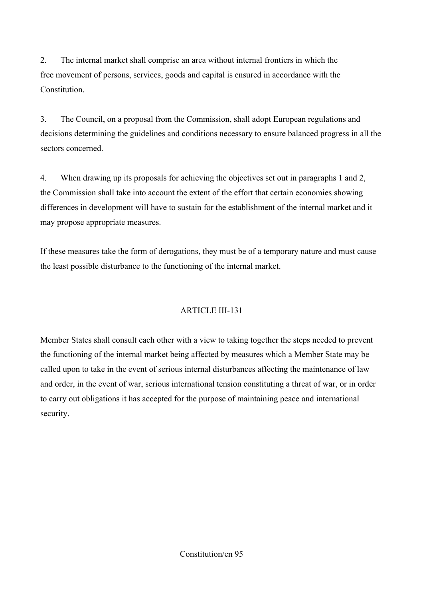2. The internal market shall comprise an area without internal frontiers in which the free movement of persons, services, goods and capital is ensured in accordance with the Constitution.

3. The Council, on a proposal from the Commission, shall adopt European regulations and decisions determining the guidelines and conditions necessary to ensure balanced progress in all the sectors concerned.

4. When drawing up its proposals for achieving the objectives set out in paragraphs 1 and 2, the Commission shall take into account the extent of the effort that certain economies showing differences in development will have to sustain for the establishment of the internal market and it may propose appropriate measures.

If these measures take the form of derogations, they must be of a temporary nature and must cause the least possible disturbance to the functioning of the internal market.

# ARTICLE III-131

Member States shall consult each other with a view to taking together the steps needed to prevent the functioning of the internal market being affected by measures which a Member State may be called upon to take in the event of serious internal disturbances affecting the maintenance of law and order, in the event of war, serious international tension constituting a threat of war, or in order to carry out obligations it has accepted for the purpose of maintaining peace and international security.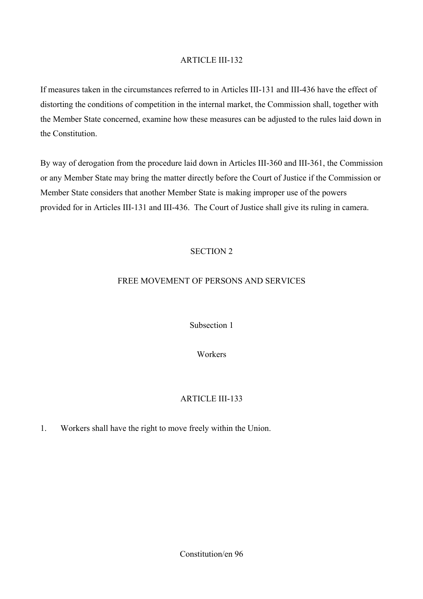If measures taken in the circumstances referred to in Articles III-131 and III-436 have the effect of distorting the conditions of competition in the internal market, the Commission shall, together with the Member State concerned, examine how these measures can be adjusted to the rules laid down in the Constitution.

By way of derogation from the procedure laid down in Articles III-360 and III-361, the Commission or any Member State may bring the matter directly before the Court of Justice if the Commission or Member State considers that another Member State is making improper use of the powers provided for in Articles III-131 and III-436. The Court of Justice shall give its ruling in camera.

## SECTION 2

## FREE MOVEMENT OF PERSONS AND SERVICES

Subsection 1

Workers

#### ARTICLE III-133

1. Workers shall have the right to move freely within the Union.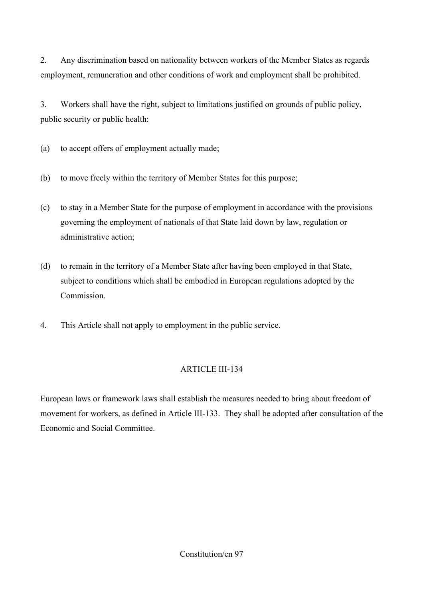2. Any discrimination based on nationality between workers of the Member States as regards employment, remuneration and other conditions of work and employment shall be prohibited.

3. Workers shall have the right, subject to limitations justified on grounds of public policy, public security or public health:

- (a) to accept offers of employment actually made;
- (b) to move freely within the territory of Member States for this purpose;
- (c) to stay in a Member State for the purpose of employment in accordance with the provisions governing the employment of nationals of that State laid down by law, regulation or administrative action;
- (d) to remain in the territory of a Member State after having been employed in that State, subject to conditions which shall be embodied in European regulations adopted by the **Commission**
- 4. This Article shall not apply to employment in the public service.

#### ARTICLE III-134

European laws or framework laws shall establish the measures needed to bring about freedom of movement for workers, as defined in Article III-133. They shall be adopted after consultation of the Economic and Social Committee.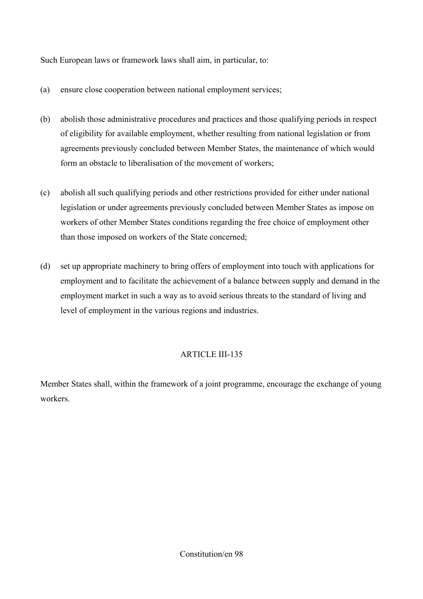Such European laws or framework laws shall aim, in particular, to:

- (a) ensure close cooperation between national employment services;
- (b) abolish those administrative procedures and practices and those qualifying periods in respect of eligibility for available employment, whether resulting from national legislation or from agreements previously concluded between Member States, the maintenance of which would form an obstacle to liberalisation of the movement of workers;
- (c) abolish all such qualifying periods and other restrictions provided for either under national legislation or under agreements previously concluded between Member States as impose on workers of other Member States conditions regarding the free choice of employment other than those imposed on workers of the State concerned;
- (d) set up appropriate machinery to bring offers of employment into touch with applications for employment and to facilitate the achievement of a balance between supply and demand in the employment market in such a way as to avoid serious threats to the standard of living and level of employment in the various regions and industries.

#### ARTICLE III-135

Member States shall, within the framework of a joint programme, encourage the exchange of young workers.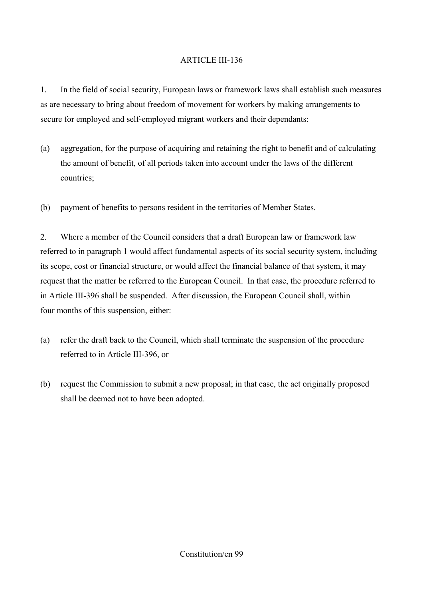1. In the field of social security, European laws or framework laws shall establish such measures as are necessary to bring about freedom of movement for workers by making arrangements to secure for employed and self-employed migrant workers and their dependants:

- (a) aggregation, for the purpose of acquiring and retaining the right to benefit and of calculating the amount of benefit, of all periods taken into account under the laws of the different countries;
- (b) payment of benefits to persons resident in the territories of Member States.

2. Where a member of the Council considers that a draft European law or framework law referred to in paragraph 1 would affect fundamental aspects of its social security system, including its scope, cost or financial structure, or would affect the financial balance of that system, it may request that the matter be referred to the European Council. In that case, the procedure referred to in Article III-396 shall be suspended. After discussion, the European Council shall, within four months of this suspension, either:

- (a) refer the draft back to the Council, which shall terminate the suspension of the procedure referred to in Article III-396, or
- (b) request the Commission to submit a new proposal; in that case, the act originally proposed shall be deemed not to have been adopted.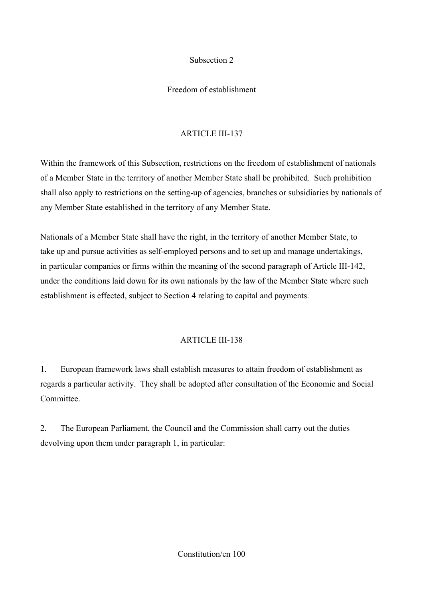Subsection 2

Freedom of establishment

## ARTICLE III-137

Within the framework of this Subsection, restrictions on the freedom of establishment of nationals of a Member State in the territory of another Member State shall be prohibited. Such prohibition shall also apply to restrictions on the setting-up of agencies, branches or subsidiaries by nationals of any Member State established in the territory of any Member State.

Nationals of a Member State shall have the right, in the territory of another Member State, to take up and pursue activities as self-employed persons and to set up and manage undertakings, in particular companies or firms within the meaning of the second paragraph of Article III-142, under the conditions laid down for its own nationals by the law of the Member State where such establishment is effected, subject to Section 4 relating to capital and payments.

## ARTICLE III-138

1. European framework laws shall establish measures to attain freedom of establishment as regards a particular activity. They shall be adopted after consultation of the Economic and Social Committee.

2. The European Parliament, the Council and the Commission shall carry out the duties devolving upon them under paragraph 1, in particular: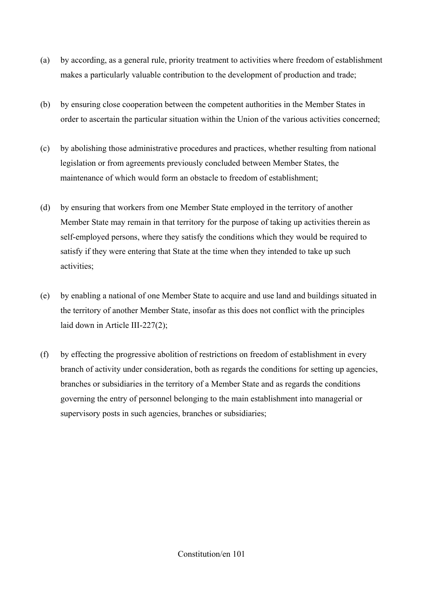- (a) by according, as a general rule, priority treatment to activities where freedom of establishment makes a particularly valuable contribution to the development of production and trade;
- (b) by ensuring close cooperation between the competent authorities in the Member States in order to ascertain the particular situation within the Union of the various activities concerned;
- (c) by abolishing those administrative procedures and practices, whether resulting from national legislation or from agreements previously concluded between Member States, the maintenance of which would form an obstacle to freedom of establishment;
- (d) by ensuring that workers from one Member State employed in the territory of another Member State may remain in that territory for the purpose of taking up activities therein as self-employed persons, where they satisfy the conditions which they would be required to satisfy if they were entering that State at the time when they intended to take up such activities<sup>.</sup>
- (e) by enabling a national of one Member State to acquire and use land and buildings situated in the territory of another Member State, insofar as this does not conflict with the principles laid down in Article III-227(2);
- (f) by effecting the progressive abolition of restrictions on freedom of establishment in every branch of activity under consideration, both as regards the conditions for setting up agencies, branches or subsidiaries in the territory of a Member State and as regards the conditions governing the entry of personnel belonging to the main establishment into managerial or supervisory posts in such agencies, branches or subsidiaries;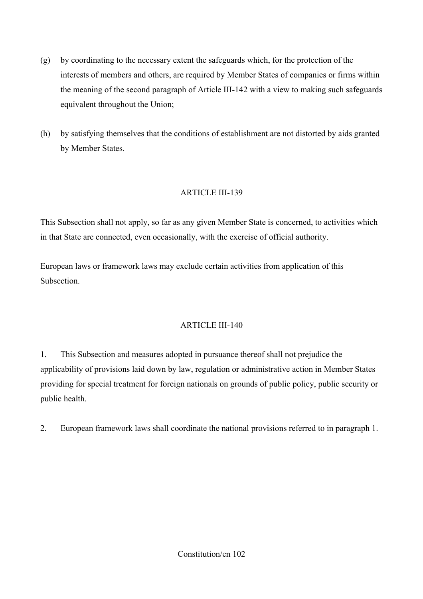- (g) by coordinating to the necessary extent the safeguards which, for the protection of the interests of members and others, are required by Member States of companies or firms within the meaning of the second paragraph of Article III-142 with a view to making such safeguards equivalent throughout the Union;
- (h) by satisfying themselves that the conditions of establishment are not distorted by aids granted by Member States.

This Subsection shall not apply, so far as any given Member State is concerned, to activities which in that State are connected, even occasionally, with the exercise of official authority.

European laws or framework laws may exclude certain activities from application of this Subsection.

# ARTICLE III-140

1. This Subsection and measures adopted in pursuance thereof shall not prejudice the applicability of provisions laid down by law, regulation or administrative action in Member States providing for special treatment for foreign nationals on grounds of public policy, public security or public health.

2. European framework laws shall coordinate the national provisions referred to in paragraph 1.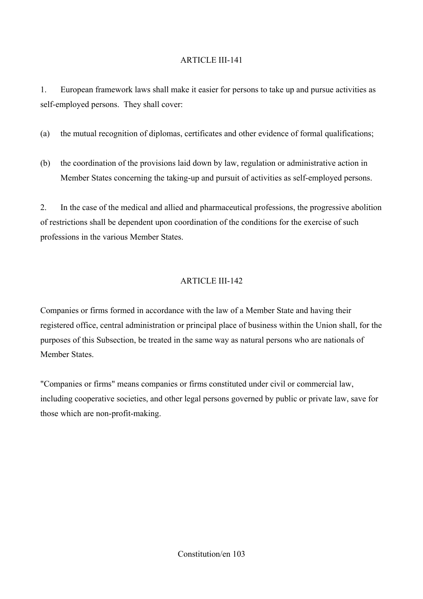1. European framework laws shall make it easier for persons to take up and pursue activities as self-employed persons. They shall cover:

(a) the mutual recognition of diplomas, certificates and other evidence of formal qualifications;

(b) the coordination of the provisions laid down by law, regulation or administrative action in Member States concerning the taking-up and pursuit of activities as self-employed persons.

2. In the case of the medical and allied and pharmaceutical professions, the progressive abolition of restrictions shall be dependent upon coordination of the conditions for the exercise of such professions in the various Member States.

# ARTICLE III-142

Companies or firms formed in accordance with the law of a Member State and having their registered office, central administration or principal place of business within the Union shall, for the purposes of this Subsection, be treated in the same way as natural persons who are nationals of Member States.

"Companies or firms" means companies or firms constituted under civil or commercial law, including cooperative societies, and other legal persons governed by public or private law, save for those which are non-profit-making.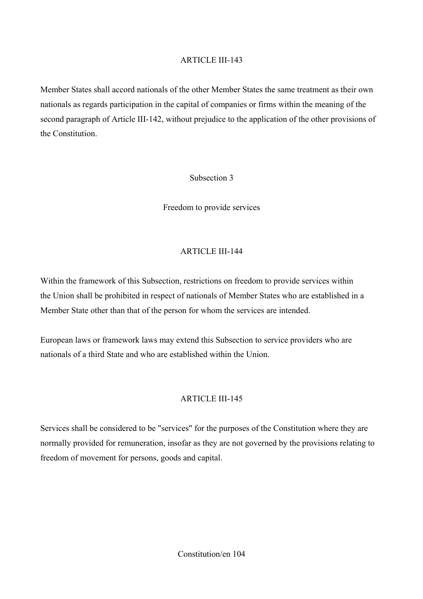Member States shall accord nationals of the other Member States the same treatment as their own nationals as regards participation in the capital of companies or firms within the meaning of the second paragraph of Article III-142, without prejudice to the application of the other provisions of the Constitution.

#### Subsection 3

Freedom to provide services

## ARTICLE III-144

Within the framework of this Subsection, restrictions on freedom to provide services within the Union shall be prohibited in respect of nationals of Member States who are established in a Member State other than that of the person for whom the services are intended.

European laws or framework laws may extend this Subsection to service providers who are nationals of a third State and who are established within the Union.

## ARTICLE III-145

Services shall be considered to be "services" for the purposes of the Constitution where they are normally provided for remuneration, insofar as they are not governed by the provisions relating to freedom of movement for persons, goods and capital.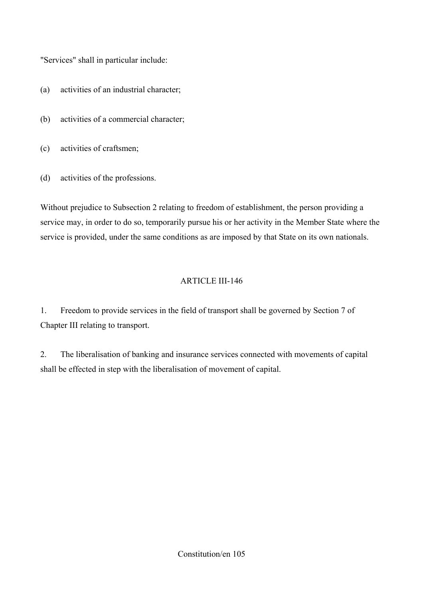"Services" shall in particular include:

- (a) activities of an industrial character;
- (b) activities of a commercial character;
- (c) activities of craftsmen;
- (d) activities of the professions.

Without prejudice to Subsection 2 relating to freedom of establishment, the person providing a service may, in order to do so, temporarily pursue his or her activity in the Member State where the service is provided, under the same conditions as are imposed by that State on its own nationals.

# ARTICLE III-146

1. Freedom to provide services in the field of transport shall be governed by Section 7 of Chapter III relating to transport.

2. The liberalisation of banking and insurance services connected with movements of capital shall be effected in step with the liberalisation of movement of capital.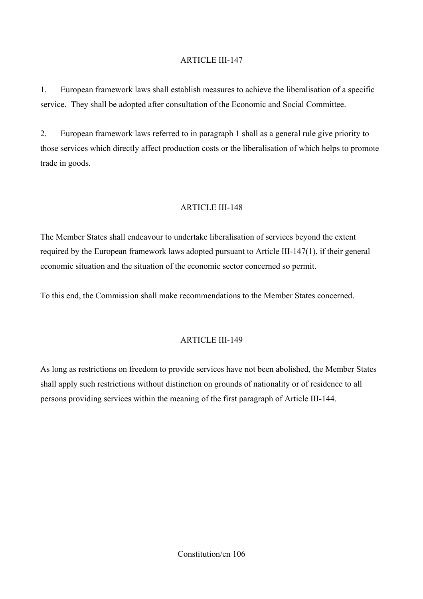1. European framework laws shall establish measures to achieve the liberalisation of a specific service. They shall be adopted after consultation of the Economic and Social Committee.

2. European framework laws referred to in paragraph 1 shall as a general rule give priority to those services which directly affect production costs or the liberalisation of which helps to promote trade in goods.

## ARTICLE III-148

The Member States shall endeavour to undertake liberalisation of services beyond the extent required by the European framework laws adopted pursuant to Article III-147(1), if their general economic situation and the situation of the economic sector concerned so permit.

To this end, the Commission shall make recommendations to the Member States concerned.

## ARTICLE III-149

As long as restrictions on freedom to provide services have not been abolished, the Member States shall apply such restrictions without distinction on grounds of nationality or of residence to all persons providing services within the meaning of the first paragraph of Article III-144.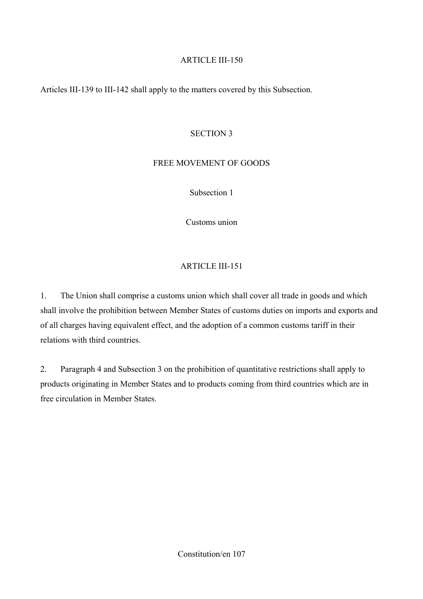Articles III-139 to III-142 shall apply to the matters covered by this Subsection.

## SECTION 3

## FREE MOVEMENT OF GOODS

Subsection 1

Customs union

# ARTICLE III-151

1. The Union shall comprise a customs union which shall cover all trade in goods and which shall involve the prohibition between Member States of customs duties on imports and exports and of all charges having equivalent effect, and the adoption of a common customs tariff in their relations with third countries.

2. Paragraph 4 and Subsection 3 on the prohibition of quantitative restrictions shall apply to products originating in Member States and to products coming from third countries which are in free circulation in Member States.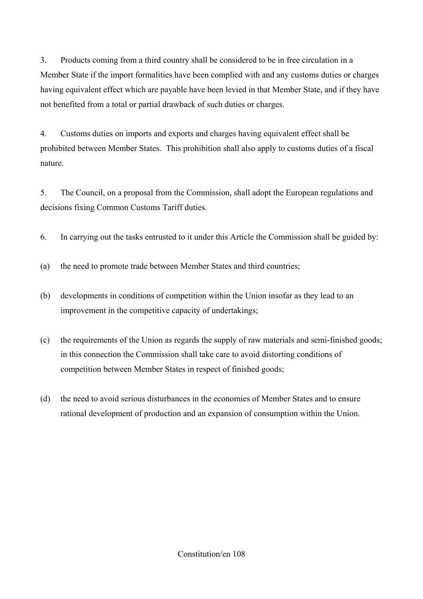3. Products coming from a third country shall be considered to be in free circulation in a Member State if the import formalities have been complied with and any customs duties or charges having equivalent effect which are payable have been levied in that Member State, and if they have not benefited from a total or partial drawback of such duties or charges.

4. Customs duties on imports and exports and charges having equivalent effect shall be prohibited between Member States. This prohibition shall also apply to customs duties of a fiscal nature.

5. The Council, on a proposal from the Commission, shall adopt the European regulations and decisions fixing Common Customs Tariff duties.

6. In carrying out the tasks entrusted to it under this Article the Commission shall be guided by:

- (a) the need to promote trade between Member States and third countries;
- (b) developments in conditions of competition within the Union insofar as they lead to an improvement in the competitive capacity of undertakings;
- (c) the requirements of the Union as regards the supply of raw materials and semi-finished goods; in this connection the Commission shall take care to avoid distorting conditions of competition between Member States in respect of finished goods;
- (d) the need to avoid serious disturbances in the economies of Member States and to ensure rational development of production and an expansion of consumption within the Union.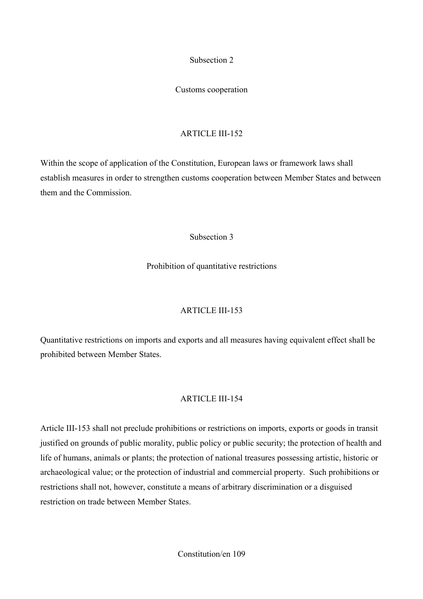Subsection 2

Customs cooperation

### ARTICLE III-152

Within the scope of application of the Constitution, European laws or framework laws shall establish measures in order to strengthen customs cooperation between Member States and between them and the Commission.

### Subsection 3

### Prohibition of quantitative restrictions

## ARTICLE III-153

Quantitative restrictions on imports and exports and all measures having equivalent effect shall be prohibited between Member States.

## ARTICLE III-154

Article III-153 shall not preclude prohibitions or restrictions on imports, exports or goods in transit justified on grounds of public morality, public policy or public security; the protection of health and life of humans, animals or plants; the protection of national treasures possessing artistic, historic or archaeological value; or the protection of industrial and commercial property. Such prohibitions or restrictions shall not, however, constitute a means of arbitrary discrimination or a disguised restriction on trade between Member States.

Constitution/en 109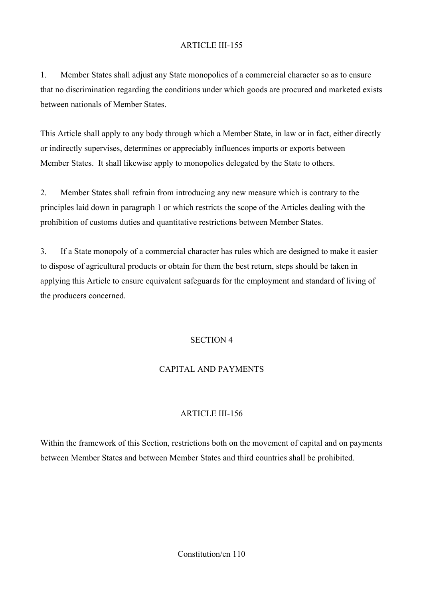1. Member States shall adjust any State monopolies of a commercial character so as to ensure that no discrimination regarding the conditions under which goods are procured and marketed exists between nationals of Member States.

This Article shall apply to any body through which a Member State, in law or in fact, either directly or indirectly supervises, determines or appreciably influences imports or exports between Member States. It shall likewise apply to monopolies delegated by the State to others.

2. Member States shall refrain from introducing any new measure which is contrary to the principles laid down in paragraph 1 or which restricts the scope of the Articles dealing with the prohibition of customs duties and quantitative restrictions between Member States.

3. If a State monopoly of a commercial character has rules which are designed to make it easier to dispose of agricultural products or obtain for them the best return, steps should be taken in applying this Article to ensure equivalent safeguards for the employment and standard of living of the producers concerned.

## SECTION 4

## CAPITAL AND PAYMENTS

## ARTICLE III-156

Within the framework of this Section, restrictions both on the movement of capital and on payments between Member States and between Member States and third countries shall be prohibited.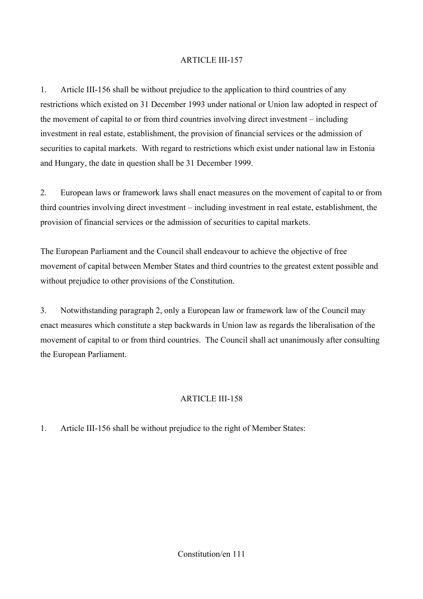1. Article III-156 shall be without prejudice to the application to third countries of any restrictions which existed on 31 December 1993 under national or Union law adopted in respect of the movement of capital to or from third countries involving direct investment – including investment in real estate, establishment, the provision of financial services or the admission of securities to capital markets. With regard to restrictions which exist under national law in Estonia and Hungary, the date in question shall be 31 December 1999.

2. European laws or framework laws shall enact measures on the movement of capital to or from third countries involving direct investment – including investment in real estate, establishment, the provision of financial services or the admission of securities to capital markets.

The European Parliament and the Council shall endeavour to achieve the objective of free movement of capital between Member States and third countries to the greatest extent possible and without prejudice to other provisions of the Constitution.

3. Notwithstanding paragraph 2, only a European law or framework law of the Council may enact measures which constitute a step backwards in Union law as regards the liberalisation of the movement of capital to or from third countries. The Council shall act unanimously after consulting the European Parliament.

## ARTICLE III-158

1. Article III-156 shall be without prejudice to the right of Member States: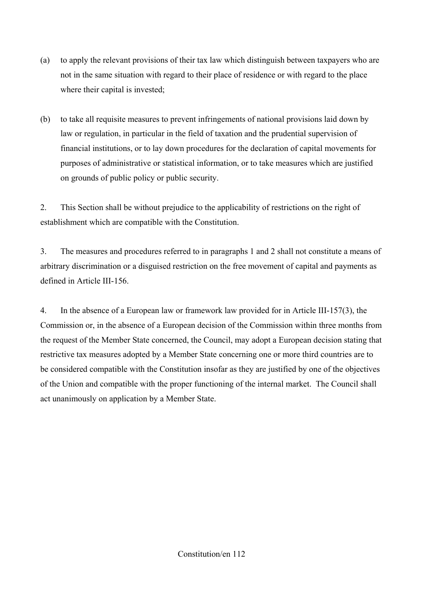- (a) to apply the relevant provisions of their tax law which distinguish between taxpayers who are not in the same situation with regard to their place of residence or with regard to the place where their capital is invested;
- (b) to take all requisite measures to prevent infringements of national provisions laid down by law or regulation, in particular in the field of taxation and the prudential supervision of financial institutions, or to lay down procedures for the declaration of capital movements for purposes of administrative or statistical information, or to take measures which are justified on grounds of public policy or public security.

2. This Section shall be without prejudice to the applicability of restrictions on the right of establishment which are compatible with the Constitution.

3. The measures and procedures referred to in paragraphs 1 and 2 shall not constitute a means of arbitrary discrimination or a disguised restriction on the free movement of capital and payments as defined in Article III-156.

4. In the absence of a European law or framework law provided for in Article III-157(3), the Commission or, in the absence of a European decision of the Commission within three months from the request of the Member State concerned, the Council, may adopt a European decision stating that restrictive tax measures adopted by a Member State concerning one or more third countries are to be considered compatible with the Constitution insofar as they are justified by one of the objectives of the Union and compatible with the proper functioning of the internal market. The Council shall act unanimously on application by a Member State.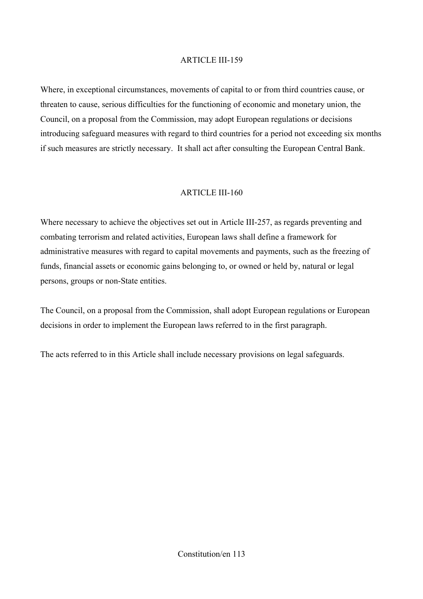Where, in exceptional circumstances, movements of capital to or from third countries cause, or threaten to cause, serious difficulties for the functioning of economic and monetary union, the Council, on a proposal from the Commission, may adopt European regulations or decisions introducing safeguard measures with regard to third countries for a period not exceeding six months if such measures are strictly necessary. It shall act after consulting the European Central Bank.

#### ARTICLE III-160

Where necessary to achieve the objectives set out in Article III-257, as regards preventing and combating terrorism and related activities, European laws shall define a framework for administrative measures with regard to capital movements and payments, such as the freezing of funds, financial assets or economic gains belonging to, or owned or held by, natural or legal persons, groups or non-State entities.

The Council, on a proposal from the Commission, shall adopt European regulations or European decisions in order to implement the European laws referred to in the first paragraph.

The acts referred to in this Article shall include necessary provisions on legal safeguards.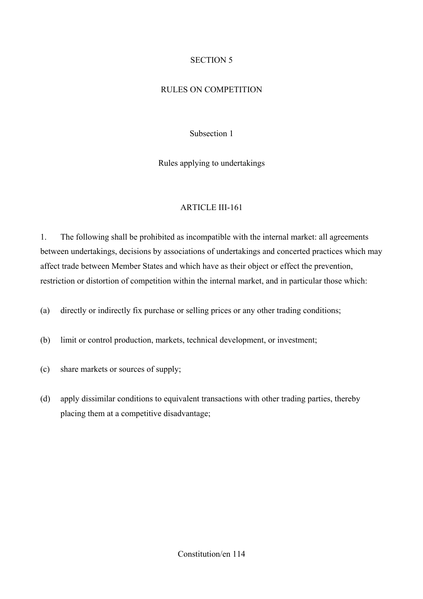## SECTION 5

## RULES ON COMPETITION

### Subsection 1

Rules applying to undertakings

# ARTICLE III-161

1. The following shall be prohibited as incompatible with the internal market: all agreements between undertakings, decisions by associations of undertakings and concerted practices which may affect trade between Member States and which have as their object or effect the prevention, restriction or distortion of competition within the internal market, and in particular those which:

(a) directly or indirectly fix purchase or selling prices or any other trading conditions;

(b) limit or control production, markets, technical development, or investment;

- (c) share markets or sources of supply;
- (d) apply dissimilar conditions to equivalent transactions with other trading parties, thereby placing them at a competitive disadvantage;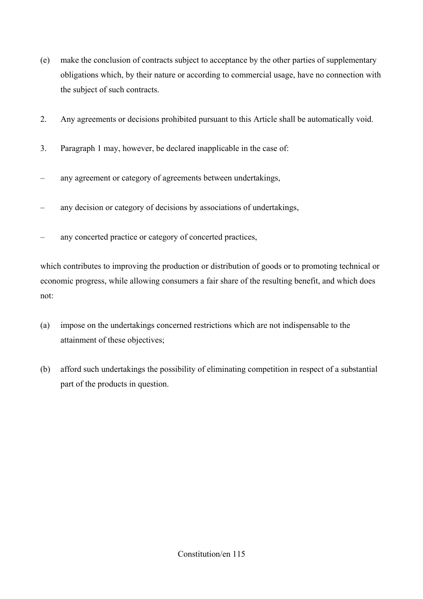- (e) make the conclusion of contracts subject to acceptance by the other parties of supplementary obligations which, by their nature or according to commercial usage, have no connection with the subject of such contracts.
- 2. Any agreements or decisions prohibited pursuant to this Article shall be automatically void.
- 3. Paragraph 1 may, however, be declared inapplicable in the case of:
- any agreement or category of agreements between undertakings,
- any decision or category of decisions by associations of undertakings,
- any concerted practice or category of concerted practices,

which contributes to improving the production or distribution of goods or to promoting technical or economic progress, while allowing consumers a fair share of the resulting benefit, and which does not:

- (a) impose on the undertakings concerned restrictions which are not indispensable to the attainment of these objectives;
- (b) afford such undertakings the possibility of eliminating competition in respect of a substantial part of the products in question.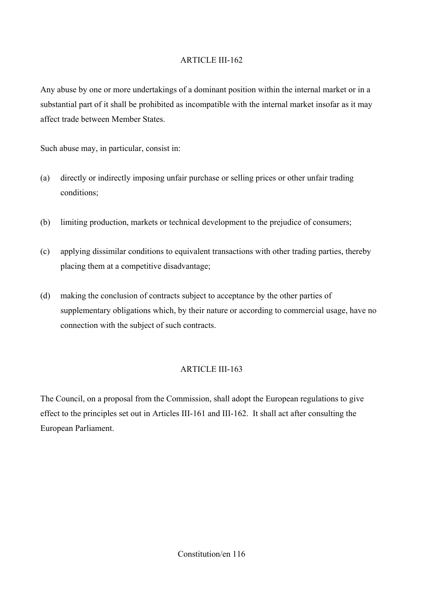Any abuse by one or more undertakings of a dominant position within the internal market or in a substantial part of it shall be prohibited as incompatible with the internal market insofar as it may affect trade between Member States.

Such abuse may, in particular, consist in:

- (a) directly or indirectly imposing unfair purchase or selling prices or other unfair trading conditions;
- (b) limiting production, markets or technical development to the prejudice of consumers;
- (c) applying dissimilar conditions to equivalent transactions with other trading parties, thereby placing them at a competitive disadvantage;
- (d) making the conclusion of contracts subject to acceptance by the other parties of supplementary obligations which, by their nature or according to commercial usage, have no connection with the subject of such contracts.

## ARTICLE III-163

The Council, on a proposal from the Commission, shall adopt the European regulations to give effect to the principles set out in Articles III-161 and III-162. It shall act after consulting the European Parliament.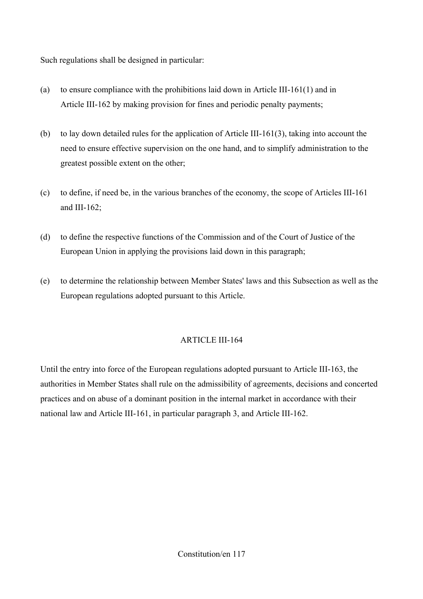Such regulations shall be designed in particular:

- (a) to ensure compliance with the prohibitions laid down in Article III-161(1) and in Article III-162 by making provision for fines and periodic penalty payments;
- (b) to lay down detailed rules for the application of Article III-161(3), taking into account the need to ensure effective supervision on the one hand, and to simplify administration to the greatest possible extent on the other;
- (c) to define, if need be, in the various branches of the economy, the scope of Articles III-161 and III-162;
- (d) to define the respective functions of the Commission and of the Court of Justice of the European Union in applying the provisions laid down in this paragraph;
- (e) to determine the relationship between Member States' laws and this Subsection as well as the European regulations adopted pursuant to this Article.

#### ARTICLE III-164

Until the entry into force of the European regulations adopted pursuant to Article III-163, the authorities in Member States shall rule on the admissibility of agreements, decisions and concerted practices and on abuse of a dominant position in the internal market in accordance with their national law and Article III-161, in particular paragraph 3, and Article III-162.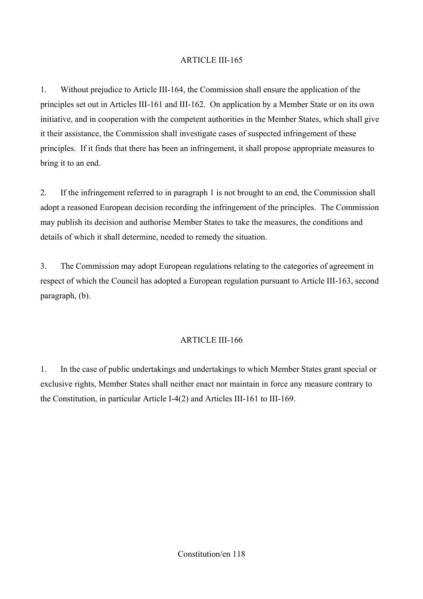1. Without prejudice to Article III-164, the Commission shall ensure the application of the principles set out in Articles III-161 and III-162. On application by a Member State or on its own initiative, and in cooperation with the competent authorities in the Member States, which shall give it their assistance, the Commission shall investigate cases of suspected infringement of these principles. If it finds that there has been an infringement, it shall propose appropriate measures to bring it to an end.

2. If the infringement referred to in paragraph 1 is not brought to an end, the Commission shall adopt a reasoned European decision recording the infringement of the principles. The Commission may publish its decision and authorise Member States to take the measures, the conditions and details of which it shall determine, needed to remedy the situation.

3. The Commission may adopt European regulations relating to the categories of agreement in respect of which the Council has adopted a European regulation pursuant to Article III-163, second paragraph, (b).

## ARTICLE III-166

1. In the case of public undertakings and undertakings to which Member States grant special or exclusive rights, Member States shall neither enact nor maintain in force any measure contrary to the Constitution, in particular Article I-4(2) and Articles III-161 to III-169.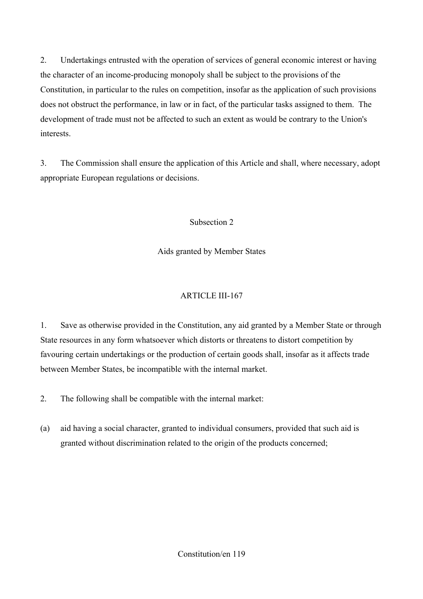2. Undertakings entrusted with the operation of services of general economic interest or having the character of an income-producing monopoly shall be subject to the provisions of the Constitution, in particular to the rules on competition, insofar as the application of such provisions does not obstruct the performance, in law or in fact, of the particular tasks assigned to them. The development of trade must not be affected to such an extent as would be contrary to the Union's interests.

3. The Commission shall ensure the application of this Article and shall, where necessary, adopt appropriate European regulations or decisions.

## Subsection 2

Aids granted by Member States

# ARTICLE III-167

1. Save as otherwise provided in the Constitution, any aid granted by a Member State or through State resources in any form whatsoever which distorts or threatens to distort competition by favouring certain undertakings or the production of certain goods shall, insofar as it affects trade between Member States, be incompatible with the internal market.

2. The following shall be compatible with the internal market:

(a) aid having a social character, granted to individual consumers, provided that such aid is granted without discrimination related to the origin of the products concerned;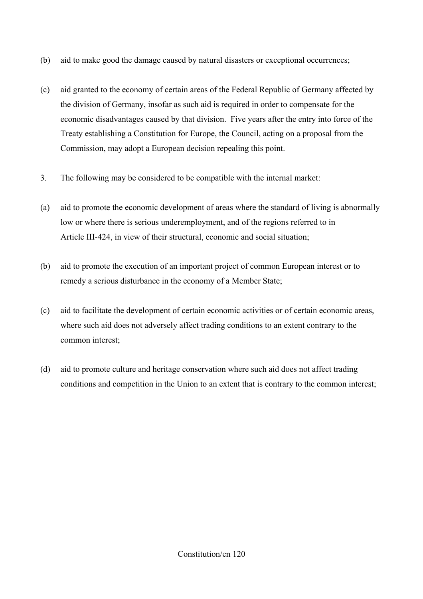- (b) aid to make good the damage caused by natural disasters or exceptional occurrences;
- (c) aid granted to the economy of certain areas of the Federal Republic of Germany affected by the division of Germany, insofar as such aid is required in order to compensate for the economic disadvantages caused by that division. Five years after the entry into force of the Treaty establishing a Constitution for Europe, the Council, acting on a proposal from the Commission, may adopt a European decision repealing this point.
- 3. The following may be considered to be compatible with the internal market:
- (a) aid to promote the economic development of areas where the standard of living is abnormally low or where there is serious underemployment, and of the regions referred to in Article III-424, in view of their structural, economic and social situation;
- (b) aid to promote the execution of an important project of common European interest or to remedy a serious disturbance in the economy of a Member State;
- (c) aid to facilitate the development of certain economic activities or of certain economic areas, where such aid does not adversely affect trading conditions to an extent contrary to the common interest;
- (d) aid to promote culture and heritage conservation where such aid does not affect trading conditions and competition in the Union to an extent that is contrary to the common interest;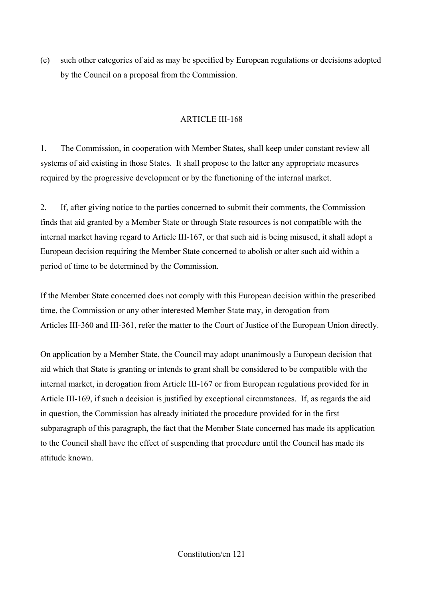(e) such other categories of aid as may be specified by European regulations or decisions adopted by the Council on a proposal from the Commission.

## ARTICLE III-168

1. The Commission, in cooperation with Member States, shall keep under constant review all systems of aid existing in those States. It shall propose to the latter any appropriate measures required by the progressive development or by the functioning of the internal market.

2. If, after giving notice to the parties concerned to submit their comments, the Commission finds that aid granted by a Member State or through State resources is not compatible with the internal market having regard to Article III-167, or that such aid is being misused, it shall adopt a European decision requiring the Member State concerned to abolish or alter such aid within a period of time to be determined by the Commission.

If the Member State concerned does not comply with this European decision within the prescribed time, the Commission or any other interested Member State may, in derogation from Articles III-360 and III-361, refer the matter to the Court of Justice of the European Union directly.

On application by a Member State, the Council may adopt unanimously a European decision that aid which that State is granting or intends to grant shall be considered to be compatible with the internal market, in derogation from Article III-167 or from European regulations provided for in Article III-169, if such a decision is justified by exceptional circumstances. If, as regards the aid in question, the Commission has already initiated the procedure provided for in the first subparagraph of this paragraph, the fact that the Member State concerned has made its application to the Council shall have the effect of suspending that procedure until the Council has made its attitude known.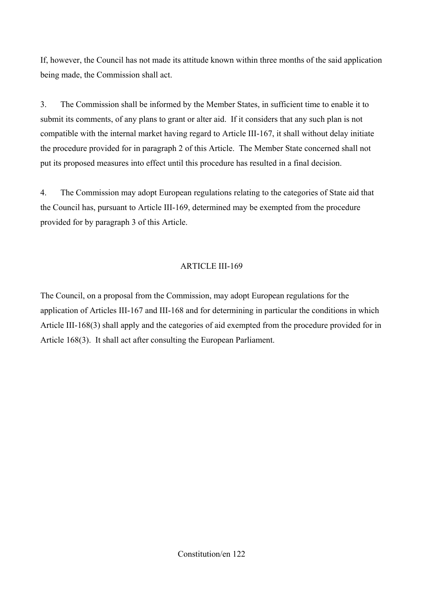If, however, the Council has not made its attitude known within three months of the said application being made, the Commission shall act.

3. The Commission shall be informed by the Member States, in sufficient time to enable it to submit its comments, of any plans to grant or alter aid. If it considers that any such plan is not compatible with the internal market having regard to Article III-167, it shall without delay initiate the procedure provided for in paragraph 2 of this Article. The Member State concerned shall not put its proposed measures into effect until this procedure has resulted in a final decision.

4. The Commission may adopt European regulations relating to the categories of State aid that the Council has, pursuant to Article III-169, determined may be exempted from the procedure provided for by paragraph 3 of this Article.

# ARTICLE III-169

The Council, on a proposal from the Commission, may adopt European regulations for the application of Articles III-167 and III-168 and for determining in particular the conditions in which Article III-168(3) shall apply and the categories of aid exempted from the procedure provided for in Article 168(3). It shall act after consulting the European Parliament.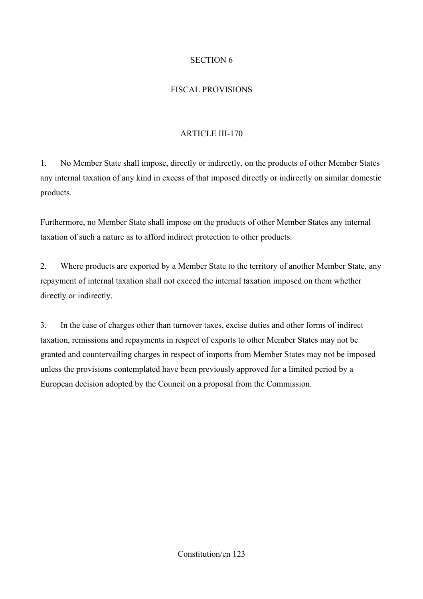## SECTION 6

## FISCAL PROVISIONS

## ARTICLE III-170

1. No Member State shall impose, directly or indirectly, on the products of other Member States any internal taxation of any kind in excess of that imposed directly or indirectly on similar domestic products.

Furthermore, no Member State shall impose on the products of other Member States any internal taxation of such a nature as to afford indirect protection to other products.

2. Where products are exported by a Member State to the territory of another Member State, any repayment of internal taxation shall not exceed the internal taxation imposed on them whether directly or indirectly.

3. In the case of charges other than turnover taxes, excise duties and other forms of indirect taxation, remissions and repayments in respect of exports to other Member States may not be granted and countervailing charges in respect of imports from Member States may not be imposed unless the provisions contemplated have been previously approved for a limited period by a European decision adopted by the Council on a proposal from the Commission.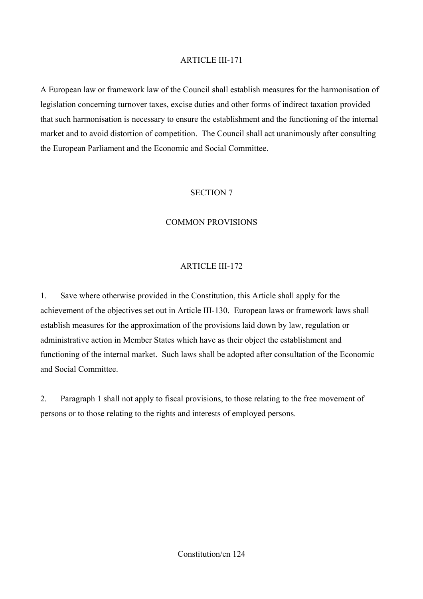A European law or framework law of the Council shall establish measures for the harmonisation of legislation concerning turnover taxes, excise duties and other forms of indirect taxation provided that such harmonisation is necessary to ensure the establishment and the functioning of the internal market and to avoid distortion of competition. The Council shall act unanimously after consulting the European Parliament and the Economic and Social Committee.

### SECTION 7

## COMMON PROVISIONS

## ARTICLE III-172

1. Save where otherwise provided in the Constitution, this Article shall apply for the achievement of the objectives set out in Article III-130. European laws or framework laws shall establish measures for the approximation of the provisions laid down by law, regulation or administrative action in Member States which have as their object the establishment and functioning of the internal market. Such laws shall be adopted after consultation of the Economic and Social Committee.

2. Paragraph 1 shall not apply to fiscal provisions, to those relating to the free movement of persons or to those relating to the rights and interests of employed persons.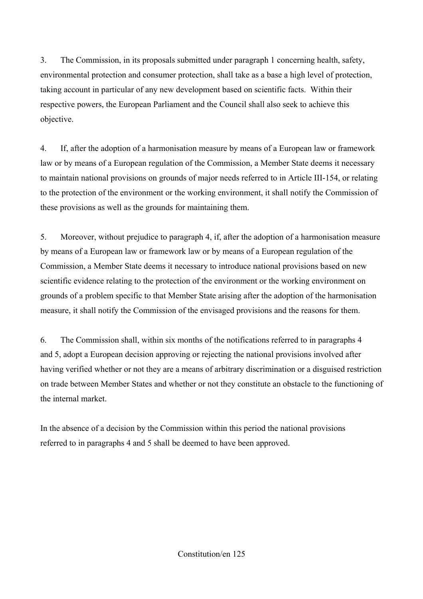3. The Commission, in its proposals submitted under paragraph 1 concerning health, safety, environmental protection and consumer protection, shall take as a base a high level of protection, taking account in particular of any new development based on scientific facts. Within their respective powers, the European Parliament and the Council shall also seek to achieve this objective.

4. If, after the adoption of a harmonisation measure by means of a European law or framework law or by means of a European regulation of the Commission, a Member State deems it necessary to maintain national provisions on grounds of major needs referred to in Article III-154, or relating to the protection of the environment or the working environment, it shall notify the Commission of these provisions as well as the grounds for maintaining them.

5. Moreover, without prejudice to paragraph 4, if, after the adoption of a harmonisation measure by means of a European law or framework law or by means of a European regulation of the Commission, a Member State deems it necessary to introduce national provisions based on new scientific evidence relating to the protection of the environment or the working environment on grounds of a problem specific to that Member State arising after the adoption of the harmonisation measure, it shall notify the Commission of the envisaged provisions and the reasons for them.

6. The Commission shall, within six months of the notifications referred to in paragraphs 4 and 5, adopt a European decision approving or rejecting the national provisions involved after having verified whether or not they are a means of arbitrary discrimination or a disguised restriction on trade between Member States and whether or not they constitute an obstacle to the functioning of the internal market.

In the absence of a decision by the Commission within this period the national provisions referred to in paragraphs 4 and 5 shall be deemed to have been approved.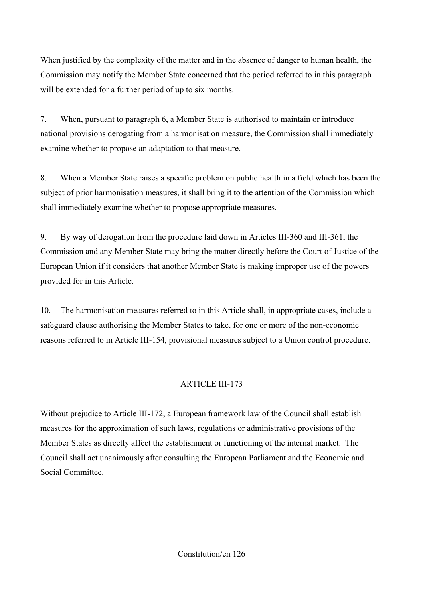When justified by the complexity of the matter and in the absence of danger to human health, the Commission may notify the Member State concerned that the period referred to in this paragraph will be extended for a further period of up to six months.

7. When, pursuant to paragraph 6, a Member State is authorised to maintain or introduce national provisions derogating from a harmonisation measure, the Commission shall immediately examine whether to propose an adaptation to that measure.

8. When a Member State raises a specific problem on public health in a field which has been the subject of prior harmonisation measures, it shall bring it to the attention of the Commission which shall immediately examine whether to propose appropriate measures.

9. By way of derogation from the procedure laid down in Articles III-360 and III-361, the Commission and any Member State may bring the matter directly before the Court of Justice of the European Union if it considers that another Member State is making improper use of the powers provided for in this Article.

10. The harmonisation measures referred to in this Article shall, in appropriate cases, include a safeguard clause authorising the Member States to take, for one or more of the non-economic reasons referred to in Article III-154, provisional measures subject to a Union control procedure.

## ARTICLE III-173

Without prejudice to Article III-172, a European framework law of the Council shall establish measures for the approximation of such laws, regulations or administrative provisions of the Member States as directly affect the establishment or functioning of the internal market. The Council shall act unanimously after consulting the European Parliament and the Economic and Social Committee.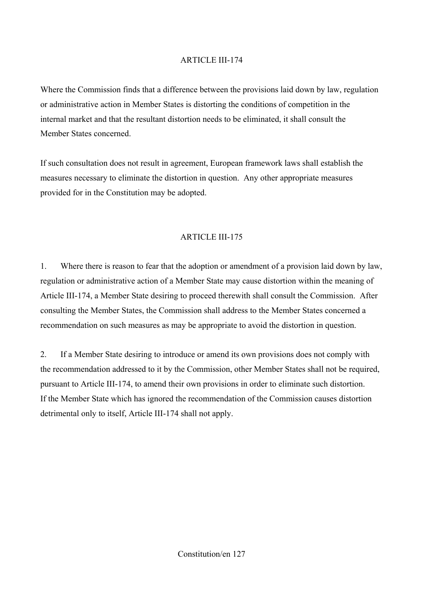Where the Commission finds that a difference between the provisions laid down by law, regulation or administrative action in Member States is distorting the conditions of competition in the internal market and that the resultant distortion needs to be eliminated, it shall consult the Member States concerned.

If such consultation does not result in agreement, European framework laws shall establish the measures necessary to eliminate the distortion in question. Any other appropriate measures provided for in the Constitution may be adopted.

## ARTICLE III-175

1. Where there is reason to fear that the adoption or amendment of a provision laid down by law, regulation or administrative action of a Member State may cause distortion within the meaning of Article III-174, a Member State desiring to proceed therewith shall consult the Commission. After consulting the Member States, the Commission shall address to the Member States concerned a recommendation on such measures as may be appropriate to avoid the distortion in question.

2. If a Member State desiring to introduce or amend its own provisions does not comply with the recommendation addressed to it by the Commission, other Member States shall not be required, pursuant to Article III-174, to amend their own provisions in order to eliminate such distortion. If the Member State which has ignored the recommendation of the Commission causes distortion detrimental only to itself, Article III-174 shall not apply.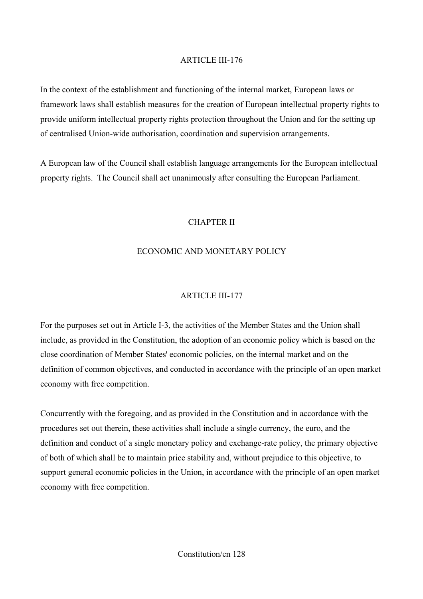In the context of the establishment and functioning of the internal market, European laws or framework laws shall establish measures for the creation of European intellectual property rights to provide uniform intellectual property rights protection throughout the Union and for the setting up of centralised Union-wide authorisation, coordination and supervision arrangements.

A European law of the Council shall establish language arrangements for the European intellectual property rights. The Council shall act unanimously after consulting the European Parliament.

## CHAPTER II

### ECONOMIC AND MONETARY POLICY

### ARTICLE III-177

For the purposes set out in Article I-3, the activities of the Member States and the Union shall include, as provided in the Constitution, the adoption of an economic policy which is based on the close coordination of Member States' economic policies, on the internal market and on the definition of common objectives, and conducted in accordance with the principle of an open market economy with free competition.

Concurrently with the foregoing, and as provided in the Constitution and in accordance with the procedures set out therein, these activities shall include a single currency, the euro, and the definition and conduct of a single monetary policy and exchange-rate policy, the primary objective of both of which shall be to maintain price stability and, without prejudice to this objective, to support general economic policies in the Union, in accordance with the principle of an open market economy with free competition.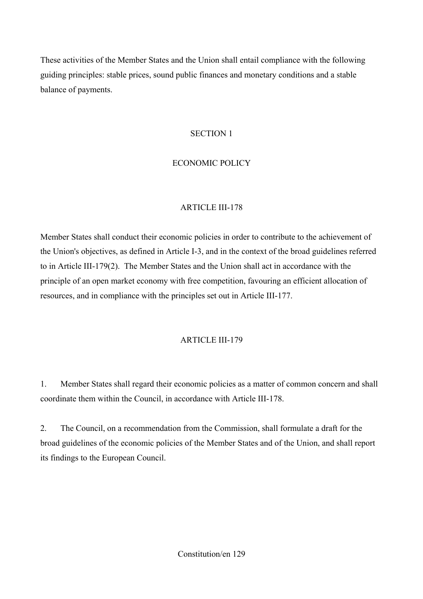These activities of the Member States and the Union shall entail compliance with the following guiding principles: stable prices, sound public finances and monetary conditions and a stable balance of payments.

## SECTION 1

# ECONOMIC POLICY

## ARTICLE III-178

Member States shall conduct their economic policies in order to contribute to the achievement of the Union's objectives, as defined in Article I-3, and in the context of the broad guidelines referred to in Article III-179(2). The Member States and the Union shall act in accordance with the principle of an open market economy with free competition, favouring an efficient allocation of resources, and in compliance with the principles set out in Article III-177.

## ARTICLE III-179

1. Member States shall regard their economic policies as a matter of common concern and shall coordinate them within the Council, in accordance with Article III-178.

2. The Council, on a recommendation from the Commission, shall formulate a draft for the broad guidelines of the economic policies of the Member States and of the Union, and shall report its findings to the European Council.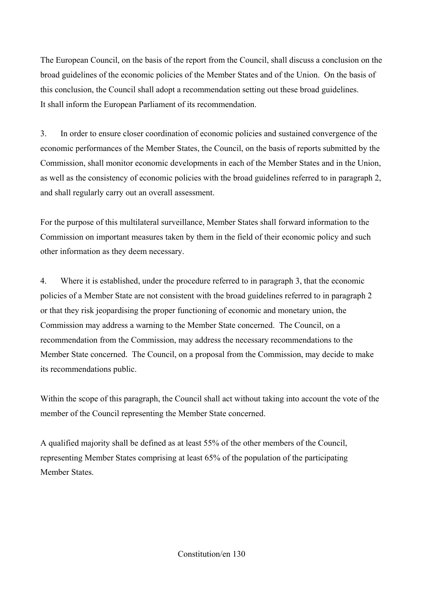The European Council, on the basis of the report from the Council, shall discuss a conclusion on the broad guidelines of the economic policies of the Member States and of the Union. On the basis of this conclusion, the Council shall adopt a recommendation setting out these broad guidelines. It shall inform the European Parliament of its recommendation.

3. In order to ensure closer coordination of economic policies and sustained convergence of the economic performances of the Member States, the Council, on the basis of reports submitted by the Commission, shall monitor economic developments in each of the Member States and in the Union, as well as the consistency of economic policies with the broad guidelines referred to in paragraph 2, and shall regularly carry out an overall assessment.

For the purpose of this multilateral surveillance, Member States shall forward information to the Commission on important measures taken by them in the field of their economic policy and such other information as they deem necessary.

4. Where it is established, under the procedure referred to in paragraph 3, that the economic policies of a Member State are not consistent with the broad guidelines referred to in paragraph 2 or that they risk jeopardising the proper functioning of economic and monetary union, the Commission may address a warning to the Member State concerned. The Council, on a recommendation from the Commission, may address the necessary recommendations to the Member State concerned. The Council, on a proposal from the Commission, may decide to make its recommendations public.

Within the scope of this paragraph, the Council shall act without taking into account the vote of the member of the Council representing the Member State concerned.

A qualified majority shall be defined as at least 55% of the other members of the Council, representing Member States comprising at least 65% of the population of the participating Member States.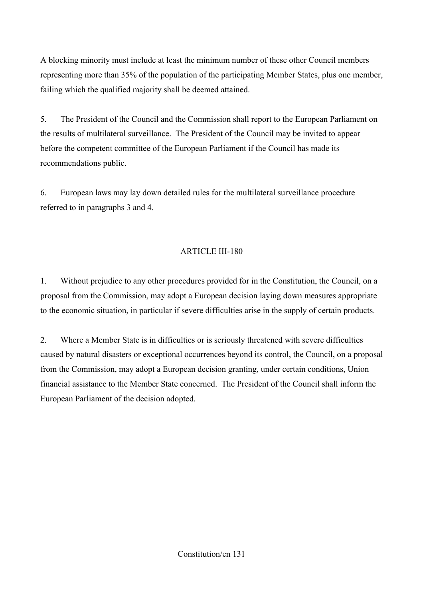A blocking minority must include at least the minimum number of these other Council members representing more than 35% of the population of the participating Member States, plus one member, failing which the qualified majority shall be deemed attained.

5. The President of the Council and the Commission shall report to the European Parliament on the results of multilateral surveillance. The President of the Council may be invited to appear before the competent committee of the European Parliament if the Council has made its recommendations public.

6. European laws may lay down detailed rules for the multilateral surveillance procedure referred to in paragraphs 3 and 4.

## ARTICLE III-180

1. Without prejudice to any other procedures provided for in the Constitution, the Council, on a proposal from the Commission, may adopt a European decision laying down measures appropriate to the economic situation, in particular if severe difficulties arise in the supply of certain products.

2. Where a Member State is in difficulties or is seriously threatened with severe difficulties caused by natural disasters or exceptional occurrences beyond its control, the Council, on a proposal from the Commission, may adopt a European decision granting, under certain conditions, Union financial assistance to the Member State concerned. The President of the Council shall inform the European Parliament of the decision adopted.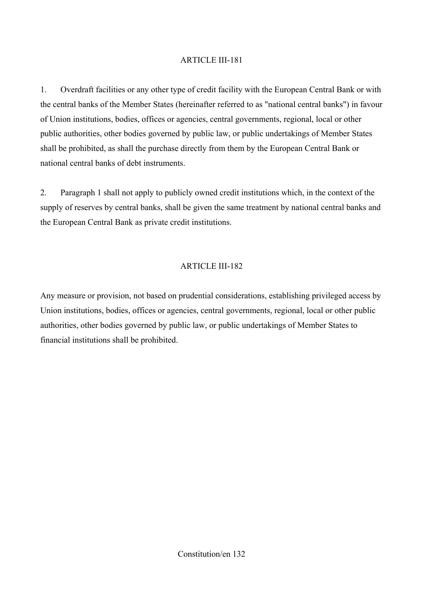1. Overdraft facilities or any other type of credit facility with the European Central Bank or with the central banks of the Member States (hereinafter referred to as "national central banks") in favour of Union institutions, bodies, offices or agencies, central governments, regional, local or other public authorities, other bodies governed by public law, or public undertakings of Member States shall be prohibited, as shall the purchase directly from them by the European Central Bank or national central banks of debt instruments.

2. Paragraph 1 shall not apply to publicly owned credit institutions which, in the context of the supply of reserves by central banks, shall be given the same treatment by national central banks and the European Central Bank as private credit institutions.

## ARTICLE III-182

Any measure or provision, not based on prudential considerations, establishing privileged access by Union institutions, bodies, offices or agencies, central governments, regional, local or other public authorities, other bodies governed by public law, or public undertakings of Member States to financial institutions shall be prohibited.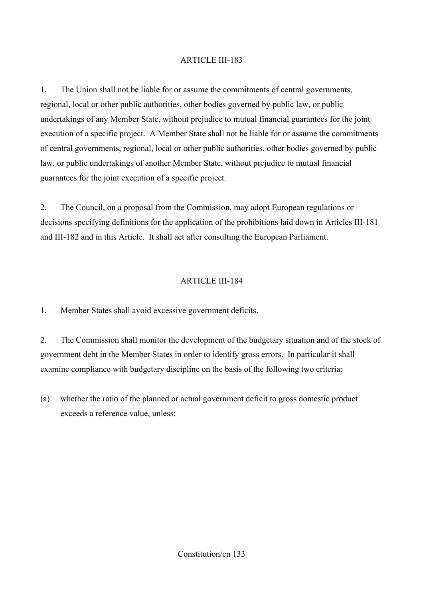1. The Union shall not be liable for or assume the commitments of central governments, regional, local or other public authorities, other bodies governed by public law, or public undertakings of any Member State, without prejudice to mutual financial guarantees for the joint execution of a specific project. A Member State shall not be liable for or assume the commitments of central governments, regional, local or other public authorities, other bodies governed by public law, or public undertakings of another Member State, without prejudice to mutual financial guarantees for the joint execution of a specific project.

2. The Council, on a proposal from the Commission, may adopt European regulations or decisions specifying definitions for the application of the prohibitions laid down in Articles III-181 and III-182 and in this Article. It shall act after consulting the European Parliament.

## ARTICLE III-184

1. Member States shall avoid excessive government deficits.

2. The Commission shall monitor the development of the budgetary situation and of the stock of government debt in the Member States in order to identify gross errors. In particular it shall examine compliance with budgetary discipline on the basis of the following two criteria:

(a) whether the ratio of the planned or actual government deficit to gross domestic product exceeds a reference value, unless: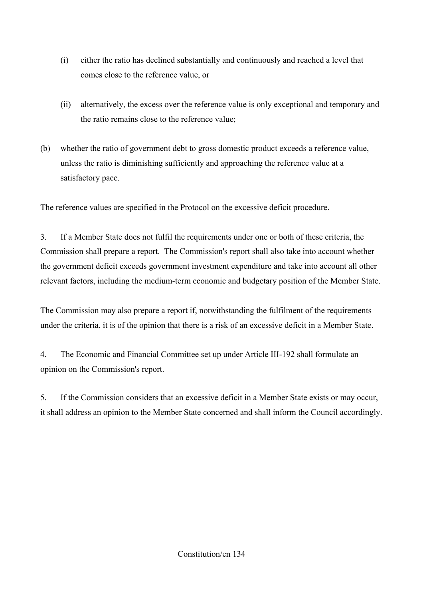- (i) either the ratio has declined substantially and continuously and reached a level that comes close to the reference value, or
- (ii) alternatively, the excess over the reference value is only exceptional and temporary and the ratio remains close to the reference value;
- (b) whether the ratio of government debt to gross domestic product exceeds a reference value, unless the ratio is diminishing sufficiently and approaching the reference value at a satisfactory pace.

The reference values are specified in the Protocol on the excessive deficit procedure.

3. If a Member State does not fulfil the requirements under one or both of these criteria, the Commission shall prepare a report. The Commission's report shall also take into account whether the government deficit exceeds government investment expenditure and take into account all other relevant factors, including the medium-term economic and budgetary position of the Member State.

The Commission may also prepare a report if, notwithstanding the fulfilment of the requirements under the criteria, it is of the opinion that there is a risk of an excessive deficit in a Member State.

4. The Economic and Financial Committee set up under Article III-192 shall formulate an opinion on the Commission's report.

5. If the Commission considers that an excessive deficit in a Member State exists or may occur, it shall address an opinion to the Member State concerned and shall inform the Council accordingly.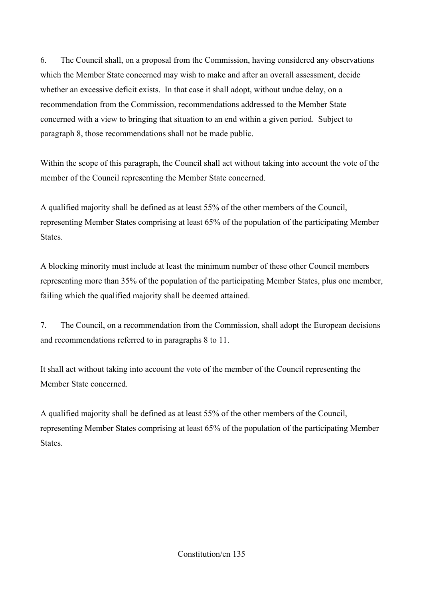6. The Council shall, on a proposal from the Commission, having considered any observations which the Member State concerned may wish to make and after an overall assessment, decide whether an excessive deficit exists. In that case it shall adopt, without undue delay, on a recommendation from the Commission, recommendations addressed to the Member State concerned with a view to bringing that situation to an end within a given period. Subject to paragraph 8, those recommendations shall not be made public.

Within the scope of this paragraph, the Council shall act without taking into account the vote of the member of the Council representing the Member State concerned.

A qualified majority shall be defined as at least 55% of the other members of the Council, representing Member States comprising at least 65% of the population of the participating Member **States**.

A blocking minority must include at least the minimum number of these other Council members representing more than 35% of the population of the participating Member States, plus one member, failing which the qualified majority shall be deemed attained.

7. The Council, on a recommendation from the Commission, shall adopt the European decisions and recommendations referred to in paragraphs 8 to 11.

It shall act without taking into account the vote of the member of the Council representing the Member State concerned.

A qualified majority shall be defined as at least 55% of the other members of the Council, representing Member States comprising at least 65% of the population of the participating Member **States**.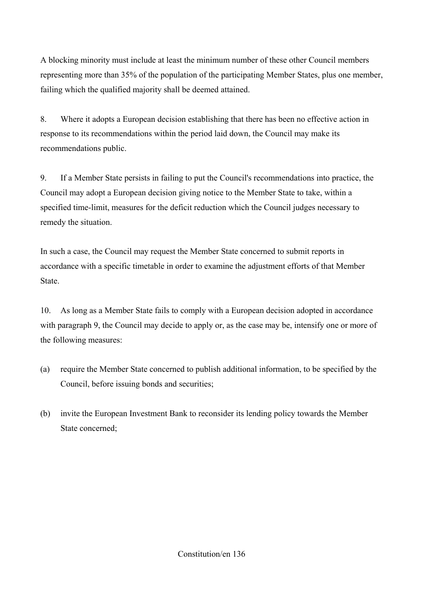A blocking minority must include at least the minimum number of these other Council members representing more than 35% of the population of the participating Member States, plus one member, failing which the qualified majority shall be deemed attained.

8. Where it adopts a European decision establishing that there has been no effective action in response to its recommendations within the period laid down, the Council may make its recommendations public.

9. If a Member State persists in failing to put the Council's recommendations into practice, the Council may adopt a European decision giving notice to the Member State to take, within a specified time-limit, measures for the deficit reduction which the Council judges necessary to remedy the situation.

In such a case, the Council may request the Member State concerned to submit reports in accordance with a specific timetable in order to examine the adjustment efforts of that Member State.

10. As long as a Member State fails to comply with a European decision adopted in accordance with paragraph 9, the Council may decide to apply or, as the case may be, intensify one or more of the following measures:

- (a) require the Member State concerned to publish additional information, to be specified by the Council, before issuing bonds and securities;
- (b) invite the European Investment Bank to reconsider its lending policy towards the Member State concerned;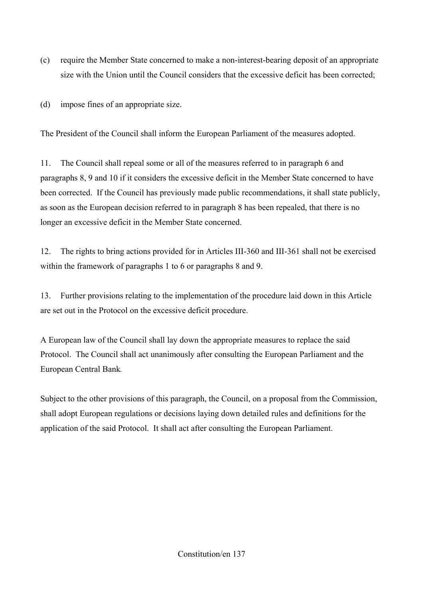- (c) require the Member State concerned to make a non-interest-bearing deposit of an appropriate size with the Union until the Council considers that the excessive deficit has been corrected;
- (d) impose fines of an appropriate size.

The President of the Council shall inform the European Parliament of the measures adopted.

11. The Council shall repeal some or all of the measures referred to in paragraph 6 and paragraphs 8, 9 and 10 if it considers the excessive deficit in the Member State concerned to have been corrected. If the Council has previously made public recommendations, it shall state publicly, as soon as the European decision referred to in paragraph 8 has been repealed, that there is no longer an excessive deficit in the Member State concerned.

12. The rights to bring actions provided for in Articles III-360 and III-361 shall not be exercised within the framework of paragraphs 1 to 6 or paragraphs 8 and 9.

13. Further provisions relating to the implementation of the procedure laid down in this Article are set out in the Protocol on the excessive deficit procedure.

A European law of the Council shall lay down the appropriate measures to replace the said Protocol. The Council shall act unanimously after consulting the European Parliament and the European Central Bank*.* 

Subject to the other provisions of this paragraph, the Council, on a proposal from the Commission, shall adopt European regulations or decisions laying down detailed rules and definitions for the application of the said Protocol. It shall act after consulting the European Parliament.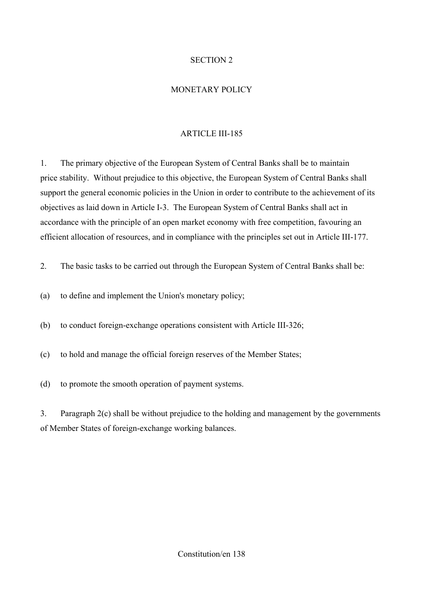## SECTION 2

## MONETARY POLICY

#### ARTICLE III-185

1. The primary objective of the European System of Central Banks shall be to maintain price stability. Without prejudice to this objective, the European System of Central Banks shall support the general economic policies in the Union in order to contribute to the achievement of its objectives as laid down in Article I-3. The European System of Central Banks shall act in accordance with the principle of an open market economy with free competition, favouring an efficient allocation of resources, and in compliance with the principles set out in Article III-177.

- 2. The basic tasks to be carried out through the European System of Central Banks shall be:
- (a) to define and implement the Union's monetary policy;
- (b) to conduct foreign-exchange operations consistent with Article III-326;
- (c) to hold and manage the official foreign reserves of the Member States;
- (d) to promote the smooth operation of payment systems.

3. Paragraph 2(c) shall be without prejudice to the holding and management by the governments of Member States of foreign-exchange working balances.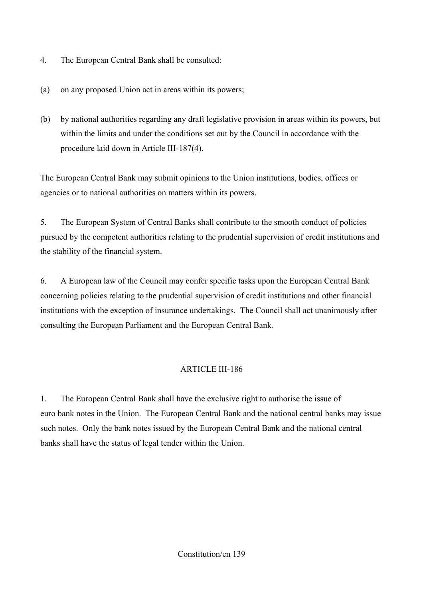- 4. The European Central Bank shall be consulted:
- (a) on any proposed Union act in areas within its powers;
- (b) by national authorities regarding any draft legislative provision in areas within its powers, but within the limits and under the conditions set out by the Council in accordance with the procedure laid down in Article III-187(4).

The European Central Bank may submit opinions to the Union institutions, bodies, offices or agencies or to national authorities on matters within its powers.

5. The European System of Central Banks shall contribute to the smooth conduct of policies pursued by the competent authorities relating to the prudential supervision of credit institutions and the stability of the financial system.

6. A European law of the Council may confer specific tasks upon the European Central Bank concerning policies relating to the prudential supervision of credit institutions and other financial institutions with the exception of insurance undertakings. The Council shall act unanimously after consulting the European Parliament and the European Central Bank*.* 

## ARTICLE III-186

1. The European Central Bank shall have the exclusive right to authorise the issue of euro bank notes in the Union. The European Central Bank and the national central banks may issue such notes. Only the bank notes issued by the European Central Bank and the national central banks shall have the status of legal tender within the Union.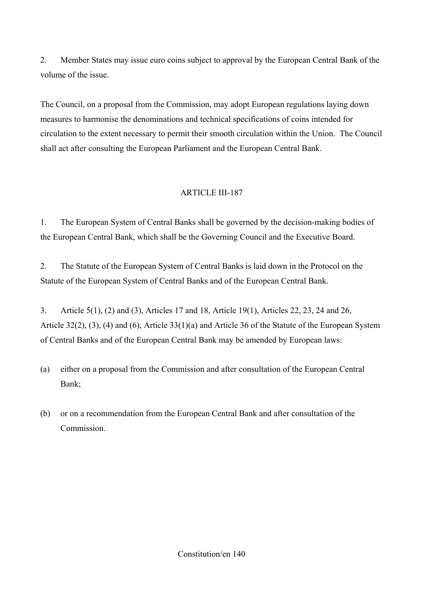2. Member States may issue euro coins subject to approval by the European Central Bank of the volume of the issue.

The Council, on a proposal from the Commission, may adopt European regulations laying down measures to harmonise the denominations and technical specifications of coins intended for circulation to the extent necessary to permit their smooth circulation within the Union. The Council shall act after consulting the European Parliament and the European Central Bank.

# ARTICLE III-187

1. The European System of Central Banks shall be governed by the decision-making bodies of the European Central Bank, which shall be the Governing Council and the Executive Board.

2. The Statute of the European System of Central Banks is laid down in the Protocol on the Statute of the European System of Central Banks and of the European Central Bank.

3. Article 5(1), (2) and (3), Articles 17 and 18, Article 19(1), Articles 22, 23, 24 and 26, Article 32(2), (3), (4) and (6), Article 33(1)(a) and Article 36 of the Statute of the European System of Central Banks and of the European Central Bank may be amended by European laws:

- (a) either on a proposal from the Commission and after consultation of the European Central Bank;
- (b) or on a recommendation from the European Central Bank and after consultation of the Commission.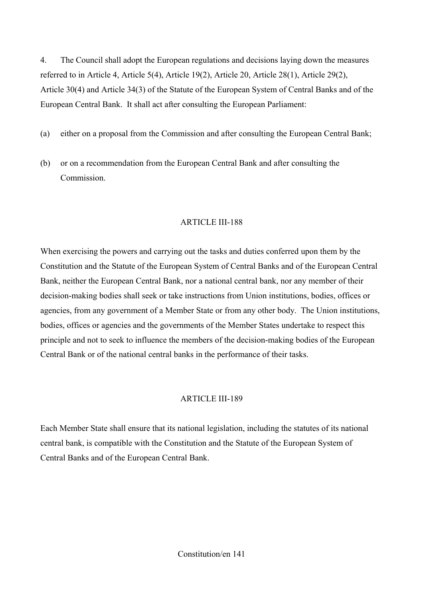4. The Council shall adopt the European regulations and decisions laying down the measures referred to in Article 4, Article 5(4), Article 19(2), Article 20, Article 28(1), Article 29(2), Article 30(4) and Article 34(3) of the Statute of the European System of Central Banks and of the European Central Bank. It shall act after consulting the European Parliament:

(a) either on a proposal from the Commission and after consulting the European Central Bank;

(b) or on a recommendation from the European Central Bank and after consulting the Commission.

# ARTICLE III-188

When exercising the powers and carrying out the tasks and duties conferred upon them by the Constitution and the Statute of the European System of Central Banks and of the European Central Bank, neither the European Central Bank, nor a national central bank, nor any member of their decision-making bodies shall seek or take instructions from Union institutions, bodies, offices or agencies, from any government of a Member State or from any other body. The Union institutions, bodies, offices or agencies and the governments of the Member States undertake to respect this principle and not to seek to influence the members of the decision-making bodies of the European Central Bank or of the national central banks in the performance of their tasks.

# ARTICLE III-189

Each Member State shall ensure that its national legislation, including the statutes of its national central bank, is compatible with the Constitution and the Statute of the European System of Central Banks and of the European Central Bank.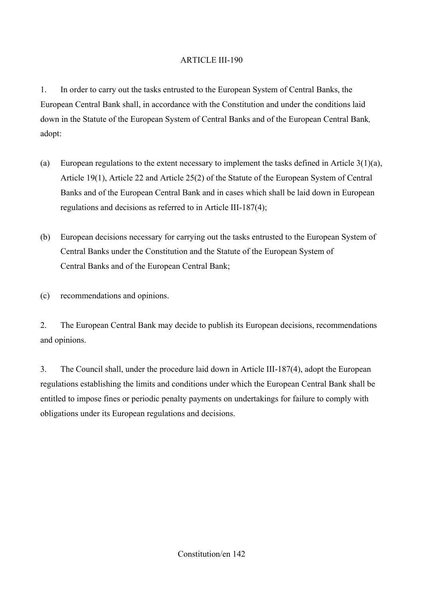## ARTICLE III-190

1. In order to carry out the tasks entrusted to the European System of Central Banks, the European Central Bank shall, in accordance with the Constitution and under the conditions laid down in the Statute of the European System of Central Banks and of the European Central Bank*,* adopt:

- (a) European regulations to the extent necessary to implement the tasks defined in Article 3(1)(a), Article 19(1), Article 22 and Article 25(2) of the Statute of the European System of Central Banks and of the European Central Bank and in cases which shall be laid down in European regulations and decisions as referred to in Article III-187(4);
- (b) European decisions necessary for carrying out the tasks entrusted to the European System of Central Banks under the Constitution and the Statute of the European System of Central Banks and of the European Central Bank;
- (c) recommendations and opinions.

2. The European Central Bank may decide to publish its European decisions, recommendations and opinions.

3. The Council shall, under the procedure laid down in Article III-187(4), adopt the European regulations establishing the limits and conditions under which the European Central Bank shall be entitled to impose fines or periodic penalty payments on undertakings for failure to comply with obligations under its European regulations and decisions.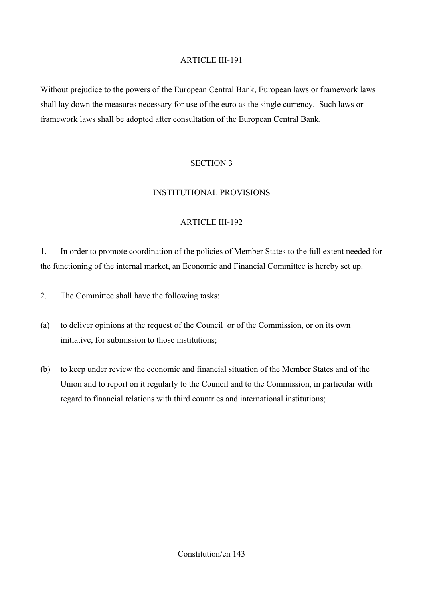#### ARTICLE III-191

Without prejudice to the powers of the European Central Bank, European laws or framework laws shall lay down the measures necessary for use of the euro as the single currency. Such laws or framework laws shall be adopted after consultation of the European Central Bank.

# SECTION 3

## INSTITUTIONAL PROVISIONS

## ARTICLE III-192

1. In order to promote coordination of the policies of Member States to the full extent needed for the functioning of the internal market, an Economic and Financial Committee is hereby set up.

2. The Committee shall have the following tasks:

- (a) to deliver opinions at the request of the Council or of the Commission, or on its own initiative, for submission to those institutions;
- (b) to keep under review the economic and financial situation of the Member States and of the Union and to report on it regularly to the Council and to the Commission, in particular with regard to financial relations with third countries and international institutions;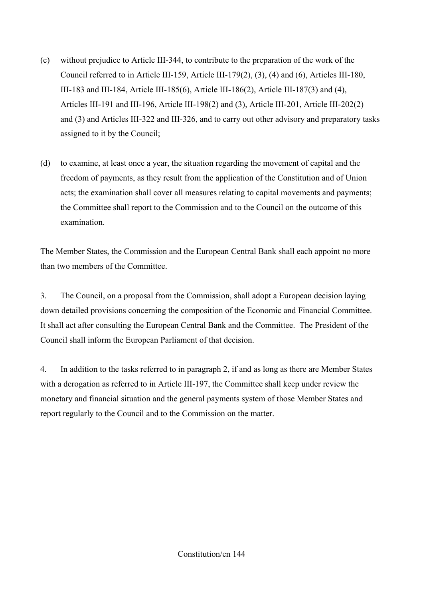- (c) without prejudice to Article III-344, to contribute to the preparation of the work of the Council referred to in Article III-159, Article III-179(2), (3), (4) and (6), Articles III-180, III-183 and III-184, Article III-185(6), Article III-186(2), Article III-187(3) and (4), Articles III-191 and III-196, Article III-198(2) and (3), Article III-201, Article III-202(2) and (3) and Articles III-322 and III-326, and to carry out other advisory and preparatory tasks assigned to it by the Council;
- (d) to examine, at least once a year, the situation regarding the movement of capital and the freedom of payments, as they result from the application of the Constitution and of Union acts; the examination shall cover all measures relating to capital movements and payments; the Committee shall report to the Commission and to the Council on the outcome of this examination.

The Member States, the Commission and the European Central Bank shall each appoint no more than two members of the Committee.

3. The Council, on a proposal from the Commission, shall adopt a European decision laying down detailed provisions concerning the composition of the Economic and Financial Committee. It shall act after consulting the European Central Bank and the Committee. The President of the Council shall inform the European Parliament of that decision.

4. In addition to the tasks referred to in paragraph 2, if and as long as there are Member States with a derogation as referred to in Article III-197, the Committee shall keep under review the monetary and financial situation and the general payments system of those Member States and report regularly to the Council and to the Commission on the matter.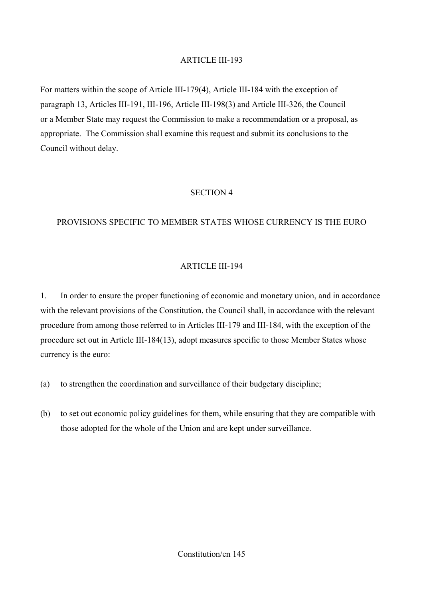#### ARTICLE III-193

For matters within the scope of Article III-179(4), Article III-184 with the exception of paragraph 13, Articles III-191, III-196, Article III-198(3) and Article III-326, the Council or a Member State may request the Commission to make a recommendation or a proposal, as appropriate. The Commission shall examine this request and submit its conclusions to the Council without delay.

#### SECTION 4

## PROVISIONS SPECIFIC TO MEMBER STATES WHOSE CURRENCY IS THE EURO

## ARTICLE III-194

1. In order to ensure the proper functioning of economic and monetary union, and in accordance with the relevant provisions of the Constitution, the Council shall, in accordance with the relevant procedure from among those referred to in Articles III-179 and III-184, with the exception of the procedure set out in Article III-184(13), adopt measures specific to those Member States whose currency is the euro:

- (a) to strengthen the coordination and surveillance of their budgetary discipline;
- (b) to set out economic policy guidelines for them, while ensuring that they are compatible with those adopted for the whole of the Union and are kept under surveillance.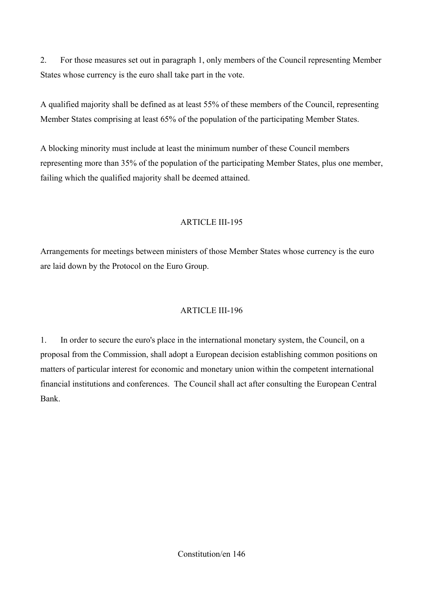2. For those measures set out in paragraph 1, only members of the Council representing Member States whose currency is the euro shall take part in the vote.

A qualified majority shall be defined as at least 55% of these members of the Council, representing Member States comprising at least 65% of the population of the participating Member States.

A blocking minority must include at least the minimum number of these Council members representing more than 35% of the population of the participating Member States, plus one member, failing which the qualified majority shall be deemed attained.

# ARTICLE III-195

Arrangements for meetings between ministers of those Member States whose currency is the euro are laid down by the Protocol on the Euro Group.

# ARTICLE III-196

1. In order to secure the euro's place in the international monetary system, the Council, on a proposal from the Commission, shall adopt a European decision establishing common positions on matters of particular interest for economic and monetary union within the competent international financial institutions and conferences. The Council shall act after consulting the European Central Bank.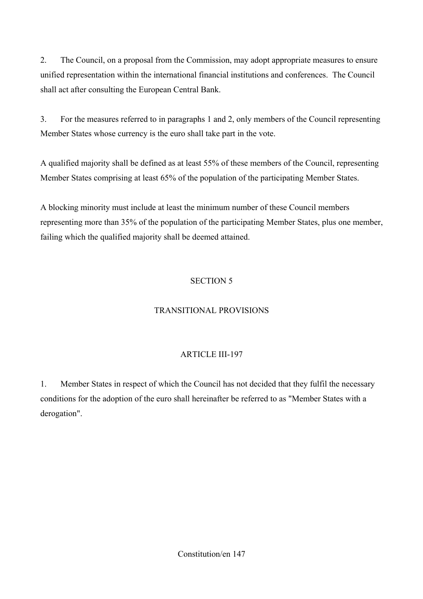2. The Council, on a proposal from the Commission, may adopt appropriate measures to ensure unified representation within the international financial institutions and conferences. The Council shall act after consulting the European Central Bank.

3. For the measures referred to in paragraphs 1 and 2, only members of the Council representing Member States whose currency is the euro shall take part in the vote.

A qualified majority shall be defined as at least 55% of these members of the Council, representing Member States comprising at least 65% of the population of the participating Member States.

A blocking minority must include at least the minimum number of these Council members representing more than 35% of the population of the participating Member States, plus one member, failing which the qualified majority shall be deemed attained.

# SECTION 5

# TRANSITIONAL PROVISIONS

# ARTICLE III-197

1. Member States in respect of which the Council has not decided that they fulfil the necessary conditions for the adoption of the euro shall hereinafter be referred to as "Member States with a derogation".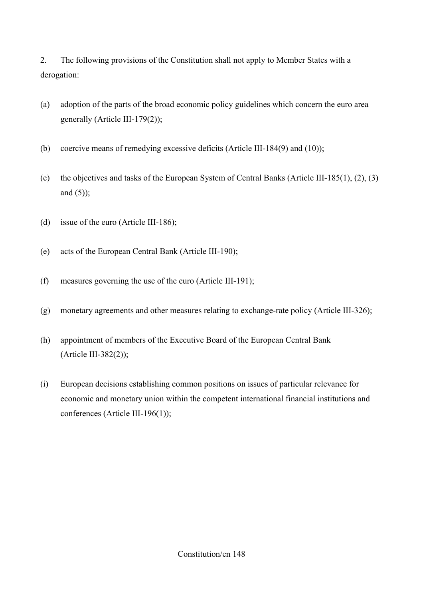2. The following provisions of the Constitution shall not apply to Member States with a derogation:

- (a) adoption of the parts of the broad economic policy guidelines which concern the euro area generally (Article III-179(2));
- (b) coercive means of remedying excessive deficits (Article III-184(9) and (10));
- (c) the objectives and tasks of the European System of Central Banks (Article III-185(1), (2), (3) and  $(5)$ ;
- (d) issue of the euro (Article III-186);
- (e) acts of the European Central Bank (Article III-190);
- (f) measures governing the use of the euro (Article III-191);
- (g) monetary agreements and other measures relating to exchange-rate policy (Article III-326);
- (h) appointment of members of the Executive Board of the European Central Bank (Article III-382(2));
- (i) European decisions establishing common positions on issues of particular relevance for economic and monetary union within the competent international financial institutions and conferences (Article III-196(1));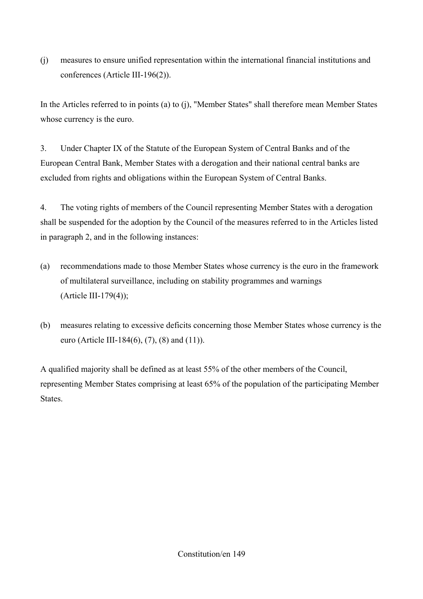(j) measures to ensure unified representation within the international financial institutions and conferences (Article III-196(2)).

In the Articles referred to in points (a) to (j), "Member States" shall therefore mean Member States whose currency is the euro.

3. Under Chapter IX of the Statute of the European System of Central Banks and of the European Central Bank, Member States with a derogation and their national central banks are excluded from rights and obligations within the European System of Central Banks.

4. The voting rights of members of the Council representing Member States with a derogation shall be suspended for the adoption by the Council of the measures referred to in the Articles listed in paragraph 2, and in the following instances:

- (a) recommendations made to those Member States whose currency is the euro in the framework of multilateral surveillance, including on stability programmes and warnings (Article III-179(4));
- (b) measures relating to excessive deficits concerning those Member States whose currency is the euro (Article III-184(6), (7), (8) and (11)).

A qualified majority shall be defined as at least 55% of the other members of the Council, representing Member States comprising at least 65% of the population of the participating Member States.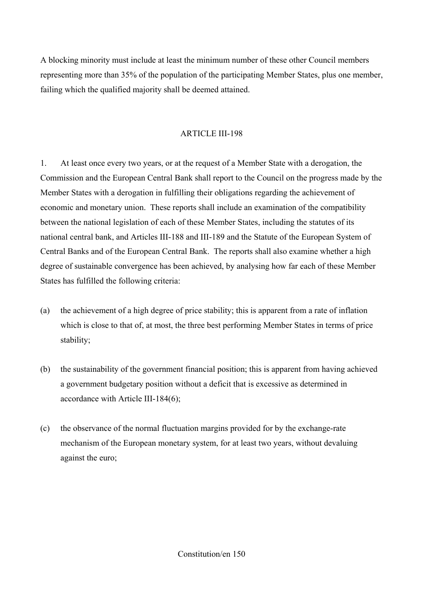A blocking minority must include at least the minimum number of these other Council members representing more than 35% of the population of the participating Member States, plus one member, failing which the qualified majority shall be deemed attained.

#### ARTICLE III-198

1. At least once every two years, or at the request of a Member State with a derogation, the Commission and the European Central Bank shall report to the Council on the progress made by the Member States with a derogation in fulfilling their obligations regarding the achievement of economic and monetary union. These reports shall include an examination of the compatibility between the national legislation of each of these Member States, including the statutes of its national central bank, and Articles III-188 and III-189 and the Statute of the European System of Central Banks and of the European Central Bank. The reports shall also examine whether a high degree of sustainable convergence has been achieved, by analysing how far each of these Member States has fulfilled the following criteria:

- (a) the achievement of a high degree of price stability; this is apparent from a rate of inflation which is close to that of, at most, the three best performing Member States in terms of price stability;
- (b) the sustainability of the government financial position; this is apparent from having achieved a government budgetary position without a deficit that is excessive as determined in accordance with Article III-184(6);
- (c) the observance of the normal fluctuation margins provided for by the exchange-rate mechanism of the European monetary system, for at least two years, without devaluing against the euro;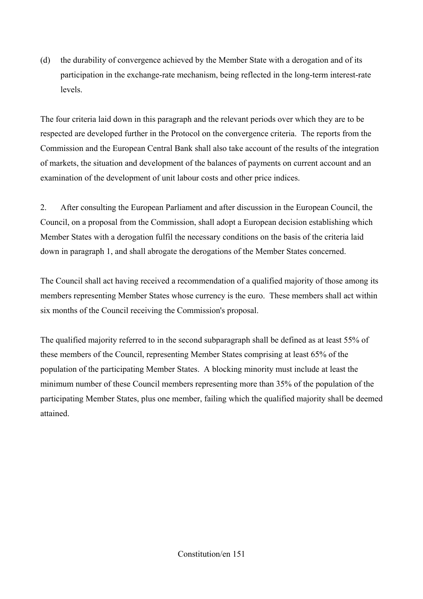(d) the durability of convergence achieved by the Member State with a derogation and of its participation in the exchange-rate mechanism, being reflected in the long-term interest-rate levels.

The four criteria laid down in this paragraph and the relevant periods over which they are to be respected are developed further in the Protocol on the convergence criteria. The reports from the Commission and the European Central Bank shall also take account of the results of the integration of markets, the situation and development of the balances of payments on current account and an examination of the development of unit labour costs and other price indices.

2. After consulting the European Parliament and after discussion in the European Council, the Council, on a proposal from the Commission, shall adopt a European decision establishing which Member States with a derogation fulfil the necessary conditions on the basis of the criteria laid down in paragraph 1, and shall abrogate the derogations of the Member States concerned.

The Council shall act having received a recommendation of a qualified majority of those among its members representing Member States whose currency is the euro. These members shall act within six months of the Council receiving the Commission's proposal.

The qualified majority referred to in the second subparagraph shall be defined as at least 55% of these members of the Council, representing Member States comprising at least 65% of the population of the participating Member States. A blocking minority must include at least the minimum number of these Council members representing more than 35% of the population of the participating Member States, plus one member, failing which the qualified majority shall be deemed attained.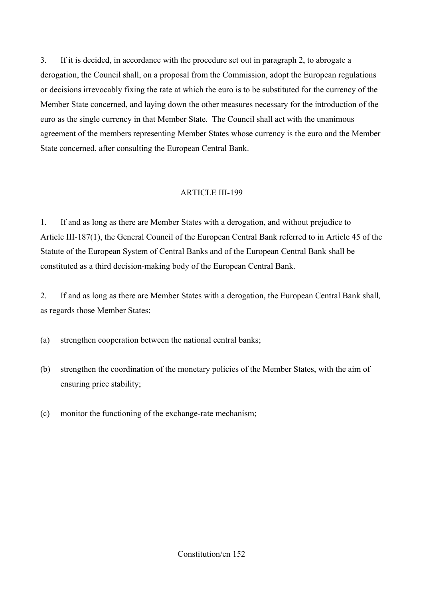3. If it is decided, in accordance with the procedure set out in paragraph 2, to abrogate a derogation, the Council shall, on a proposal from the Commission, adopt the European regulations or decisions irrevocably fixing the rate at which the euro is to be substituted for the currency of the Member State concerned, and laying down the other measures necessary for the introduction of the euro as the single currency in that Member State. The Council shall act with the unanimous agreement of the members representing Member States whose currency is the euro and the Member State concerned, after consulting the European Central Bank.

## ARTICLE III-199

1. If and as long as there are Member States with a derogation, and without prejudice to Article III-187(1), the General Council of the European Central Bank referred to in Article 45 of the Statute of the European System of Central Banks and of the European Central Bank shall be constituted as a third decision-making body of the European Central Bank.

2. If and as long as there are Member States with a derogation, the European Central Bank shall*,* as regards those Member States:

(a) strengthen cooperation between the national central banks;

- (b) strengthen the coordination of the monetary policies of the Member States, with the aim of ensuring price stability;
- (c) monitor the functioning of the exchange-rate mechanism;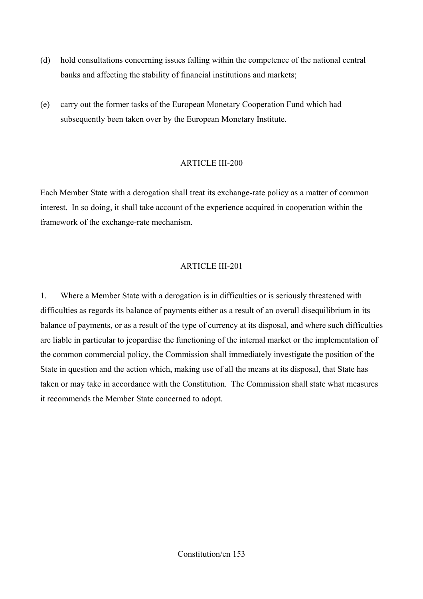- (d) hold consultations concerning issues falling within the competence of the national central banks and affecting the stability of financial institutions and markets;
- (e) carry out the former tasks of the European Monetary Cooperation Fund which had subsequently been taken over by the European Monetary Institute.

#### ARTICLE III-200

Each Member State with a derogation shall treat its exchange-rate policy as a matter of common interest. In so doing, it shall take account of the experience acquired in cooperation within the framework of the exchange-rate mechanism.

#### ARTICLE III-201

1. Where a Member State with a derogation is in difficulties or is seriously threatened with difficulties as regards its balance of payments either as a result of an overall disequilibrium in its balance of payments, or as a result of the type of currency at its disposal, and where such difficulties are liable in particular to jeopardise the functioning of the internal market or the implementation of the common commercial policy, the Commission shall immediately investigate the position of the State in question and the action which, making use of all the means at its disposal, that State has taken or may take in accordance with the Constitution. The Commission shall state what measures it recommends the Member State concerned to adopt.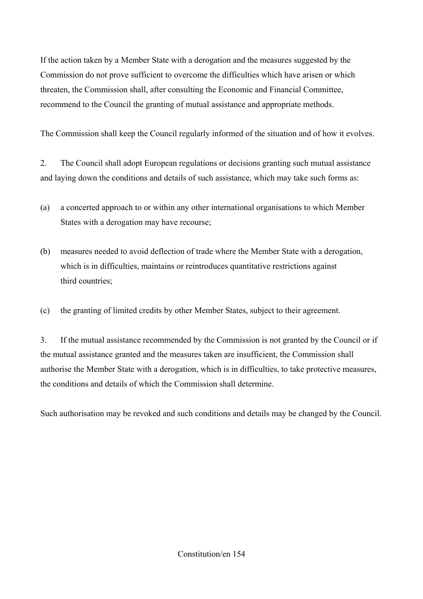If the action taken by a Member State with a derogation and the measures suggested by the Commission do not prove sufficient to overcome the difficulties which have arisen or which threaten, the Commission shall, after consulting the Economic and Financial Committee, recommend to the Council the granting of mutual assistance and appropriate methods.

The Commission shall keep the Council regularly informed of the situation and of how it evolves.

2. The Council shall adopt European regulations or decisions granting such mutual assistance and laying down the conditions and details of such assistance, which may take such forms as:

- (a) a concerted approach to or within any other international organisations to which Member States with a derogation may have recourse;
- (b) measures needed to avoid deflection of trade where the Member State with a derogation, which is in difficulties, maintains or reintroduces quantitative restrictions against third countries;
- (c) the granting of limited credits by other Member States, subject to their agreement.

3. If the mutual assistance recommended by the Commission is not granted by the Council or if the mutual assistance granted and the measures taken are insufficient, the Commission shall authorise the Member State with a derogation, which is in difficulties, to take protective measures, the conditions and details of which the Commission shall determine.

Such authorisation may be revoked and such conditions and details may be changed by the Council.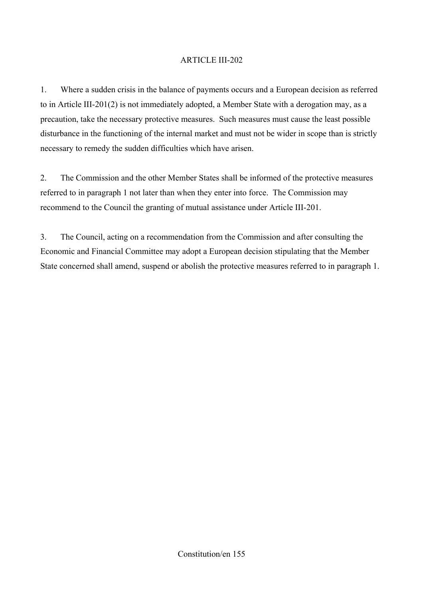#### ARTICLE III-202

1. Where a sudden crisis in the balance of payments occurs and a European decision as referred to in Article III-201(2) is not immediately adopted, a Member State with a derogation may, as a precaution, take the necessary protective measures. Such measures must cause the least possible disturbance in the functioning of the internal market and must not be wider in scope than is strictly necessary to remedy the sudden difficulties which have arisen.

2. The Commission and the other Member States shall be informed of the protective measures referred to in paragraph 1 not later than when they enter into force. The Commission may recommend to the Council the granting of mutual assistance under Article III-201.

3. The Council, acting on a recommendation from the Commission and after consulting the Economic and Financial Committee may adopt a European decision stipulating that the Member State concerned shall amend, suspend or abolish the protective measures referred to in paragraph 1.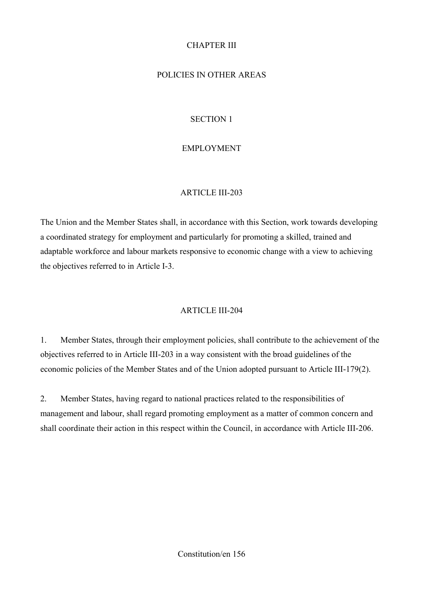## CHAPTER III

# POLICIES IN OTHER AREAS

# SECTION 1

# EMPLOYMENT

# ARTICLE III-203

The Union and the Member States shall, in accordance with this Section, work towards developing a coordinated strategy for employment and particularly for promoting a skilled, trained and adaptable workforce and labour markets responsive to economic change with a view to achieving the objectives referred to in Article I-3.

# ARTICLE III-204

1. Member States, through their employment policies, shall contribute to the achievement of the objectives referred to in Article III-203 in a way consistent with the broad guidelines of the economic policies of the Member States and of the Union adopted pursuant to Article III-179(2).

2. Member States, having regard to national practices related to the responsibilities of management and labour, shall regard promoting employment as a matter of common concern and shall coordinate their action in this respect within the Council, in accordance with Article III-206.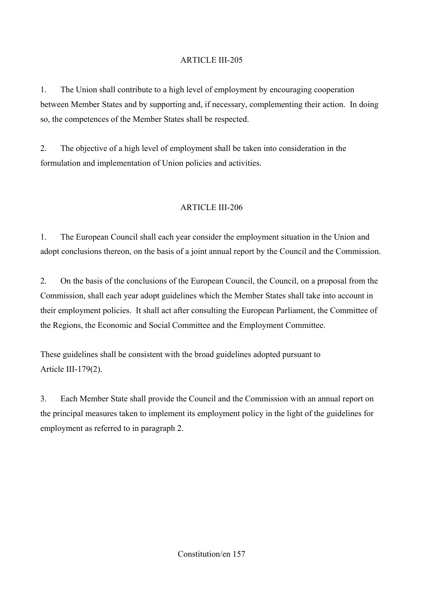## ARTICLE III-205

1. The Union shall contribute to a high level of employment by encouraging cooperation between Member States and by supporting and, if necessary, complementing their action. In doing so, the competences of the Member States shall be respected.

2. The objective of a high level of employment shall be taken into consideration in the formulation and implementation of Union policies and activities.

# ARTICLE III-206

1. The European Council shall each year consider the employment situation in the Union and adopt conclusions thereon, on the basis of a joint annual report by the Council and the Commission.

2. On the basis of the conclusions of the European Council, the Council, on a proposal from the Commission, shall each year adopt guidelines which the Member States shall take into account in their employment policies. It shall act after consulting the European Parliament, the Committee of the Regions, the Economic and Social Committee and the Employment Committee.

These guidelines shall be consistent with the broad guidelines adopted pursuant to Article III-179(2).

3. Each Member State shall provide the Council and the Commission with an annual report on the principal measures taken to implement its employment policy in the light of the guidelines for employment as referred to in paragraph 2.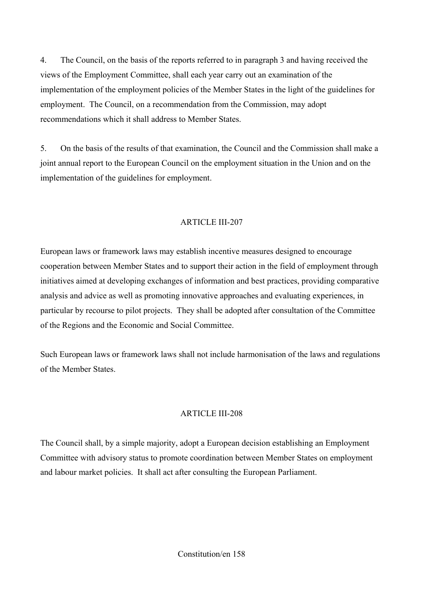4. The Council, on the basis of the reports referred to in paragraph 3 and having received the views of the Employment Committee, shall each year carry out an examination of the implementation of the employment policies of the Member States in the light of the guidelines for employment. The Council, on a recommendation from the Commission, may adopt recommendations which it shall address to Member States.

5. On the basis of the results of that examination, the Council and the Commission shall make a joint annual report to the European Council on the employment situation in the Union and on the implementation of the guidelines for employment.

## ARTICLE III-207

European laws or framework laws may establish incentive measures designed to encourage cooperation between Member States and to support their action in the field of employment through initiatives aimed at developing exchanges of information and best practices, providing comparative analysis and advice as well as promoting innovative approaches and evaluating experiences, in particular by recourse to pilot projects. They shall be adopted after consultation of the Committee of the Regions and the Economic and Social Committee.

Such European laws or framework laws shall not include harmonisation of the laws and regulations of the Member States.

## ARTICLE III-208

The Council shall, by a simple majority, adopt a European decision establishing an Employment Committee with advisory status to promote coordination between Member States on employment and labour market policies. It shall act after consulting the European Parliament.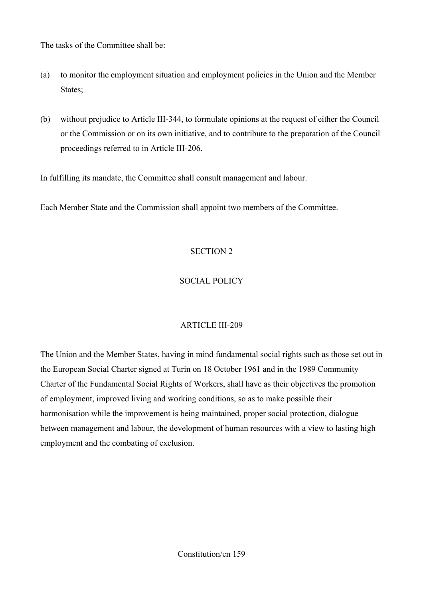The tasks of the Committee shall be:

- (a) to monitor the employment situation and employment policies in the Union and the Member States;
- (b) without prejudice to Article III-344, to formulate opinions at the request of either the Council or the Commission or on its own initiative, and to contribute to the preparation of the Council proceedings referred to in Article III-206.

In fulfilling its mandate, the Committee shall consult management and labour.

Each Member State and the Commission shall appoint two members of the Committee.

# SECTION 2

# SOCIAL POLICY

# ARTICLE III-209

The Union and the Member States, having in mind fundamental social rights such as those set out in the European Social Charter signed at Turin on 18 October 1961 and in the 1989 Community Charter of the Fundamental Social Rights of Workers, shall have as their objectives the promotion of employment, improved living and working conditions, so as to make possible their harmonisation while the improvement is being maintained, proper social protection, dialogue between management and labour, the development of human resources with a view to lasting high employment and the combating of exclusion.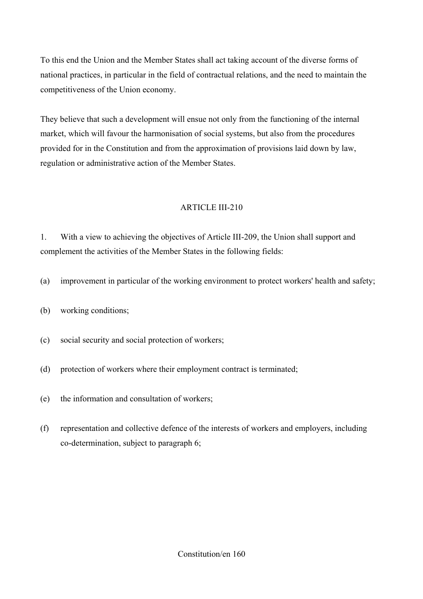To this end the Union and the Member States shall act taking account of the diverse forms of national practices, in particular in the field of contractual relations, and the need to maintain the competitiveness of the Union economy.

They believe that such a development will ensue not only from the functioning of the internal market, which will favour the harmonisation of social systems, but also from the procedures provided for in the Constitution and from the approximation of provisions laid down by law, regulation or administrative action of the Member States.

## ARTICLE III-210

1. With a view to achieving the objectives of Article III-209, the Union shall support and complement the activities of the Member States in the following fields:

- (a) improvement in particular of the working environment to protect workers' health and safety;
- (b) working conditions;
- (c) social security and social protection of workers;
- (d) protection of workers where their employment contract is terminated;
- (e) the information and consultation of workers;
- (f) representation and collective defence of the interests of workers and employers, including co-determination, subject to paragraph 6;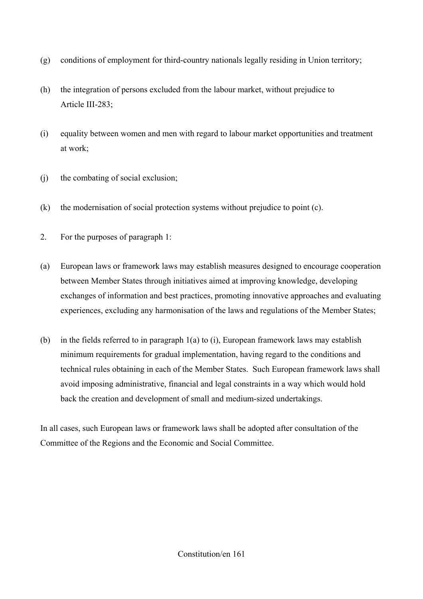- (g) conditions of employment for third-country nationals legally residing in Union territory;
- (h) the integration of persons excluded from the labour market, without prejudice to Article III-283;
- (i) equality between women and men with regard to labour market opportunities and treatment at work;
- (j) the combating of social exclusion;
- (k) the modernisation of social protection systems without prejudice to point (c).
- 2. For the purposes of paragraph 1:
- (a) European laws or framework laws may establish measures designed to encourage cooperation between Member States through initiatives aimed at improving knowledge, developing exchanges of information and best practices, promoting innovative approaches and evaluating experiences, excluding any harmonisation of the laws and regulations of the Member States;
- (b) in the fields referred to in paragraph 1(a) to (i), European framework laws may establish minimum requirements for gradual implementation, having regard to the conditions and technical rules obtaining in each of the Member States. Such European framework laws shall avoid imposing administrative, financial and legal constraints in a way which would hold back the creation and development of small and medium-sized undertakings.

In all cases, such European laws or framework laws shall be adopted after consultation of the Committee of the Regions and the Economic and Social Committee.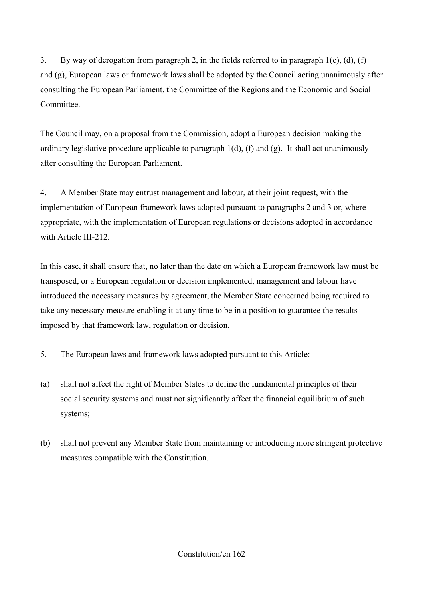3. By way of derogation from paragraph 2, in the fields referred to in paragraph 1(c), (d), (f) and (g), European laws or framework laws shall be adopted by the Council acting unanimously after consulting the European Parliament, the Committee of the Regions and the Economic and Social Committee.

The Council may, on a proposal from the Commission, adopt a European decision making the ordinary legislative procedure applicable to paragraph 1(d), (f) and (g). It shall act unanimously after consulting the European Parliament.

4. A Member State may entrust management and labour, at their joint request, with the implementation of European framework laws adopted pursuant to paragraphs 2 and 3 or, where appropriate, with the implementation of European regulations or decisions adopted in accordance with Article III-212.

In this case, it shall ensure that, no later than the date on which a European framework law must be transposed, or a European regulation or decision implemented, management and labour have introduced the necessary measures by agreement, the Member State concerned being required to take any necessary measure enabling it at any time to be in a position to guarantee the results imposed by that framework law, regulation or decision.

- 5. The European laws and framework laws adopted pursuant to this Article:
- (a) shall not affect the right of Member States to define the fundamental principles of their social security systems and must not significantly affect the financial equilibrium of such systems;
- (b) shall not prevent any Member State from maintaining or introducing more stringent protective measures compatible with the Constitution.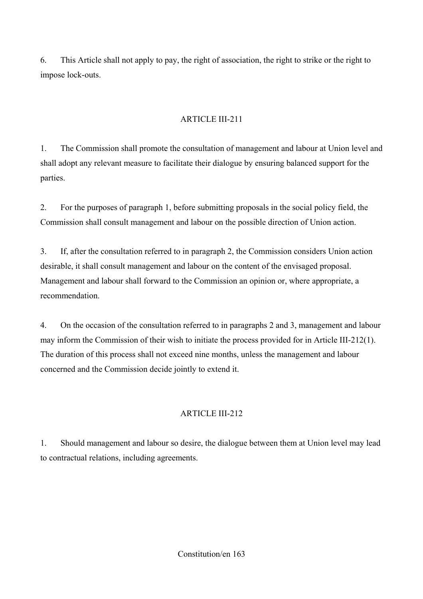6. This Article shall not apply to pay, the right of association, the right to strike or the right to impose lock-outs.

# ARTICLE III-211

1. The Commission shall promote the consultation of management and labour at Union level and shall adopt any relevant measure to facilitate their dialogue by ensuring balanced support for the parties.

2. For the purposes of paragraph 1, before submitting proposals in the social policy field, the Commission shall consult management and labour on the possible direction of Union action.

3. If, after the consultation referred to in paragraph 2, the Commission considers Union action desirable, it shall consult management and labour on the content of the envisaged proposal. Management and labour shall forward to the Commission an opinion or, where appropriate, a recommendation.

4. On the occasion of the consultation referred to in paragraphs 2 and 3, management and labour may inform the Commission of their wish to initiate the process provided for in Article III-212(1). The duration of this process shall not exceed nine months, unless the management and labour concerned and the Commission decide jointly to extend it.

# ARTICLE III-212

1. Should management and labour so desire, the dialogue between them at Union level may lead to contractual relations, including agreements.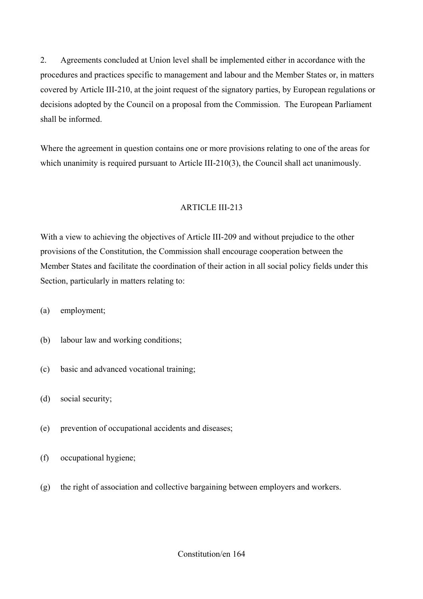2. Agreements concluded at Union level shall be implemented either in accordance with the procedures and practices specific to management and labour and the Member States or, in matters covered by Article III-210, at the joint request of the signatory parties, by European regulations or decisions adopted by the Council on a proposal from the Commission. The European Parliament shall be informed.

Where the agreement in question contains one or more provisions relating to one of the areas for which unanimity is required pursuant to Article III-210(3), the Council shall act unanimously.

## ARTICLE III-213

With a view to achieving the objectives of Article III-209 and without prejudice to the other provisions of the Constitution, the Commission shall encourage cooperation between the Member States and facilitate the coordination of their action in all social policy fields under this Section, particularly in matters relating to:

(a) employment;

- (b) labour law and working conditions;
- (c) basic and advanced vocational training;
- (d) social security;
- (e) prevention of occupational accidents and diseases;
- (f) occupational hygiene;
- (g) the right of association and collective bargaining between employers and workers.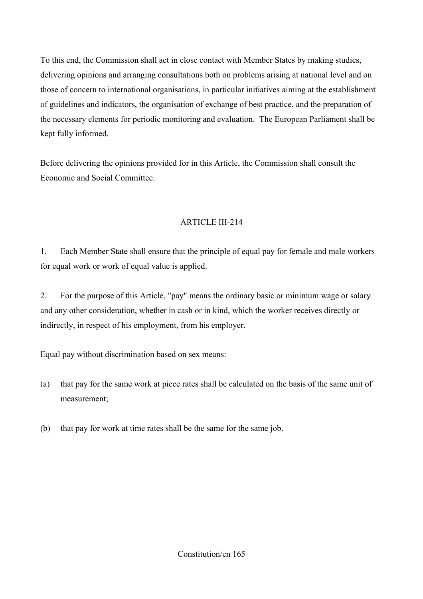To this end, the Commission shall act in close contact with Member States by making studies, delivering opinions and arranging consultations both on problems arising at national level and on those of concern to international organisations, in particular initiatives aiming at the establishment of guidelines and indicators, the organisation of exchange of best practice, and the preparation of the necessary elements for periodic monitoring and evaluation. The European Parliament shall be kept fully informed.

Before delivering the opinions provided for in this Article, the Commission shall consult the Economic and Social Committee.

## ARTICLE III-214

1. Each Member State shall ensure that the principle of equal pay for female and male workers for equal work or work of equal value is applied.

2. For the purpose of this Article, "pay" means the ordinary basic or minimum wage or salary and any other consideration, whether in cash or in kind, which the worker receives directly or indirectly, in respect of his employment, from his employer.

Equal pay without discrimination based on sex means:

- (a) that pay for the same work at piece rates shall be calculated on the basis of the same unit of measurement;
- (b) that pay for work at time rates shall be the same for the same job.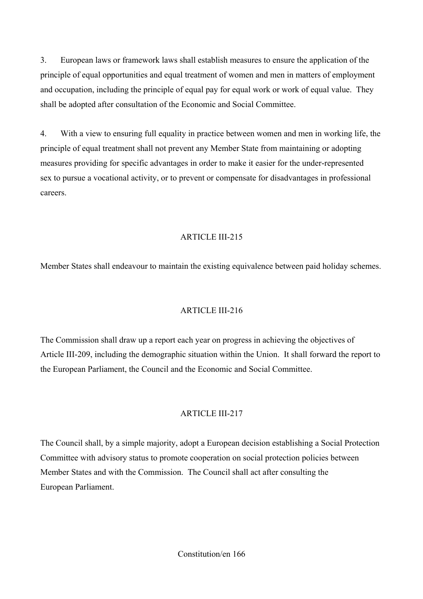3. European laws or framework laws shall establish measures to ensure the application of the principle of equal opportunities and equal treatment of women and men in matters of employment and occupation, including the principle of equal pay for equal work or work of equal value. They shall be adopted after consultation of the Economic and Social Committee.

4. With a view to ensuring full equality in practice between women and men in working life, the principle of equal treatment shall not prevent any Member State from maintaining or adopting measures providing for specific advantages in order to make it easier for the under-represented sex to pursue a vocational activity, or to prevent or compensate for disadvantages in professional careers.

#### ARTICLE III-215

Member States shall endeavour to maintain the existing equivalence between paid holiday schemes.

#### ARTICLE III-216

The Commission shall draw up a report each year on progress in achieving the objectives of Article III-209, including the demographic situation within the Union. It shall forward the report to the European Parliament, the Council and the Economic and Social Committee.

## ARTICLE III-217

The Council shall, by a simple majority, adopt a European decision establishing a Social Protection Committee with advisory status to promote cooperation on social protection policies between Member States and with the Commission. The Council shall act after consulting the European Parliament.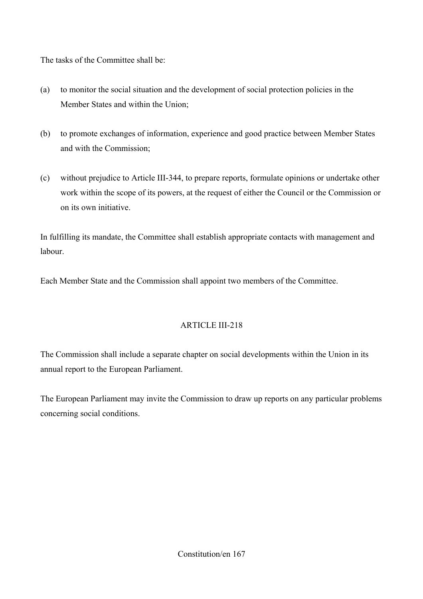The tasks of the Committee shall be:

- (a) to monitor the social situation and the development of social protection policies in the Member States and within the Union;
- (b) to promote exchanges of information, experience and good practice between Member States and with the Commission;
- (c) without prejudice to Article III-344, to prepare reports, formulate opinions or undertake other work within the scope of its powers, at the request of either the Council or the Commission or on its own initiative.

In fulfilling its mandate, the Committee shall establish appropriate contacts with management and labour.

Each Member State and the Commission shall appoint two members of the Committee.

# ARTICLE III-218

The Commission shall include a separate chapter on social developments within the Union in its annual report to the European Parliament.

The European Parliament may invite the Commission to draw up reports on any particular problems concerning social conditions.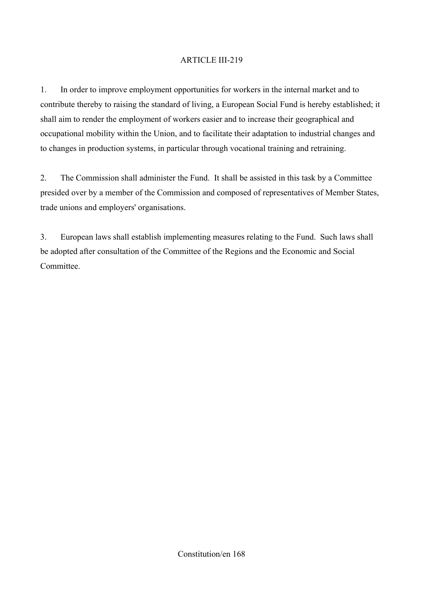#### ARTICLE III-219

1. In order to improve employment opportunities for workers in the internal market and to contribute thereby to raising the standard of living, a European Social Fund is hereby established; it shall aim to render the employment of workers easier and to increase their geographical and occupational mobility within the Union, and to facilitate their adaptation to industrial changes and to changes in production systems, in particular through vocational training and retraining.

2. The Commission shall administer the Fund. It shall be assisted in this task by a Committee presided over by a member of the Commission and composed of representatives of Member States, trade unions and employers' organisations.

3. European laws shall establish implementing measures relating to the Fund. Such laws shall be adopted after consultation of the Committee of the Regions and the Economic and Social **Committee**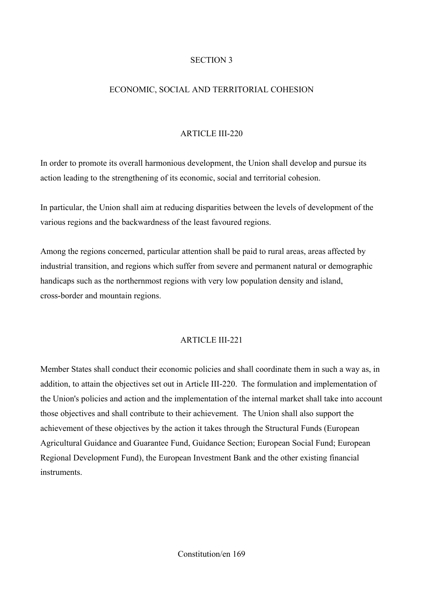#### SECTION 3

#### ECONOMIC, SOCIAL AND TERRITORIAL COHESION

#### ARTICLE III-220

In order to promote its overall harmonious development, the Union shall develop and pursue its action leading to the strengthening of its economic, social and territorial cohesion.

In particular, the Union shall aim at reducing disparities between the levels of development of the various regions and the backwardness of the least favoured regions.

Among the regions concerned, particular attention shall be paid to rural areas, areas affected by industrial transition, and regions which suffer from severe and permanent natural or demographic handicaps such as the northernmost regions with very low population density and island, cross-border and mountain regions.

#### ARTICLE III-221

Member States shall conduct their economic policies and shall coordinate them in such a way as, in addition, to attain the objectives set out in Article III-220. The formulation and implementation of the Union's policies and action and the implementation of the internal market shall take into account those objectives and shall contribute to their achievement. The Union shall also support the achievement of these objectives by the action it takes through the Structural Funds (European Agricultural Guidance and Guarantee Fund, Guidance Section; European Social Fund; European Regional Development Fund), the European Investment Bank and the other existing financial instruments.

Constitution/en 169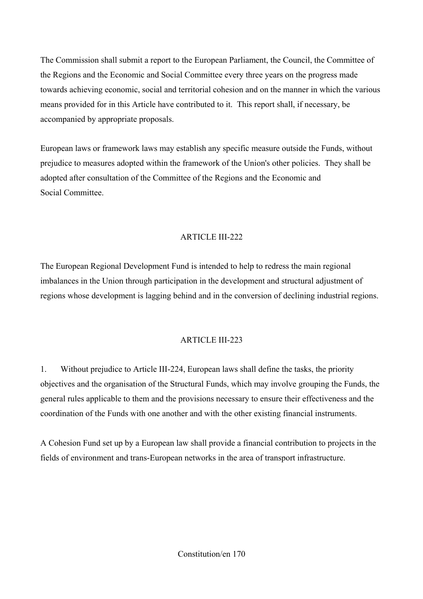The Commission shall submit a report to the European Parliament, the Council, the Committee of the Regions and the Economic and Social Committee every three years on the progress made towards achieving economic, social and territorial cohesion and on the manner in which the various means provided for in this Article have contributed to it. This report shall, if necessary, be accompanied by appropriate proposals.

European laws or framework laws may establish any specific measure outside the Funds, without prejudice to measures adopted within the framework of the Union's other policies. They shall be adopted after consultation of the Committee of the Regions and the Economic and Social Committee.

## ARTICLE III-222

The European Regional Development Fund is intended to help to redress the main regional imbalances in the Union through participation in the development and structural adjustment of regions whose development is lagging behind and in the conversion of declining industrial regions.

## ARTICLE III-223

1. Without prejudice to Article III-224, European laws shall define the tasks, the priority objectives and the organisation of the Structural Funds, which may involve grouping the Funds, the general rules applicable to them and the provisions necessary to ensure their effectiveness and the coordination of the Funds with one another and with the other existing financial instruments.

A Cohesion Fund set up by a European law shall provide a financial contribution to projects in the fields of environment and trans-European networks in the area of transport infrastructure.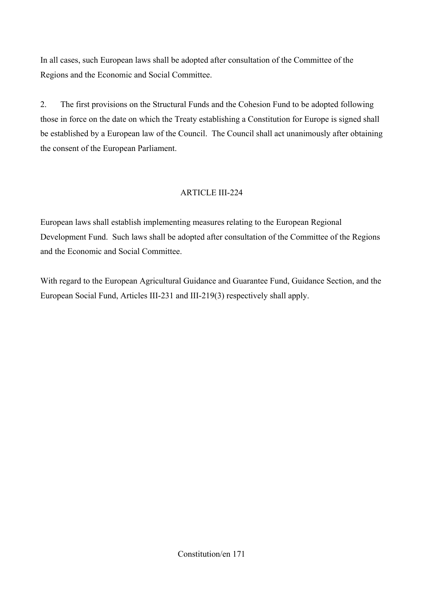In all cases, such European laws shall be adopted after consultation of the Committee of the Regions and the Economic and Social Committee.

2. The first provisions on the Structural Funds and the Cohesion Fund to be adopted following those in force on the date on which the Treaty establishing a Constitution for Europe is signed shall be established by a European law of the Council. The Council shall act unanimously after obtaining the consent of the European Parliament.

# ARTICLE III-224

European laws shall establish implementing measures relating to the European Regional Development Fund. Such laws shall be adopted after consultation of the Committee of the Regions and the Economic and Social Committee.

With regard to the European Agricultural Guidance and Guarantee Fund, Guidance Section, and the European Social Fund, Articles III-231 and III-219(3) respectively shall apply.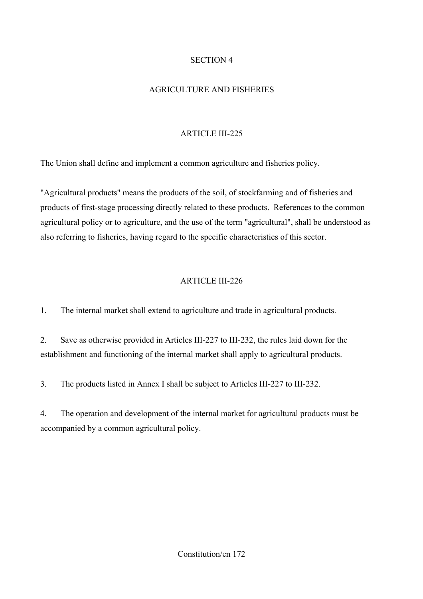## SECTION 4

## AGRICULTURE AND FISHERIES

## ARTICLE III-225

The Union shall define and implement a common agriculture and fisheries policy.

"Agricultural products" means the products of the soil, of stockfarming and of fisheries and products of first-stage processing directly related to these products. References to the common agricultural policy or to agriculture, and the use of the term "agricultural", shall be understood as also referring to fisheries, having regard to the specific characteristics of this sector.

# ARTICLE III-226

1. The internal market shall extend to agriculture and trade in agricultural products.

2. Save as otherwise provided in Articles III-227 to III-232, the rules laid down for the establishment and functioning of the internal market shall apply to agricultural products.

3. The products listed in Annex I shall be subject to Articles III-227 to III-232.

4. The operation and development of the internal market for agricultural products must be accompanied by a common agricultural policy.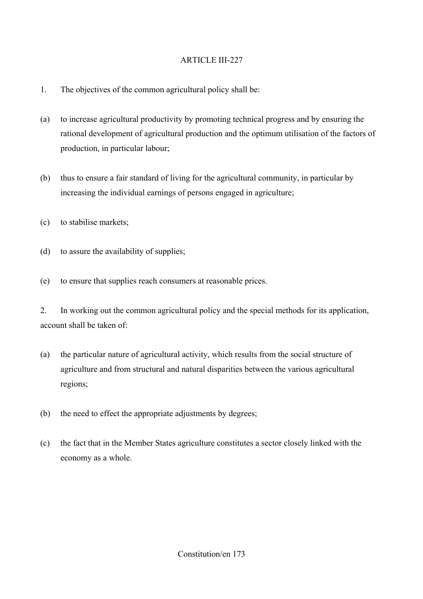- 1. The objectives of the common agricultural policy shall be:
- (a) to increase agricultural productivity by promoting technical progress and by ensuring the rational development of agricultural production and the optimum utilisation of the factors of production, in particular labour;
- (b) thus to ensure a fair standard of living for the agricultural community, in particular by increasing the individual earnings of persons engaged in agriculture;
- (c) to stabilise markets;
- (d) to assure the availability of supplies;
- (e) to ensure that supplies reach consumers at reasonable prices.

2. In working out the common agricultural policy and the special methods for its application, account shall be taken of:

- (a) the particular nature of agricultural activity, which results from the social structure of agriculture and from structural and natural disparities between the various agricultural regions;
- (b) the need to effect the appropriate adjustments by degrees;
- (c) the fact that in the Member States agriculture constitutes a sector closely linked with the economy as a whole.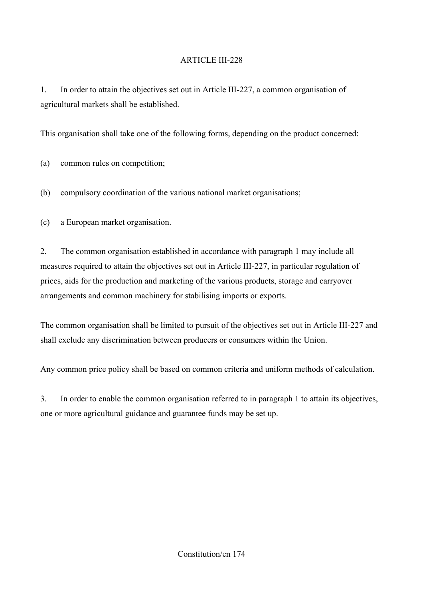1. In order to attain the objectives set out in Article III-227, a common organisation of agricultural markets shall be established.

This organisation shall take one of the following forms, depending on the product concerned:

(a) common rules on competition;

(b) compulsory coordination of the various national market organisations;

(c) a European market organisation.

2. The common organisation established in accordance with paragraph 1 may include all measures required to attain the objectives set out in Article III-227, in particular regulation of prices, aids for the production and marketing of the various products, storage and carryover arrangements and common machinery for stabilising imports or exports.

The common organisation shall be limited to pursuit of the objectives set out in Article III-227 and shall exclude any discrimination between producers or consumers within the Union.

Any common price policy shall be based on common criteria and uniform methods of calculation.

3. In order to enable the common organisation referred to in paragraph 1 to attain its objectives, one or more agricultural guidance and guarantee funds may be set up.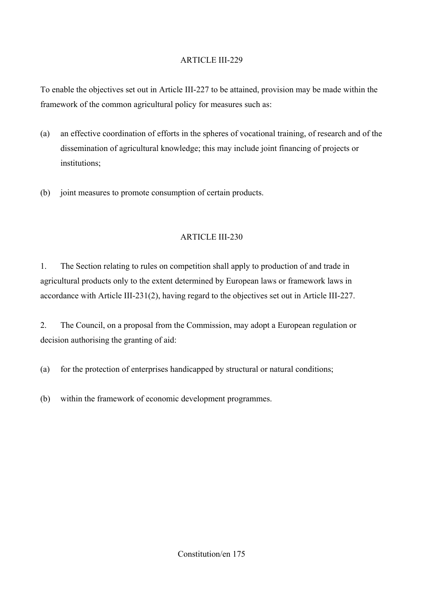To enable the objectives set out in Article III-227 to be attained, provision may be made within the framework of the common agricultural policy for measures such as:

- (a) an effective coordination of efforts in the spheres of vocational training, of research and of the dissemination of agricultural knowledge; this may include joint financing of projects or institutions;
- (b) joint measures to promote consumption of certain products.

## ARTICLE III-230

1. The Section relating to rules on competition shall apply to production of and trade in agricultural products only to the extent determined by European laws or framework laws in accordance with Article III-231(2), having regard to the objectives set out in Article III-227.

2. The Council, on a proposal from the Commission, may adopt a European regulation or decision authorising the granting of aid:

(a) for the protection of enterprises handicapped by structural or natural conditions;

(b) within the framework of economic development programmes.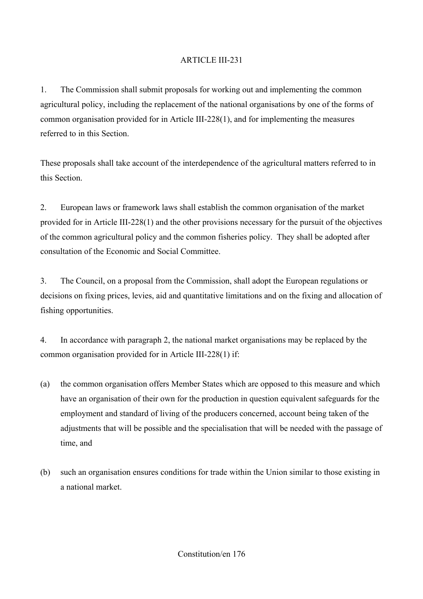1. The Commission shall submit proposals for working out and implementing the common agricultural policy, including the replacement of the national organisations by one of the forms of common organisation provided for in Article III-228(1), and for implementing the measures referred to in this Section.

These proposals shall take account of the interdependence of the agricultural matters referred to in this Section.

2. European laws or framework laws shall establish the common organisation of the market provided for in Article III-228(1) and the other provisions necessary for the pursuit of the objectives of the common agricultural policy and the common fisheries policy. They shall be adopted after consultation of the Economic and Social Committee.

3. The Council, on a proposal from the Commission, shall adopt the European regulations or decisions on fixing prices, levies, aid and quantitative limitations and on the fixing and allocation of fishing opportunities.

4. In accordance with paragraph 2, the national market organisations may be replaced by the common organisation provided for in Article III-228(1) if:

- (a) the common organisation offers Member States which are opposed to this measure and which have an organisation of their own for the production in question equivalent safeguards for the employment and standard of living of the producers concerned, account being taken of the adjustments that will be possible and the specialisation that will be needed with the passage of time, and
- (b) such an organisation ensures conditions for trade within the Union similar to those existing in a national market.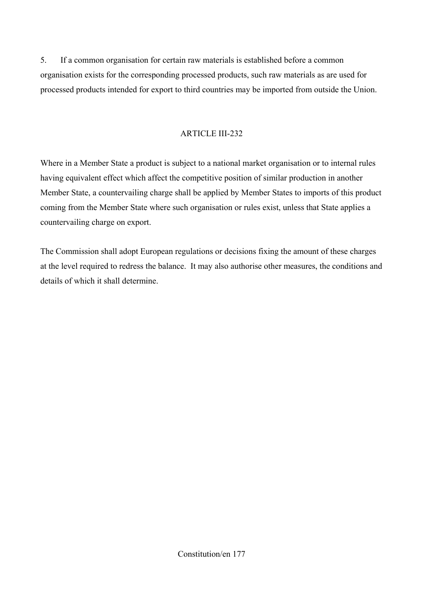5. If a common organisation for certain raw materials is established before a common organisation exists for the corresponding processed products, such raw materials as are used for processed products intended for export to third countries may be imported from outside the Union.

### ARTICLE III-232

Where in a Member State a product is subject to a national market organisation or to internal rules having equivalent effect which affect the competitive position of similar production in another Member State, a countervailing charge shall be applied by Member States to imports of this product coming from the Member State where such organisation or rules exist, unless that State applies a countervailing charge on export.

The Commission shall adopt European regulations or decisions fixing the amount of these charges at the level required to redress the balance. It may also authorise other measures, the conditions and details of which it shall determine.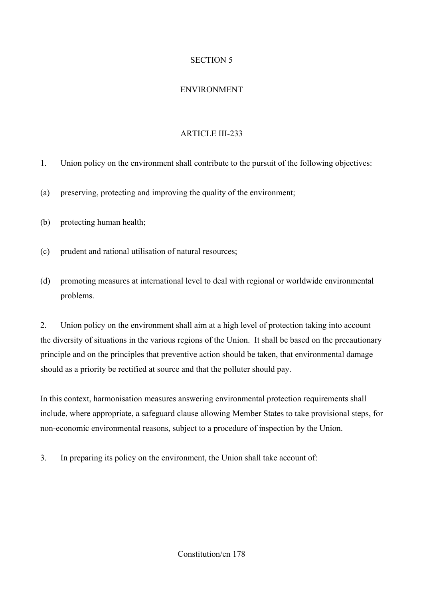### SECTION 5

### ENVIRONMENT

### ARTICLE III-233

- 1. Union policy on the environment shall contribute to the pursuit of the following objectives:
- (a) preserving, protecting and improving the quality of the environment;
- (b) protecting human health;
- (c) prudent and rational utilisation of natural resources;
- (d) promoting measures at international level to deal with regional or worldwide environmental problems.

2. Union policy on the environment shall aim at a high level of protection taking into account the diversity of situations in the various regions of the Union. It shall be based on the precautionary principle and on the principles that preventive action should be taken, that environmental damage should as a priority be rectified at source and that the polluter should pay.

In this context, harmonisation measures answering environmental protection requirements shall include, where appropriate, a safeguard clause allowing Member States to take provisional steps, for non-economic environmental reasons, subject to a procedure of inspection by the Union.

3. In preparing its policy on the environment, the Union shall take account of: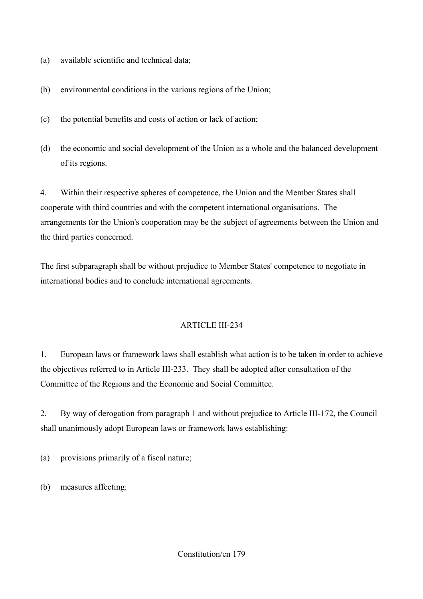- (a) available scientific and technical data;
- (b) environmental conditions in the various regions of the Union;
- (c) the potential benefits and costs of action or lack of action;
- (d) the economic and social development of the Union as a whole and the balanced development of its regions.

4. Within their respective spheres of competence, the Union and the Member States shall cooperate with third countries and with the competent international organisations. The arrangements for the Union's cooperation may be the subject of agreements between the Union and the third parties concerned.

The first subparagraph shall be without prejudice to Member States' competence to negotiate in international bodies and to conclude international agreements.

# ARTICLE III-234

1. European laws or framework laws shall establish what action is to be taken in order to achieve the objectives referred to in Article III-233. They shall be adopted after consultation of the Committee of the Regions and the Economic and Social Committee.

2. By way of derogation from paragraph 1 and without prejudice to Article III-172, the Council shall unanimously adopt European laws or framework laws establishing:

(a) provisions primarily of a fiscal nature;

(b) measures affecting: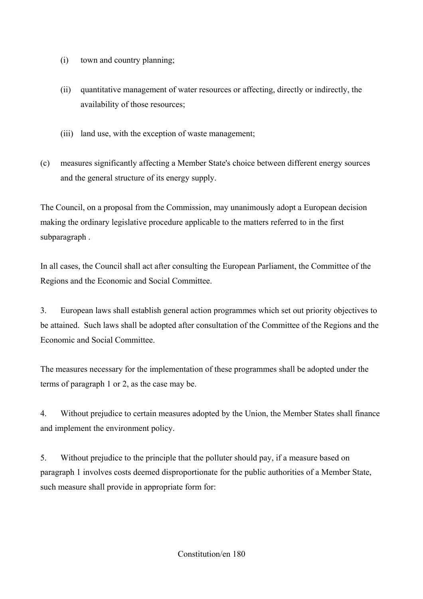- (i) town and country planning;
- (ii) quantitative management of water resources or affecting, directly or indirectly, the availability of those resources;
- (iii) land use, with the exception of waste management;
- (c) measures significantly affecting a Member State's choice between different energy sources and the general structure of its energy supply.

The Council, on a proposal from the Commission, may unanimously adopt a European decision making the ordinary legislative procedure applicable to the matters referred to in the first subparagraph .

In all cases, the Council shall act after consulting the European Parliament, the Committee of the Regions and the Economic and Social Committee.

3. European laws shall establish general action programmes which set out priority objectives to be attained. Such laws shall be adopted after consultation of the Committee of the Regions and the Economic and Social Committee.

The measures necessary for the implementation of these programmes shall be adopted under the terms of paragraph 1 or 2, as the case may be.

4. Without prejudice to certain measures adopted by the Union, the Member States shall finance and implement the environment policy.

5. Without prejudice to the principle that the polluter should pay, if a measure based on paragraph 1 involves costs deemed disproportionate for the public authorities of a Member State, such measure shall provide in appropriate form for: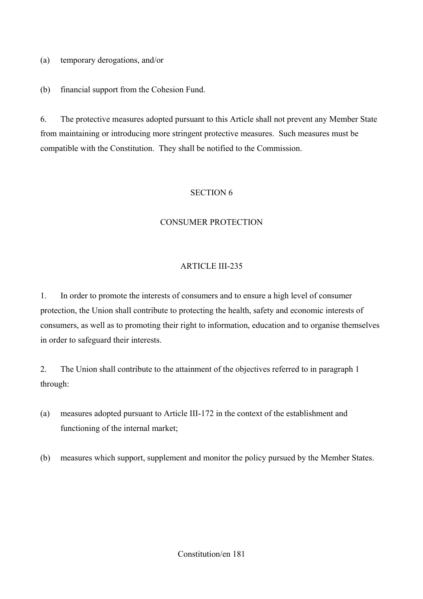(a) temporary derogations, and/or

(b) financial support from the Cohesion Fund.

6. The protective measures adopted pursuant to this Article shall not prevent any Member State from maintaining or introducing more stringent protective measures. Such measures must be compatible with the Constitution. They shall be notified to the Commission.

### SECTION 6

### CONSUMER PROTECTION

## ARTICLE III-235

1. In order to promote the interests of consumers and to ensure a high level of consumer protection, the Union shall contribute to protecting the health, safety and economic interests of consumers, as well as to promoting their right to information, education and to organise themselves in order to safeguard their interests.

2. The Union shall contribute to the attainment of the objectives referred to in paragraph 1 through:

- (a) measures adopted pursuant to Article III-172 in the context of the establishment and functioning of the internal market;
- (b) measures which support, supplement and monitor the policy pursued by the Member States.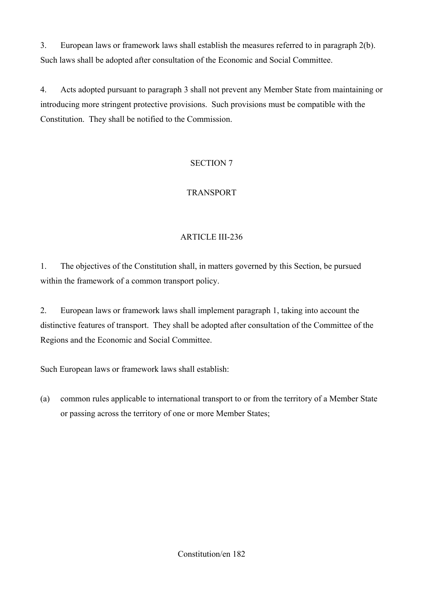3. European laws or framework laws shall establish the measures referred to in paragraph 2(b). Such laws shall be adopted after consultation of the Economic and Social Committee.

4. Acts adopted pursuant to paragraph 3 shall not prevent any Member State from maintaining or introducing more stringent protective provisions. Such provisions must be compatible with the Constitution. They shall be notified to the Commission.

# SECTION 7

# TRANSPORT

# ARTICLE III-236

1. The objectives of the Constitution shall, in matters governed by this Section, be pursued within the framework of a common transport policy.

2. European laws or framework laws shall implement paragraph 1, taking into account the distinctive features of transport. They shall be adopted after consultation of the Committee of the Regions and the Economic and Social Committee.

Such European laws or framework laws shall establish:

(a) common rules applicable to international transport to or from the territory of a Member State or passing across the territory of one or more Member States;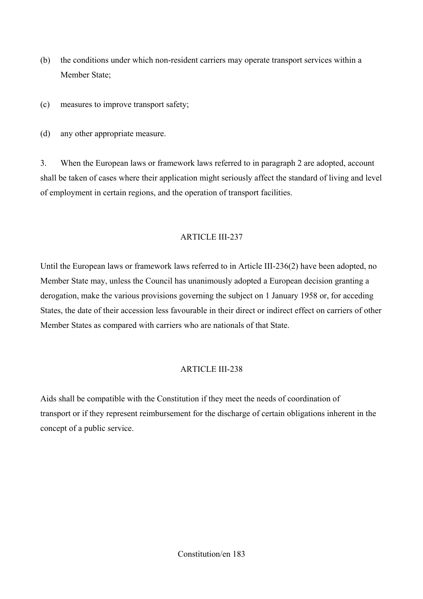- (b) the conditions under which non-resident carriers may operate transport services within a Member State;
- (c) measures to improve transport safety;

(d) any other appropriate measure.

3. When the European laws or framework laws referred to in paragraph 2 are adopted, account shall be taken of cases where their application might seriously affect the standard of living and level of employment in certain regions, and the operation of transport facilities.

### ARTICLE III-237

Until the European laws or framework laws referred to in Article III-236(2) have been adopted, no Member State may, unless the Council has unanimously adopted a European decision granting a derogation, make the various provisions governing the subject on 1 January 1958 or, for acceding States, the date of their accession less favourable in their direct or indirect effect on carriers of other Member States as compared with carriers who are nationals of that State.

#### ARTICLE III-238

Aids shall be compatible with the Constitution if they meet the needs of coordination of transport or if they represent reimbursement for the discharge of certain obligations inherent in the concept of a public service.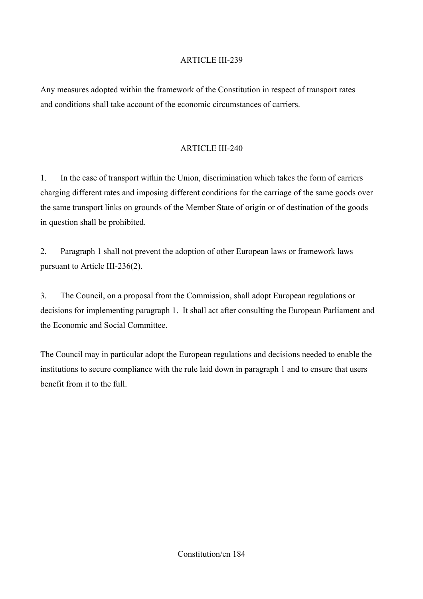Any measures adopted within the framework of the Constitution in respect of transport rates and conditions shall take account of the economic circumstances of carriers.

### ARTICLE III-240

1. In the case of transport within the Union, discrimination which takes the form of carriers charging different rates and imposing different conditions for the carriage of the same goods over the same transport links on grounds of the Member State of origin or of destination of the goods in question shall be prohibited.

2. Paragraph 1 shall not prevent the adoption of other European laws or framework laws pursuant to Article III-236(2).

3. The Council, on a proposal from the Commission, shall adopt European regulations or decisions for implementing paragraph 1. It shall act after consulting the European Parliament and the Economic and Social Committee.

The Council may in particular adopt the European regulations and decisions needed to enable the institutions to secure compliance with the rule laid down in paragraph 1 and to ensure that users benefit from it to the full.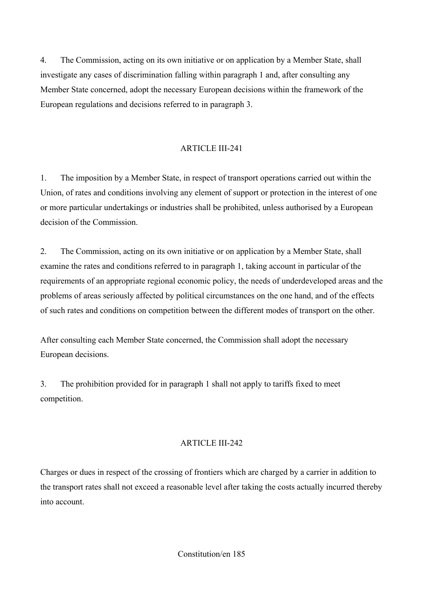4. The Commission, acting on its own initiative or on application by a Member State, shall investigate any cases of discrimination falling within paragraph 1 and, after consulting any Member State concerned, adopt the necessary European decisions within the framework of the European regulations and decisions referred to in paragraph 3.

### ARTICLE III-241

1. The imposition by a Member State, in respect of transport operations carried out within the Union, of rates and conditions involving any element of support or protection in the interest of one or more particular undertakings or industries shall be prohibited, unless authorised by a European decision of the Commission.

2. The Commission, acting on its own initiative or on application by a Member State, shall examine the rates and conditions referred to in paragraph 1, taking account in particular of the requirements of an appropriate regional economic policy, the needs of underdeveloped areas and the problems of areas seriously affected by political circumstances on the one hand, and of the effects of such rates and conditions on competition between the different modes of transport on the other.

After consulting each Member State concerned, the Commission shall adopt the necessary European decisions.

3. The prohibition provided for in paragraph 1 shall not apply to tariffs fixed to meet competition.

### ARTICLE III-242

Charges or dues in respect of the crossing of frontiers which are charged by a carrier in addition to the transport rates shall not exceed a reasonable level after taking the costs actually incurred thereby into account.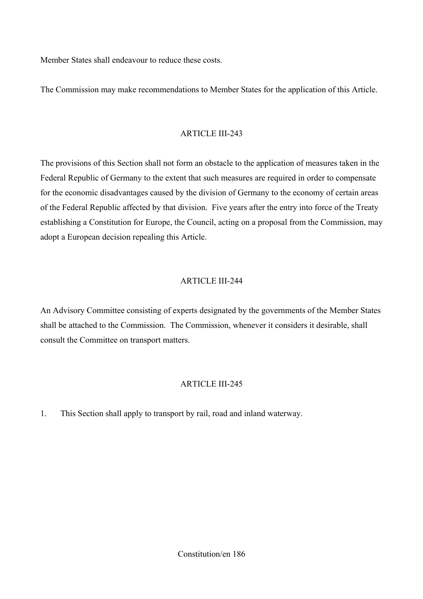Member States shall endeavour to reduce these costs.

The Commission may make recommendations to Member States for the application of this Article.

### ARTICLE III-243

The provisions of this Section shall not form an obstacle to the application of measures taken in the Federal Republic of Germany to the extent that such measures are required in order to compensate for the economic disadvantages caused by the division of Germany to the economy of certain areas of the Federal Republic affected by that division. Five years after the entry into force of the Treaty establishing a Constitution for Europe, the Council, acting on a proposal from the Commission, may adopt a European decision repealing this Article.

## ARTICLE III-244

An Advisory Committee consisting of experts designated by the governments of the Member States shall be attached to the Commission. The Commission, whenever it considers it desirable, shall consult the Committee on transport matters.

### ARTICLE III-245

1. This Section shall apply to transport by rail, road and inland waterway.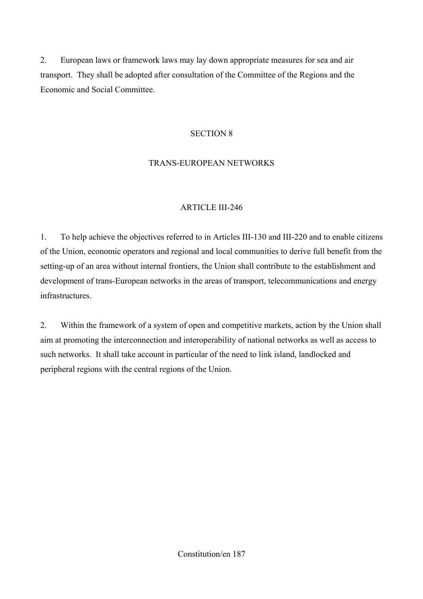2. European laws or framework laws may lay down appropriate measures for sea and air transport. They shall be adopted after consultation of the Committee of the Regions and the Economic and Social Committee.

### SECTION 8

## TRANS-EUROPEAN NETWORKS

## ARTICLE III-246

1. To help achieve the objectives referred to in Articles III-130 and III-220 and to enable citizens of the Union, economic operators and regional and local communities to derive full benefit from the setting-up of an area without internal frontiers, the Union shall contribute to the establishment and development of trans-European networks in the areas of transport, telecommunications and energy infrastructures.

2. Within the framework of a system of open and competitive markets, action by the Union shall aim at promoting the interconnection and interoperability of national networks as well as access to such networks. It shall take account in particular of the need to link island, landlocked and peripheral regions with the central regions of the Union.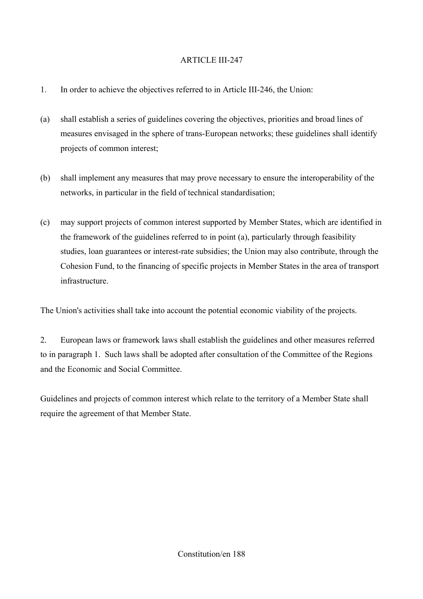- 1. In order to achieve the objectives referred to in Article III-246, the Union:
- (a) shall establish a series of guidelines covering the objectives, priorities and broad lines of measures envisaged in the sphere of trans-European networks; these guidelines shall identify projects of common interest;
- (b) shall implement any measures that may prove necessary to ensure the interoperability of the networks, in particular in the field of technical standardisation;
- (c) may support projects of common interest supported by Member States, which are identified in the framework of the guidelines referred to in point (a), particularly through feasibility studies, loan guarantees or interest-rate subsidies; the Union may also contribute, through the Cohesion Fund, to the financing of specific projects in Member States in the area of transport infrastructure.

The Union's activities shall take into account the potential economic viability of the projects.

2. European laws or framework laws shall establish the guidelines and other measures referred to in paragraph 1. Such laws shall be adopted after consultation of the Committee of the Regions and the Economic and Social Committee.

Guidelines and projects of common interest which relate to the territory of a Member State shall require the agreement of that Member State.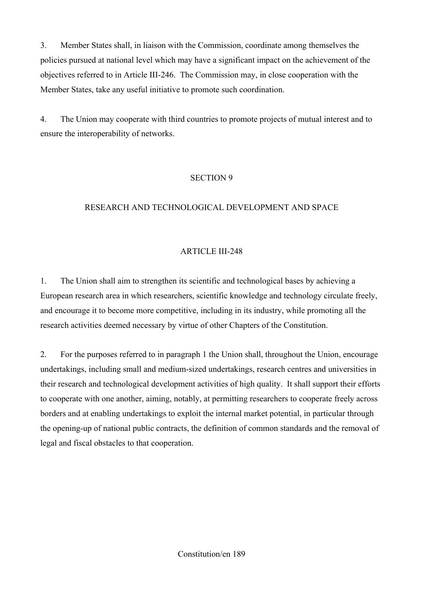3. Member States shall, in liaison with the Commission, coordinate among themselves the policies pursued at national level which may have a significant impact on the achievement of the objectives referred to in Article III-246. The Commission may, in close cooperation with the Member States, take any useful initiative to promote such coordination.

4. The Union may cooperate with third countries to promote projects of mutual interest and to ensure the interoperability of networks.

## SECTION 9

# RESEARCH AND TECHNOLOGICAL DEVELOPMENT AND SPACE

### ARTICLE III-248

1. The Union shall aim to strengthen its scientific and technological bases by achieving a European research area in which researchers, scientific knowledge and technology circulate freely, and encourage it to become more competitive, including in its industry, while promoting all the research activities deemed necessary by virtue of other Chapters of the Constitution.

2. For the purposes referred to in paragraph 1 the Union shall, throughout the Union, encourage undertakings, including small and medium-sized undertakings, research centres and universities in their research and technological development activities of high quality. It shall support their efforts to cooperate with one another, aiming, notably, at permitting researchers to cooperate freely across borders and at enabling undertakings to exploit the internal market potential, in particular through the opening-up of national public contracts, the definition of common standards and the removal of legal and fiscal obstacles to that cooperation.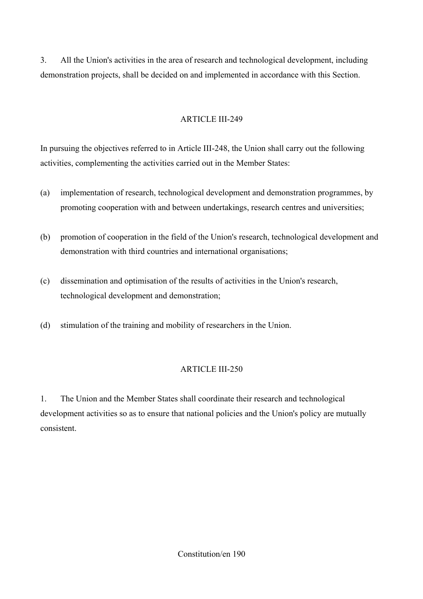3. All the Union's activities in the area of research and technological development, including demonstration projects, shall be decided on and implemented in accordance with this Section.

## ARTICLE III-249

In pursuing the objectives referred to in Article III-248, the Union shall carry out the following activities, complementing the activities carried out in the Member States:

- (a) implementation of research, technological development and demonstration programmes, by promoting cooperation with and between undertakings, research centres and universities;
- (b) promotion of cooperation in the field of the Union's research, technological development and demonstration with third countries and international organisations;
- (c) dissemination and optimisation of the results of activities in the Union's research, technological development and demonstration;
- (d) stimulation of the training and mobility of researchers in the Union.

### ARTICLE III-250

1. The Union and the Member States shall coordinate their research and technological development activities so as to ensure that national policies and the Union's policy are mutually consistent.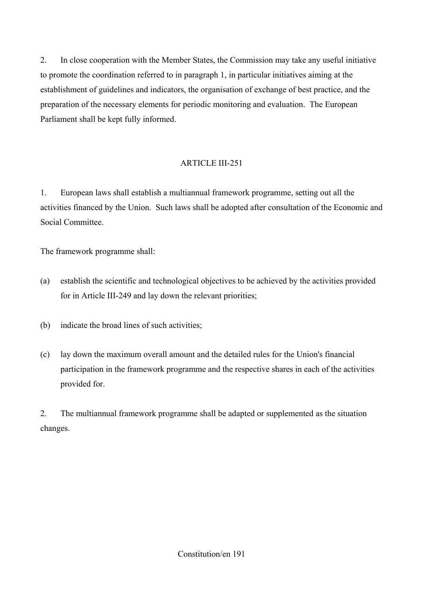2. In close cooperation with the Member States, the Commission may take any useful initiative to promote the coordination referred to in paragraph 1, in particular initiatives aiming at the establishment of guidelines and indicators, the organisation of exchange of best practice, and the preparation of the necessary elements for periodic monitoring and evaluation. The European Parliament shall be kept fully informed.

# ARTICLE III-251

1. European laws shall establish a multiannual framework programme, setting out all the activities financed by the Union. Such laws shall be adopted after consultation of the Economic and Social Committee.

The framework programme shall:

- (a) establish the scientific and technological objectives to be achieved by the activities provided for in Article III-249 and lay down the relevant priorities;
- (b) indicate the broad lines of such activities;
- (c) lay down the maximum overall amount and the detailed rules for the Union's financial participation in the framework programme and the respective shares in each of the activities provided for.

2. The multiannual framework programme shall be adapted or supplemented as the situation changes.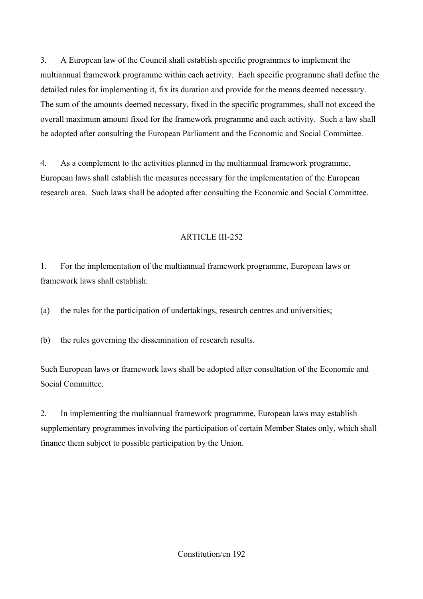3. A European law of the Council shall establish specific programmes to implement the multiannual framework programme within each activity. Each specific programme shall define the detailed rules for implementing it, fix its duration and provide for the means deemed necessary. The sum of the amounts deemed necessary, fixed in the specific programmes, shall not exceed the overall maximum amount fixed for the framework programme and each activity. Such a law shall be adopted after consulting the European Parliament and the Economic and Social Committee.

4. As a complement to the activities planned in the multiannual framework programme, European laws shall establish the measures necessary for the implementation of the European research area. Such laws shall be adopted after consulting the Economic and Social Committee.

### ARTICLE III-252

1. For the implementation of the multiannual framework programme, European laws or framework laws shall establish:

(a) the rules for the participation of undertakings, research centres and universities;

(b) the rules governing the dissemination of research results.

Such European laws or framework laws shall be adopted after consultation of the Economic and Social Committee.

2. In implementing the multiannual framework programme, European laws may establish supplementary programmes involving the participation of certain Member States only, which shall finance them subject to possible participation by the Union.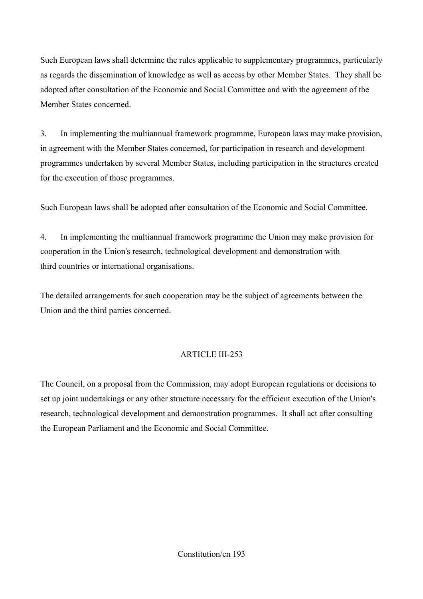Such European laws shall determine the rules applicable to supplementary programmes, particularly as regards the dissemination of knowledge as well as access by other Member States. They shall be adopted after consultation of the Economic and Social Committee and with the agreement of the Member States concerned.

3. In implementing the multiannual framework programme, European laws may make provision, in agreement with the Member States concerned, for participation in research and development programmes undertaken by several Member States, including participation in the structures created for the execution of those programmes.

Such European laws shall be adopted after consultation of the Economic and Social Committee.

4. In implementing the multiannual framework programme the Union may make provision for cooperation in the Union's research, technological development and demonstration with third countries or international organisations.

The detailed arrangements for such cooperation may be the subject of agreements between the Union and the third parties concerned.

# ARTICLE III-253

The Council, on a proposal from the Commission, may adopt European regulations or decisions to set up joint undertakings or any other structure necessary for the efficient execution of the Union's research, technological development and demonstration programmes. It shall act after consulting the European Parliament and the Economic and Social Committee.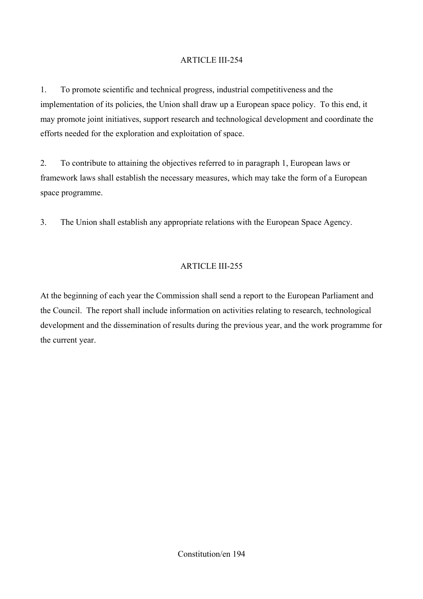1. To promote scientific and technical progress, industrial competitiveness and the implementation of its policies, the Union shall draw up a European space policy. To this end, it may promote joint initiatives, support research and technological development and coordinate the efforts needed for the exploration and exploitation of space.

2. To contribute to attaining the objectives referred to in paragraph 1, European laws or framework laws shall establish the necessary measures, which may take the form of a European space programme.

3. The Union shall establish any appropriate relations with the European Space Agency.

## ARTICLE III-255

At the beginning of each year the Commission shall send a report to the European Parliament and the Council. The report shall include information on activities relating to research, technological development and the dissemination of results during the previous year, and the work programme for the current year.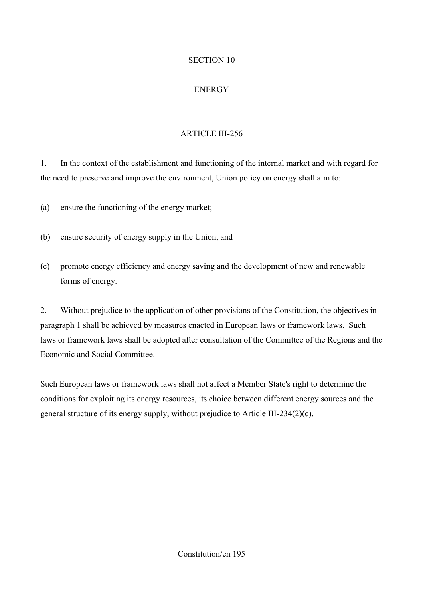### SECTION 10

### ENERGY

### ARTICLE III-256

1. In the context of the establishment and functioning of the internal market and with regard for the need to preserve and improve the environment, Union policy on energy shall aim to:

(a) ensure the functioning of the energy market;

- (b) ensure security of energy supply in the Union, and
- (c) promote energy efficiency and energy saving and the development of new and renewable forms of energy.

2. Without prejudice to the application of other provisions of the Constitution, the objectives in paragraph 1 shall be achieved by measures enacted in European laws or framework laws. Such laws or framework laws shall be adopted after consultation of the Committee of the Regions and the Economic and Social Committee.

Such European laws or framework laws shall not affect a Member State's right to determine the conditions for exploiting its energy resources, its choice between different energy sources and the general structure of its energy supply, without prejudice to Article III-234(2)(c).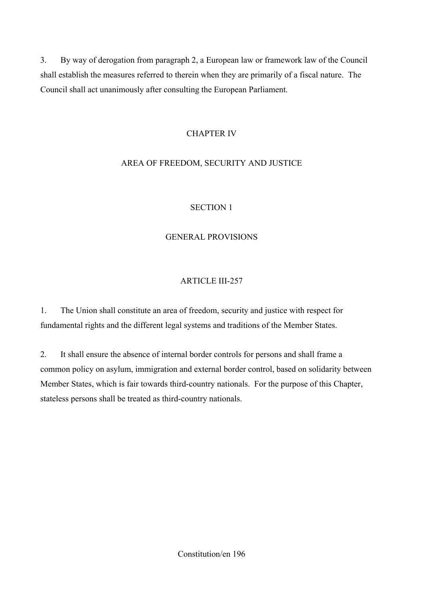3. By way of derogation from paragraph 2, a European law or framework law of the Council shall establish the measures referred to therein when they are primarily of a fiscal nature. The Council shall act unanimously after consulting the European Parliament.

### CHAPTER IV

# AREA OF FREEDOM, SECURITY AND JUSTICE

# SECTION 1

# GENERAL PROVISIONS

# ARTICLE III-257

1. The Union shall constitute an area of freedom, security and justice with respect for fundamental rights and the different legal systems and traditions of the Member States.

2. It shall ensure the absence of internal border controls for persons and shall frame a common policy on asylum, immigration and external border control, based on solidarity between Member States, which is fair towards third-country nationals. For the purpose of this Chapter, stateless persons shall be treated as third-country nationals.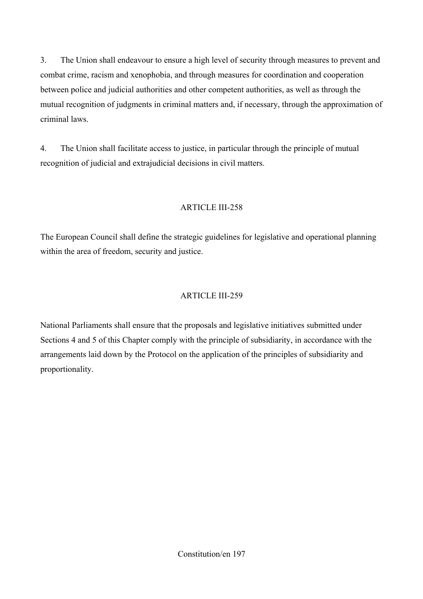3. The Union shall endeavour to ensure a high level of security through measures to prevent and combat crime, racism and xenophobia, and through measures for coordination and cooperation between police and judicial authorities and other competent authorities, as well as through the mutual recognition of judgments in criminal matters and, if necessary, through the approximation of criminal laws.

4. The Union shall facilitate access to justice, in particular through the principle of mutual recognition of judicial and extrajudicial decisions in civil matters.

# ARTICLE III-258

The European Council shall define the strategic guidelines for legislative and operational planning within the area of freedom, security and justice.

# ARTICLE III-259

National Parliaments shall ensure that the proposals and legislative initiatives submitted under Sections 4 and 5 of this Chapter comply with the principle of subsidiarity, in accordance with the arrangements laid down by the Protocol on the application of the principles of subsidiarity and proportionality.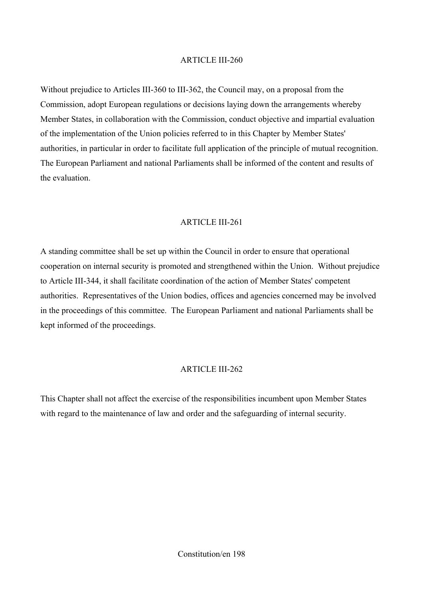Without prejudice to Articles III-360 to III-362, the Council may, on a proposal from the Commission, adopt European regulations or decisions laying down the arrangements whereby Member States, in collaboration with the Commission, conduct objective and impartial evaluation of the implementation of the Union policies referred to in this Chapter by Member States' authorities, in particular in order to facilitate full application of the principle of mutual recognition. The European Parliament and national Parliaments shall be informed of the content and results of the evaluation.

### ARTICLE III-261

A standing committee shall be set up within the Council in order to ensure that operational cooperation on internal security is promoted and strengthened within the Union. Without prejudice to Article III-344, it shall facilitate coordination of the action of Member States' competent authorities. Representatives of the Union bodies, offices and agencies concerned may be involved in the proceedings of this committee. The European Parliament and national Parliaments shall be kept informed of the proceedings.

#### ARTICLE III-262

This Chapter shall not affect the exercise of the responsibilities incumbent upon Member States with regard to the maintenance of law and order and the safeguarding of internal security.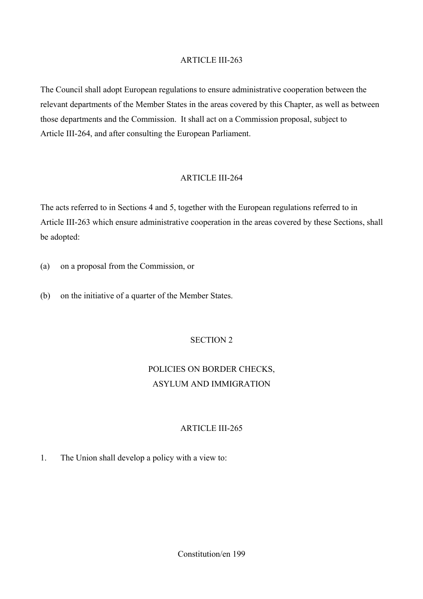The Council shall adopt European regulations to ensure administrative cooperation between the relevant departments of the Member States in the areas covered by this Chapter, as well as between those departments and the Commission. It shall act on a Commission proposal, subject to Article III-264, and after consulting the European Parliament.

### ARTICLE III-264

The acts referred to in Sections 4 and 5, together with the European regulations referred to in Article III-263 which ensure administrative cooperation in the areas covered by these Sections, shall be adopted:

(a) on a proposal from the Commission, or

(b) on the initiative of a quarter of the Member States.

### SECTION 2

# POLICIES ON BORDER CHECKS, ASYLUM AND IMMIGRATION

# ARTICLE III-265

1. The Union shall develop a policy with a view to: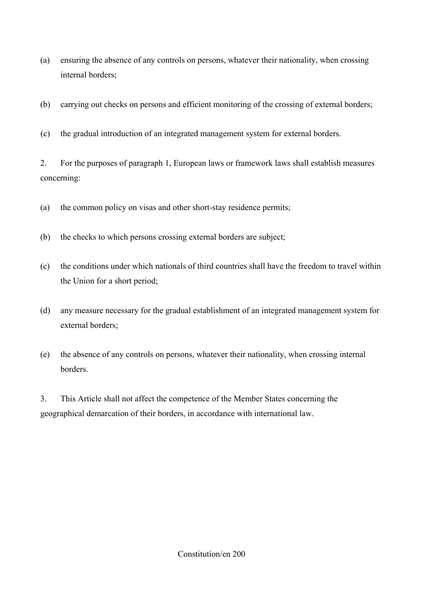- (a) ensuring the absence of any controls on persons, whatever their nationality, when crossing internal borders;
- (b) carrying out checks on persons and efficient monitoring of the crossing of external borders;

(c) the gradual introduction of an integrated management system for external borders.

2. For the purposes of paragraph 1, European laws or framework laws shall establish measures concerning:

(a) the common policy on visas and other short-stay residence permits;

- (b) the checks to which persons crossing external borders are subject;
- (c) the conditions under which nationals of third countries shall have the freedom to travel within the Union for a short period;
- (d) any measure necessary for the gradual establishment of an integrated management system for external borders;
- (e) the absence of any controls on persons, whatever their nationality, when crossing internal borders.

3. This Article shall not affect the competence of the Member States concerning the geographical demarcation of their borders, in accordance with international law.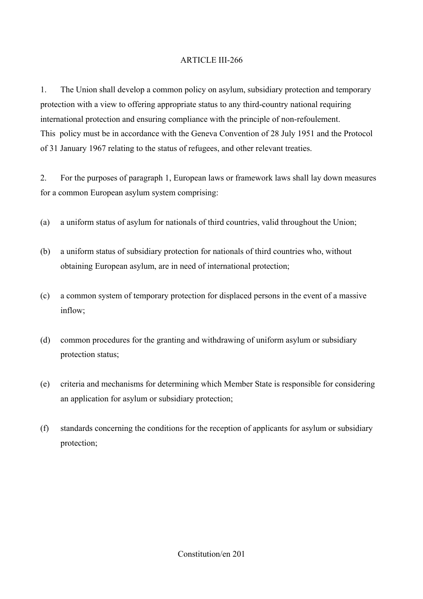1. The Union shall develop a common policy on asylum, subsidiary protection and temporary protection with a view to offering appropriate status to any third-country national requiring international protection and ensuring compliance with the principle of non-refoulement. This policy must be in accordance with the Geneva Convention of 28 July 1951 and the Protocol of 31 January 1967 relating to the status of refugees, and other relevant treaties.

2. For the purposes of paragraph 1, European laws or framework laws shall lay down measures for a common European asylum system comprising:

- (a) a uniform status of asylum for nationals of third countries, valid throughout the Union;
- (b) a uniform status of subsidiary protection for nationals of third countries who, without obtaining European asylum, are in need of international protection;
- (c) a common system of temporary protection for displaced persons in the event of a massive inflow;
- (d) common procedures for the granting and withdrawing of uniform asylum or subsidiary protection status;
- (e) criteria and mechanisms for determining which Member State is responsible for considering an application for asylum or subsidiary protection;
- (f) standards concerning the conditions for the reception of applicants for asylum or subsidiary protection;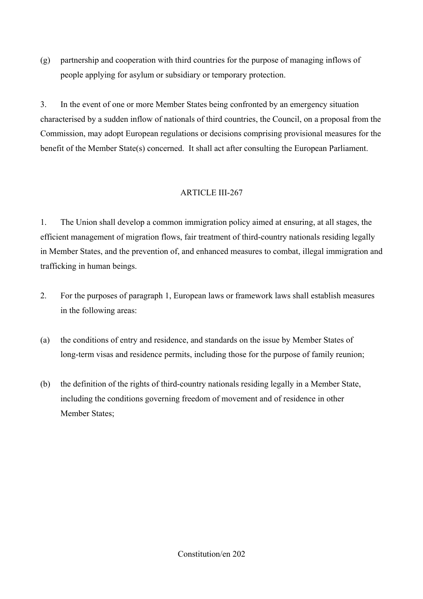(g) partnership and cooperation with third countries for the purpose of managing inflows of people applying for asylum or subsidiary or temporary protection.

3. In the event of one or more Member States being confronted by an emergency situation characterised by a sudden inflow of nationals of third countries, the Council, on a proposal from the Commission, may adopt European regulations or decisions comprising provisional measures for the benefit of the Member State(s) concerned. It shall act after consulting the European Parliament.

### ARTICLE III-267

1. The Union shall develop a common immigration policy aimed at ensuring, at all stages, the efficient management of migration flows, fair treatment of third-country nationals residing legally in Member States, and the prevention of, and enhanced measures to combat, illegal immigration and trafficking in human beings.

- 2. For the purposes of paragraph 1, European laws or framework laws shall establish measures in the following areas:
- (a) the conditions of entry and residence, and standards on the issue by Member States of long-term visas and residence permits, including those for the purpose of family reunion;
- (b) the definition of the rights of third-country nationals residing legally in a Member State, including the conditions governing freedom of movement and of residence in other Member States;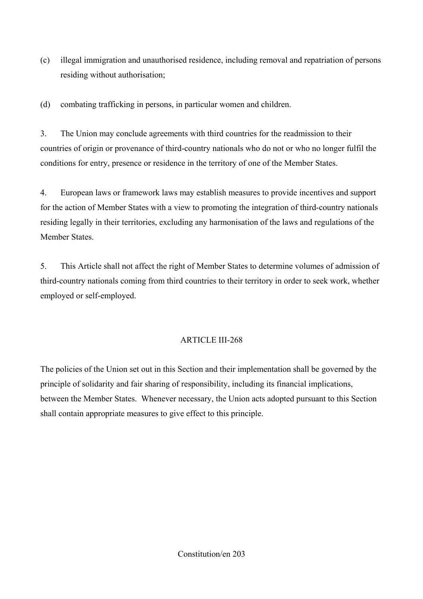(c) illegal immigration and unauthorised residence, including removal and repatriation of persons residing without authorisation;

(d) combating trafficking in persons, in particular women and children.

3. The Union may conclude agreements with third countries for the readmission to their countries of origin or provenance of third-country nationals who do not or who no longer fulfil the conditions for entry, presence or residence in the territory of one of the Member States.

4. European laws or framework laws may establish measures to provide incentives and support for the action of Member States with a view to promoting the integration of third-country nationals residing legally in their territories, excluding any harmonisation of the laws and regulations of the Member States.

5. This Article shall not affect the right of Member States to determine volumes of admission of third-country nationals coming from third countries to their territory in order to seek work, whether employed or self-employed.

### ARTICLE III-268

The policies of the Union set out in this Section and their implementation shall be governed by the principle of solidarity and fair sharing of responsibility, including its financial implications, between the Member States. Whenever necessary, the Union acts adopted pursuant to this Section shall contain appropriate measures to give effect to this principle.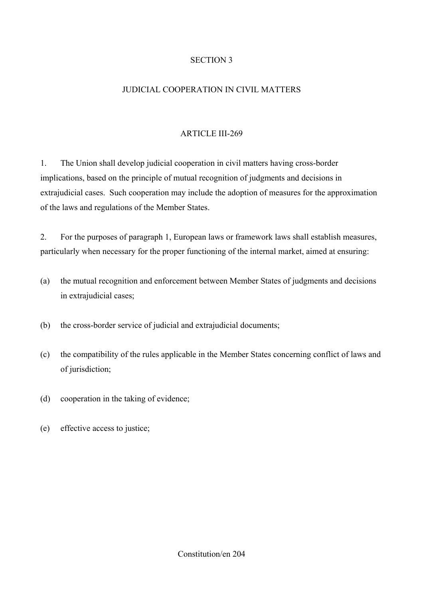### SECTION 3

## JUDICIAL COOPERATION IN CIVIL MATTERS

### ARTICLE III-269

1. The Union shall develop judicial cooperation in civil matters having cross-border implications, based on the principle of mutual recognition of judgments and decisions in extrajudicial cases. Such cooperation may include the adoption of measures for the approximation of the laws and regulations of the Member States.

2. For the purposes of paragraph 1, European laws or framework laws shall establish measures, particularly when necessary for the proper functioning of the internal market, aimed at ensuring:

- (a) the mutual recognition and enforcement between Member States of judgments and decisions in extrajudicial cases;
- (b) the cross-border service of judicial and extrajudicial documents;
- (c) the compatibility of the rules applicable in the Member States concerning conflict of laws and of jurisdiction;
- (d) cooperation in the taking of evidence;
- (e) effective access to justice;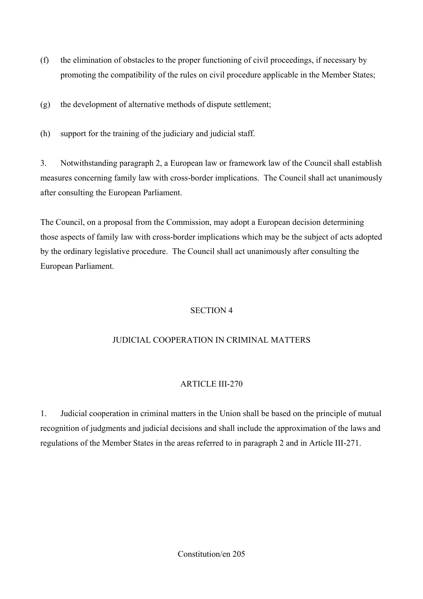- (f) the elimination of obstacles to the proper functioning of civil proceedings, if necessary by promoting the compatibility of the rules on civil procedure applicable in the Member States;
- (g) the development of alternative methods of dispute settlement;
- (h) support for the training of the judiciary and judicial staff.

3. Notwithstanding paragraph 2, a European law or framework law of the Council shall establish measures concerning family law with cross-border implications. The Council shall act unanimously after consulting the European Parliament.

The Council, on a proposal from the Commission, may adopt a European decision determining those aspects of family law with cross-border implications which may be the subject of acts adopted by the ordinary legislative procedure. The Council shall act unanimously after consulting the European Parliament.

### SECTION 4

# JUDICIAL COOPERATION IN CRIMINAL MATTERS

# ARTICLE III-270

1. Judicial cooperation in criminal matters in the Union shall be based on the principle of mutual recognition of judgments and judicial decisions and shall include the approximation of the laws and regulations of the Member States in the areas referred to in paragraph 2 and in Article III-271.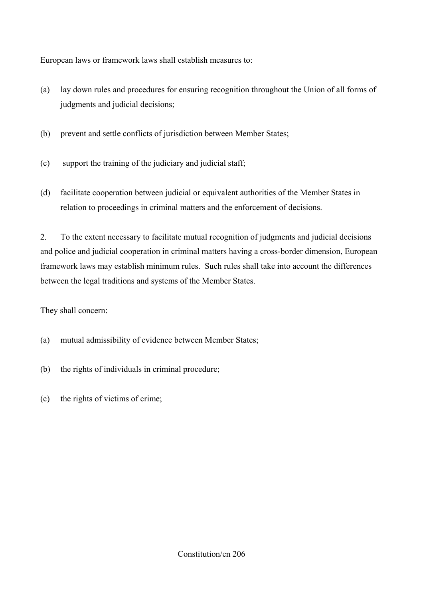European laws or framework laws shall establish measures to:

- (a) lay down rules and procedures for ensuring recognition throughout the Union of all forms of judgments and judicial decisions;
- (b) prevent and settle conflicts of jurisdiction between Member States;
- (c) support the training of the judiciary and judicial staff;
- (d) facilitate cooperation between judicial or equivalent authorities of the Member States in relation to proceedings in criminal matters and the enforcement of decisions.

2. To the extent necessary to facilitate mutual recognition of judgments and judicial decisions and police and judicial cooperation in criminal matters having a cross-border dimension, European framework laws may establish minimum rules. Such rules shall take into account the differences between the legal traditions and systems of the Member States.

They shall concern:

- (a) mutual admissibility of evidence between Member States;
- (b) the rights of individuals in criminal procedure;
- (c) the rights of victims of crime;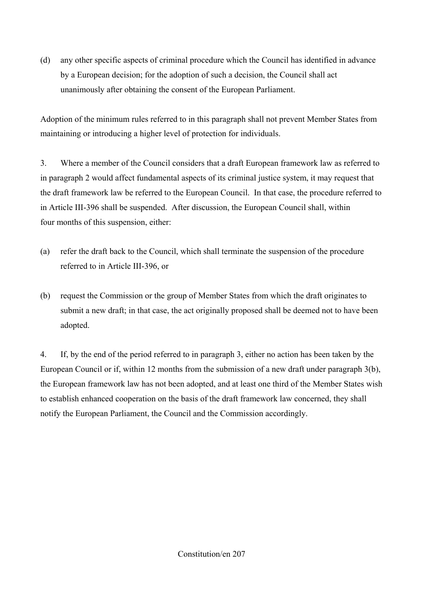(d) any other specific aspects of criminal procedure which the Council has identified in advance by a European decision; for the adoption of such a decision, the Council shall act unanimously after obtaining the consent of the European Parliament.

Adoption of the minimum rules referred to in this paragraph shall not prevent Member States from maintaining or introducing a higher level of protection for individuals.

3. Where a member of the Council considers that a draft European framework law as referred to in paragraph 2 would affect fundamental aspects of its criminal justice system, it may request that the draft framework law be referred to the European Council. In that case, the procedure referred to in Article III-396 shall be suspended. After discussion, the European Council shall, within four months of this suspension, either:

- (a) refer the draft back to the Council, which shall terminate the suspension of the procedure referred to in Article III-396, or
- (b) request the Commission or the group of Member States from which the draft originates to submit a new draft; in that case, the act originally proposed shall be deemed not to have been adopted.

4. If, by the end of the period referred to in paragraph 3, either no action has been taken by the European Council or if, within 12 months from the submission of a new draft under paragraph 3(b), the European framework law has not been adopted, and at least one third of the Member States wish to establish enhanced cooperation on the basis of the draft framework law concerned, they shall notify the European Parliament, the Council and the Commission accordingly.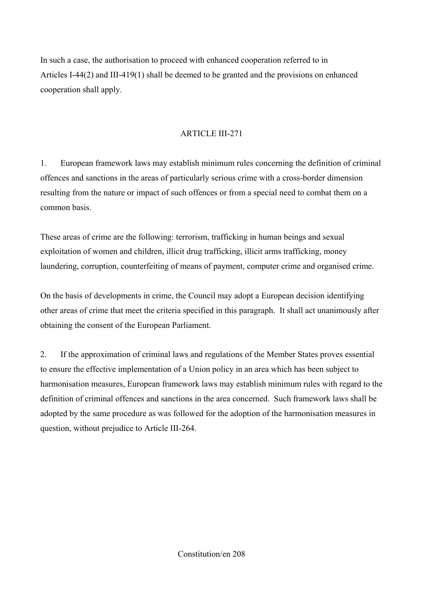In such a case, the authorisation to proceed with enhanced cooperation referred to in Articles I-44(2) and III-419(1) shall be deemed to be granted and the provisions on enhanced cooperation shall apply.

### ARTICLE III-271

1. European framework laws may establish minimum rules concerning the definition of criminal offences and sanctions in the areas of particularly serious crime with a cross-border dimension resulting from the nature or impact of such offences or from a special need to combat them on a common basis.

These areas of crime are the following: terrorism, trafficking in human beings and sexual exploitation of women and children, illicit drug trafficking, illicit arms trafficking, money laundering, corruption, counterfeiting of means of payment, computer crime and organised crime.

On the basis of developments in crime, the Council may adopt a European decision identifying other areas of crime that meet the criteria specified in this paragraph. It shall act unanimously after obtaining the consent of the European Parliament.

2. If the approximation of criminal laws and regulations of the Member States proves essential to ensure the effective implementation of a Union policy in an area which has been subject to harmonisation measures, European framework laws may establish minimum rules with regard to the definition of criminal offences and sanctions in the area concerned. Such framework laws shall be adopted by the same procedure as was followed for the adoption of the harmonisation measures in question, without prejudice to Article III-264.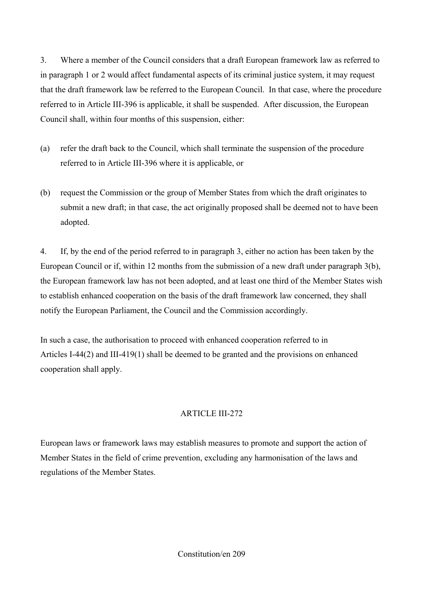3. Where a member of the Council considers that a draft European framework law as referred to in paragraph 1 or 2 would affect fundamental aspects of its criminal justice system, it may request that the draft framework law be referred to the European Council. In that case, where the procedure referred to in Article III-396 is applicable, it shall be suspended. After discussion, the European Council shall, within four months of this suspension, either:

- (a) refer the draft back to the Council, which shall terminate the suspension of the procedure referred to in Article III-396 where it is applicable, or
- (b) request the Commission or the group of Member States from which the draft originates to submit a new draft; in that case, the act originally proposed shall be deemed not to have been adopted.

4. If, by the end of the period referred to in paragraph 3, either no action has been taken by the European Council or if, within 12 months from the submission of a new draft under paragraph 3(b), the European framework law has not been adopted, and at least one third of the Member States wish to establish enhanced cooperation on the basis of the draft framework law concerned, they shall notify the European Parliament, the Council and the Commission accordingly.

In such a case, the authorisation to proceed with enhanced cooperation referred to in Articles I-44(2) and III-419(1) shall be deemed to be granted and the provisions on enhanced cooperation shall apply.

# ARTICLE III-272

European laws or framework laws may establish measures to promote and support the action of Member States in the field of crime prevention, excluding any harmonisation of the laws and regulations of the Member States.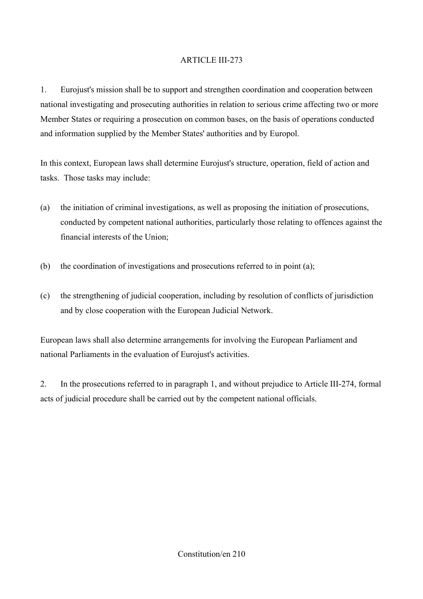1. Eurojust's mission shall be to support and strengthen coordination and cooperation between national investigating and prosecuting authorities in relation to serious crime affecting two or more Member States or requiring a prosecution on common bases, on the basis of operations conducted and information supplied by the Member States' authorities and by Europol.

In this context, European laws shall determine Eurojust's structure, operation, field of action and tasks. Those tasks may include:

- (a) the initiation of criminal investigations, as well as proposing the initiation of prosecutions, conducted by competent national authorities, particularly those relating to offences against the financial interests of the Union;
- (b) the coordination of investigations and prosecutions referred to in point (a);
- (c) the strengthening of judicial cooperation, including by resolution of conflicts of jurisdiction and by close cooperation with the European Judicial Network.

European laws shall also determine arrangements for involving the European Parliament and national Parliaments in the evaluation of Eurojust's activities.

2. In the prosecutions referred to in paragraph 1, and without prejudice to Article III-274, formal acts of judicial procedure shall be carried out by the competent national officials.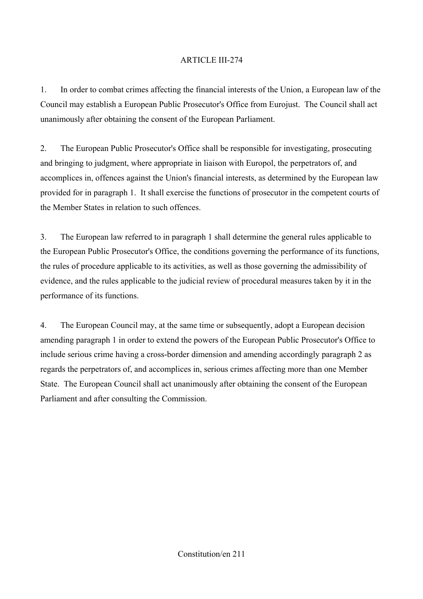1. In order to combat crimes affecting the financial interests of the Union, a European law of the Council may establish a European Public Prosecutor's Office from Eurojust. The Council shall act unanimously after obtaining the consent of the European Parliament.

2. The European Public Prosecutor's Office shall be responsible for investigating, prosecuting and bringing to judgment, where appropriate in liaison with Europol, the perpetrators of, and accomplices in, offences against the Union's financial interests, as determined by the European law provided for in paragraph 1. It shall exercise the functions of prosecutor in the competent courts of the Member States in relation to such offences.

3. The European law referred to in paragraph 1 shall determine the general rules applicable to the European Public Prosecutor's Office, the conditions governing the performance of its functions, the rules of procedure applicable to its activities, as well as those governing the admissibility of evidence, and the rules applicable to the judicial review of procedural measures taken by it in the performance of its functions.

4. The European Council may, at the same time or subsequently, adopt a European decision amending paragraph 1 in order to extend the powers of the European Public Prosecutor's Office to include serious crime having a cross-border dimension and amending accordingly paragraph 2 as regards the perpetrators of, and accomplices in, serious crimes affecting more than one Member State. The European Council shall act unanimously after obtaining the consent of the European Parliament and after consulting the Commission.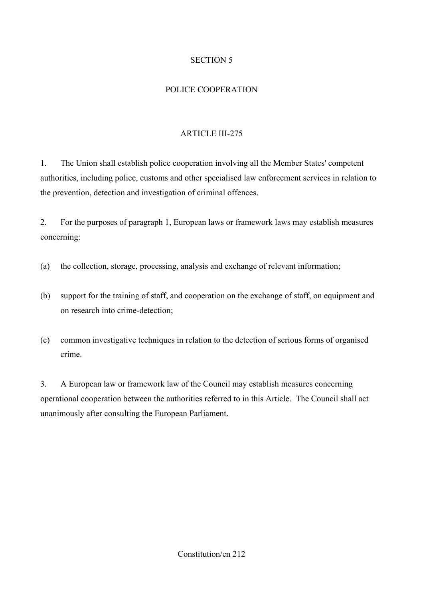### SECTION 5

# POLICE COOPERATION

### ARTICLE III-275

1. The Union shall establish police cooperation involving all the Member States' competent authorities, including police, customs and other specialised law enforcement services in relation to the prevention, detection and investigation of criminal offences.

2. For the purposes of paragraph 1, European laws or framework laws may establish measures concerning:

- (a) the collection, storage, processing, analysis and exchange of relevant information;
- (b) support for the training of staff, and cooperation on the exchange of staff, on equipment and on research into crime-detection;
- (c) common investigative techniques in relation to the detection of serious forms of organised crime.

3. A European law or framework law of the Council may establish measures concerning operational cooperation between the authorities referred to in this Article. The Council shall act unanimously after consulting the European Parliament.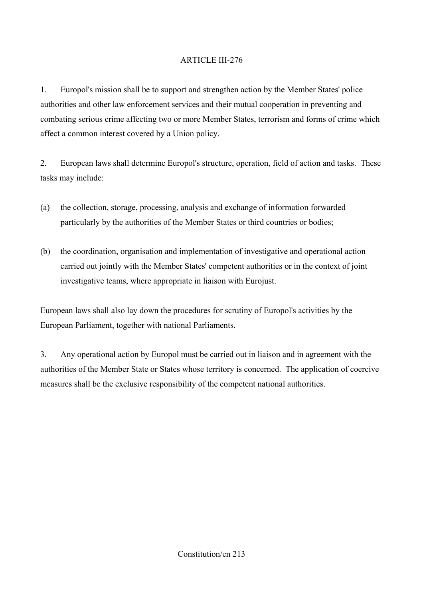1. Europol's mission shall be to support and strengthen action by the Member States' police authorities and other law enforcement services and their mutual cooperation in preventing and combating serious crime affecting two or more Member States, terrorism and forms of crime which affect a common interest covered by a Union policy.

2. European laws shall determine Europol's structure, operation, field of action and tasks. These tasks may include:

- (a) the collection, storage, processing, analysis and exchange of information forwarded particularly by the authorities of the Member States or third countries or bodies;
- (b) the coordination, organisation and implementation of investigative and operational action carried out jointly with the Member States' competent authorities or in the context of joint investigative teams, where appropriate in liaison with Eurojust.

European laws shall also lay down the procedures for scrutiny of Europol's activities by the European Parliament, together with national Parliaments.

3. Any operational action by Europol must be carried out in liaison and in agreement with the authorities of the Member State or States whose territory is concerned. The application of coercive measures shall be the exclusive responsibility of the competent national authorities.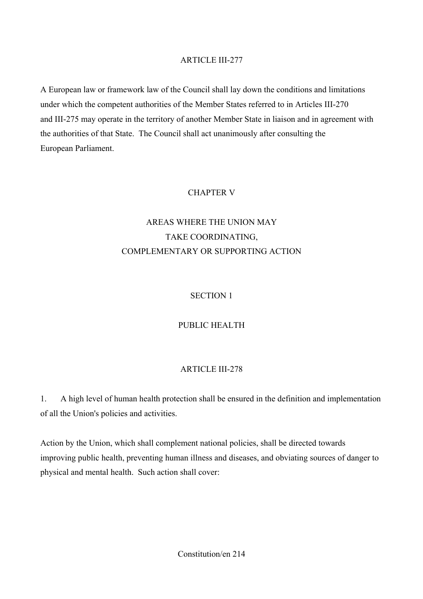A European law or framework law of the Council shall lay down the conditions and limitations under which the competent authorities of the Member States referred to in Articles III-270 and III-275 may operate in the territory of another Member State in liaison and in agreement with the authorities of that State. The Council shall act unanimously after consulting the European Parliament.

### CHAPTER V

# AREAS WHERE THE UNION MAY TAKE COORDINATING, COMPLEMENTARY OR SUPPORTING ACTION

### SECTION 1

### PUBLIC HEALTH

#### ARTICLE III-278

1. A high level of human health protection shall be ensured in the definition and implementation of all the Union's policies and activities.

Action by the Union, which shall complement national policies, shall be directed towards improving public health, preventing human illness and diseases, and obviating sources of danger to physical and mental health. Such action shall cover:

Constitution/en 214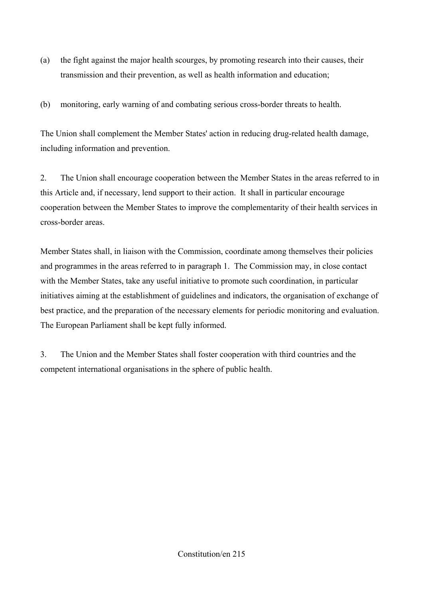- (a) the fight against the major health scourges, by promoting research into their causes, their transmission and their prevention, as well as health information and education;
- (b) monitoring, early warning of and combating serious cross-border threats to health.

The Union shall complement the Member States' action in reducing drug-related health damage, including information and prevention.

2. The Union shall encourage cooperation between the Member States in the areas referred to in this Article and, if necessary, lend support to their action. It shall in particular encourage cooperation between the Member States to improve the complementarity of their health services in cross-border areas.

Member States shall, in liaison with the Commission, coordinate among themselves their policies and programmes in the areas referred to in paragraph 1. The Commission may, in close contact with the Member States, take any useful initiative to promote such coordination, in particular initiatives aiming at the establishment of guidelines and indicators, the organisation of exchange of best practice, and the preparation of the necessary elements for periodic monitoring and evaluation. The European Parliament shall be kept fully informed.

3. The Union and the Member States shall foster cooperation with third countries and the competent international organisations in the sphere of public health.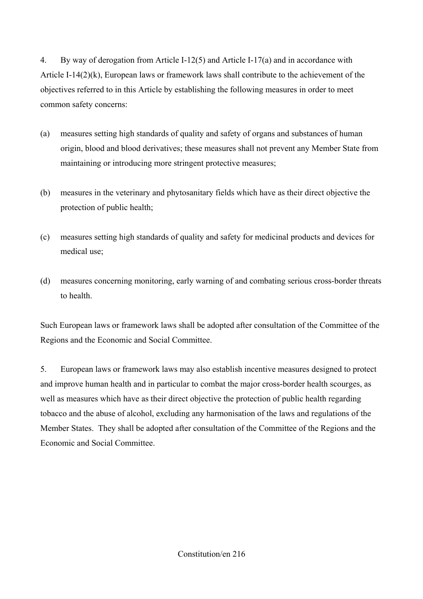4. By way of derogation from Article I-12(5) and Article I-17(a) and in accordance with Article I-14(2)(k), European laws or framework laws shall contribute to the achievement of the objectives referred to in this Article by establishing the following measures in order to meet common safety concerns:

- (a) measures setting high standards of quality and safety of organs and substances of human origin, blood and blood derivatives; these measures shall not prevent any Member State from maintaining or introducing more stringent protective measures;
- (b) measures in the veterinary and phytosanitary fields which have as their direct objective the protection of public health;
- (c) measures setting high standards of quality and safety for medicinal products and devices for medical use;
- (d) measures concerning monitoring, early warning of and combating serious cross-border threats to health.

Such European laws or framework laws shall be adopted after consultation of the Committee of the Regions and the Economic and Social Committee.

5. European laws or framework laws may also establish incentive measures designed to protect and improve human health and in particular to combat the major cross-border health scourges, as well as measures which have as their direct objective the protection of public health regarding tobacco and the abuse of alcohol, excluding any harmonisation of the laws and regulations of the Member States. They shall be adopted after consultation of the Committee of the Regions and the Economic and Social Committee.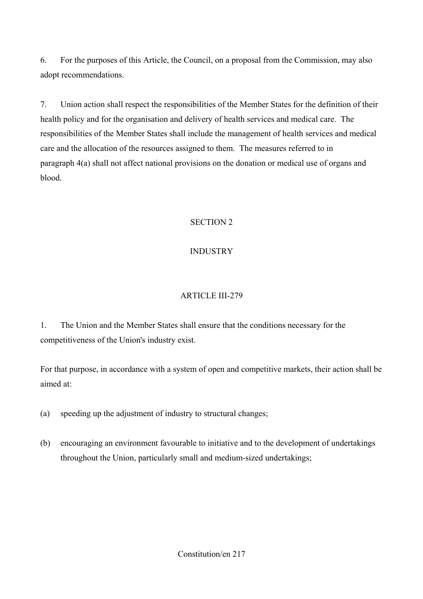6. For the purposes of this Article, the Council, on a proposal from the Commission, may also adopt recommendations.

7. Union action shall respect the responsibilities of the Member States for the definition of their health policy and for the organisation and delivery of health services and medical care. The responsibilities of the Member States shall include the management of health services and medical care and the allocation of the resources assigned to them. The measures referred to in paragraph 4(a) shall not affect national provisions on the donation or medical use of organs and blood.

# SECTION 2

# INDUSTRY

# ARTICLE III-279

1. The Union and the Member States shall ensure that the conditions necessary for the competitiveness of the Union's industry exist.

For that purpose, in accordance with a system of open and competitive markets, their action shall be aimed at:

- (a) speeding up the adjustment of industry to structural changes;
- (b) encouraging an environment favourable to initiative and to the development of undertakings throughout the Union, particularly small and medium-sized undertakings;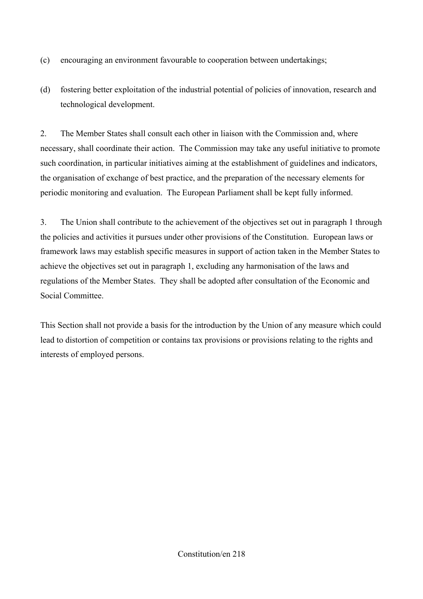- (c) encouraging an environment favourable to cooperation between undertakings;
- (d) fostering better exploitation of the industrial potential of policies of innovation, research and technological development.

2. The Member States shall consult each other in liaison with the Commission and, where necessary, shall coordinate their action. The Commission may take any useful initiative to promote such coordination, in particular initiatives aiming at the establishment of guidelines and indicators, the organisation of exchange of best practice, and the preparation of the necessary elements for periodic monitoring and evaluation. The European Parliament shall be kept fully informed.

3. The Union shall contribute to the achievement of the objectives set out in paragraph 1 through the policies and activities it pursues under other provisions of the Constitution. European laws or framework laws may establish specific measures in support of action taken in the Member States to achieve the objectives set out in paragraph 1, excluding any harmonisation of the laws and regulations of the Member States. They shall be adopted after consultation of the Economic and Social Committee.

This Section shall not provide a basis for the introduction by the Union of any measure which could lead to distortion of competition or contains tax provisions or provisions relating to the rights and interests of employed persons.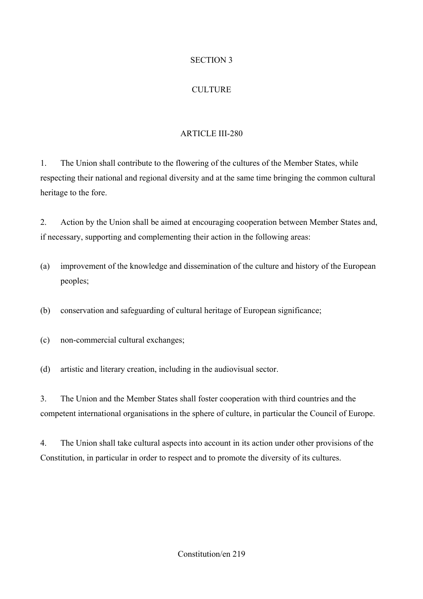### SECTION 3

### **CULTURE**

### ARTICLE III-280

1. The Union shall contribute to the flowering of the cultures of the Member States, while respecting their national and regional diversity and at the same time bringing the common cultural heritage to the fore.

2. Action by the Union shall be aimed at encouraging cooperation between Member States and, if necessary, supporting and complementing their action in the following areas:

- (a) improvement of the knowledge and dissemination of the culture and history of the European peoples;
- (b) conservation and safeguarding of cultural heritage of European significance;
- (c) non-commercial cultural exchanges;
- (d) artistic and literary creation, including in the audiovisual sector.

3. The Union and the Member States shall foster cooperation with third countries and the competent international organisations in the sphere of culture, in particular the Council of Europe.

4. The Union shall take cultural aspects into account in its action under other provisions of the Constitution, in particular in order to respect and to promote the diversity of its cultures.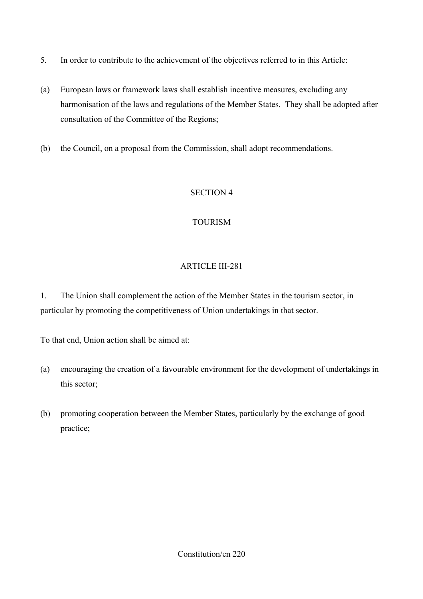- 5. In order to contribute to the achievement of the objectives referred to in this Article:
- (a) European laws or framework laws shall establish incentive measures, excluding any harmonisation of the laws and regulations of the Member States. They shall be adopted after consultation of the Committee of the Regions;
- (b) the Council, on a proposal from the Commission, shall adopt recommendations.

# SECTION 4

# TOURISM

# ARTICLE III-281

1. The Union shall complement the action of the Member States in the tourism sector, in particular by promoting the competitiveness of Union undertakings in that sector.

To that end, Union action shall be aimed at:

- (a) encouraging the creation of a favourable environment for the development of undertakings in this sector;
- (b) promoting cooperation between the Member States, particularly by the exchange of good practice;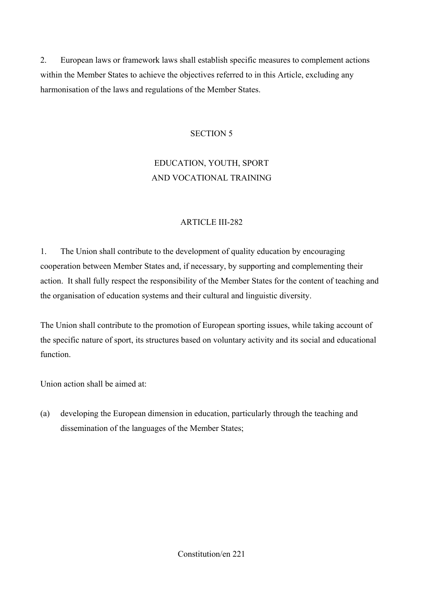2. European laws or framework laws shall establish specific measures to complement actions within the Member States to achieve the objectives referred to in this Article, excluding any harmonisation of the laws and regulations of the Member States.

### SECTION 5

# EDUCATION, YOUTH, SPORT AND VOCATIONAL TRAINING

# ARTICLE III-282

1. The Union shall contribute to the development of quality education by encouraging cooperation between Member States and, if necessary, by supporting and complementing their action. It shall fully respect the responsibility of the Member States for the content of teaching and the organisation of education systems and their cultural and linguistic diversity.

The Union shall contribute to the promotion of European sporting issues, while taking account of the specific nature of sport, its structures based on voluntary activity and its social and educational function.

Union action shall be aimed at:

(a) developing the European dimension in education, particularly through the teaching and dissemination of the languages of the Member States;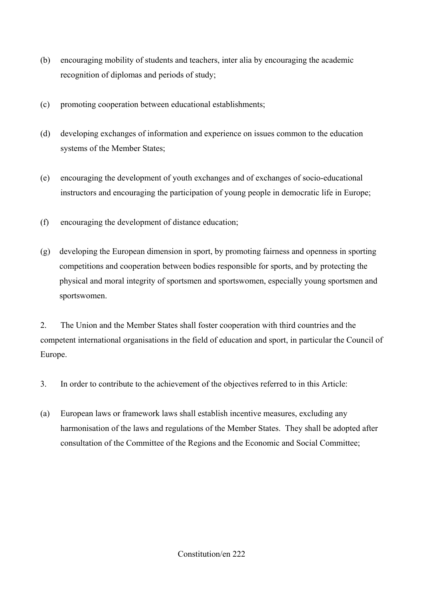- (b) encouraging mobility of students and teachers, inter alia by encouraging the academic recognition of diplomas and periods of study;
- (c) promoting cooperation between educational establishments;
- (d) developing exchanges of information and experience on issues common to the education systems of the Member States;
- (e) encouraging the development of youth exchanges and of exchanges of socio-educational instructors and encouraging the participation of young people in democratic life in Europe;
- (f) encouraging the development of distance education;
- (g) developing the European dimension in sport, by promoting fairness and openness in sporting competitions and cooperation between bodies responsible for sports, and by protecting the physical and moral integrity of sportsmen and sportswomen, especially young sportsmen and sportswomen.

2. The Union and the Member States shall foster cooperation with third countries and the competent international organisations in the field of education and sport, in particular the Council of Europe.

- 3. In order to contribute to the achievement of the objectives referred to in this Article:
- (a) European laws or framework laws shall establish incentive measures, excluding any harmonisation of the laws and regulations of the Member States. They shall be adopted after consultation of the Committee of the Regions and the Economic and Social Committee;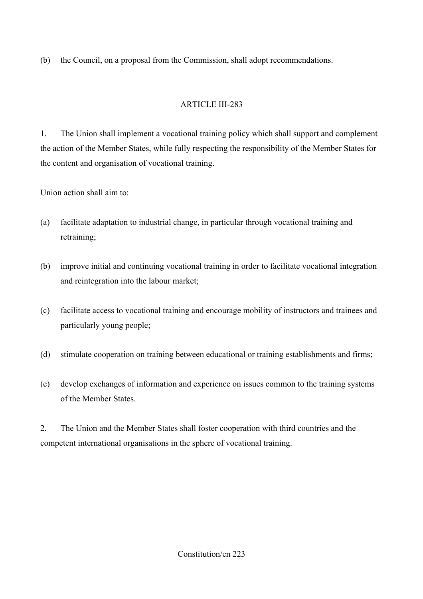(b) the Council, on a proposal from the Commission, shall adopt recommendations.

# ARTICLE III-283

1. The Union shall implement a vocational training policy which shall support and complement the action of the Member States, while fully respecting the responsibility of the Member States for the content and organisation of vocational training.

Union action shall aim to:

- (a) facilitate adaptation to industrial change, in particular through vocational training and retraining;
- (b) improve initial and continuing vocational training in order to facilitate vocational integration and reintegration into the labour market;
- (c) facilitate access to vocational training and encourage mobility of instructors and trainees and particularly young people;
- (d) stimulate cooperation on training between educational or training establishments and firms;
- (e) develop exchanges of information and experience on issues common to the training systems of the Member States.

2. The Union and the Member States shall foster cooperation with third countries and the competent international organisations in the sphere of vocational training.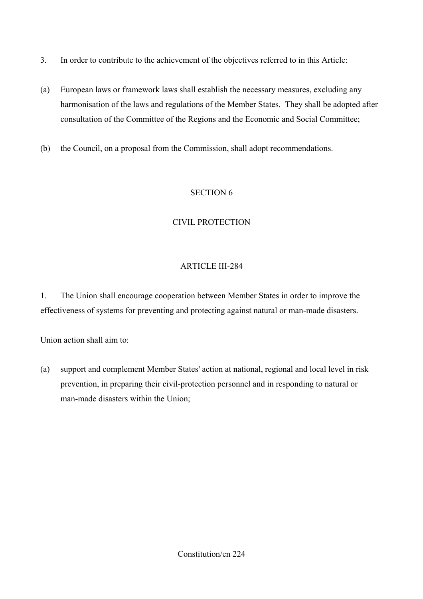- 3. In order to contribute to the achievement of the objectives referred to in this Article:
- (a) European laws or framework laws shall establish the necessary measures, excluding any harmonisation of the laws and regulations of the Member States. They shall be adopted after consultation of the Committee of the Regions and the Economic and Social Committee;
- (b) the Council, on a proposal from the Commission, shall adopt recommendations.

# SECTION 6

# CIVIL PROTECTION

# ARTICLE III-284

1. The Union shall encourage cooperation between Member States in order to improve the effectiveness of systems for preventing and protecting against natural or man-made disasters.

Union action shall aim to:

(a) support and complement Member States' action at national, regional and local level in risk prevention, in preparing their civil-protection personnel and in responding to natural or man-made disasters within the Union;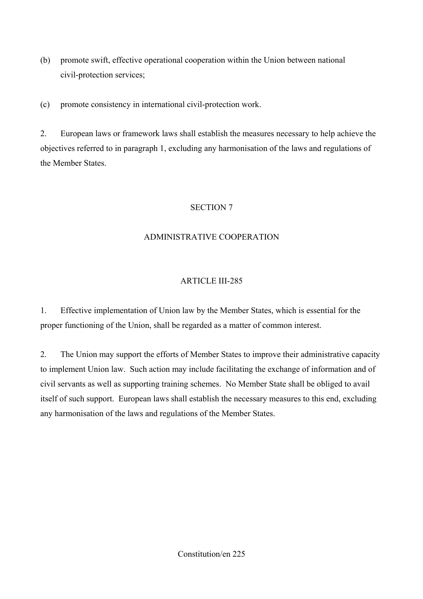- (b) promote swift, effective operational cooperation within the Union between national civil-protection services;
- (c) promote consistency in international civil-protection work.

2. European laws or framework laws shall establish the measures necessary to help achieve the objectives referred to in paragraph 1, excluding any harmonisation of the laws and regulations of the Member States.

# SECTION 7

# ADMINISTRATIVE COOPERATION

# ARTICLE III-285

1. Effective implementation of Union law by the Member States, which is essential for the proper functioning of the Union, shall be regarded as a matter of common interest.

2. The Union may support the efforts of Member States to improve their administrative capacity to implement Union law. Such action may include facilitating the exchange of information and of civil servants as well as supporting training schemes. No Member State shall be obliged to avail itself of such support. European laws shall establish the necessary measures to this end, excluding any harmonisation of the laws and regulations of the Member States.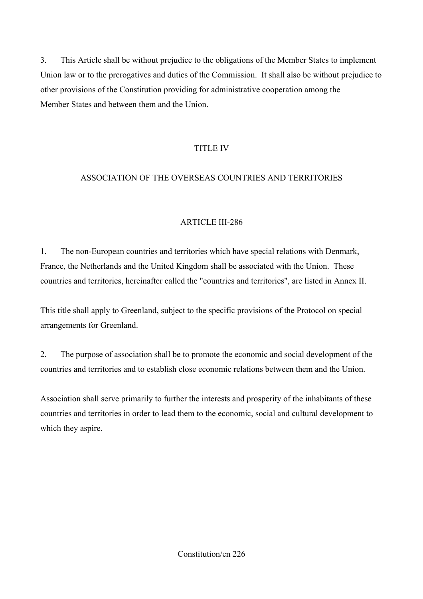3. This Article shall be without prejudice to the obligations of the Member States to implement Union law or to the prerogatives and duties of the Commission. It shall also be without prejudice to other provisions of the Constitution providing for administrative cooperation among the Member States and between them and the Union.

### TITLE IV

### ASSOCIATION OF THE OVERSEAS COUNTRIES AND TERRITORIES

# ARTICLE III-286

1. The non-European countries and territories which have special relations with Denmark, France, the Netherlands and the United Kingdom shall be associated with the Union. These countries and territories, hereinafter called the "countries and territories", are listed in Annex II.

This title shall apply to Greenland, subject to the specific provisions of the Protocol on special arrangements for Greenland.

2. The purpose of association shall be to promote the economic and social development of the countries and territories and to establish close economic relations between them and the Union.

Association shall serve primarily to further the interests and prosperity of the inhabitants of these countries and territories in order to lead them to the economic, social and cultural development to which they aspire.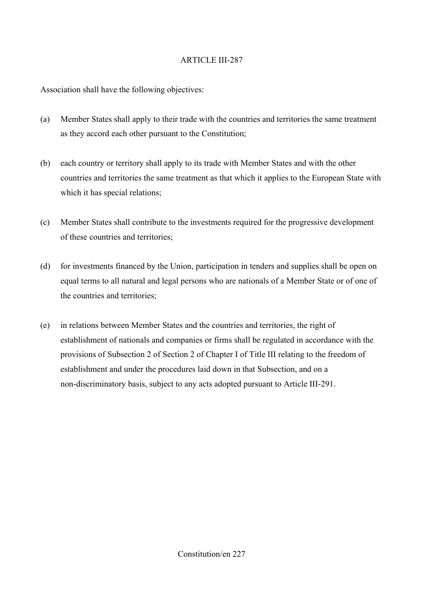Association shall have the following objectives:

- (a) Member States shall apply to their trade with the countries and territories the same treatment as they accord each other pursuant to the Constitution;
- (b) each country or territory shall apply to its trade with Member States and with the other countries and territories the same treatment as that which it applies to the European State with which it has special relations;
- (c) Member States shall contribute to the investments required for the progressive development of these countries and territories;
- (d) for investments financed by the Union, participation in tenders and supplies shall be open on equal terms to all natural and legal persons who are nationals of a Member State or of one of the countries and territories;
- (e) in relations between Member States and the countries and territories, the right of establishment of nationals and companies or firms shall be regulated in accordance with the provisions of Subsection 2 of Section 2 of Chapter I of Title III relating to the freedom of establishment and under the procedures laid down in that Subsection, and on a non-discriminatory basis, subject to any acts adopted pursuant to Article III-291.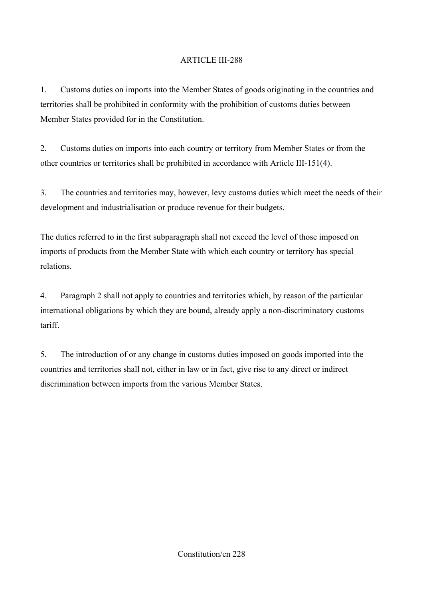1. Customs duties on imports into the Member States of goods originating in the countries and territories shall be prohibited in conformity with the prohibition of customs duties between Member States provided for in the Constitution.

2. Customs duties on imports into each country or territory from Member States or from the other countries or territories shall be prohibited in accordance with Article III-151(4).

3. The countries and territories may, however, levy customs duties which meet the needs of their development and industrialisation or produce revenue for their budgets.

The duties referred to in the first subparagraph shall not exceed the level of those imposed on imports of products from the Member State with which each country or territory has special relations.

4. Paragraph 2 shall not apply to countries and territories which, by reason of the particular international obligations by which they are bound, already apply a non-discriminatory customs tariff.

5. The introduction of or any change in customs duties imposed on goods imported into the countries and territories shall not, either in law or in fact, give rise to any direct or indirect discrimination between imports from the various Member States.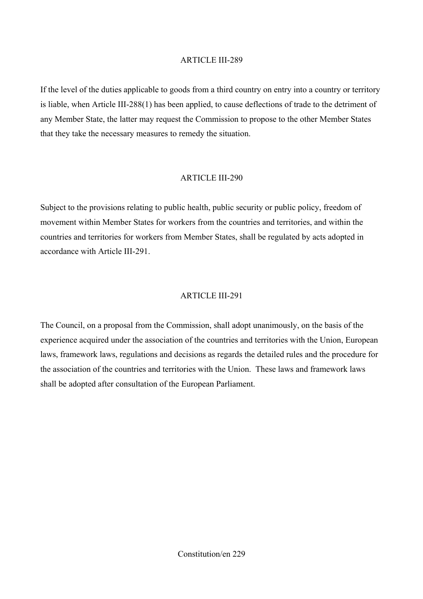If the level of the duties applicable to goods from a third country on entry into a country or territory is liable, when Article III-288(1) has been applied, to cause deflections of trade to the detriment of any Member State, the latter may request the Commission to propose to the other Member States that they take the necessary measures to remedy the situation.

#### ARTICLE III-290

Subject to the provisions relating to public health, public security or public policy, freedom of movement within Member States for workers from the countries and territories, and within the countries and territories for workers from Member States, shall be regulated by acts adopted in accordance with Article III-291.

### ARTICLE III-291

The Council, on a proposal from the Commission, shall adopt unanimously, on the basis of the experience acquired under the association of the countries and territories with the Union, European laws, framework laws, regulations and decisions as regards the detailed rules and the procedure for the association of the countries and territories with the Union. These laws and framework laws shall be adopted after consultation of the European Parliament.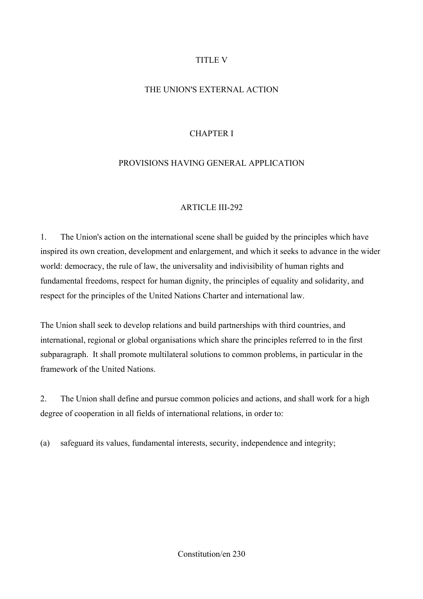### TITLE V

### THE UNION'S EXTERNAL ACTION

# CHAPTER I

# PROVISIONS HAVING GENERAL APPLICATION

### ARTICLE III-292

1. The Union's action on the international scene shall be guided by the principles which have inspired its own creation, development and enlargement, and which it seeks to advance in the wider world: democracy, the rule of law, the universality and indivisibility of human rights and fundamental freedoms, respect for human dignity, the principles of equality and solidarity, and respect for the principles of the United Nations Charter and international law.

The Union shall seek to develop relations and build partnerships with third countries, and international, regional or global organisations which share the principles referred to in the first subparagraph. It shall promote multilateral solutions to common problems, in particular in the framework of the United Nations.

2. The Union shall define and pursue common policies and actions, and shall work for a high degree of cooperation in all fields of international relations, in order to:

(a) safeguard its values, fundamental interests, security, independence and integrity;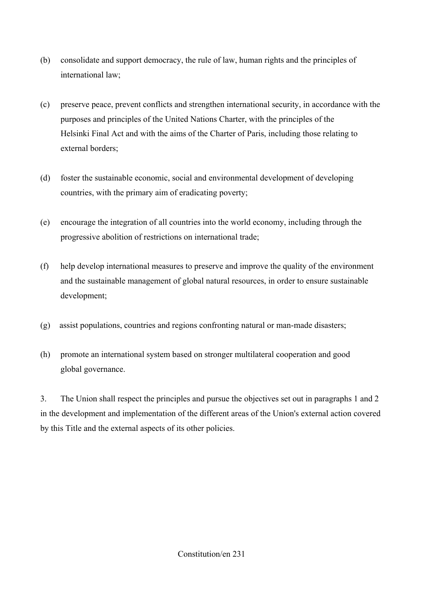- (b) consolidate and support democracy, the rule of law, human rights and the principles of international law;
- (c) preserve peace, prevent conflicts and strengthen international security, in accordance with the purposes and principles of the United Nations Charter, with the principles of the Helsinki Final Act and with the aims of the Charter of Paris, including those relating to external borders;
- (d) foster the sustainable economic, social and environmental development of developing countries, with the primary aim of eradicating poverty;
- (e) encourage the integration of all countries into the world economy, including through the progressive abolition of restrictions on international trade;
- (f) help develop international measures to preserve and improve the quality of the environment and the sustainable management of global natural resources, in order to ensure sustainable development;
- (g) assist populations, countries and regions confronting natural or man-made disasters;
- (h) promote an international system based on stronger multilateral cooperation and good global governance.

3. The Union shall respect the principles and pursue the objectives set out in paragraphs 1 and 2 in the development and implementation of the different areas of the Union's external action covered by this Title and the external aspects of its other policies.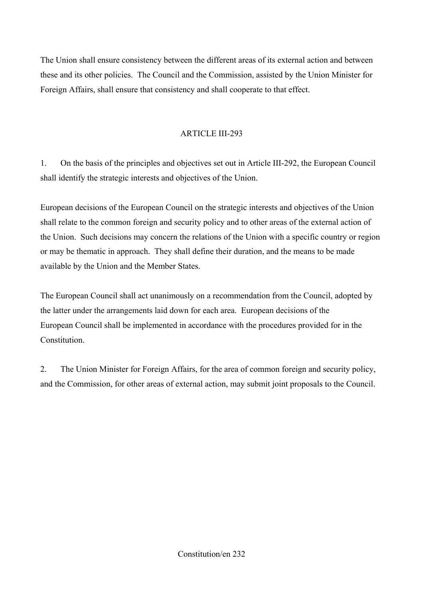The Union shall ensure consistency between the different areas of its external action and between these and its other policies. The Council and the Commission, assisted by the Union Minister for Foreign Affairs, shall ensure that consistency and shall cooperate to that effect.

# ARTICLE III-293

1. On the basis of the principles and objectives set out in Article III-292, the European Council shall identify the strategic interests and objectives of the Union.

European decisions of the European Council on the strategic interests and objectives of the Union shall relate to the common foreign and security policy and to other areas of the external action of the Union. Such decisions may concern the relations of the Union with a specific country or region or may be thematic in approach. They shall define their duration, and the means to be made available by the Union and the Member States.

The European Council shall act unanimously on a recommendation from the Council, adopted by the latter under the arrangements laid down for each area. European decisions of the European Council shall be implemented in accordance with the procedures provided for in the **Constitution** 

2. The Union Minister for Foreign Affairs, for the area of common foreign and security policy, and the Commission, for other areas of external action, may submit joint proposals to the Council.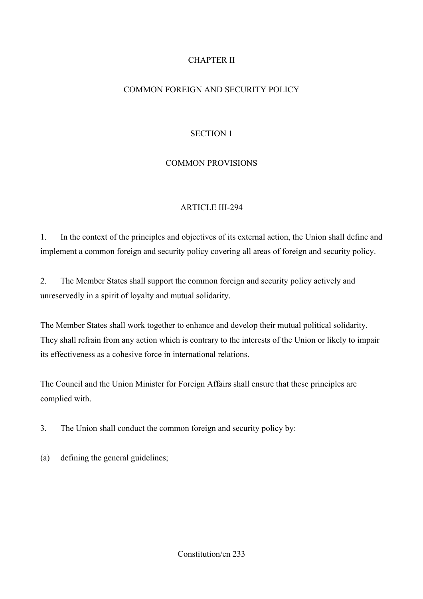# CHAPTER II

### COMMON FOREIGN AND SECURITY POLICY

### SECTION 1

# COMMON PROVISIONS

### ARTICLE III-294

1. In the context of the principles and objectives of its external action, the Union shall define and implement a common foreign and security policy covering all areas of foreign and security policy.

2. The Member States shall support the common foreign and security policy actively and unreservedly in a spirit of loyalty and mutual solidarity.

The Member States shall work together to enhance and develop their mutual political solidarity. They shall refrain from any action which is contrary to the interests of the Union or likely to impair its effectiveness as a cohesive force in international relations.

The Council and the Union Minister for Foreign Affairs shall ensure that these principles are complied with.

3. The Union shall conduct the common foreign and security policy by:

(a) defining the general guidelines;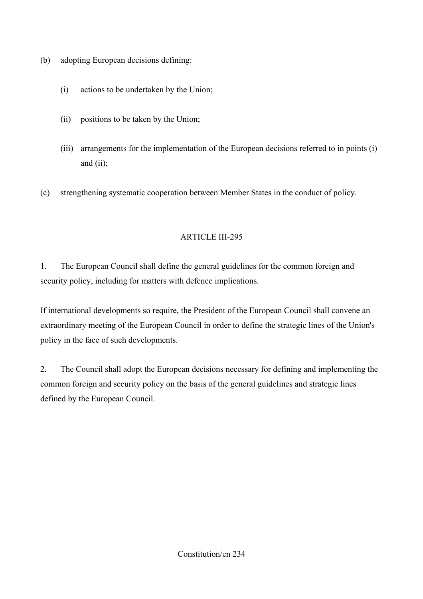- (b) adopting European decisions defining:
	- (i) actions to be undertaken by the Union;
	- (ii) positions to be taken by the Union;
	- (iii) arrangements for the implementation of the European decisions referred to in points (i) and (ii);
- (c) strengthening systematic cooperation between Member States in the conduct of policy.

1. The European Council shall define the general guidelines for the common foreign and security policy, including for matters with defence implications.

If international developments so require, the President of the European Council shall convene an extraordinary meeting of the European Council in order to define the strategic lines of the Union's policy in the face of such developments.

2. The Council shall adopt the European decisions necessary for defining and implementing the common foreign and security policy on the basis of the general guidelines and strategic lines defined by the European Council.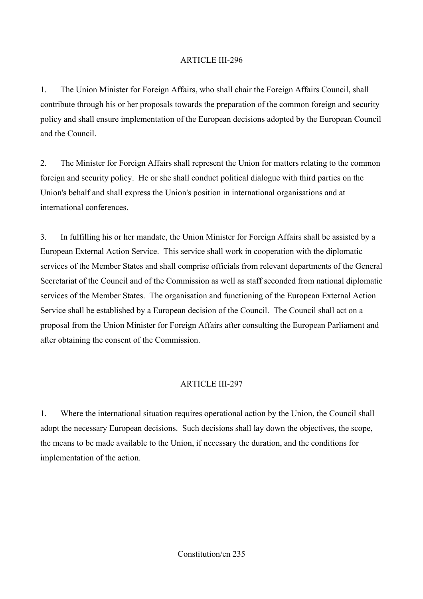1. The Union Minister for Foreign Affairs, who shall chair the Foreign Affairs Council, shall contribute through his or her proposals towards the preparation of the common foreign and security policy and shall ensure implementation of the European decisions adopted by the European Council and the Council.

2. The Minister for Foreign Affairs shall represent the Union for matters relating to the common foreign and security policy. He or she shall conduct political dialogue with third parties on the Union's behalf and shall express the Union's position in international organisations and at international conferences.

3. In fulfilling his or her mandate, the Union Minister for Foreign Affairs shall be assisted by a European External Action Service. This service shall work in cooperation with the diplomatic services of the Member States and shall comprise officials from relevant departments of the General Secretariat of the Council and of the Commission as well as staff seconded from national diplomatic services of the Member States. The organisation and functioning of the European External Action Service shall be established by a European decision of the Council. The Council shall act on a proposal from the Union Minister for Foreign Affairs after consulting the European Parliament and after obtaining the consent of the Commission.

### ARTICLE III-297

1. Where the international situation requires operational action by the Union, the Council shall adopt the necessary European decisions. Such decisions shall lay down the objectives, the scope, the means to be made available to the Union, if necessary the duration, and the conditions for implementation of the action.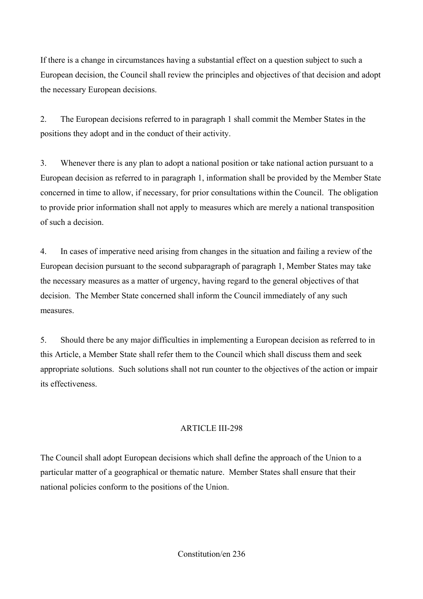If there is a change in circumstances having a substantial effect on a question subject to such a European decision, the Council shall review the principles and objectives of that decision and adopt the necessary European decisions.

2. The European decisions referred to in paragraph 1 shall commit the Member States in the positions they adopt and in the conduct of their activity.

3. Whenever there is any plan to adopt a national position or take national action pursuant to a European decision as referred to in paragraph 1, information shall be provided by the Member State concerned in time to allow, if necessary, for prior consultations within the Council. The obligation to provide prior information shall not apply to measures which are merely a national transposition of such a decision.

4. In cases of imperative need arising from changes in the situation and failing a review of the European decision pursuant to the second subparagraph of paragraph 1, Member States may take the necessary measures as a matter of urgency, having regard to the general objectives of that decision. The Member State concerned shall inform the Council immediately of any such measures.

5. Should there be any major difficulties in implementing a European decision as referred to in this Article, a Member State shall refer them to the Council which shall discuss them and seek appropriate solutions. Such solutions shall not run counter to the objectives of the action or impair its effectiveness.

### ARTICLE III-298

The Council shall adopt European decisions which shall define the approach of the Union to a particular matter of a geographical or thematic nature. Member States shall ensure that their national policies conform to the positions of the Union.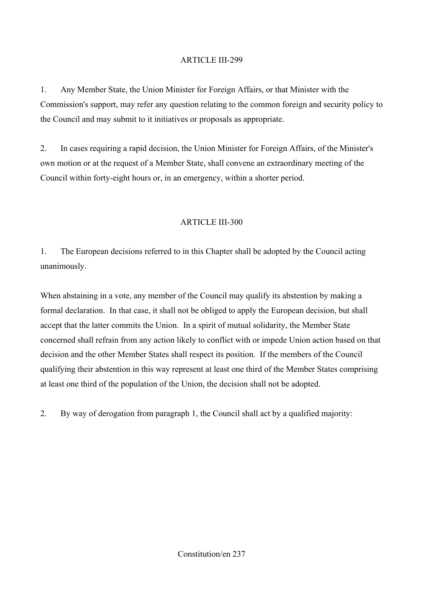1. Any Member State, the Union Minister for Foreign Affairs, or that Minister with the Commission's support, may refer any question relating to the common foreign and security policy to the Council and may submit to it initiatives or proposals as appropriate.

2. In cases requiring a rapid decision, the Union Minister for Foreign Affairs, of the Minister's own motion or at the request of a Member State, shall convene an extraordinary meeting of the Council within forty-eight hours or, in an emergency, within a shorter period.

# ARTICLE III-300

1. The European decisions referred to in this Chapter shall be adopted by the Council acting unanimously.

When abstaining in a vote, any member of the Council may qualify its abstention by making a formal declaration. In that case, it shall not be obliged to apply the European decision, but shall accept that the latter commits the Union. In a spirit of mutual solidarity, the Member State concerned shall refrain from any action likely to conflict with or impede Union action based on that decision and the other Member States shall respect its position. If the members of the Council qualifying their abstention in this way represent at least one third of the Member States comprising at least one third of the population of the Union, the decision shall not be adopted.

2. By way of derogation from paragraph 1, the Council shall act by a qualified majority: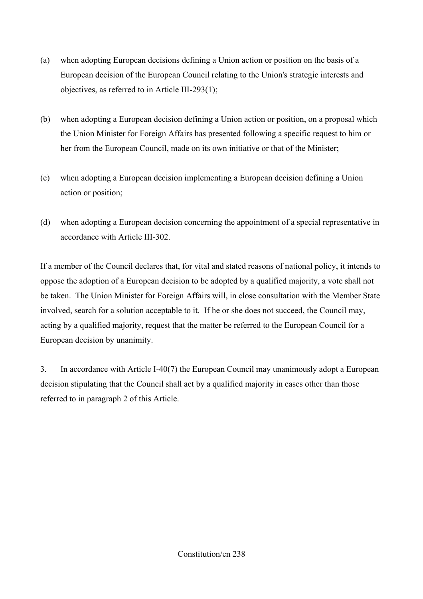- (a) when adopting European decisions defining a Union action or position on the basis of a European decision of the European Council relating to the Union's strategic interests and objectives, as referred to in Article III-293(1);
- (b) when adopting a European decision defining a Union action or position, on a proposal which the Union Minister for Foreign Affairs has presented following a specific request to him or her from the European Council, made on its own initiative or that of the Minister;
- (c) when adopting a European decision implementing a European decision defining a Union action or position;
- (d) when adopting a European decision concerning the appointment of a special representative in accordance with Article III-302.

If a member of the Council declares that, for vital and stated reasons of national policy, it intends to oppose the adoption of a European decision to be adopted by a qualified majority, a vote shall not be taken. The Union Minister for Foreign Affairs will, in close consultation with the Member State involved, search for a solution acceptable to it. If he or she does not succeed, the Council may, acting by a qualified majority, request that the matter be referred to the European Council for a European decision by unanimity.

3. In accordance with Article I-40(7) the European Council may unanimously adopt a European decision stipulating that the Council shall act by a qualified majority in cases other than those referred to in paragraph 2 of this Article.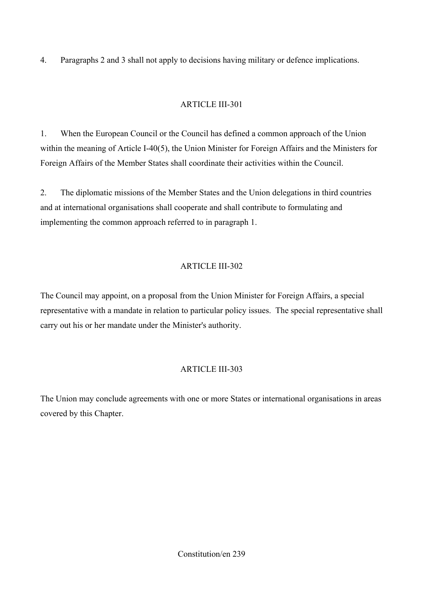4. Paragraphs 2 and 3 shall not apply to decisions having military or defence implications.

# ARTICLE III-301

1. When the European Council or the Council has defined a common approach of the Union within the meaning of Article I-40(5), the Union Minister for Foreign Affairs and the Ministers for Foreign Affairs of the Member States shall coordinate their activities within the Council.

2. The diplomatic missions of the Member States and the Union delegations in third countries and at international organisations shall cooperate and shall contribute to formulating and implementing the common approach referred to in paragraph 1.

# ARTICLE III-302

The Council may appoint, on a proposal from the Union Minister for Foreign Affairs, a special representative with a mandate in relation to particular policy issues. The special representative shall carry out his or her mandate under the Minister's authority.

# ARTICLE III-303

The Union may conclude agreements with one or more States or international organisations in areas covered by this Chapter.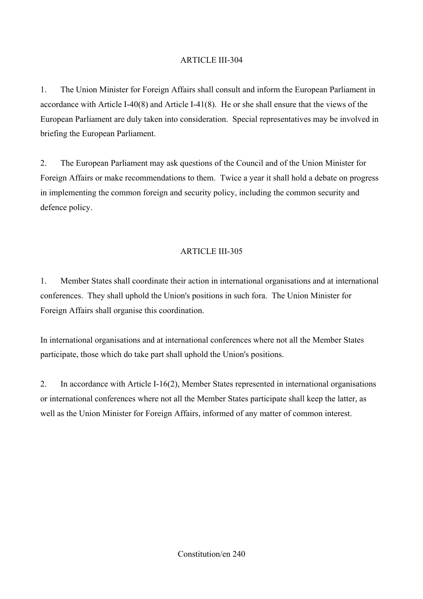1. The Union Minister for Foreign Affairs shall consult and inform the European Parliament in accordance with Article I-40(8) and Article I-41(8). He or she shall ensure that the views of the European Parliament are duly taken into consideration. Special representatives may be involved in briefing the European Parliament.

2. The European Parliament may ask questions of the Council and of the Union Minister for Foreign Affairs or make recommendations to them. Twice a year it shall hold a debate on progress in implementing the common foreign and security policy, including the common security and defence policy.

### ARTICLE III-305

1. Member States shall coordinate their action in international organisations and at international conferences. They shall uphold the Union's positions in such fora. The Union Minister for Foreign Affairs shall organise this coordination.

In international organisations and at international conferences where not all the Member States participate, those which do take part shall uphold the Union's positions.

2. In accordance with Article I-16(2), Member States represented in international organisations or international conferences where not all the Member States participate shall keep the latter, as well as the Union Minister for Foreign Affairs, informed of any matter of common interest.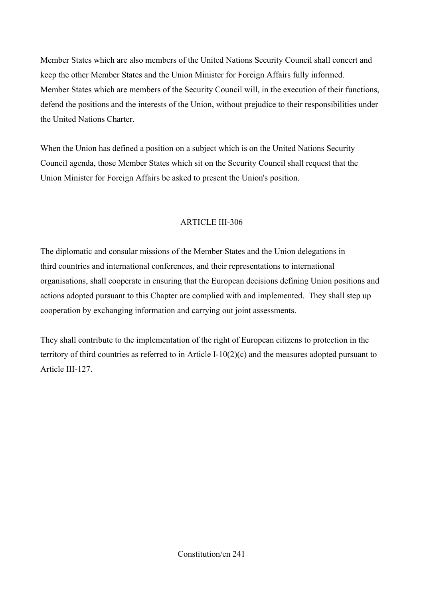Member States which are also members of the United Nations Security Council shall concert and keep the other Member States and the Union Minister for Foreign Affairs fully informed. Member States which are members of the Security Council will, in the execution of their functions, defend the positions and the interests of the Union, without prejudice to their responsibilities under the United Nations Charter.

When the Union has defined a position on a subject which is on the United Nations Security Council agenda, those Member States which sit on the Security Council shall request that the Union Minister for Foreign Affairs be asked to present the Union's position.

# ARTICLE III-306

The diplomatic and consular missions of the Member States and the Union delegations in third countries and international conferences, and their representations to international organisations, shall cooperate in ensuring that the European decisions defining Union positions and actions adopted pursuant to this Chapter are complied with and implemented. They shall step up cooperation by exchanging information and carrying out joint assessments.

They shall contribute to the implementation of the right of European citizens to protection in the territory of third countries as referred to in Article I-10(2)(c) and the measures adopted pursuant to Article III-127.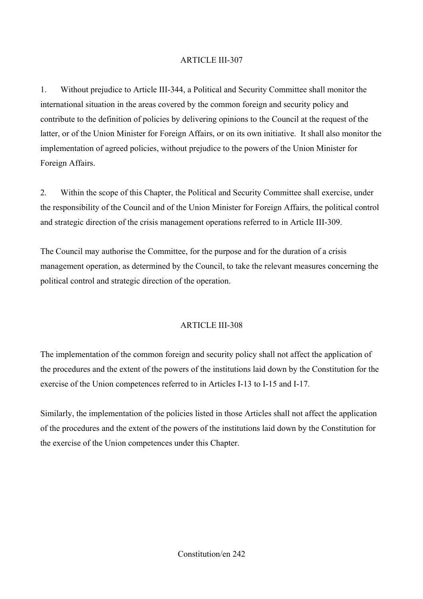1. Without prejudice to Article III-344, a Political and Security Committee shall monitor the international situation in the areas covered by the common foreign and security policy and contribute to the definition of policies by delivering opinions to the Council at the request of the latter, or of the Union Minister for Foreign Affairs, or on its own initiative. It shall also monitor the implementation of agreed policies, without prejudice to the powers of the Union Minister for Foreign Affairs.

2. Within the scope of this Chapter, the Political and Security Committee shall exercise, under the responsibility of the Council and of the Union Minister for Foreign Affairs, the political control and strategic direction of the crisis management operations referred to in Article III-309.

The Council may authorise the Committee, for the purpose and for the duration of a crisis management operation, as determined by the Council, to take the relevant measures concerning the political control and strategic direction of the operation.

# ARTICLE III-308

The implementation of the common foreign and security policy shall not affect the application of the procedures and the extent of the powers of the institutions laid down by the Constitution for the exercise of the Union competences referred to in Articles I-13 to I-15 and I-17.

Similarly, the implementation of the policies listed in those Articles shall not affect the application of the procedures and the extent of the powers of the institutions laid down by the Constitution for the exercise of the Union competences under this Chapter.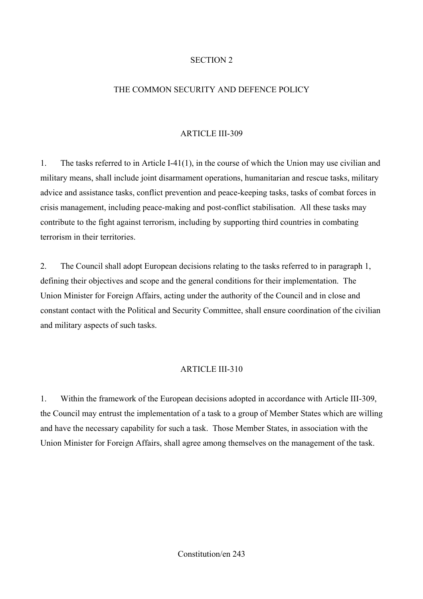### SECTION 2

### THE COMMON SECURITY AND DEFENCE POLICY

#### ARTICLE III-309

1. The tasks referred to in Article I-41(1), in the course of which the Union may use civilian and military means, shall include joint disarmament operations, humanitarian and rescue tasks, military advice and assistance tasks, conflict prevention and peace-keeping tasks, tasks of combat forces in crisis management, including peace-making and post-conflict stabilisation. All these tasks may contribute to the fight against terrorism, including by supporting third countries in combating terrorism in their territories.

2. The Council shall adopt European decisions relating to the tasks referred to in paragraph 1, defining their objectives and scope and the general conditions for their implementation. The Union Minister for Foreign Affairs, acting under the authority of the Council and in close and constant contact with the Political and Security Committee, shall ensure coordination of the civilian and military aspects of such tasks.

#### ARTICLE III-310

1. Within the framework of the European decisions adopted in accordance with Article III-309, the Council may entrust the implementation of a task to a group of Member States which are willing and have the necessary capability for such a task. Those Member States, in association with the Union Minister for Foreign Affairs, shall agree among themselves on the management of the task.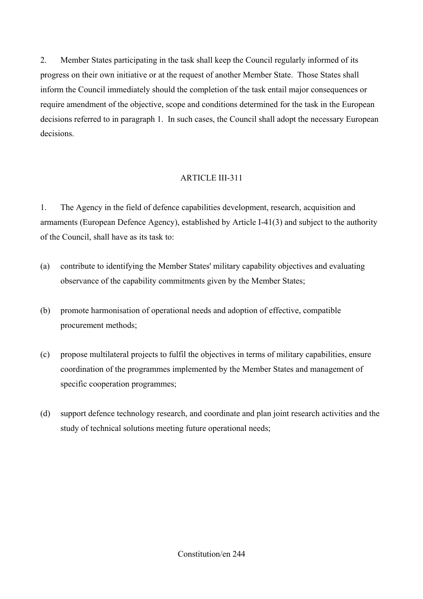2. Member States participating in the task shall keep the Council regularly informed of its progress on their own initiative or at the request of another Member State. Those States shall inform the Council immediately should the completion of the task entail major consequences or require amendment of the objective, scope and conditions determined for the task in the European decisions referred to in paragraph 1. In such cases, the Council shall adopt the necessary European decisions.

# ARTICLE III-311

1. The Agency in the field of defence capabilities development, research, acquisition and armaments (European Defence Agency), established by Article I-41(3) and subject to the authority of the Council, shall have as its task to:

- (a) contribute to identifying the Member States' military capability objectives and evaluating observance of the capability commitments given by the Member States;
- (b) promote harmonisation of operational needs and adoption of effective, compatible procurement methods;
- (c) propose multilateral projects to fulfil the objectives in terms of military capabilities, ensure coordination of the programmes implemented by the Member States and management of specific cooperation programmes;
- (d) support defence technology research, and coordinate and plan joint research activities and the study of technical solutions meeting future operational needs;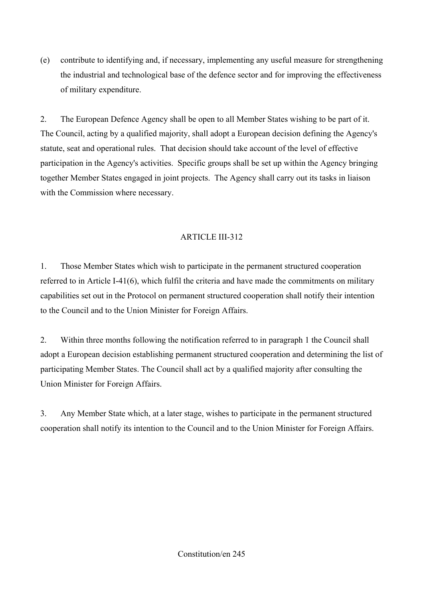(e) contribute to identifying and, if necessary, implementing any useful measure for strengthening the industrial and technological base of the defence sector and for improving the effectiveness of military expenditure.

2. The European Defence Agency shall be open to all Member States wishing to be part of it. The Council, acting by a qualified majority, shall adopt a European decision defining the Agency's statute, seat and operational rules. That decision should take account of the level of effective participation in the Agency's activities. Specific groups shall be set up within the Agency bringing together Member States engaged in joint projects. The Agency shall carry out its tasks in liaison with the Commission where necessary.

# ARTICLE III-312

1. Those Member States which wish to participate in the permanent structured cooperation referred to in Article I-41(6), which fulfil the criteria and have made the commitments on military capabilities set out in the Protocol on permanent structured cooperation shall notify their intention to the Council and to the Union Minister for Foreign Affairs.

2. Within three months following the notification referred to in paragraph 1 the Council shall adopt a European decision establishing permanent structured cooperation and determining the list of participating Member States. The Council shall act by a qualified majority after consulting the Union Minister for Foreign Affairs.

3. Any Member State which, at a later stage, wishes to participate in the permanent structured cooperation shall notify its intention to the Council and to the Union Minister for Foreign Affairs.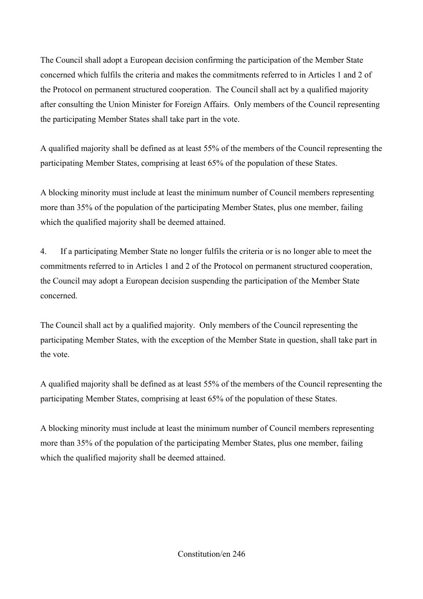The Council shall adopt a European decision confirming the participation of the Member State concerned which fulfils the criteria and makes the commitments referred to in Articles 1 and 2 of the Protocol on permanent structured cooperation. The Council shall act by a qualified majority after consulting the Union Minister for Foreign Affairs. Only members of the Council representing the participating Member States shall take part in the vote.

A qualified majority shall be defined as at least 55% of the members of the Council representing the participating Member States, comprising at least 65% of the population of these States.

A blocking minority must include at least the minimum number of Council members representing more than 35% of the population of the participating Member States, plus one member, failing which the qualified majority shall be deemed attained.

4. If a participating Member State no longer fulfils the criteria or is no longer able to meet the commitments referred to in Articles 1 and 2 of the Protocol on permanent structured cooperation, the Council may adopt a European decision suspending the participation of the Member State concerned.

The Council shall act by a qualified majority. Only members of the Council representing the participating Member States, with the exception of the Member State in question, shall take part in the vote.

A qualified majority shall be defined as at least 55% of the members of the Council representing the participating Member States, comprising at least 65% of the population of these States.

A blocking minority must include at least the minimum number of Council members representing more than 35% of the population of the participating Member States, plus one member, failing which the qualified majority shall be deemed attained.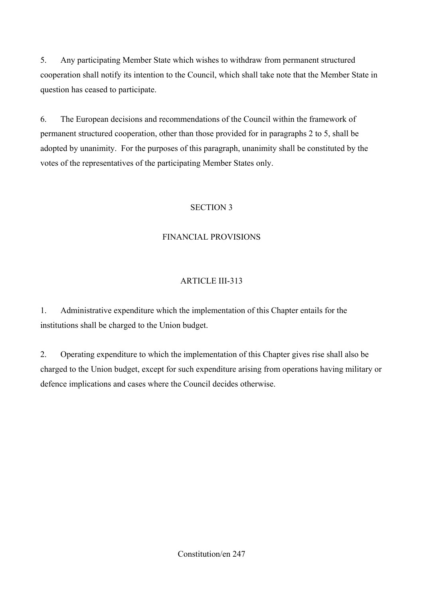5. Any participating Member State which wishes to withdraw from permanent structured cooperation shall notify its intention to the Council, which shall take note that the Member State in question has ceased to participate.

6. The European decisions and recommendations of the Council within the framework of permanent structured cooperation, other than those provided for in paragraphs 2 to 5, shall be adopted by unanimity. For the purposes of this paragraph, unanimity shall be constituted by the votes of the representatives of the participating Member States only.

# SECTION 3

### FINANCIAL PROVISIONS

# ARTICLE III-313

1. Administrative expenditure which the implementation of this Chapter entails for the institutions shall be charged to the Union budget.

2. Operating expenditure to which the implementation of this Chapter gives rise shall also be charged to the Union budget, except for such expenditure arising from operations having military or defence implications and cases where the Council decides otherwise.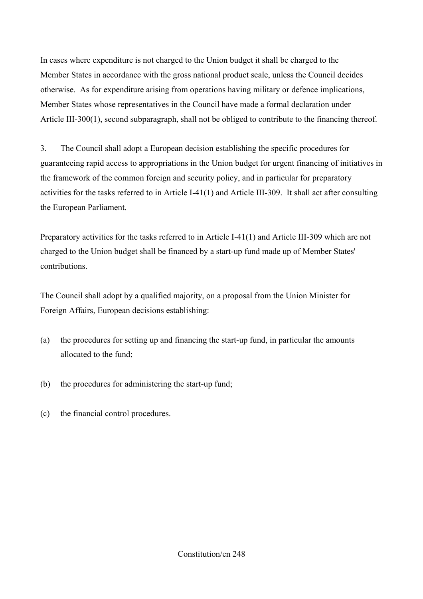In cases where expenditure is not charged to the Union budget it shall be charged to the Member States in accordance with the gross national product scale, unless the Council decides otherwise. As for expenditure arising from operations having military or defence implications, Member States whose representatives in the Council have made a formal declaration under Article III-300(1), second subparagraph, shall not be obliged to contribute to the financing thereof.

3. The Council shall adopt a European decision establishing the specific procedures for guaranteeing rapid access to appropriations in the Union budget for urgent financing of initiatives in the framework of the common foreign and security policy, and in particular for preparatory activities for the tasks referred to in Article I-41(1) and Article III-309. It shall act after consulting the European Parliament.

Preparatory activities for the tasks referred to in Article I-41(1) and Article III-309 which are not charged to the Union budget shall be financed by a start-up fund made up of Member States' contributions.

The Council shall adopt by a qualified majority, on a proposal from the Union Minister for Foreign Affairs, European decisions establishing:

- (a) the procedures for setting up and financing the start-up fund, in particular the amounts allocated to the fund;
- (b) the procedures for administering the start-up fund;
- (c) the financial control procedures.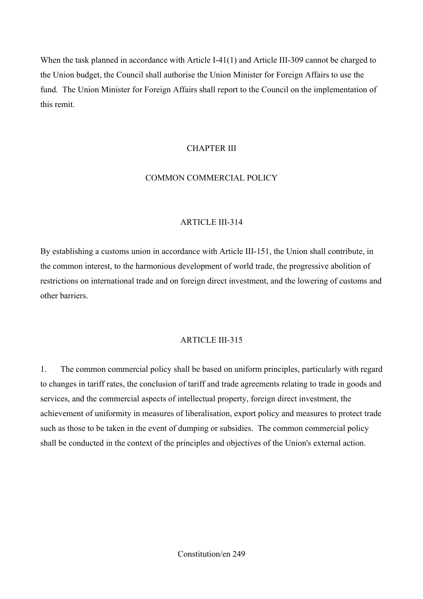When the task planned in accordance with Article I-41(1) and Article III-309 cannot be charged to the Union budget, the Council shall authorise the Union Minister for Foreign Affairs to use the fund. The Union Minister for Foreign Affairs shall report to the Council on the implementation of this remit.

#### CHAPTER III

#### COMMON COMMERCIAL POLICY

#### ARTICLE III-314

By establishing a customs union in accordance with Article III-151, the Union shall contribute, in the common interest, to the harmonious development of world trade, the progressive abolition of restrictions on international trade and on foreign direct investment, and the lowering of customs and other barriers.

#### ARTICLE III-315

1. The common commercial policy shall be based on uniform principles, particularly with regard to changes in tariff rates, the conclusion of tariff and trade agreements relating to trade in goods and services, and the commercial aspects of intellectual property, foreign direct investment, the achievement of uniformity in measures of liberalisation, export policy and measures to protect trade such as those to be taken in the event of dumping or subsidies. The common commercial policy shall be conducted in the context of the principles and objectives of the Union's external action.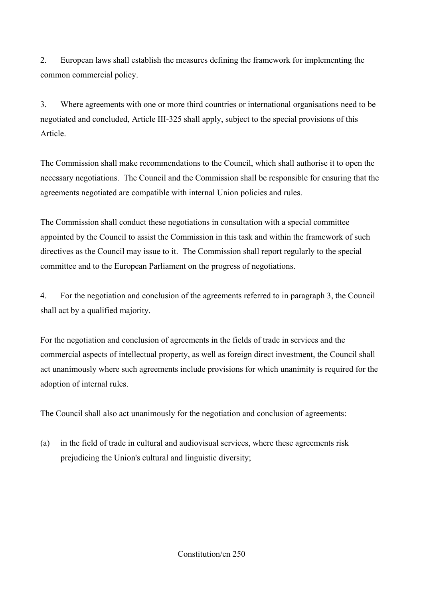2. European laws shall establish the measures defining the framework for implementing the common commercial policy.

3. Where agreements with one or more third countries or international organisations need to be negotiated and concluded, Article III-325 shall apply, subject to the special provisions of this Article.

The Commission shall make recommendations to the Council, which shall authorise it to open the necessary negotiations. The Council and the Commission shall be responsible for ensuring that the agreements negotiated are compatible with internal Union policies and rules.

The Commission shall conduct these negotiations in consultation with a special committee appointed by the Council to assist the Commission in this task and within the framework of such directives as the Council may issue to it. The Commission shall report regularly to the special committee and to the European Parliament on the progress of negotiations.

4. For the negotiation and conclusion of the agreements referred to in paragraph 3, the Council shall act by a qualified majority.

For the negotiation and conclusion of agreements in the fields of trade in services and the commercial aspects of intellectual property, as well as foreign direct investment, the Council shall act unanimously where such agreements include provisions for which unanimity is required for the adoption of internal rules.

The Council shall also act unanimously for the negotiation and conclusion of agreements:

(a) in the field of trade in cultural and audiovisual services, where these agreements risk prejudicing the Union's cultural and linguistic diversity;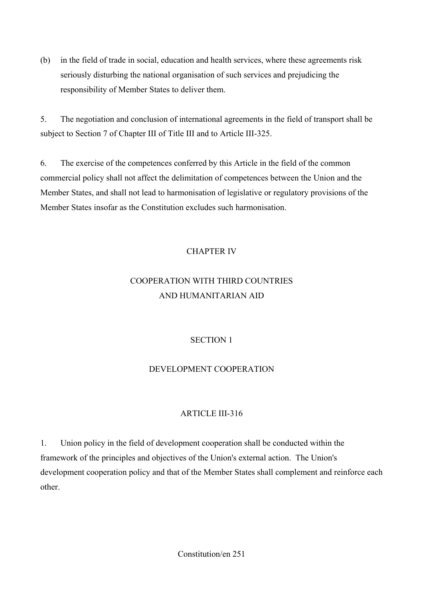(b) in the field of trade in social, education and health services, where these agreements risk seriously disturbing the national organisation of such services and prejudicing the responsibility of Member States to deliver them.

5. The negotiation and conclusion of international agreements in the field of transport shall be subject to Section 7 of Chapter III of Title III and to Article III-325.

6. The exercise of the competences conferred by this Article in the field of the common commercial policy shall not affect the delimitation of competences between the Union and the Member States, and shall not lead to harmonisation of legislative or regulatory provisions of the Member States insofar as the Constitution excludes such harmonisation.

# CHAPTER IV

# COOPERATION WITH THIRD COUNTRIES AND HUMANITARIAN AID

# SECTION 1

# DEVELOPMENT COOPERATION

# ARTICLE III-316

1. Union policy in the field of development cooperation shall be conducted within the framework of the principles and objectives of the Union's external action. The Union's development cooperation policy and that of the Member States shall complement and reinforce each other.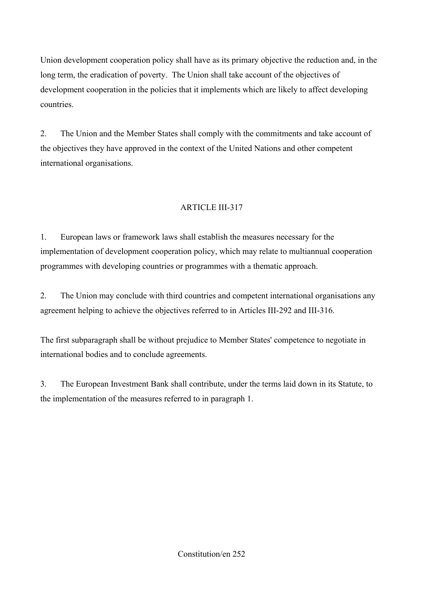Union development cooperation policy shall have as its primary objective the reduction and, in the long term, the eradication of poverty. The Union shall take account of the objectives of development cooperation in the policies that it implements which are likely to affect developing countries.

2. The Union and the Member States shall comply with the commitments and take account of the objectives they have approved in the context of the United Nations and other competent international organisations.

# ARTICLE III-317

1. European laws or framework laws shall establish the measures necessary for the implementation of development cooperation policy, which may relate to multiannual cooperation programmes with developing countries or programmes with a thematic approach.

2. The Union may conclude with third countries and competent international organisations any agreement helping to achieve the objectives referred to in Articles III-292 and III-316.

The first subparagraph shall be without prejudice to Member States' competence to negotiate in international bodies and to conclude agreements.

3. The European Investment Bank shall contribute, under the terms laid down in its Statute, to the implementation of the measures referred to in paragraph 1.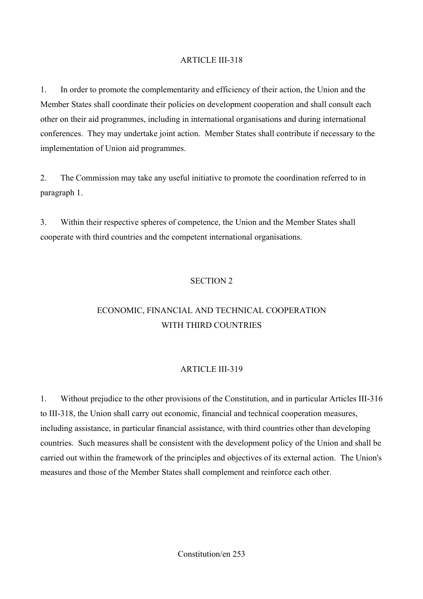1. In order to promote the complementarity and efficiency of their action, the Union and the Member States shall coordinate their policies on development cooperation and shall consult each other on their aid programmes, including in international organisations and during international conferences. They may undertake joint action. Member States shall contribute if necessary to the implementation of Union aid programmes.

2. The Commission may take any useful initiative to promote the coordination referred to in paragraph 1.

3. Within their respective spheres of competence, the Union and the Member States shall cooperate with third countries and the competent international organisations.

#### SECTION 2

# ECONOMIC, FINANCIAL AND TECHNICAL COOPERATION WITH THIRD COUNTRIES

#### ARTICLE III-319

1. Without prejudice to the other provisions of the Constitution, and in particular Articles III-316 to III-318, the Union shall carry out economic, financial and technical cooperation measures, including assistance, in particular financial assistance, with third countries other than developing countries. Such measures shall be consistent with the development policy of the Union and shall be carried out within the framework of the principles and objectives of its external action. The Union's measures and those of the Member States shall complement and reinforce each other.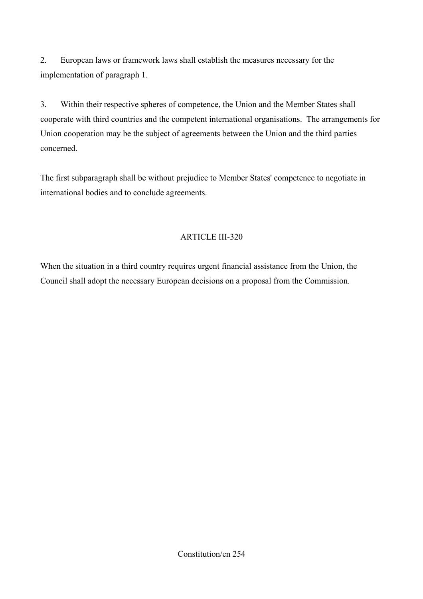2. European laws or framework laws shall establish the measures necessary for the implementation of paragraph 1.

3. Within their respective spheres of competence, the Union and the Member States shall cooperate with third countries and the competent international organisations. The arrangements for Union cooperation may be the subject of agreements between the Union and the third parties concerned.

The first subparagraph shall be without prejudice to Member States' competence to negotiate in international bodies and to conclude agreements.

### ARTICLE III-320

When the situation in a third country requires urgent financial assistance from the Union, the Council shall adopt the necessary European decisions on a proposal from the Commission.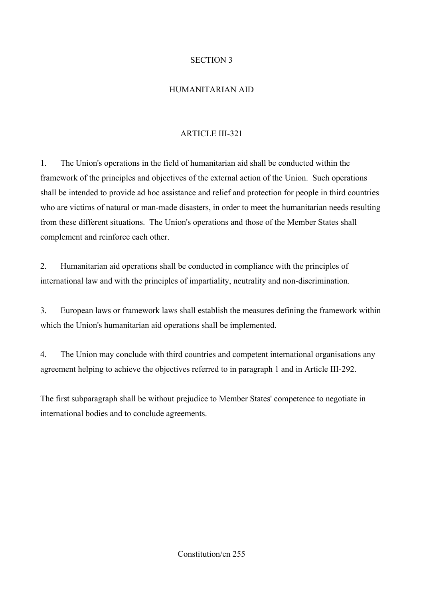#### SECTION 3

#### HUMANITARIAN AID

### ARTICLE III-321

1. The Union's operations in the field of humanitarian aid shall be conducted within the framework of the principles and objectives of the external action of the Union. Such operations shall be intended to provide ad hoc assistance and relief and protection for people in third countries who are victims of natural or man-made disasters, in order to meet the humanitarian needs resulting from these different situations. The Union's operations and those of the Member States shall complement and reinforce each other.

2. Humanitarian aid operations shall be conducted in compliance with the principles of international law and with the principles of impartiality, neutrality and non-discrimination.

3. European laws or framework laws shall establish the measures defining the framework within which the Union's humanitarian aid operations shall be implemented.

4. The Union may conclude with third countries and competent international organisations any agreement helping to achieve the objectives referred to in paragraph 1 and in Article III-292.

The first subparagraph shall be without prejudice to Member States' competence to negotiate in international bodies and to conclude agreements.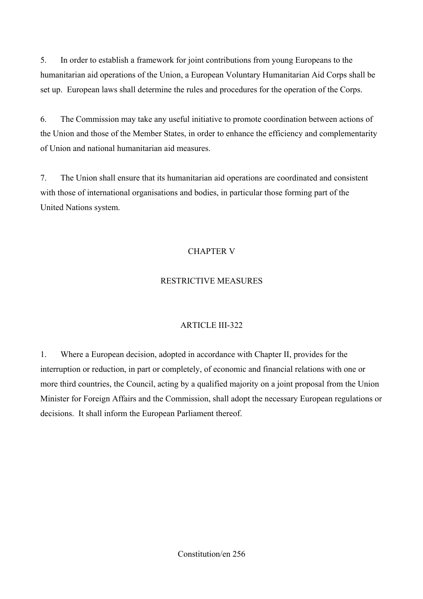5. In order to establish a framework for joint contributions from young Europeans to the humanitarian aid operations of the Union, a European Voluntary Humanitarian Aid Corps shall be set up. European laws shall determine the rules and procedures for the operation of the Corps.

6. The Commission may take any useful initiative to promote coordination between actions of the Union and those of the Member States, in order to enhance the efficiency and complementarity of Union and national humanitarian aid measures.

7. The Union shall ensure that its humanitarian aid operations are coordinated and consistent with those of international organisations and bodies, in particular those forming part of the United Nations system.

# CHAPTER V

# RESTRICTIVE MEASURES

# ARTICLE III-322

1. Where a European decision, adopted in accordance with Chapter II, provides for the interruption or reduction, in part or completely, of economic and financial relations with one or more third countries, the Council, acting by a qualified majority on a joint proposal from the Union Minister for Foreign Affairs and the Commission, shall adopt the necessary European regulations or decisions. It shall inform the European Parliament thereof.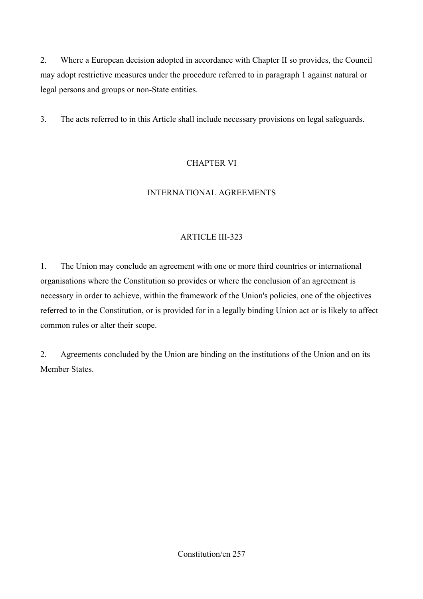2. Where a European decision adopted in accordance with Chapter II so provides, the Council may adopt restrictive measures under the procedure referred to in paragraph 1 against natural or legal persons and groups or non-State entities.

3. The acts referred to in this Article shall include necessary provisions on legal safeguards.

# CHAPTER VI

### INTERNATIONAL AGREEMENTS

### ARTICLE III-323

1. The Union may conclude an agreement with one or more third countries or international organisations where the Constitution so provides or where the conclusion of an agreement is necessary in order to achieve, within the framework of the Union's policies, one of the objectives referred to in the Constitution, or is provided for in a legally binding Union act or is likely to affect common rules or alter their scope.

2. Agreements concluded by the Union are binding on the institutions of the Union and on its Member States.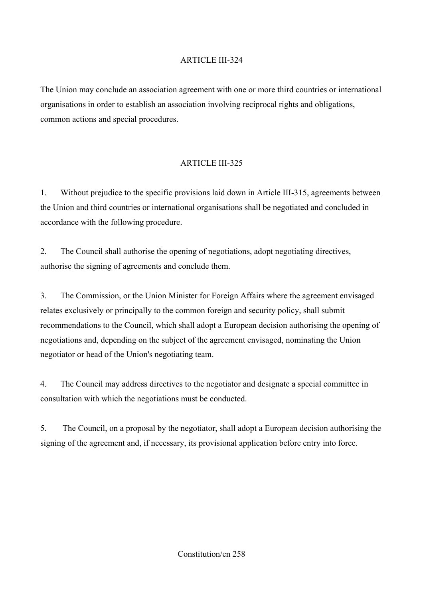The Union may conclude an association agreement with one or more third countries or international organisations in order to establish an association involving reciprocal rights and obligations, common actions and special procedures.

### ARTICLE III-325

1. Without prejudice to the specific provisions laid down in Article III-315, agreements between the Union and third countries or international organisations shall be negotiated and concluded in accordance with the following procedure.

2. The Council shall authorise the opening of negotiations, adopt negotiating directives, authorise the signing of agreements and conclude them.

3. The Commission, or the Union Minister for Foreign Affairs where the agreement envisaged relates exclusively or principally to the common foreign and security policy, shall submit recommendations to the Council, which shall adopt a European decision authorising the opening of negotiations and, depending on the subject of the agreement envisaged, nominating the Union negotiator or head of the Union's negotiating team.

4. The Council may address directives to the negotiator and designate a special committee in consultation with which the negotiations must be conducted.

5. The Council, on a proposal by the negotiator, shall adopt a European decision authorising the signing of the agreement and, if necessary, its provisional application before entry into force.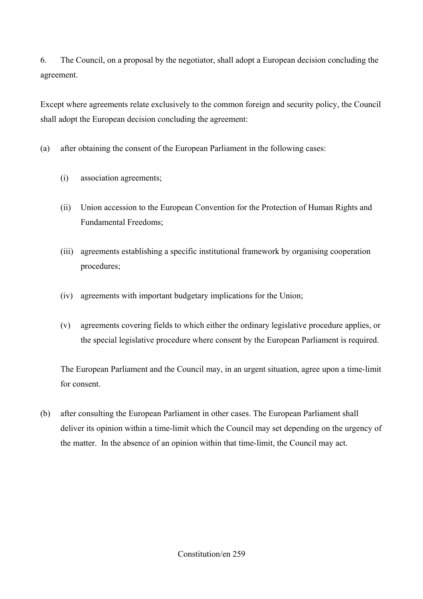6. The Council, on a proposal by the negotiator, shall adopt a European decision concluding the agreement.

Except where agreements relate exclusively to the common foreign and security policy, the Council shall adopt the European decision concluding the agreement:

- (a) after obtaining the consent of the European Parliament in the following cases:
	- (i) association agreements;
	- (ii) Union accession to the European Convention for the Protection of Human Rights and Fundamental Freedoms;
	- (iii) agreements establishing a specific institutional framework by organising cooperation procedures;
	- (iv) agreements with important budgetary implications for the Union;
	- (v) agreements covering fields to which either the ordinary legislative procedure applies, or the special legislative procedure where consent by the European Parliament is required.

The European Parliament and the Council may, in an urgent situation, agree upon a time-limit for consent.

(b) after consulting the European Parliament in other cases. The European Parliament shall deliver its opinion within a time-limit which the Council may set depending on the urgency of the matter. In the absence of an opinion within that time-limit, the Council may act.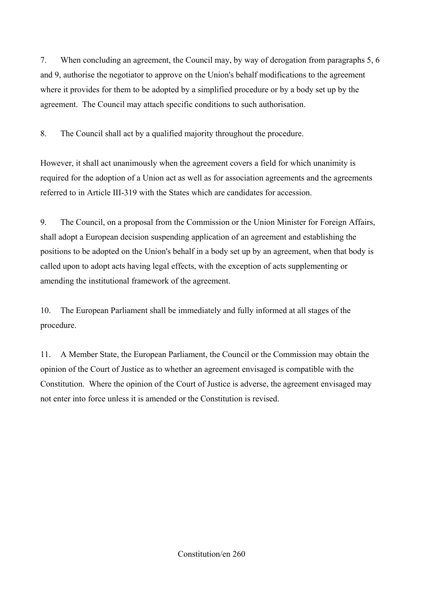7. When concluding an agreement, the Council may, by way of derogation from paragraphs 5, 6 and 9, authorise the negotiator to approve on the Union's behalf modifications to the agreement where it provides for them to be adopted by a simplified procedure or by a body set up by the agreement. The Council may attach specific conditions to such authorisation.

8. The Council shall act by a qualified majority throughout the procedure.

However, it shall act unanimously when the agreement covers a field for which unanimity is required for the adoption of a Union act as well as for association agreements and the agreements referred to in Article III-319 with the States which are candidates for accession.

9. The Council, on a proposal from the Commission or the Union Minister for Foreign Affairs, shall adopt a European decision suspending application of an agreement and establishing the positions to be adopted on the Union's behalf in a body set up by an agreement, when that body is called upon to adopt acts having legal effects, with the exception of acts supplementing or amending the institutional framework of the agreement.

10. The European Parliament shall be immediately and fully informed at all stages of the procedure.

11. A Member State, the European Parliament, the Council or the Commission may obtain the opinion of the Court of Justice as to whether an agreement envisaged is compatible with the Constitution. Where the opinion of the Court of Justice is adverse, the agreement envisaged may not enter into force unless it is amended or the Constitution is revised.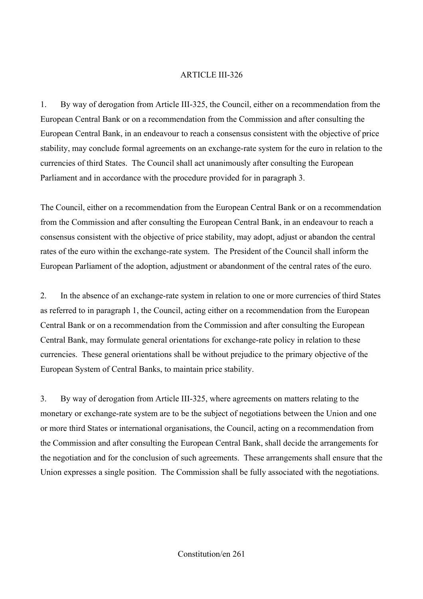1. By way of derogation from Article III-325, the Council, either on a recommendation from the European Central Bank or on a recommendation from the Commission and after consulting the European Central Bank, in an endeavour to reach a consensus consistent with the objective of price stability, may conclude formal agreements on an exchange-rate system for the euro in relation to the currencies of third States. The Council shall act unanimously after consulting the European Parliament and in accordance with the procedure provided for in paragraph 3.

The Council, either on a recommendation from the European Central Bank or on a recommendation from the Commission and after consulting the European Central Bank, in an endeavour to reach a consensus consistent with the objective of price stability, may adopt, adjust or abandon the central rates of the euro within the exchange-rate system. The President of the Council shall inform the European Parliament of the adoption, adjustment or abandonment of the central rates of the euro.

2. In the absence of an exchange-rate system in relation to one or more currencies of third States as referred to in paragraph 1, the Council, acting either on a recommendation from the European Central Bank or on a recommendation from the Commission and after consulting the European Central Bank, may formulate general orientations for exchange-rate policy in relation to these currencies. These general orientations shall be without prejudice to the primary objective of the European System of Central Banks, to maintain price stability.

3. By way of derogation from Article III-325, where agreements on matters relating to the monetary or exchange-rate system are to be the subject of negotiations between the Union and one or more third States or international organisations, the Council, acting on a recommendation from the Commission and after consulting the European Central Bank, shall decide the arrangements for the negotiation and for the conclusion of such agreements. These arrangements shall ensure that the Union expresses a single position. The Commission shall be fully associated with the negotiations.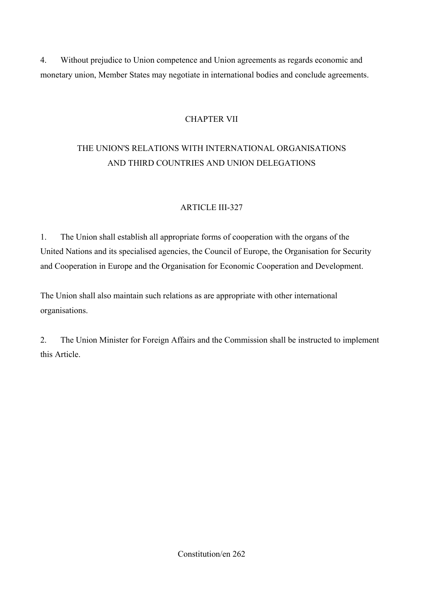4. Without prejudice to Union competence and Union agreements as regards economic and monetary union, Member States may negotiate in international bodies and conclude agreements.

### CHAPTER VII

# THE UNION'S RELATIONS WITH INTERNATIONAL ORGANISATIONS AND THIRD COUNTRIES AND UNION DELEGATIONS

# ARTICLE III-327

1. The Union shall establish all appropriate forms of cooperation with the organs of the United Nations and its specialised agencies, the Council of Europe, the Organisation for Security and Cooperation in Europe and the Organisation for Economic Cooperation and Development.

The Union shall also maintain such relations as are appropriate with other international organisations.

2. The Union Minister for Foreign Affairs and the Commission shall be instructed to implement this Article.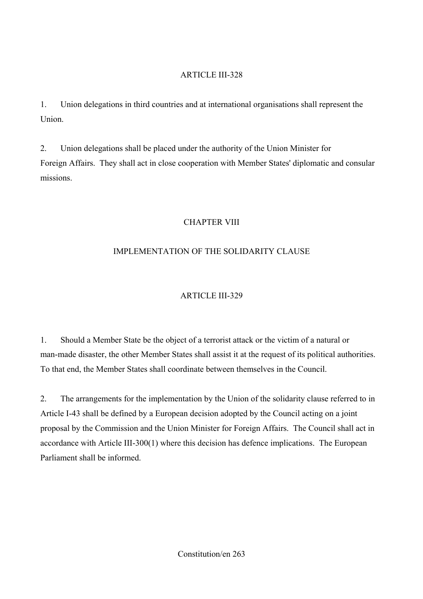1. Union delegations in third countries and at international organisations shall represent the Union.

2. Union delegations shall be placed under the authority of the Union Minister for Foreign Affairs. They shall act in close cooperation with Member States' diplomatic and consular missions.

# CHAPTER VIII

# IMPLEMENTATION OF THE SOLIDARITY CLAUSE

# ARTICLE III-329

1. Should a Member State be the object of a terrorist attack or the victim of a natural or man-made disaster, the other Member States shall assist it at the request of its political authorities. To that end, the Member States shall coordinate between themselves in the Council.

2. The arrangements for the implementation by the Union of the solidarity clause referred to in Article I-43 shall be defined by a European decision adopted by the Council acting on a joint proposal by the Commission and the Union Minister for Foreign Affairs. The Council shall act in accordance with Article III-300(1) where this decision has defence implications. The European Parliament shall be informed.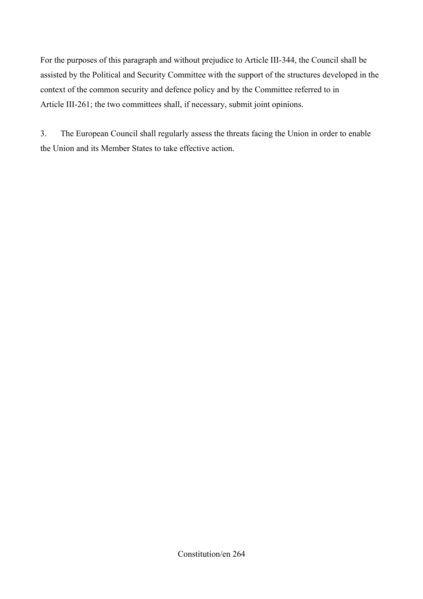For the purposes of this paragraph and without prejudice to Article III-344, the Council shall be assisted by the Political and Security Committee with the support of the structures developed in the context of the common security and defence policy and by the Committee referred to in Article III-261; the two committees shall, if necessary, submit joint opinions.

3. The European Council shall regularly assess the threats facing the Union in order to enable the Union and its Member States to take effective action.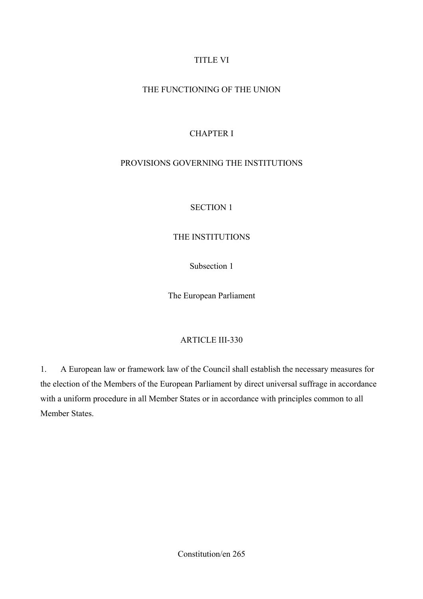# TITLE VI

# THE FUNCTIONING OF THE UNION

# CHAPTER I

# PROVISIONS GOVERNING THE INSTITUTIONS

# SECTION 1

# THE INSTITUTIONS

Subsection 1

The European Parliament

# ARTICLE III-330

1. A European law or framework law of the Council shall establish the necessary measures for the election of the Members of the European Parliament by direct universal suffrage in accordance with a uniform procedure in all Member States or in accordance with principles common to all Member States.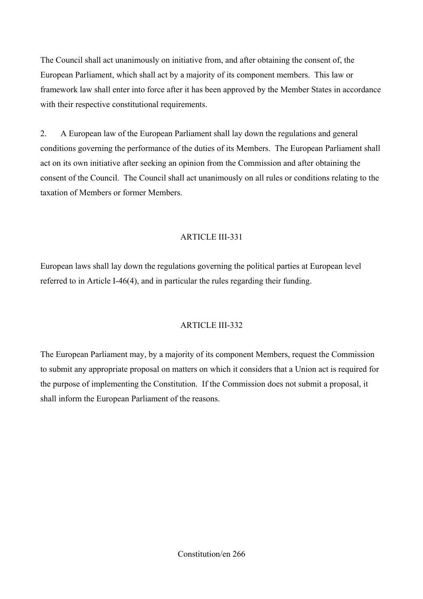The Council shall act unanimously on initiative from, and after obtaining the consent of, the European Parliament, which shall act by a majority of its component members. This law or framework law shall enter into force after it has been approved by the Member States in accordance with their respective constitutional requirements.

2. A European law of the European Parliament shall lay down the regulations and general conditions governing the performance of the duties of its Members. The European Parliament shall act on its own initiative after seeking an opinion from the Commission and after obtaining the consent of the Council. The Council shall act unanimously on all rules or conditions relating to the taxation of Members or former Members.

#### ARTICLE III-331

European laws shall lay down the regulations governing the political parties at European level referred to in Article I-46(4), and in particular the rules regarding their funding.

#### ARTICLE III-332

The European Parliament may, by a majority of its component Members, request the Commission to submit any appropriate proposal on matters on which it considers that a Union act is required for the purpose of implementing the Constitution. If the Commission does not submit a proposal, it shall inform the European Parliament of the reasons.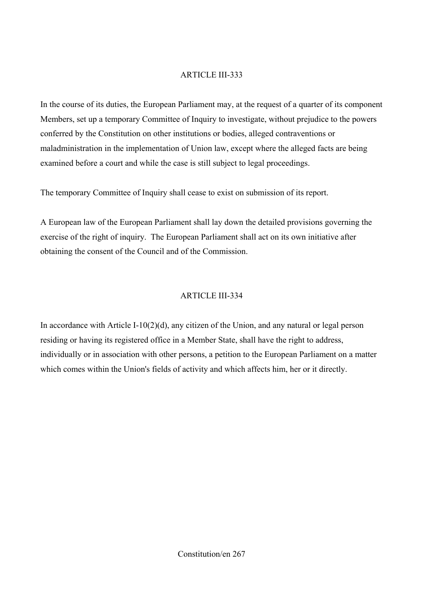In the course of its duties, the European Parliament may, at the request of a quarter of its component Members, set up a temporary Committee of Inquiry to investigate, without prejudice to the powers conferred by the Constitution on other institutions or bodies, alleged contraventions or maladministration in the implementation of Union law, except where the alleged facts are being examined before a court and while the case is still subject to legal proceedings.

The temporary Committee of Inquiry shall cease to exist on submission of its report.

A European law of the European Parliament shall lay down the detailed provisions governing the exercise of the right of inquiry. The European Parliament shall act on its own initiative after obtaining the consent of the Council and of the Commission.

#### ARTICLE III-334

In accordance with Article I-10(2)(d), any citizen of the Union, and any natural or legal person residing or having its registered office in a Member State, shall have the right to address, individually or in association with other persons, a petition to the European Parliament on a matter which comes within the Union's fields of activity and which affects him, her or it directly.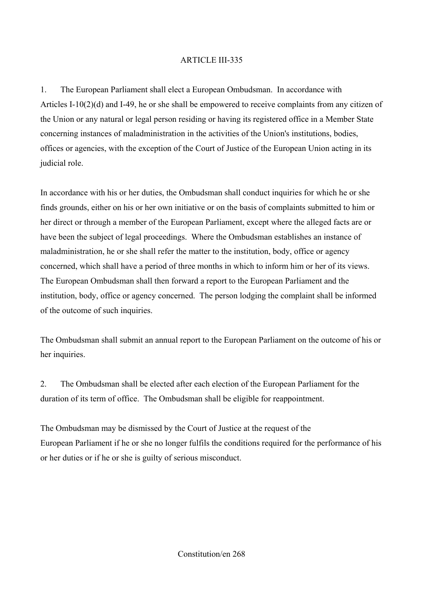1. The European Parliament shall elect a European Ombudsman. In accordance with Articles I-10(2)(d) and I-49, he or she shall be empowered to receive complaints from any citizen of the Union or any natural or legal person residing or having its registered office in a Member State concerning instances of maladministration in the activities of the Union's institutions, bodies, offices or agencies, with the exception of the Court of Justice of the European Union acting in its judicial role.

In accordance with his or her duties, the Ombudsman shall conduct inquiries for which he or she finds grounds, either on his or her own initiative or on the basis of complaints submitted to him or her direct or through a member of the European Parliament, except where the alleged facts are or have been the subject of legal proceedings. Where the Ombudsman establishes an instance of maladministration, he or she shall refer the matter to the institution, body, office or agency concerned, which shall have a period of three months in which to inform him or her of its views. The European Ombudsman shall then forward a report to the European Parliament and the institution, body, office or agency concerned. The person lodging the complaint shall be informed of the outcome of such inquiries.

The Ombudsman shall submit an annual report to the European Parliament on the outcome of his or her inquiries.

2. The Ombudsman shall be elected after each election of the European Parliament for the duration of its term of office. The Ombudsman shall be eligible for reappointment.

The Ombudsman may be dismissed by the Court of Justice at the request of the European Parliament if he or she no longer fulfils the conditions required for the performance of his or her duties or if he or she is guilty of serious misconduct.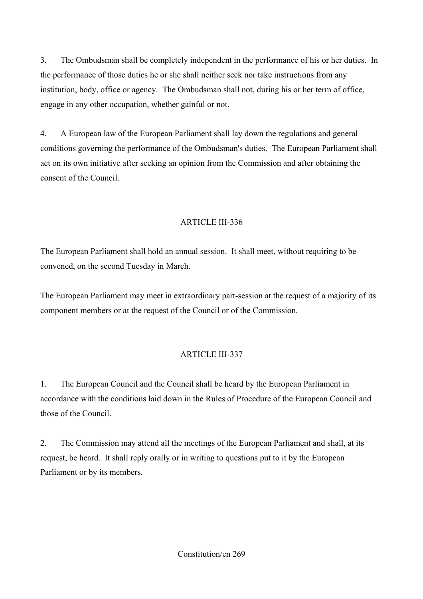3. The Ombudsman shall be completely independent in the performance of his or her duties. In the performance of those duties he or she shall neither seek nor take instructions from any institution, body, office or agency. The Ombudsman shall not, during his or her term of office, engage in any other occupation, whether gainful or not.

4. A European law of the European Parliament shall lay down the regulations and general conditions governing the performance of the Ombudsman's duties. The European Parliament shall act on its own initiative after seeking an opinion from the Commission and after obtaining the consent of the Council.

### ARTICLE III-336

The European Parliament shall hold an annual session. It shall meet, without requiring to be convened, on the second Tuesday in March.

The European Parliament may meet in extraordinary part-session at the request of a majority of its component members or at the request of the Council or of the Commission.

# ARTICLE III-337

1. The European Council and the Council shall be heard by the European Parliament in accordance with the conditions laid down in the Rules of Procedure of the European Council and those of the Council.

2. The Commission may attend all the meetings of the European Parliament and shall, at its request, be heard. It shall reply orally or in writing to questions put to it by the European Parliament or by its members.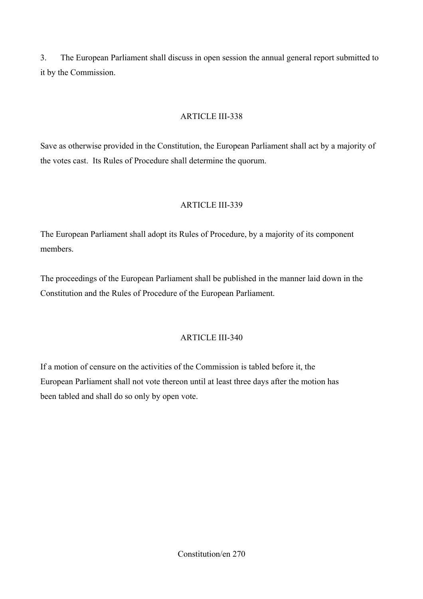3. The European Parliament shall discuss in open session the annual general report submitted to it by the Commission.

#### ARTICLE III-338

Save as otherwise provided in the Constitution, the European Parliament shall act by a majority of the votes cast. Its Rules of Procedure shall determine the quorum.

#### ARTICLE III-339

The European Parliament shall adopt its Rules of Procedure, by a majority of its component members.

The proceedings of the European Parliament shall be published in the manner laid down in the Constitution and the Rules of Procedure of the European Parliament.

#### ARTICLE III-340

If a motion of censure on the activities of the Commission is tabled before it, the European Parliament shall not vote thereon until at least three days after the motion has been tabled and shall do so only by open vote.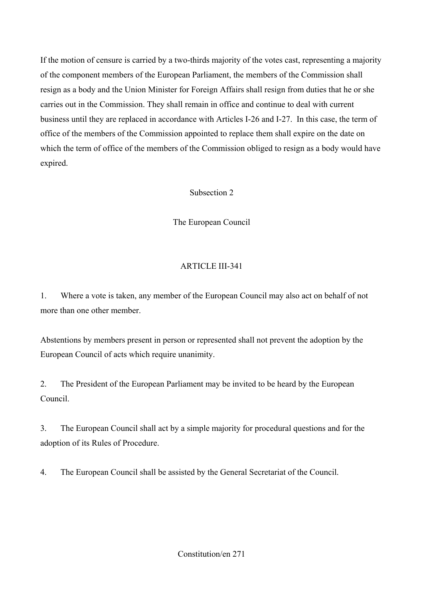If the motion of censure is carried by a two-thirds majority of the votes cast, representing a majority of the component members of the European Parliament, the members of the Commission shall resign as a body and the Union Minister for Foreign Affairs shall resign from duties that he or she carries out in the Commission. They shall remain in office and continue to deal with current business until they are replaced in accordance with Articles I-26 and I-27. In this case, the term of office of the members of the Commission appointed to replace them shall expire on the date on which the term of office of the members of the Commission obliged to resign as a body would have expired.

#### Subsection 2

The European Council

### ARTICLE III-341

1. Where a vote is taken, any member of the European Council may also act on behalf of not more than one other member.

Abstentions by members present in person or represented shall not prevent the adoption by the European Council of acts which require unanimity.

2. The President of the European Parliament may be invited to be heard by the European Council.

3. The European Council shall act by a simple majority for procedural questions and for the adoption of its Rules of Procedure.

4. The European Council shall be assisted by the General Secretariat of the Council.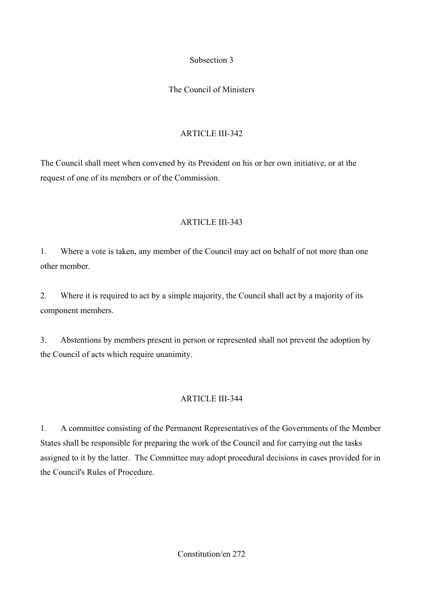Subsection 3

The Council of Ministers

### ARTICLE III-342

The Council shall meet when convened by its President on his or her own initiative, or at the request of one of its members or of the Commission.

# ARTICLE III-343

1. Where a vote is taken, any member of the Council may act on behalf of not more than one other member.

2. Where it is required to act by a simple majority, the Council shall act by a majority of its component members.

3. Abstentions by members present in person or represented shall not prevent the adoption by the Council of acts which require unanimity.

# ARTICLE III-344

1. A committee consisting of the Permanent Representatives of the Governments of the Member States shall be responsible for preparing the work of the Council and for carrying out the tasks assigned to it by the latter. The Committee may adopt procedural decisions in cases provided for in the Council's Rules of Procedure.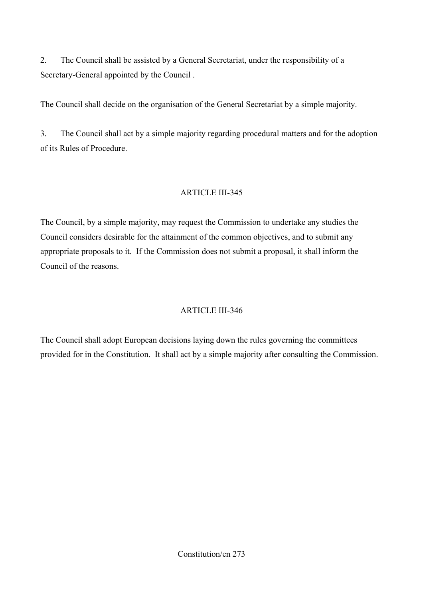2. The Council shall be assisted by a General Secretariat, under the responsibility of a Secretary-General appointed by the Council .

The Council shall decide on the organisation of the General Secretariat by a simple majority.

3. The Council shall act by a simple majority regarding procedural matters and for the adoption of its Rules of Procedure.

# ARTICLE III-345

The Council, by a simple majority, may request the Commission to undertake any studies the Council considers desirable for the attainment of the common objectives, and to submit any appropriate proposals to it. If the Commission does not submit a proposal, it shall inform the Council of the reasons.

# ARTICLE III-346

The Council shall adopt European decisions laying down the rules governing the committees provided for in the Constitution. It shall act by a simple majority after consulting the Commission.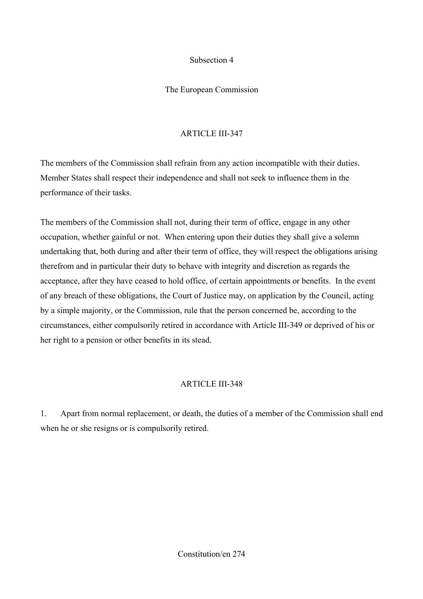#### Subsection 4

The European Commission

#### ARTICLE III-347

The members of the Commission shall refrain from any action incompatible with their duties. Member States shall respect their independence and shall not seek to influence them in the performance of their tasks.

The members of the Commission shall not, during their term of office, engage in any other occupation, whether gainful or not. When entering upon their duties they shall give a solemn undertaking that, both during and after their term of office, they will respect the obligations arising therefrom and in particular their duty to behave with integrity and discretion as regards the acceptance, after they have ceased to hold office, of certain appointments or benefits. In the event of any breach of these obligations, the Court of Justice may, on application by the Council, acting by a simple majority, or the Commission, rule that the person concerned be, according to the circumstances, either compulsorily retired in accordance with Article III-349 or deprived of his or her right to a pension or other benefits in its stead.

# ARTICLE III-348

1. Apart from normal replacement, or death, the duties of a member of the Commission shall end when he or she resigns or is compulsorily retired.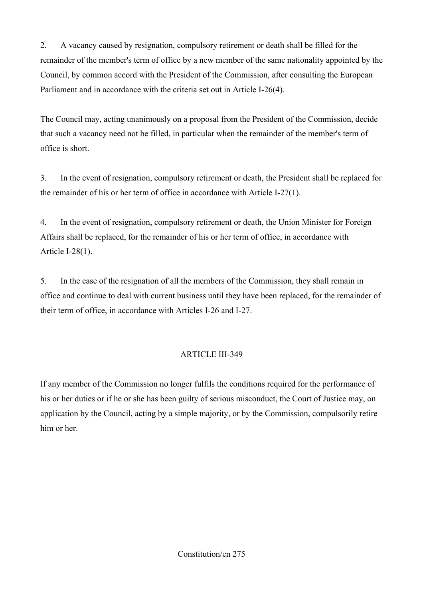2. A vacancy caused by resignation, compulsory retirement or death shall be filled for the remainder of the member's term of office by a new member of the same nationality appointed by the Council, by common accord with the President of the Commission, after consulting the European Parliament and in accordance with the criteria set out in Article I-26(4).

The Council may, acting unanimously on a proposal from the President of the Commission, decide that such a vacancy need not be filled, in particular when the remainder of the member's term of office is short.

3. In the event of resignation, compulsory retirement or death, the President shall be replaced for the remainder of his or her term of office in accordance with Article I-27(1).

4. In the event of resignation, compulsory retirement or death, the Union Minister for Foreign Affairs shall be replaced, for the remainder of his or her term of office, in accordance with Article I-28(1).

5. In the case of the resignation of all the members of the Commission, they shall remain in office and continue to deal with current business until they have been replaced, for the remainder of their term of office, in accordance with Articles I-26 and I-27.

#### ARTICLE III-349

If any member of the Commission no longer fulfils the conditions required for the performance of his or her duties or if he or she has been guilty of serious misconduct, the Court of Justice may, on application by the Council, acting by a simple majority, or by the Commission, compulsorily retire him or her.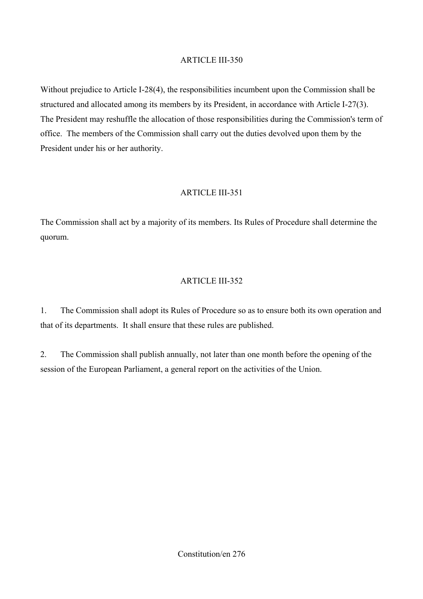Without prejudice to Article I-28(4), the responsibilities incumbent upon the Commission shall be structured and allocated among its members by its President, in accordance with Article I-27(3). The President may reshuffle the allocation of those responsibilities during the Commission's term of office. The members of the Commission shall carry out the duties devolved upon them by the President under his or her authority.

### ARTICLE III-351

The Commission shall act by a majority of its members. Its Rules of Procedure shall determine the quorum.

# ARTICLE III-352

1. The Commission shall adopt its Rules of Procedure so as to ensure both its own operation and that of its departments. It shall ensure that these rules are published.

2. The Commission shall publish annually, not later than one month before the opening of the session of the European Parliament, a general report on the activities of the Union.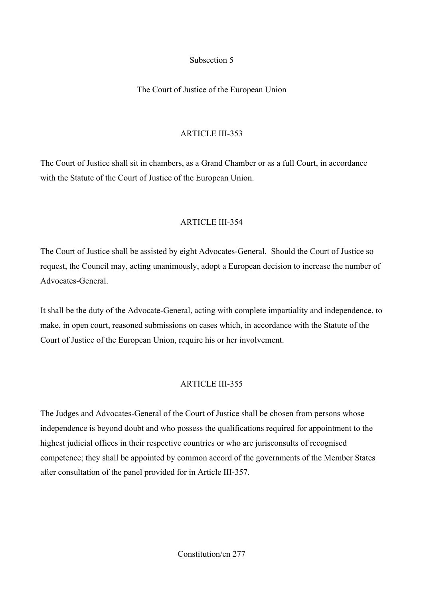#### Subsection 5

#### The Court of Justice of the European Union

#### ARTICLE III-353

The Court of Justice shall sit in chambers, as a Grand Chamber or as a full Court, in accordance with the Statute of the Court of Justice of the European Union.

#### ARTICLE III-354

The Court of Justice shall be assisted by eight Advocates-General. Should the Court of Justice so request, the Council may, acting unanimously, adopt a European decision to increase the number of Advocates-General.

It shall be the duty of the Advocate-General, acting with complete impartiality and independence, to make, in open court, reasoned submissions on cases which, in accordance with the Statute of the Court of Justice of the European Union, require his or her involvement.

#### ARTICLE III-355

The Judges and Advocates-General of the Court of Justice shall be chosen from persons whose independence is beyond doubt and who possess the qualifications required for appointment to the highest judicial offices in their respective countries or who are jurisconsults of recognised competence; they shall be appointed by common accord of the governments of the Member States after consultation of the panel provided for in Article III-357.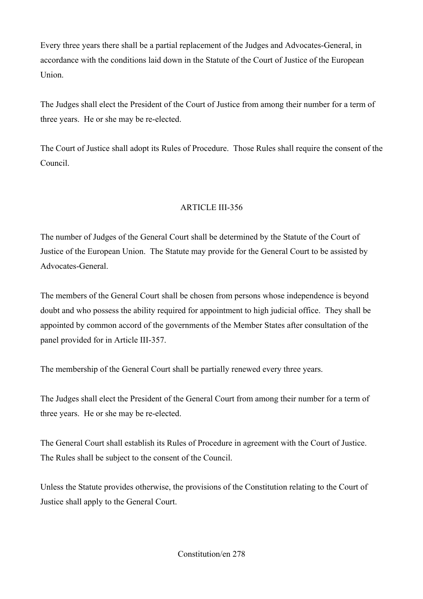Every three years there shall be a partial replacement of the Judges and Advocates-General, in accordance with the conditions laid down in the Statute of the Court of Justice of the European Union.

The Judges shall elect the President of the Court of Justice from among their number for a term of three years. He or she may be re-elected.

The Court of Justice shall adopt its Rules of Procedure. Those Rules shall require the consent of the Council.

# ARTICLE III-356

The number of Judges of the General Court shall be determined by the Statute of the Court of Justice of the European Union. The Statute may provide for the General Court to be assisted by Advocates-General.

The members of the General Court shall be chosen from persons whose independence is beyond doubt and who possess the ability required for appointment to high judicial office. They shall be appointed by common accord of the governments of the Member States after consultation of the panel provided for in Article III-357.

The membership of the General Court shall be partially renewed every three years.

The Judges shall elect the President of the General Court from among their number for a term of three years. He or she may be re-elected.

The General Court shall establish its Rules of Procedure in agreement with the Court of Justice. The Rules shall be subject to the consent of the Council.

Unless the Statute provides otherwise, the provisions of the Constitution relating to the Court of Justice shall apply to the General Court.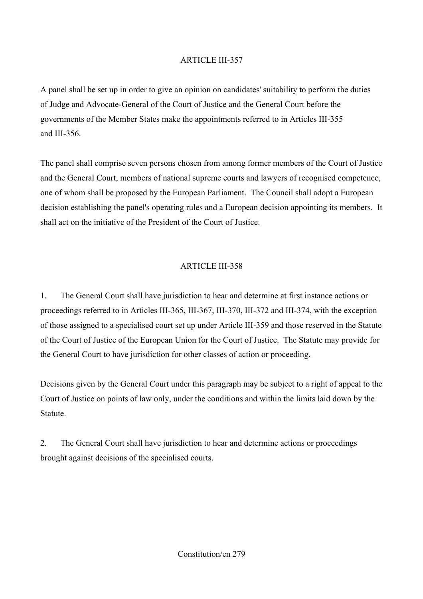A panel shall be set up in order to give an opinion on candidates' suitability to perform the duties of Judge and Advocate-General of the Court of Justice and the General Court before the governments of the Member States make the appointments referred to in Articles III-355 and III-356.

The panel shall comprise seven persons chosen from among former members of the Court of Justice and the General Court, members of national supreme courts and lawyers of recognised competence, one of whom shall be proposed by the European Parliament. The Council shall adopt a European decision establishing the panel's operating rules and a European decision appointing its members. It shall act on the initiative of the President of the Court of Justice.

### ARTICLE III-358

1. The General Court shall have jurisdiction to hear and determine at first instance actions or proceedings referred to in Articles III-365, III-367, III-370, III-372 and III-374, with the exception of those assigned to a specialised court set up under Article III-359 and those reserved in the Statute of the Court of Justice of the European Union for the Court of Justice. The Statute may provide for the General Court to have jurisdiction for other classes of action or proceeding.

Decisions given by the General Court under this paragraph may be subject to a right of appeal to the Court of Justice on points of law only, under the conditions and within the limits laid down by the Statute.

2. The General Court shall have jurisdiction to hear and determine actions or proceedings brought against decisions of the specialised courts.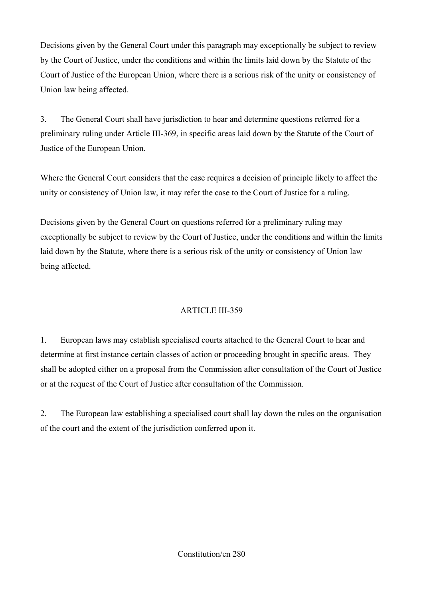Decisions given by the General Court under this paragraph may exceptionally be subject to review by the Court of Justice, under the conditions and within the limits laid down by the Statute of the Court of Justice of the European Union, where there is a serious risk of the unity or consistency of Union law being affected.

3. The General Court shall have jurisdiction to hear and determine questions referred for a preliminary ruling under Article III-369, in specific areas laid down by the Statute of the Court of Justice of the European Union.

Where the General Court considers that the case requires a decision of principle likely to affect the unity or consistency of Union law, it may refer the case to the Court of Justice for a ruling.

Decisions given by the General Court on questions referred for a preliminary ruling may exceptionally be subject to review by the Court of Justice, under the conditions and within the limits laid down by the Statute, where there is a serious risk of the unity or consistency of Union law being affected.

# ARTICLE III-359

1. European laws may establish specialised courts attached to the General Court to hear and determine at first instance certain classes of action or proceeding brought in specific areas. They shall be adopted either on a proposal from the Commission after consultation of the Court of Justice or at the request of the Court of Justice after consultation of the Commission.

2. The European law establishing a specialised court shall lay down the rules on the organisation of the court and the extent of the jurisdiction conferred upon it.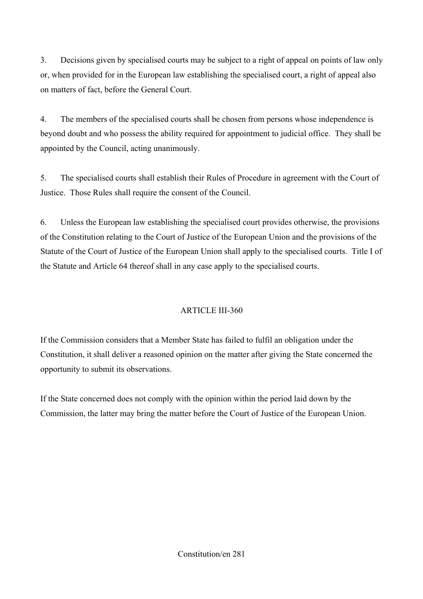3. Decisions given by specialised courts may be subject to a right of appeal on points of law only or, when provided for in the European law establishing the specialised court, a right of appeal also on matters of fact, before the General Court.

4. The members of the specialised courts shall be chosen from persons whose independence is beyond doubt and who possess the ability required for appointment to judicial office. They shall be appointed by the Council, acting unanimously.

5. The specialised courts shall establish their Rules of Procedure in agreement with the Court of Justice. Those Rules shall require the consent of the Council.

6. Unless the European law establishing the specialised court provides otherwise, the provisions of the Constitution relating to the Court of Justice of the European Union and the provisions of the Statute of the Court of Justice of the European Union shall apply to the specialised courts. Title I of the Statute and Article 64 thereof shall in any case apply to the specialised courts.

# ARTICLE III-360

If the Commission considers that a Member State has failed to fulfil an obligation under the Constitution, it shall deliver a reasoned opinion on the matter after giving the State concerned the opportunity to submit its observations.

If the State concerned does not comply with the opinion within the period laid down by the Commission, the latter may bring the matter before the Court of Justice of the European Union.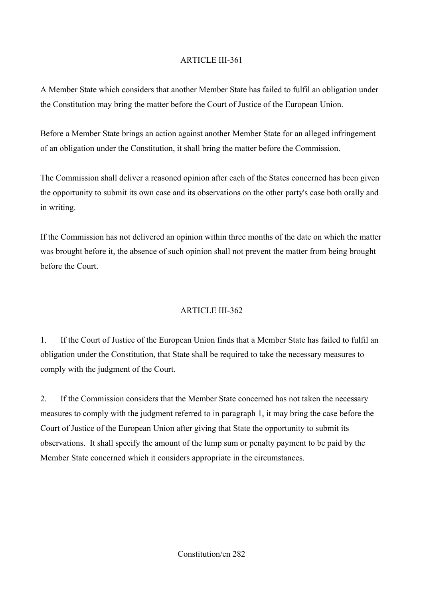A Member State which considers that another Member State has failed to fulfil an obligation under the Constitution may bring the matter before the Court of Justice of the European Union.

Before a Member State brings an action against another Member State for an alleged infringement of an obligation under the Constitution, it shall bring the matter before the Commission.

The Commission shall deliver a reasoned opinion after each of the States concerned has been given the opportunity to submit its own case and its observations on the other party's case both orally and in writing.

If the Commission has not delivered an opinion within three months of the date on which the matter was brought before it, the absence of such opinion shall not prevent the matter from being brought before the Court.

### ARTICLE III-362

1. If the Court of Justice of the European Union finds that a Member State has failed to fulfil an obligation under the Constitution, that State shall be required to take the necessary measures to comply with the judgment of the Court.

2. If the Commission considers that the Member State concerned has not taken the necessary measures to comply with the judgment referred to in paragraph 1, it may bring the case before the Court of Justice of the European Union after giving that State the opportunity to submit its observations. It shall specify the amount of the lump sum or penalty payment to be paid by the Member State concerned which it considers appropriate in the circumstances.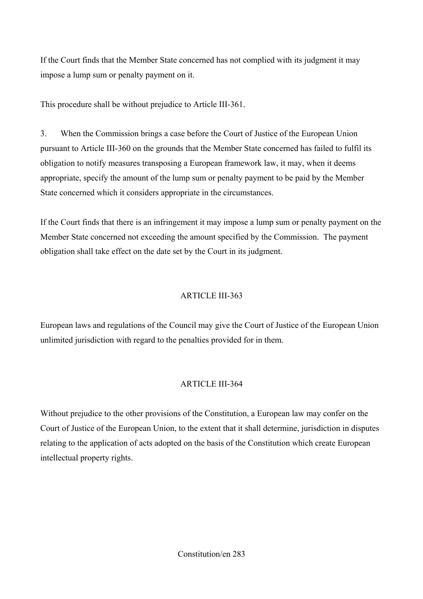If the Court finds that the Member State concerned has not complied with its judgment it may impose a lump sum or penalty payment on it.

This procedure shall be without prejudice to Article III-361.

3. When the Commission brings a case before the Court of Justice of the European Union pursuant to Article III-360 on the grounds that the Member State concerned has failed to fulfil its obligation to notify measures transposing a European framework law, it may, when it deems appropriate, specify the amount of the lump sum or penalty payment to be paid by the Member State concerned which it considers appropriate in the circumstances.

If the Court finds that there is an infringement it may impose a lump sum or penalty payment on the Member State concerned not exceeding the amount specified by the Commission. The payment obligation shall take effect on the date set by the Court in its judgment.

# ARTICLE III-363

European laws and regulations of the Council may give the Court of Justice of the European Union unlimited jurisdiction with regard to the penalties provided for in them.

# ARTICLE III-364

Without prejudice to the other provisions of the Constitution, a European law may confer on the Court of Justice of the European Union, to the extent that it shall determine, jurisdiction in disputes relating to the application of acts adopted on the basis of the Constitution which create European intellectual property rights.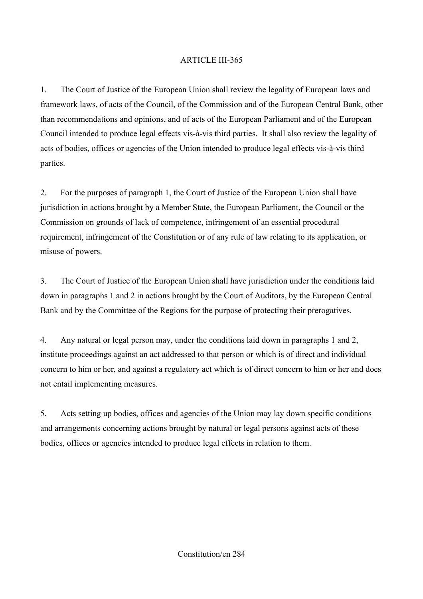1. The Court of Justice of the European Union shall review the legality of European laws and framework laws, of acts of the Council, of the Commission and of the European Central Bank, other than recommendations and opinions, and of acts of the European Parliament and of the European Council intended to produce legal effects vis-à-vis third parties. It shall also review the legality of acts of bodies, offices or agencies of the Union intended to produce legal effects vis-à-vis third parties.

2. For the purposes of paragraph 1, the Court of Justice of the European Union shall have jurisdiction in actions brought by a Member State, the European Parliament, the Council or the Commission on grounds of lack of competence, infringement of an essential procedural requirement, infringement of the Constitution or of any rule of law relating to its application, or misuse of powers.

3. The Court of Justice of the European Union shall have jurisdiction under the conditions laid down in paragraphs 1 and 2 in actions brought by the Court of Auditors, by the European Central Bank and by the Committee of the Regions for the purpose of protecting their prerogatives.

4. Any natural or legal person may, under the conditions laid down in paragraphs 1 and 2, institute proceedings against an act addressed to that person or which is of direct and individual concern to him or her, and against a regulatory act which is of direct concern to him or her and does not entail implementing measures.

5. Acts setting up bodies, offices and agencies of the Union may lay down specific conditions and arrangements concerning actions brought by natural or legal persons against acts of these bodies, offices or agencies intended to produce legal effects in relation to them.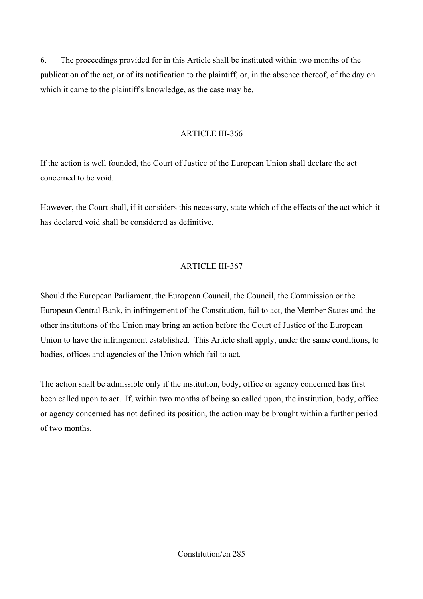6. The proceedings provided for in this Article shall be instituted within two months of the publication of the act, or of its notification to the plaintiff, or, in the absence thereof, of the day on which it came to the plaintiff's knowledge, as the case may be.

### ARTICLE III-366

If the action is well founded, the Court of Justice of the European Union shall declare the act concerned to be void.

However, the Court shall, if it considers this necessary, state which of the effects of the act which it has declared void shall be considered as definitive.

# ARTICLE III-367

Should the European Parliament, the European Council, the Council, the Commission or the European Central Bank, in infringement of the Constitution, fail to act, the Member States and the other institutions of the Union may bring an action before the Court of Justice of the European Union to have the infringement established. This Article shall apply, under the same conditions, to bodies, offices and agencies of the Union which fail to act.

The action shall be admissible only if the institution, body, office or agency concerned has first been called upon to act. If, within two months of being so called upon, the institution, body, office or agency concerned has not defined its position, the action may be brought within a further period of two months.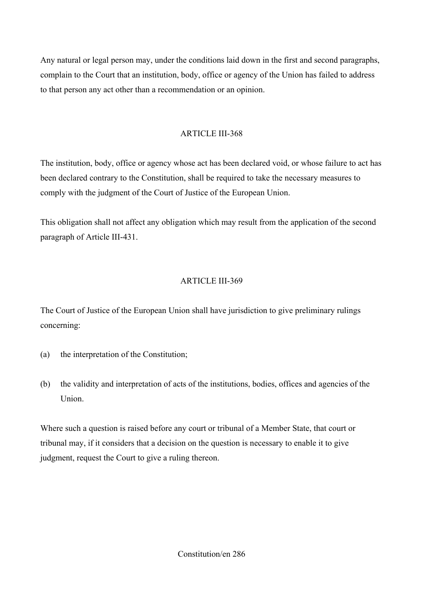Any natural or legal person may, under the conditions laid down in the first and second paragraphs, complain to the Court that an institution, body, office or agency of the Union has failed to address to that person any act other than a recommendation or an opinion.

### ARTICLE III-368

The institution, body, office or agency whose act has been declared void, or whose failure to act has been declared contrary to the Constitution, shall be required to take the necessary measures to comply with the judgment of the Court of Justice of the European Union.

This obligation shall not affect any obligation which may result from the application of the second paragraph of Article III-431.

### ARTICLE III-369

The Court of Justice of the European Union shall have jurisdiction to give preliminary rulings concerning:

- (a) the interpretation of the Constitution;
- (b) the validity and interpretation of acts of the institutions, bodies, offices and agencies of the Union.

Where such a question is raised before any court or tribunal of a Member State, that court or tribunal may, if it considers that a decision on the question is necessary to enable it to give judgment, request the Court to give a ruling thereon.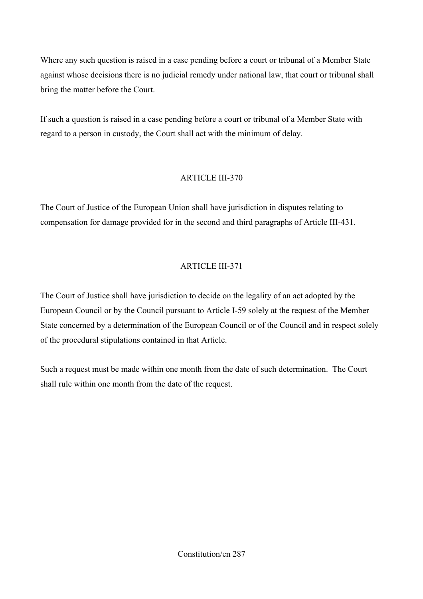Where any such question is raised in a case pending before a court or tribunal of a Member State against whose decisions there is no judicial remedy under national law, that court or tribunal shall bring the matter before the Court.

If such a question is raised in a case pending before a court or tribunal of a Member State with regard to a person in custody, the Court shall act with the minimum of delay.

# ARTICLE III-370

The Court of Justice of the European Union shall have jurisdiction in disputes relating to compensation for damage provided for in the second and third paragraphs of Article III-431.

# ARTICLE III-371

The Court of Justice shall have jurisdiction to decide on the legality of an act adopted by the European Council or by the Council pursuant to Article I-59 solely at the request of the Member State concerned by a determination of the European Council or of the Council and in respect solely of the procedural stipulations contained in that Article.

Such a request must be made within one month from the date of such determination. The Court shall rule within one month from the date of the request.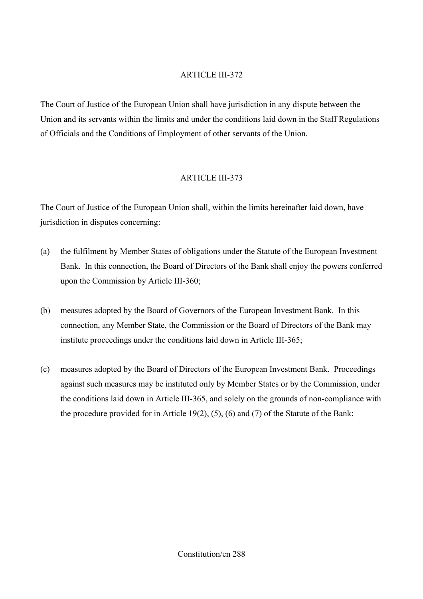The Court of Justice of the European Union shall have jurisdiction in any dispute between the Union and its servants within the limits and under the conditions laid down in the Staff Regulations of Officials and the Conditions of Employment of other servants of the Union.

#### ARTICLE III-373

The Court of Justice of the European Union shall, within the limits hereinafter laid down, have jurisdiction in disputes concerning:

- (a) the fulfilment by Member States of obligations under the Statute of the European Investment Bank. In this connection, the Board of Directors of the Bank shall enjoy the powers conferred upon the Commission by Article III-360;
- (b) measures adopted by the Board of Governors of the European Investment Bank. In this connection, any Member State, the Commission or the Board of Directors of the Bank may institute proceedings under the conditions laid down in Article III-365;
- (c) measures adopted by the Board of Directors of the European Investment Bank. Proceedings against such measures may be instituted only by Member States or by the Commission, under the conditions laid down in Article III-365, and solely on the grounds of non-compliance with the procedure provided for in Article 19(2), (5), (6) and (7) of the Statute of the Bank;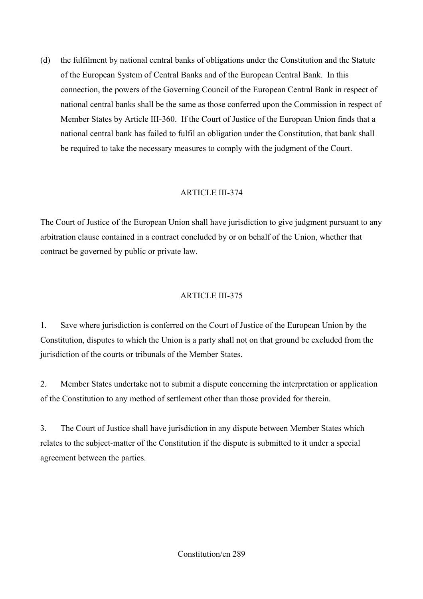(d) the fulfilment by national central banks of obligations under the Constitution and the Statute of the European System of Central Banks and of the European Central Bank. In this connection, the powers of the Governing Council of the European Central Bank in respect of national central banks shall be the same as those conferred upon the Commission in respect of Member States by Article III-360. If the Court of Justice of the European Union finds that a national central bank has failed to fulfil an obligation under the Constitution, that bank shall be required to take the necessary measures to comply with the judgment of the Court.

# ARTICLE III-374

The Court of Justice of the European Union shall have jurisdiction to give judgment pursuant to any arbitration clause contained in a contract concluded by or on behalf of the Union, whether that contract be governed by public or private law.

# ARTICLE III-375

1. Save where jurisdiction is conferred on the Court of Justice of the European Union by the Constitution, disputes to which the Union is a party shall not on that ground be excluded from the jurisdiction of the courts or tribunals of the Member States.

2. Member States undertake not to submit a dispute concerning the interpretation or application of the Constitution to any method of settlement other than those provided for therein.

3. The Court of Justice shall have jurisdiction in any dispute between Member States which relates to the subject-matter of the Constitution if the dispute is submitted to it under a special agreement between the parties.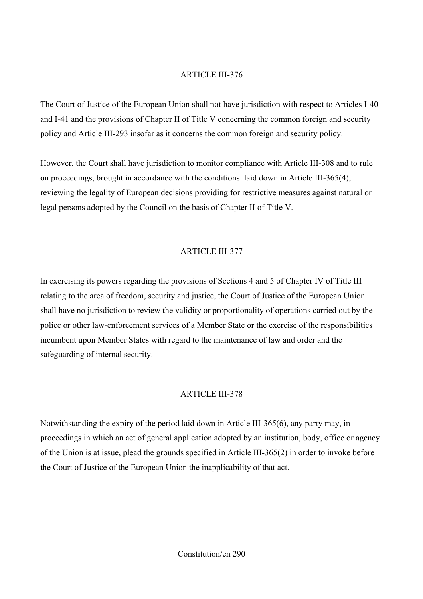The Court of Justice of the European Union shall not have jurisdiction with respect to Articles I-40 and I-41 and the provisions of Chapter II of Title V concerning the common foreign and security policy and Article III-293 insofar as it concerns the common foreign and security policy.

However, the Court shall have jurisdiction to monitor compliance with Article III-308 and to rule on proceedings, brought in accordance with the conditions laid down in Article III-365(4), reviewing the legality of European decisions providing for restrictive measures against natural or legal persons adopted by the Council on the basis of Chapter II of Title V.

#### ARTICLE III-377

In exercising its powers regarding the provisions of Sections 4 and 5 of Chapter IV of Title III relating to the area of freedom, security and justice, the Court of Justice of the European Union shall have no jurisdiction to review the validity or proportionality of operations carried out by the police or other law-enforcement services of a Member State or the exercise of the responsibilities incumbent upon Member States with regard to the maintenance of law and order and the safeguarding of internal security.

### ARTICLE III-378

Notwithstanding the expiry of the period laid down in Article III-365(6), any party may, in proceedings in which an act of general application adopted by an institution, body, office or agency of the Union is at issue, plead the grounds specified in Article III-365(2) in order to invoke before the Court of Justice of the European Union the inapplicability of that act.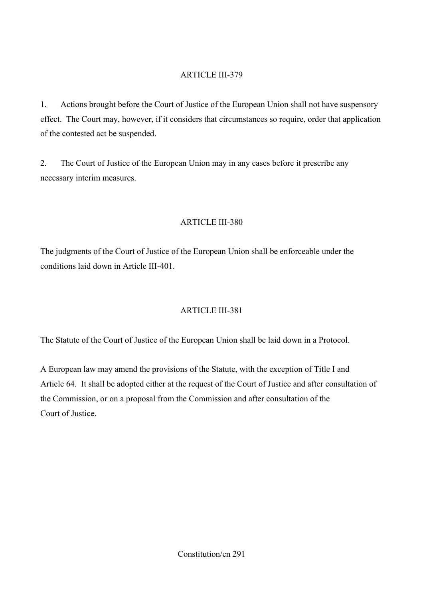1. Actions brought before the Court of Justice of the European Union shall not have suspensory effect. The Court may, however, if it considers that circumstances so require, order that application of the contested act be suspended.

2. The Court of Justice of the European Union may in any cases before it prescribe any necessary interim measures.

# ARTICLE III-380

The judgments of the Court of Justice of the European Union shall be enforceable under the conditions laid down in Article III-401.

# ARTICLE III-381

The Statute of the Court of Justice of the European Union shall be laid down in a Protocol.

A European law may amend the provisions of the Statute, with the exception of Title I and Article 64. It shall be adopted either at the request of the Court of Justice and after consultation of the Commission, or on a proposal from the Commission and after consultation of the Court of Justice.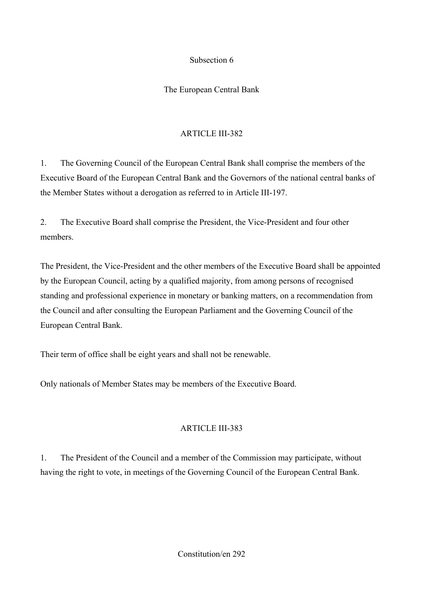#### Subsection 6

The European Central Bank

# ARTICLE III-382

1. The Governing Council of the European Central Bank shall comprise the members of the Executive Board of the European Central Bank and the Governors of the national central banks of the Member States without a derogation as referred to in Article III-197.

2. The Executive Board shall comprise the President, the Vice-President and four other members.

The President, the Vice-President and the other members of the Executive Board shall be appointed by the European Council, acting by a qualified majority, from among persons of recognised standing and professional experience in monetary or banking matters, on a recommendation from the Council and after consulting the European Parliament and the Governing Council of the European Central Bank.

Their term of office shall be eight years and shall not be renewable.

Only nationals of Member States may be members of the Executive Board.

# ARTICLE III-383

1. The President of the Council and a member of the Commission may participate, without having the right to vote, in meetings of the Governing Council of the European Central Bank.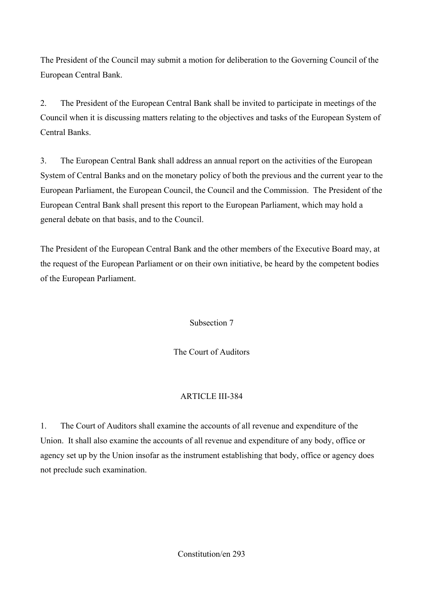The President of the Council may submit a motion for deliberation to the Governing Council of the European Central Bank.

2. The President of the European Central Bank shall be invited to participate in meetings of the Council when it is discussing matters relating to the objectives and tasks of the European System of Central Banks.

3. The European Central Bank shall address an annual report on the activities of the European System of Central Banks and on the monetary policy of both the previous and the current year to the European Parliament, the European Council, the Council and the Commission. The President of the European Central Bank shall present this report to the European Parliament, which may hold a general debate on that basis, and to the Council.

The President of the European Central Bank and the other members of the Executive Board may, at the request of the European Parliament or on their own initiative, be heard by the competent bodies of the European Parliament.

Subsection 7

The Court of Auditors

# ARTICLE III-384

1. The Court of Auditors shall examine the accounts of all revenue and expenditure of the Union. It shall also examine the accounts of all revenue and expenditure of any body, office or agency set up by the Union insofar as the instrument establishing that body, office or agency does not preclude such examination.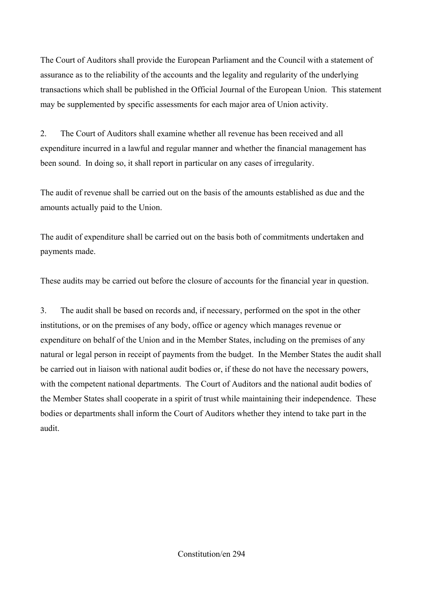The Court of Auditors shall provide the European Parliament and the Council with a statement of assurance as to the reliability of the accounts and the legality and regularity of the underlying transactions which shall be published in the Official Journal of the European Union. This statement may be supplemented by specific assessments for each major area of Union activity.

2. The Court of Auditors shall examine whether all revenue has been received and all expenditure incurred in a lawful and regular manner and whether the financial management has been sound. In doing so, it shall report in particular on any cases of irregularity.

The audit of revenue shall be carried out on the basis of the amounts established as due and the amounts actually paid to the Union.

The audit of expenditure shall be carried out on the basis both of commitments undertaken and payments made.

These audits may be carried out before the closure of accounts for the financial year in question.

3. The audit shall be based on records and, if necessary, performed on the spot in the other institutions, or on the premises of any body, office or agency which manages revenue or expenditure on behalf of the Union and in the Member States, including on the premises of any natural or legal person in receipt of payments from the budget. In the Member States the audit shall be carried out in liaison with national audit bodies or, if these do not have the necessary powers, with the competent national departments. The Court of Auditors and the national audit bodies of the Member States shall cooperate in a spirit of trust while maintaining their independence. These bodies or departments shall inform the Court of Auditors whether they intend to take part in the audit.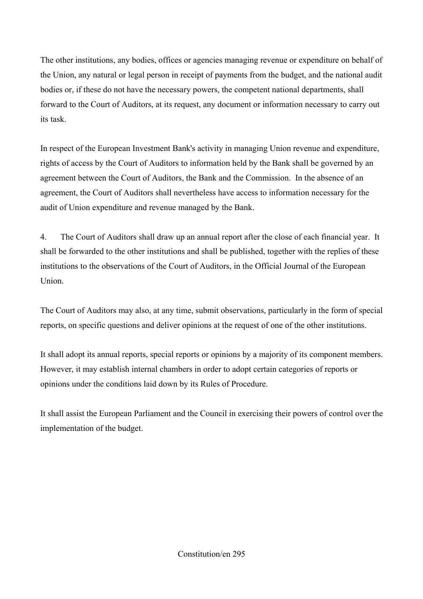The other institutions, any bodies, offices or agencies managing revenue or expenditure on behalf of the Union, any natural or legal person in receipt of payments from the budget, and the national audit bodies or, if these do not have the necessary powers, the competent national departments, shall forward to the Court of Auditors, at its request, any document or information necessary to carry out its task.

In respect of the European Investment Bank's activity in managing Union revenue and expenditure, rights of access by the Court of Auditors to information held by the Bank shall be governed by an agreement between the Court of Auditors, the Bank and the Commission. In the absence of an agreement, the Court of Auditors shall nevertheless have access to information necessary for the audit of Union expenditure and revenue managed by the Bank.

4. The Court of Auditors shall draw up an annual report after the close of each financial year. It shall be forwarded to the other institutions and shall be published, together with the replies of these institutions to the observations of the Court of Auditors, in the Official Journal of the European Union.

The Court of Auditors may also, at any time, submit observations, particularly in the form of special reports, on specific questions and deliver opinions at the request of one of the other institutions.

It shall adopt its annual reports, special reports or opinions by a majority of its component members. However, it may establish internal chambers in order to adopt certain categories of reports or opinions under the conditions laid down by its Rules of Procedure.

It shall assist the European Parliament and the Council in exercising their powers of control over the implementation of the budget.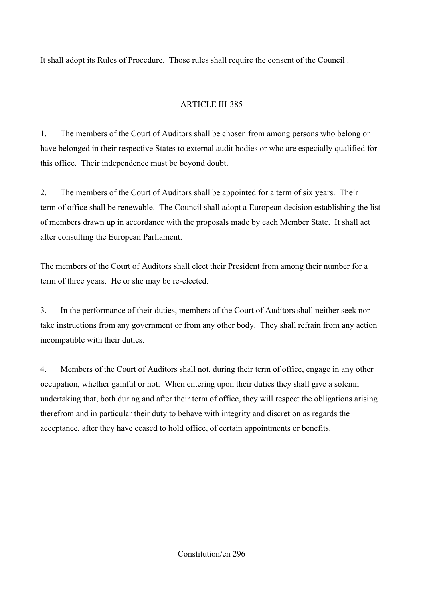It shall adopt its Rules of Procedure. Those rules shall require the consent of the Council .

# ARTICLE III-385

1. The members of the Court of Auditors shall be chosen from among persons who belong or have belonged in their respective States to external audit bodies or who are especially qualified for this office. Their independence must be beyond doubt.

2. The members of the Court of Auditors shall be appointed for a term of six years. Their term of office shall be renewable. The Council shall adopt a European decision establishing the list of members drawn up in accordance with the proposals made by each Member State. It shall act after consulting the European Parliament.

The members of the Court of Auditors shall elect their President from among their number for a term of three years. He or she may be re-elected.

3. In the performance of their duties, members of the Court of Auditors shall neither seek nor take instructions from any government or from any other body. They shall refrain from any action incompatible with their duties.

4. Members of the Court of Auditors shall not, during their term of office, engage in any other occupation, whether gainful or not. When entering upon their duties they shall give a solemn undertaking that, both during and after their term of office, they will respect the obligations arising therefrom and in particular their duty to behave with integrity and discretion as regards the acceptance, after they have ceased to hold office, of certain appointments or benefits.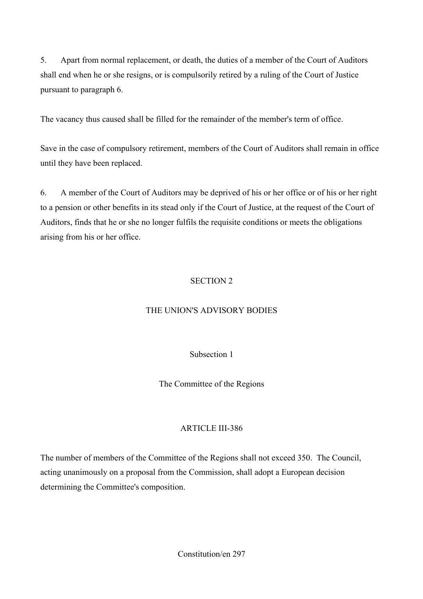5. Apart from normal replacement, or death, the duties of a member of the Court of Auditors shall end when he or she resigns, or is compulsorily retired by a ruling of the Court of Justice pursuant to paragraph 6.

The vacancy thus caused shall be filled for the remainder of the member's term of office.

Save in the case of compulsory retirement, members of the Court of Auditors shall remain in office until they have been replaced.

6. A member of the Court of Auditors may be deprived of his or her office or of his or her right to a pension or other benefits in its stead only if the Court of Justice, at the request of the Court of Auditors, finds that he or she no longer fulfils the requisite conditions or meets the obligations arising from his or her office.

# SECTION 2

# THE UNION'S ADVISORY BODIES

### Subsection 1

The Committee of the Regions

# ARTICLE III-386

The number of members of the Committee of the Regions shall not exceed 350. The Council, acting unanimously on a proposal from the Commission, shall adopt a European decision determining the Committee's composition.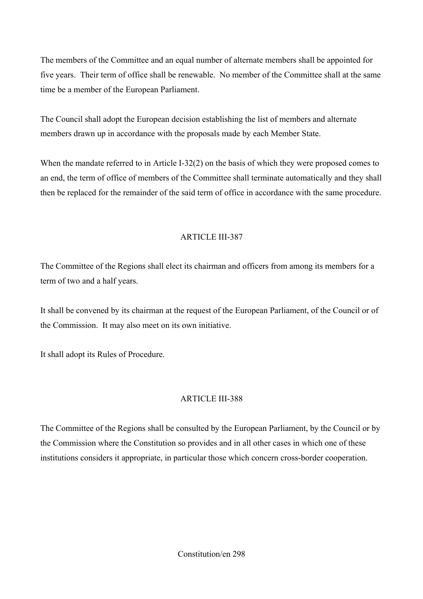The members of the Committee and an equal number of alternate members shall be appointed for five years. Their term of office shall be renewable. No member of the Committee shall at the same time be a member of the European Parliament.

The Council shall adopt the European decision establishing the list of members and alternate members drawn up in accordance with the proposals made by each Member State.

When the mandate referred to in Article I-32(2) on the basis of which they were proposed comes to an end, the term of office of members of the Committee shall terminate automatically and they shall then be replaced for the remainder of the said term of office in accordance with the same procedure.

#### ARTICLE III-387

The Committee of the Regions shall elect its chairman and officers from among its members for a term of two and a half years.

It shall be convened by its chairman at the request of the European Parliament, of the Council or of the Commission. It may also meet on its own initiative.

It shall adopt its Rules of Procedure.

#### ARTICLE III-388

The Committee of the Regions shall be consulted by the European Parliament, by the Council or by the Commission where the Constitution so provides and in all other cases in which one of these institutions considers it appropriate, in particular those which concern cross-border cooperation.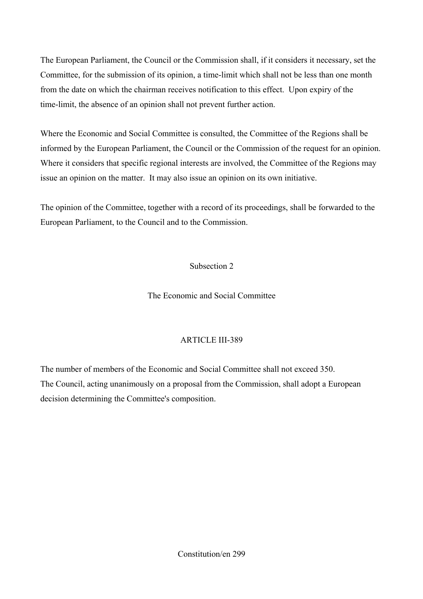The European Parliament, the Council or the Commission shall, if it considers it necessary, set the Committee, for the submission of its opinion, a time-limit which shall not be less than one month from the date on which the chairman receives notification to this effect. Upon expiry of the time-limit, the absence of an opinion shall not prevent further action.

Where the Economic and Social Committee is consulted, the Committee of the Regions shall be informed by the European Parliament, the Council or the Commission of the request for an opinion. Where it considers that specific regional interests are involved, the Committee of the Regions may issue an opinion on the matter. It may also issue an opinion on its own initiative.

The opinion of the Committee, together with a record of its proceedings, shall be forwarded to the European Parliament, to the Council and to the Commission.

Subsection 2

The Economic and Social Committee

# ARTICLE III-389

The number of members of the Economic and Social Committee shall not exceed 350. The Council, acting unanimously on a proposal from the Commission, shall adopt a European decision determining the Committee's composition.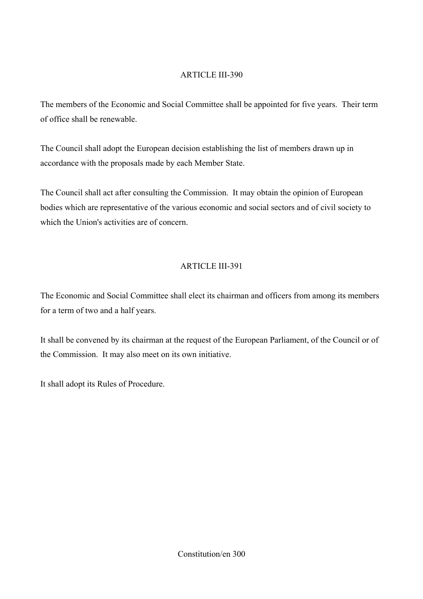The members of the Economic and Social Committee shall be appointed for five years. Their term of office shall be renewable.

The Council shall adopt the European decision establishing the list of members drawn up in accordance with the proposals made by each Member State.

The Council shall act after consulting the Commission. It may obtain the opinion of European bodies which are representative of the various economic and social sectors and of civil society to which the Union's activities are of concern.

# ARTICLE III-391

The Economic and Social Committee shall elect its chairman and officers from among its members for a term of two and a half years.

It shall be convened by its chairman at the request of the European Parliament, of the Council or of the Commission. It may also meet on its own initiative.

It shall adopt its Rules of Procedure.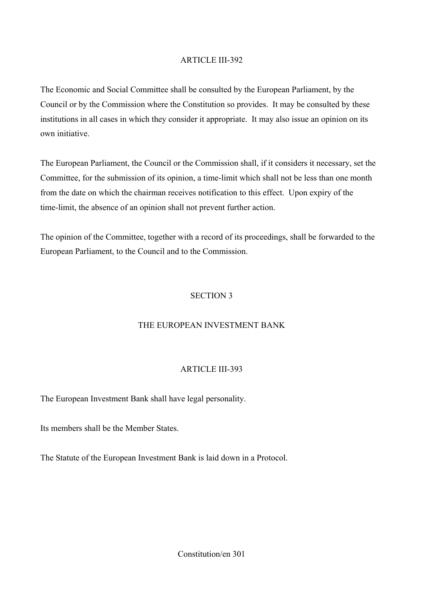The Economic and Social Committee shall be consulted by the European Parliament, by the Council or by the Commission where the Constitution so provides. It may be consulted by these institutions in all cases in which they consider it appropriate. It may also issue an opinion on its own initiative.

The European Parliament, the Council or the Commission shall, if it considers it necessary, set the Committee, for the submission of its opinion, a time-limit which shall not be less than one month from the date on which the chairman receives notification to this effect. Upon expiry of the time-limit, the absence of an opinion shall not prevent further action.

The opinion of the Committee, together with a record of its proceedings, shall be forwarded to the European Parliament, to the Council and to the Commission.

## SECTION 3

# THE EUROPEAN INVESTMENT BANK

### ARTICLE III-393

The European Investment Bank shall have legal personality.

Its members shall be the Member States.

The Statute of the European Investment Bank is laid down in a Protocol.

Constitution/en 301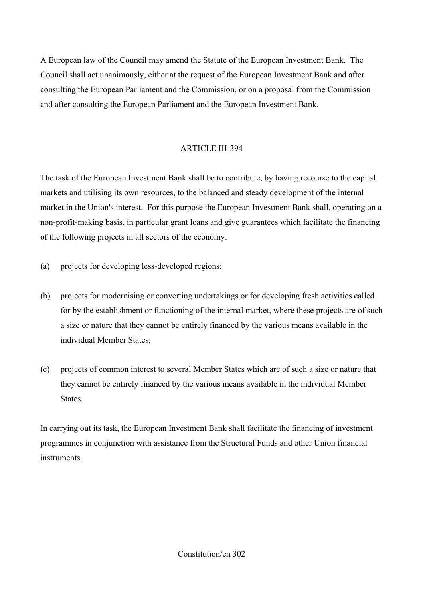A European law of the Council may amend the Statute of the European Investment Bank. The Council shall act unanimously, either at the request of the European Investment Bank and after consulting the European Parliament and the Commission, or on a proposal from the Commission and after consulting the European Parliament and the European Investment Bank.

### ARTICLE III-394

The task of the European Investment Bank shall be to contribute, by having recourse to the capital markets and utilising its own resources, to the balanced and steady development of the internal market in the Union's interest. For this purpose the European Investment Bank shall, operating on a non-profit-making basis, in particular grant loans and give guarantees which facilitate the financing of the following projects in all sectors of the economy:

- (a) projects for developing less-developed regions;
- (b) projects for modernising or converting undertakings or for developing fresh activities called for by the establishment or functioning of the internal market, where these projects are of such a size or nature that they cannot be entirely financed by the various means available in the individual Member States;
- (c) projects of common interest to several Member States which are of such a size or nature that they cannot be entirely financed by the various means available in the individual Member States.

In carrying out its task, the European Investment Bank shall facilitate the financing of investment programmes in conjunction with assistance from the Structural Funds and other Union financial instruments.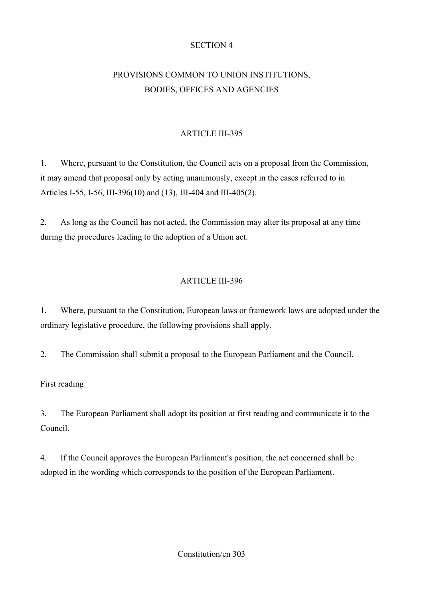#### SECTION 4

# PROVISIONS COMMON TO UNION INSTITUTIONS, BODIES, OFFICES AND AGENCIES

#### ARTICLE III-395

1. Where, pursuant to the Constitution, the Council acts on a proposal from the Commission, it may amend that proposal only by acting unanimously, except in the cases referred to in Articles I-55, I-56, III-396(10) and (13), III-404 and III-405(2).

2. As long as the Council has not acted, the Commission may alter its proposal at any time during the procedures leading to the adoption of a Union act.

#### ARTICLE III-396

1. Where, pursuant to the Constitution, European laws or framework laws are adopted under the ordinary legislative procedure, the following provisions shall apply.

2. The Commission shall submit a proposal to the European Parliament and the Council.

First reading

3. The European Parliament shall adopt its position at first reading and communicate it to the Council.

4. If the Council approves the European Parliament's position, the act concerned shall be adopted in the wording which corresponds to the position of the European Parliament.

Constitution/en 303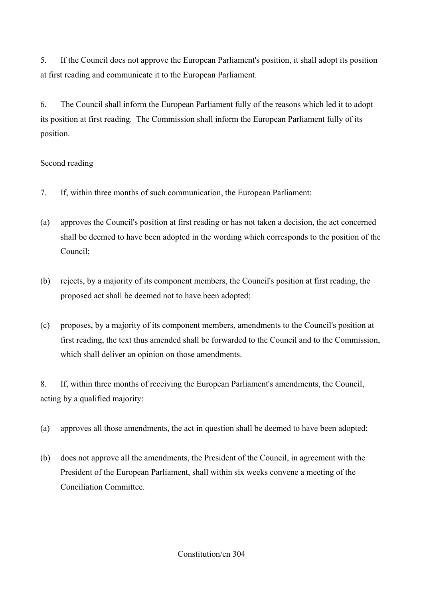5. If the Council does not approve the European Parliament's position, it shall adopt its position at first reading and communicate it to the European Parliament.

6. The Council shall inform the European Parliament fully of the reasons which led it to adopt its position at first reading. The Commission shall inform the European Parliament fully of its position.

# Second reading

- 7. If, within three months of such communication, the European Parliament:
- (a) approves the Council's position at first reading or has not taken a decision, the act concerned shall be deemed to have been adopted in the wording which corresponds to the position of the Council;
- (b) rejects, by a majority of its component members, the Council's position at first reading, the proposed act shall be deemed not to have been adopted;
- (c) proposes, by a majority of its component members, amendments to the Council's position at first reading, the text thus amended shall be forwarded to the Council and to the Commission, which shall deliver an opinion on those amendments.

8. If, within three months of receiving the European Parliament's amendments, the Council, acting by a qualified majority:

- (a) approves all those amendments, the act in question shall be deemed to have been adopted;
- (b) does not approve all the amendments, the President of the Council, in agreement with the President of the European Parliament, shall within six weeks convene a meeting of the Conciliation Committee.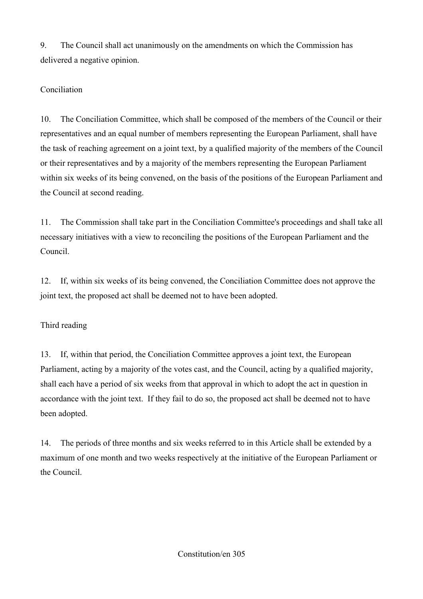9. The Council shall act unanimously on the amendments on which the Commission has delivered a negative opinion.

# Conciliation

10. The Conciliation Committee, which shall be composed of the members of the Council or their representatives and an equal number of members representing the European Parliament, shall have the task of reaching agreement on a joint text, by a qualified majority of the members of the Council or their representatives and by a majority of the members representing the European Parliament within six weeks of its being convened, on the basis of the positions of the European Parliament and the Council at second reading.

11. The Commission shall take part in the Conciliation Committee's proceedings and shall take all necessary initiatives with a view to reconciling the positions of the European Parliament and the Council.

12. If, within six weeks of its being convened, the Conciliation Committee does not approve the joint text, the proposed act shall be deemed not to have been adopted.

# Third reading

13. If, within that period, the Conciliation Committee approves a joint text, the European Parliament, acting by a majority of the votes cast, and the Council, acting by a qualified majority, shall each have a period of six weeks from that approval in which to adopt the act in question in accordance with the joint text. If they fail to do so, the proposed act shall be deemed not to have been adopted.

14. The periods of three months and six weeks referred to in this Article shall be extended by a maximum of one month and two weeks respectively at the initiative of the European Parliament or the Council.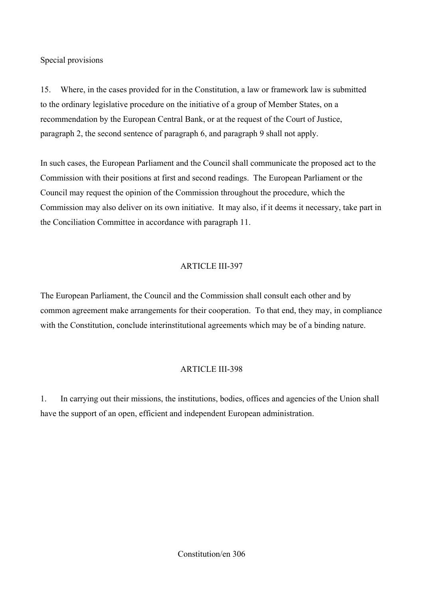Special provisions

15. Where, in the cases provided for in the Constitution, a law or framework law is submitted to the ordinary legislative procedure on the initiative of a group of Member States, on a recommendation by the European Central Bank, or at the request of the Court of Justice, paragraph 2, the second sentence of paragraph 6, and paragraph 9 shall not apply.

In such cases, the European Parliament and the Council shall communicate the proposed act to the Commission with their positions at first and second readings. The European Parliament or the Council may request the opinion of the Commission throughout the procedure, which the Commission may also deliver on its own initiative. It may also, if it deems it necessary, take part in the Conciliation Committee in accordance with paragraph 11.

# ARTICLE III-397

The European Parliament, the Council and the Commission shall consult each other and by common agreement make arrangements for their cooperation. To that end, they may, in compliance with the Constitution, conclude interinstitutional agreements which may be of a binding nature.

### ARTICLE III-398

1. In carrying out their missions, the institutions, bodies, offices and agencies of the Union shall have the support of an open, efficient and independent European administration.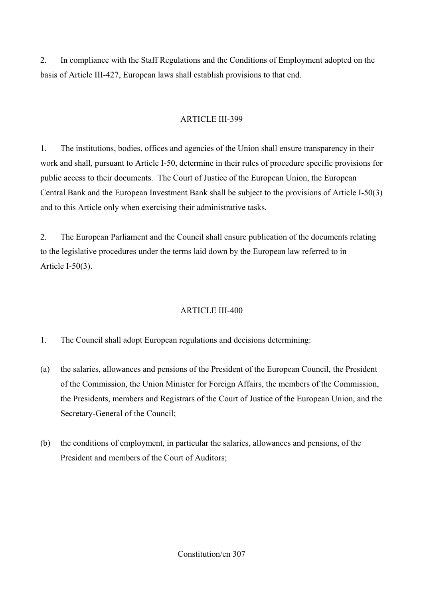2. In compliance with the Staff Regulations and the Conditions of Employment adopted on the basis of Article III-427, European laws shall establish provisions to that end.

# ARTICLE III-399

1. The institutions, bodies, offices and agencies of the Union shall ensure transparency in their work and shall, pursuant to Article I-50, determine in their rules of procedure specific provisions for public access to their documents. The Court of Justice of the European Union, the European Central Bank and the European Investment Bank shall be subject to the provisions of Article I-50(3) and to this Article only when exercising their administrative tasks.

2. The European Parliament and the Council shall ensure publication of the documents relating to the legislative procedures under the terms laid down by the European law referred to in Article I-50(3).

# ARTICLE III-400

1. The Council shall adopt European regulations and decisions determining:

- (a) the salaries, allowances and pensions of the President of the European Council, the President of the Commission, the Union Minister for Foreign Affairs, the members of the Commission, the Presidents, members and Registrars of the Court of Justice of the European Union, and the Secretary-General of the Council;
- (b) the conditions of employment, in particular the salaries, allowances and pensions, of the President and members of the Court of Auditors;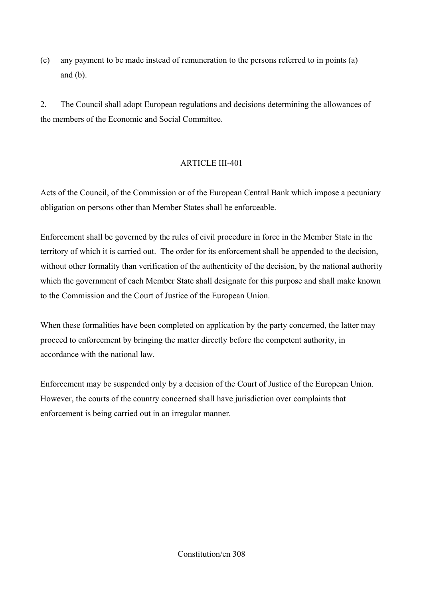(c) any payment to be made instead of remuneration to the persons referred to in points (a) and (b).

2. The Council shall adopt European regulations and decisions determining the allowances of the members of the Economic and Social Committee.

# ARTICLE III-401

Acts of the Council, of the Commission or of the European Central Bank which impose a pecuniary obligation on persons other than Member States shall be enforceable.

Enforcement shall be governed by the rules of civil procedure in force in the Member State in the territory of which it is carried out. The order for its enforcement shall be appended to the decision, without other formality than verification of the authenticity of the decision, by the national authority which the government of each Member State shall designate for this purpose and shall make known to the Commission and the Court of Justice of the European Union.

When these formalities have been completed on application by the party concerned, the latter may proceed to enforcement by bringing the matter directly before the competent authority, in accordance with the national law.

Enforcement may be suspended only by a decision of the Court of Justice of the European Union. However, the courts of the country concerned shall have jurisdiction over complaints that enforcement is being carried out in an irregular manner.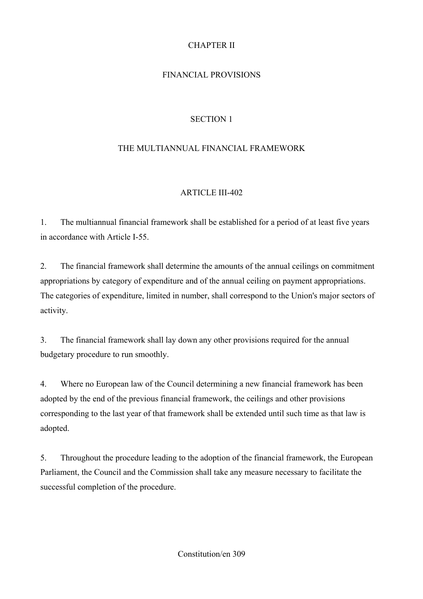# CHAPTER II

# FINANCIAL PROVISIONS

## SECTION 1

### THE MULTIANNUAL FINANCIAL FRAMEWORK

### ARTICLE III-402

1. The multiannual financial framework shall be established for a period of at least five years in accordance with Article I-55.

2. The financial framework shall determine the amounts of the annual ceilings on commitment appropriations by category of expenditure and of the annual ceiling on payment appropriations. The categories of expenditure, limited in number, shall correspond to the Union's major sectors of activity.

3. The financial framework shall lay down any other provisions required for the annual budgetary procedure to run smoothly.

4. Where no European law of the Council determining a new financial framework has been adopted by the end of the previous financial framework, the ceilings and other provisions corresponding to the last year of that framework shall be extended until such time as that law is adopted.

5. Throughout the procedure leading to the adoption of the financial framework, the European Parliament, the Council and the Commission shall take any measure necessary to facilitate the successful completion of the procedure.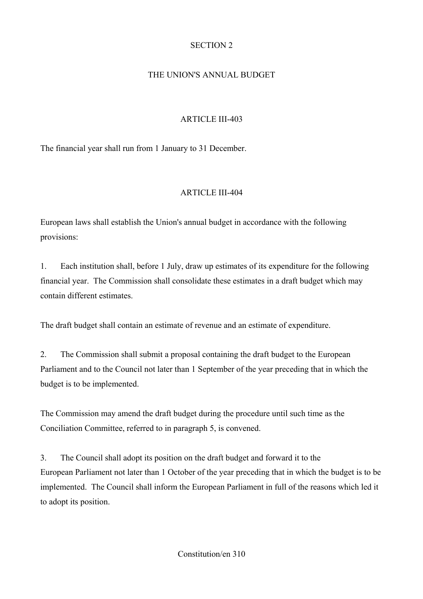## SECTION 2

# THE UNION'S ANNUAL BUDGET

# ARTICLE III-403

The financial year shall run from 1 January to 31 December.

### ARTICLE III-404

European laws shall establish the Union's annual budget in accordance with the following provisions:

1. Each institution shall, before 1 July, draw up estimates of its expenditure for the following financial year. The Commission shall consolidate these estimates in a draft budget which may contain different estimates.

The draft budget shall contain an estimate of revenue and an estimate of expenditure.

2. The Commission shall submit a proposal containing the draft budget to the European Parliament and to the Council not later than 1 September of the year preceding that in which the budget is to be implemented.

The Commission may amend the draft budget during the procedure until such time as the Conciliation Committee, referred to in paragraph 5, is convened.

3. The Council shall adopt its position on the draft budget and forward it to the European Parliament not later than 1 October of the year preceding that in which the budget is to be implemented. The Council shall inform the European Parliament in full of the reasons which led it to adopt its position.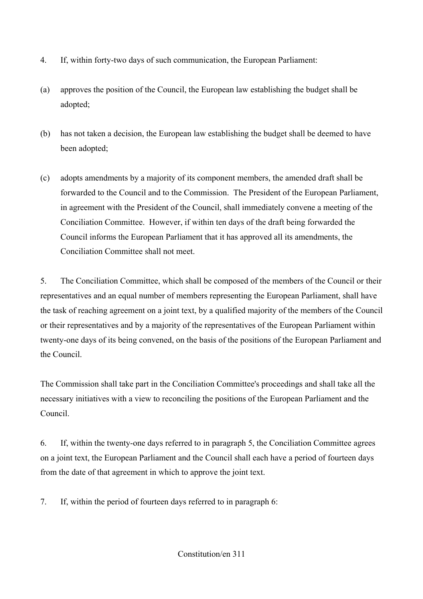- 4. If, within forty-two days of such communication, the European Parliament:
- (a) approves the position of the Council, the European law establishing the budget shall be adopted;
- (b) has not taken a decision, the European law establishing the budget shall be deemed to have been adopted;
- (c) adopts amendments by a majority of its component members, the amended draft shall be forwarded to the Council and to the Commission. The President of the European Parliament, in agreement with the President of the Council, shall immediately convene a meeting of the Conciliation Committee. However, if within ten days of the draft being forwarded the Council informs the European Parliament that it has approved all its amendments, the Conciliation Committee shall not meet.

5. The Conciliation Committee, which shall be composed of the members of the Council or their representatives and an equal number of members representing the European Parliament, shall have the task of reaching agreement on a joint text, by a qualified majority of the members of the Council or their representatives and by a majority of the representatives of the European Parliament within twenty-one days of its being convened, on the basis of the positions of the European Parliament and the Council.

The Commission shall take part in the Conciliation Committee's proceedings and shall take all the necessary initiatives with a view to reconciling the positions of the European Parliament and the Council.

6. If, within the twenty-one days referred to in paragraph 5, the Conciliation Committee agrees on a joint text, the European Parliament and the Council shall each have a period of fourteen days from the date of that agreement in which to approve the joint text.

7. If, within the period of fourteen days referred to in paragraph 6: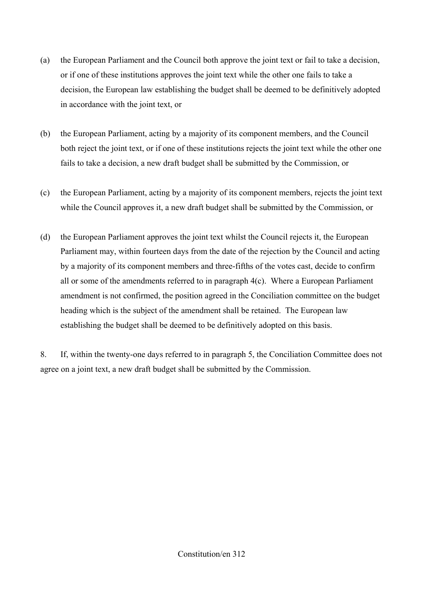- (a) the European Parliament and the Council both approve the joint text or fail to take a decision, or if one of these institutions approves the joint text while the other one fails to take a decision, the European law establishing the budget shall be deemed to be definitively adopted in accordance with the joint text, or
- (b) the European Parliament, acting by a majority of its component members, and the Council both reject the joint text, or if one of these institutions rejects the joint text while the other one fails to take a decision, a new draft budget shall be submitted by the Commission, or
- (c) the European Parliament, acting by a majority of its component members, rejects the joint text while the Council approves it, a new draft budget shall be submitted by the Commission, or
- (d) the European Parliament approves the joint text whilst the Council rejects it, the European Parliament may, within fourteen days from the date of the rejection by the Council and acting by a majority of its component members and three-fifths of the votes cast, decide to confirm all or some of the amendments referred to in paragraph 4(c). Where a European Parliament amendment is not confirmed, the position agreed in the Conciliation committee on the budget heading which is the subject of the amendment shall be retained. The European law establishing the budget shall be deemed to be definitively adopted on this basis.

8. If, within the twenty-one days referred to in paragraph 5, the Conciliation Committee does not agree on a joint text, a new draft budget shall be submitted by the Commission.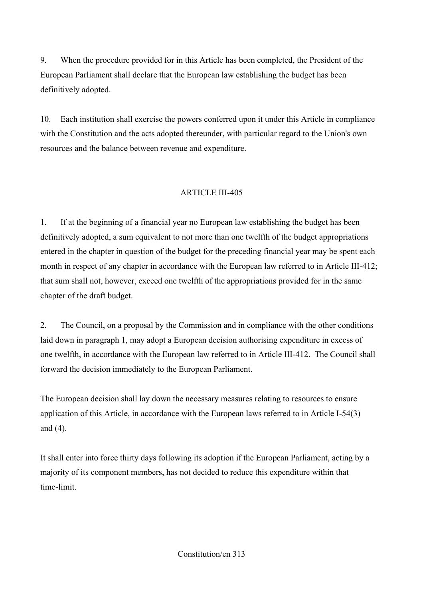9. When the procedure provided for in this Article has been completed, the President of the European Parliament shall declare that the European law establishing the budget has been definitively adopted.

10. Each institution shall exercise the powers conferred upon it under this Article in compliance with the Constitution and the acts adopted thereunder, with particular regard to the Union's own resources and the balance between revenue and expenditure.

# ARTICLE III-405

1. If at the beginning of a financial year no European law establishing the budget has been definitively adopted, a sum equivalent to not more than one twelfth of the budget appropriations entered in the chapter in question of the budget for the preceding financial year may be spent each month in respect of any chapter in accordance with the European law referred to in Article III-412; that sum shall not, however, exceed one twelfth of the appropriations provided for in the same chapter of the draft budget.

2. The Council, on a proposal by the Commission and in compliance with the other conditions laid down in paragraph 1, may adopt a European decision authorising expenditure in excess of one twelfth, in accordance with the European law referred to in Article III-412. The Council shall forward the decision immediately to the European Parliament.

The European decision shall lay down the necessary measures relating to resources to ensure application of this Article, in accordance with the European laws referred to in Article I-54(3) and (4).

It shall enter into force thirty days following its adoption if the European Parliament, acting by a majority of its component members, has not decided to reduce this expenditure within that time-limit.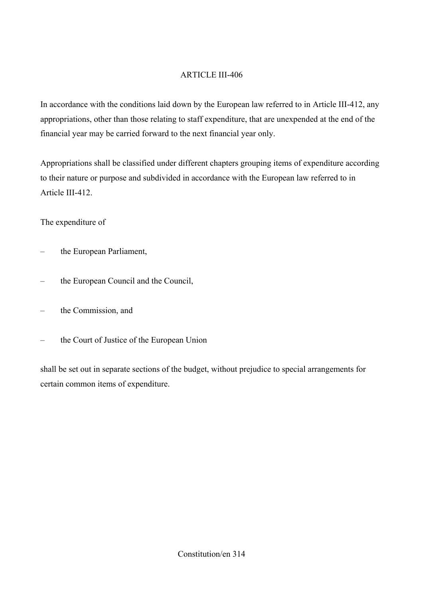In accordance with the conditions laid down by the European law referred to in Article III-412, any appropriations, other than those relating to staff expenditure, that are unexpended at the end of the financial year may be carried forward to the next financial year only.

Appropriations shall be classified under different chapters grouping items of expenditure according to their nature or purpose and subdivided in accordance with the European law referred to in Article III-412.

# The expenditure of

- the European Parliament,
- the European Council and the Council,
- the Commission, and
- the Court of Justice of the European Union

shall be set out in separate sections of the budget, without prejudice to special arrangements for certain common items of expenditure.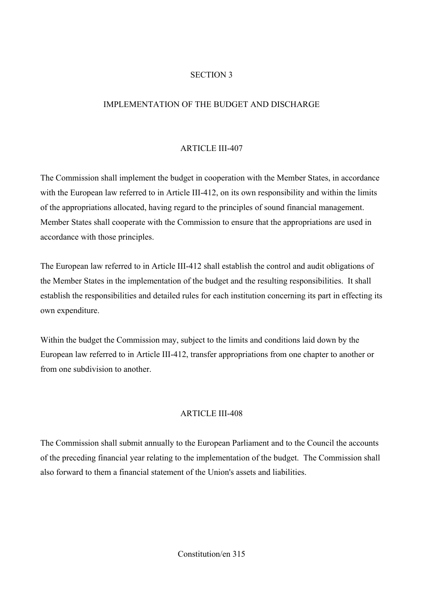### SECTION 3

#### IMPLEMENTATION OF THE BUDGET AND DISCHARGE

#### ARTICLE III-407

The Commission shall implement the budget in cooperation with the Member States, in accordance with the European law referred to in Article III-412, on its own responsibility and within the limits of the appropriations allocated, having regard to the principles of sound financial management. Member States shall cooperate with the Commission to ensure that the appropriations are used in accordance with those principles.

The European law referred to in Article III-412 shall establish the control and audit obligations of the Member States in the implementation of the budget and the resulting responsibilities. It shall establish the responsibilities and detailed rules for each institution concerning its part in effecting its own expenditure.

Within the budget the Commission may, subject to the limits and conditions laid down by the European law referred to in Article III-412, transfer appropriations from one chapter to another or from one subdivision to another.

#### ARTICLE III-408

The Commission shall submit annually to the European Parliament and to the Council the accounts of the preceding financial year relating to the implementation of the budget. The Commission shall also forward to them a financial statement of the Union's assets and liabilities.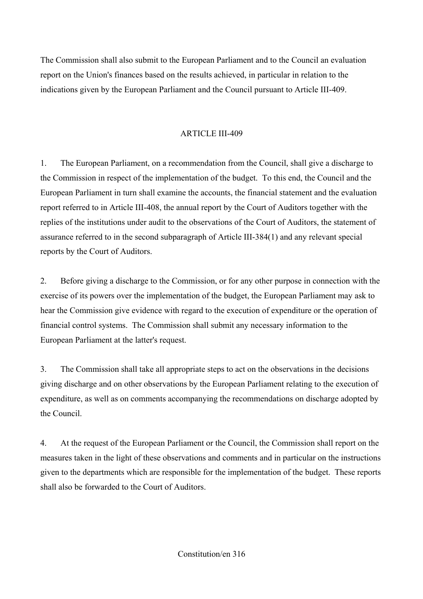The Commission shall also submit to the European Parliament and to the Council an evaluation report on the Union's finances based on the results achieved, in particular in relation to the indications given by the European Parliament and the Council pursuant to Article III-409.

#### ARTICLE III-409

1. The European Parliament, on a recommendation from the Council, shall give a discharge to the Commission in respect of the implementation of the budget. To this end, the Council and the European Parliament in turn shall examine the accounts, the financial statement and the evaluation report referred to in Article III-408, the annual report by the Court of Auditors together with the replies of the institutions under audit to the observations of the Court of Auditors, the statement of assurance referred to in the second subparagraph of Article III-384(1) and any relevant special reports by the Court of Auditors.

2. Before giving a discharge to the Commission, or for any other purpose in connection with the exercise of its powers over the implementation of the budget, the European Parliament may ask to hear the Commission give evidence with regard to the execution of expenditure or the operation of financial control systems. The Commission shall submit any necessary information to the European Parliament at the latter's request.

3. The Commission shall take all appropriate steps to act on the observations in the decisions giving discharge and on other observations by the European Parliament relating to the execution of expenditure, as well as on comments accompanying the recommendations on discharge adopted by the Council.

4. At the request of the European Parliament or the Council, the Commission shall report on the measures taken in the light of these observations and comments and in particular on the instructions given to the departments which are responsible for the implementation of the budget. These reports shall also be forwarded to the Court of Auditors.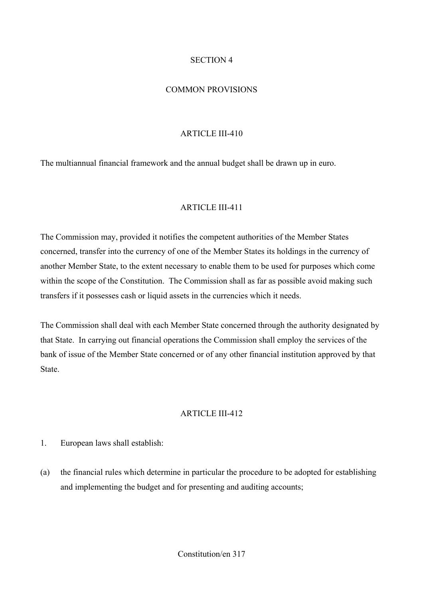### SECTION 4

### COMMON PROVISIONS

#### ARTICLE III-410

The multiannual financial framework and the annual budget shall be drawn up in euro.

### ARTICLE III-411

The Commission may, provided it notifies the competent authorities of the Member States concerned, transfer into the currency of one of the Member States its holdings in the currency of another Member State, to the extent necessary to enable them to be used for purposes which come within the scope of the Constitution. The Commission shall as far as possible avoid making such transfers if it possesses cash or liquid assets in the currencies which it needs.

The Commission shall deal with each Member State concerned through the authority designated by that State. In carrying out financial operations the Commission shall employ the services of the bank of issue of the Member State concerned or of any other financial institution approved by that State.

# ARTICLE III-412

- 1. European laws shall establish:
- (a) the financial rules which determine in particular the procedure to be adopted for establishing and implementing the budget and for presenting and auditing accounts;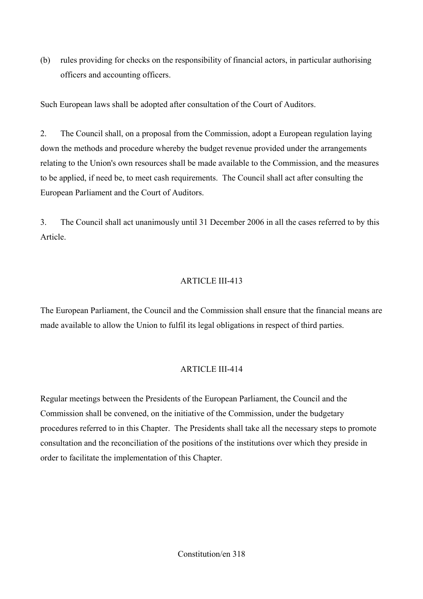(b) rules providing for checks on the responsibility of financial actors, in particular authorising officers and accounting officers.

Such European laws shall be adopted after consultation of the Court of Auditors.

2. The Council shall, on a proposal from the Commission, adopt a European regulation laying down the methods and procedure whereby the budget revenue provided under the arrangements relating to the Union's own resources shall be made available to the Commission, and the measures to be applied, if need be, to meet cash requirements. The Council shall act after consulting the European Parliament and the Court of Auditors.

3. The Council shall act unanimously until 31 December 2006 in all the cases referred to by this Article.

# ARTICLE III-413

The European Parliament, the Council and the Commission shall ensure that the financial means are made available to allow the Union to fulfil its legal obligations in respect of third parties.

# ARTICLE III-414

Regular meetings between the Presidents of the European Parliament, the Council and the Commission shall be convened, on the initiative of the Commission, under the budgetary procedures referred to in this Chapter. The Presidents shall take all the necessary steps to promote consultation and the reconciliation of the positions of the institutions over which they preside in order to facilitate the implementation of this Chapter.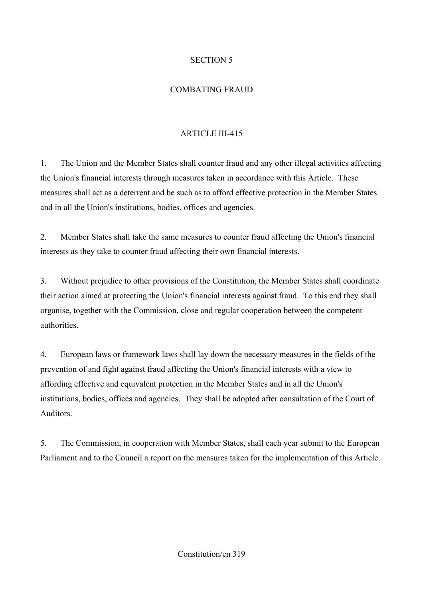# SECTION 5

# COMBATING FRAUD

# ARTICLE III-415

1. The Union and the Member States shall counter fraud and any other illegal activities affecting the Union's financial interests through measures taken in accordance with this Article. These measures shall act as a deterrent and be such as to afford effective protection in the Member States and in all the Union's institutions, bodies, offices and agencies.

2. Member States shall take the same measures to counter fraud affecting the Union's financial interests as they take to counter fraud affecting their own financial interests.

3. Without prejudice to other provisions of the Constitution, the Member States shall coordinate their action aimed at protecting the Union's financial interests against fraud. To this end they shall organise, together with the Commission, close and regular cooperation between the competent authorities.

4. European laws or framework laws shall lay down the necessary measures in the fields of the prevention of and fight against fraud affecting the Union's financial interests with a view to affording effective and equivalent protection in the Member States and in all the Union's institutions, bodies, offices and agencies. They shall be adopted after consultation of the Court of Auditors.

5. The Commission, in cooperation with Member States, shall each year submit to the European Parliament and to the Council a report on the measures taken for the implementation of this Article.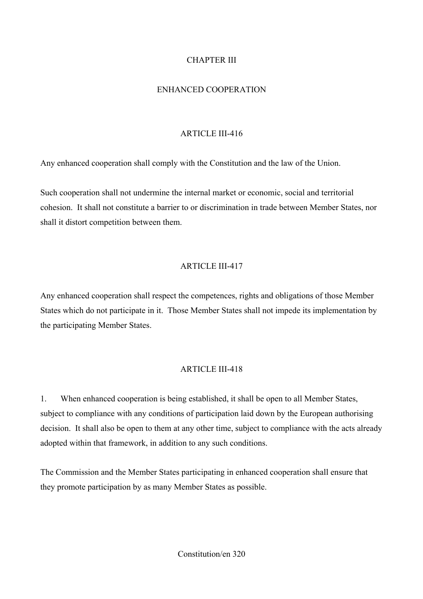#### CHAPTER III

#### ENHANCED COOPERATION

#### ARTICLE III-416

Any enhanced cooperation shall comply with the Constitution and the law of the Union.

Such cooperation shall not undermine the internal market or economic, social and territorial cohesion. It shall not constitute a barrier to or discrimination in trade between Member States, nor shall it distort competition between them.

### ARTICLE III-417

Any enhanced cooperation shall respect the competences, rights and obligations of those Member States which do not participate in it. Those Member States shall not impede its implementation by the participating Member States.

#### ARTICLE III-418

1. When enhanced cooperation is being established, it shall be open to all Member States, subject to compliance with any conditions of participation laid down by the European authorising decision. It shall also be open to them at any other time, subject to compliance with the acts already adopted within that framework, in addition to any such conditions.

The Commission and the Member States participating in enhanced cooperation shall ensure that they promote participation by as many Member States as possible.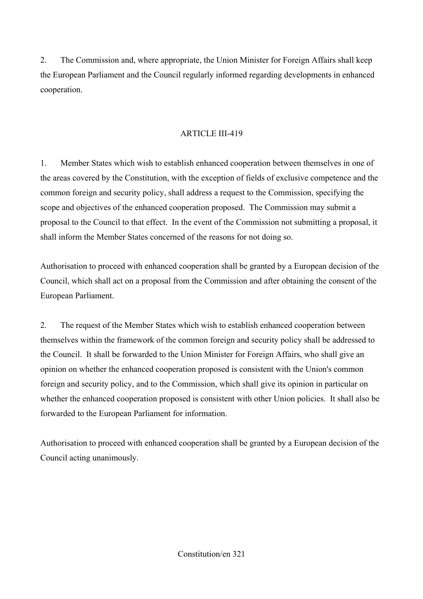2. The Commission and, where appropriate, the Union Minister for Foreign Affairs shall keep the European Parliament and the Council regularly informed regarding developments in enhanced cooperation.

# ARTICLE III-419

1. Member States which wish to establish enhanced cooperation between themselves in one of the areas covered by the Constitution, with the exception of fields of exclusive competence and the common foreign and security policy, shall address a request to the Commission, specifying the scope and objectives of the enhanced cooperation proposed. The Commission may submit a proposal to the Council to that effect. In the event of the Commission not submitting a proposal, it shall inform the Member States concerned of the reasons for not doing so.

Authorisation to proceed with enhanced cooperation shall be granted by a European decision of the Council, which shall act on a proposal from the Commission and after obtaining the consent of the European Parliament.

2. The request of the Member States which wish to establish enhanced cooperation between themselves within the framework of the common foreign and security policy shall be addressed to the Council. It shall be forwarded to the Union Minister for Foreign Affairs, who shall give an opinion on whether the enhanced cooperation proposed is consistent with the Union's common foreign and security policy, and to the Commission, which shall give its opinion in particular on whether the enhanced cooperation proposed is consistent with other Union policies. It shall also be forwarded to the European Parliament for information.

Authorisation to proceed with enhanced cooperation shall be granted by a European decision of the Council acting unanimously.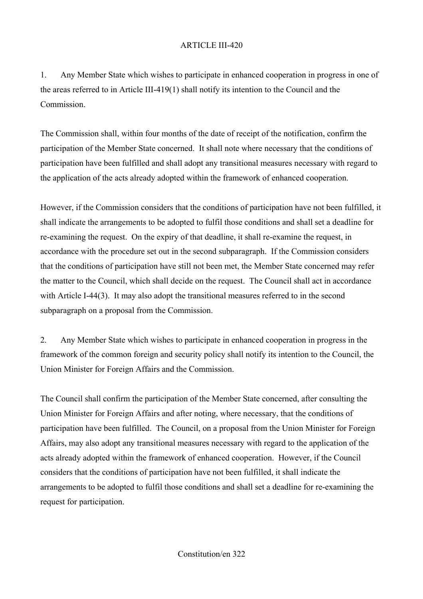1. Any Member State which wishes to participate in enhanced cooperation in progress in one of the areas referred to in Article III-419(1) shall notify its intention to the Council and the **Commission** 

The Commission shall, within four months of the date of receipt of the notification, confirm the participation of the Member State concerned. It shall note where necessary that the conditions of participation have been fulfilled and shall adopt any transitional measures necessary with regard to the application of the acts already adopted within the framework of enhanced cooperation.

However, if the Commission considers that the conditions of participation have not been fulfilled, it shall indicate the arrangements to be adopted to fulfil those conditions and shall set a deadline for re-examining the request. On the expiry of that deadline, it shall re-examine the request, in accordance with the procedure set out in the second subparagraph. If the Commission considers that the conditions of participation have still not been met, the Member State concerned may refer the matter to the Council, which shall decide on the request. The Council shall act in accordance with Article I-44(3). It may also adopt the transitional measures referred to in the second subparagraph on a proposal from the Commission.

2. Any Member State which wishes to participate in enhanced cooperation in progress in the framework of the common foreign and security policy shall notify its intention to the Council, the Union Minister for Foreign Affairs and the Commission.

The Council shall confirm the participation of the Member State concerned, after consulting the Union Minister for Foreign Affairs and after noting, where necessary, that the conditions of participation have been fulfilled. The Council, on a proposal from the Union Minister for Foreign Affairs, may also adopt any transitional measures necessary with regard to the application of the acts already adopted within the framework of enhanced cooperation. However, if the Council considers that the conditions of participation have not been fulfilled, it shall indicate the arrangements to be adopted to fulfil those conditions and shall set a deadline for re-examining the request for participation.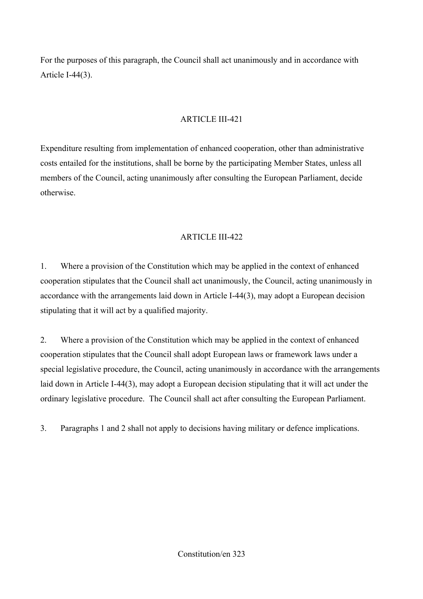For the purposes of this paragraph, the Council shall act unanimously and in accordance with Article I-44(3).

# ARTICLE III-421

Expenditure resulting from implementation of enhanced cooperation, other than administrative costs entailed for the institutions, shall be borne by the participating Member States, unless all members of the Council, acting unanimously after consulting the European Parliament, decide otherwise.

# ARTICLE III-422

1. Where a provision of the Constitution which may be applied in the context of enhanced cooperation stipulates that the Council shall act unanimously, the Council, acting unanimously in accordance with the arrangements laid down in Article I-44(3), may adopt a European decision stipulating that it will act by a qualified majority.

2. Where a provision of the Constitution which may be applied in the context of enhanced cooperation stipulates that the Council shall adopt European laws or framework laws under a special legislative procedure, the Council, acting unanimously in accordance with the arrangements laid down in Article I-44(3), may adopt a European decision stipulating that it will act under the ordinary legislative procedure. The Council shall act after consulting the European Parliament.

3. Paragraphs 1 and 2 shall not apply to decisions having military or defence implications.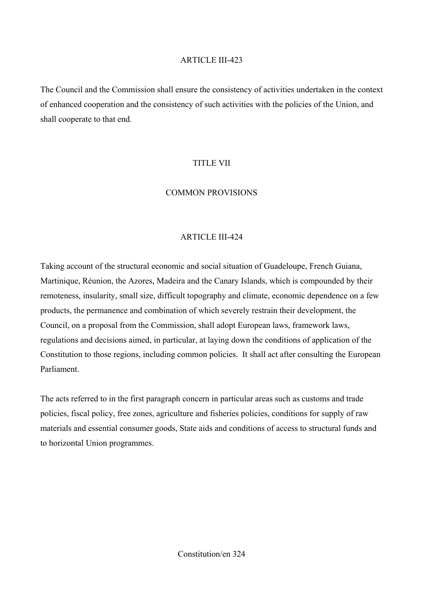The Council and the Commission shall ensure the consistency of activities undertaken in the context of enhanced cooperation and the consistency of such activities with the policies of the Union, and shall cooperate to that end.

# TITLE VII

### COMMON PROVISIONS

### ARTICLE III-424

Taking account of the structural economic and social situation of Guadeloupe, French Guiana, Martinique, Réunion, the Azores, Madeira and the Canary Islands, which is compounded by their remoteness, insularity, small size, difficult topography and climate, economic dependence on a few products, the permanence and combination of which severely restrain their development, the Council, on a proposal from the Commission, shall adopt European laws, framework laws, regulations and decisions aimed, in particular, at laying down the conditions of application of the Constitution to those regions, including common policies. It shall act after consulting the European Parliament.

The acts referred to in the first paragraph concern in particular areas such as customs and trade policies, fiscal policy, free zones, agriculture and fisheries policies, conditions for supply of raw materials and essential consumer goods, State aids and conditions of access to structural funds and to horizontal Union programmes.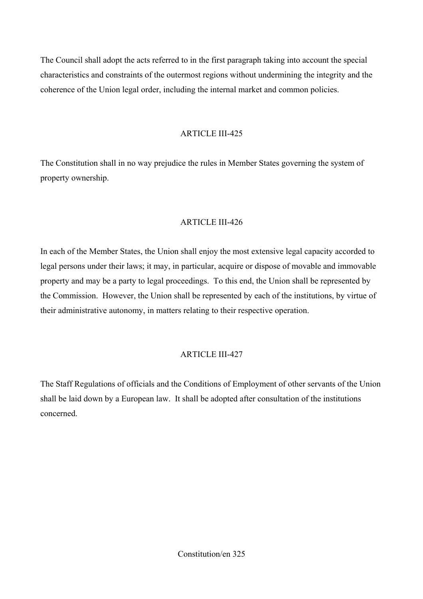The Council shall adopt the acts referred to in the first paragraph taking into account the special characteristics and constraints of the outermost regions without undermining the integrity and the coherence of the Union legal order, including the internal market and common policies.

### ARTICLE III-425

The Constitution shall in no way prejudice the rules in Member States governing the system of property ownership.

# ARTICLE III-426

In each of the Member States, the Union shall enjoy the most extensive legal capacity accorded to legal persons under their laws; it may, in particular, acquire or dispose of movable and immovable property and may be a party to legal proceedings. To this end, the Union shall be represented by the Commission. However, the Union shall be represented by each of the institutions, by virtue of their administrative autonomy, in matters relating to their respective operation.

# ARTICLE III-427

The Staff Regulations of officials and the Conditions of Employment of other servants of the Union shall be laid down by a European law. It shall be adopted after consultation of the institutions concerned.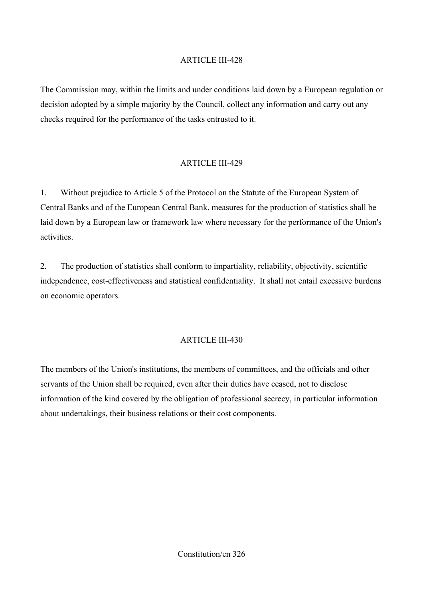The Commission may, within the limits and under conditions laid down by a European regulation or decision adopted by a simple majority by the Council, collect any information and carry out any checks required for the performance of the tasks entrusted to it.

# ARTICLE III-429

1. Without prejudice to Article 5 of the Protocol on the Statute of the European System of Central Banks and of the European Central Bank, measures for the production of statistics shall be laid down by a European law or framework law where necessary for the performance of the Union's activities.

2. The production of statistics shall conform to impartiality, reliability, objectivity, scientific independence, cost-effectiveness and statistical confidentiality. It shall not entail excessive burdens on economic operators.

# ARTICLE III-430

The members of the Union's institutions, the members of committees, and the officials and other servants of the Union shall be required, even after their duties have ceased, not to disclose information of the kind covered by the obligation of professional secrecy, in particular information about undertakings, their business relations or their cost components.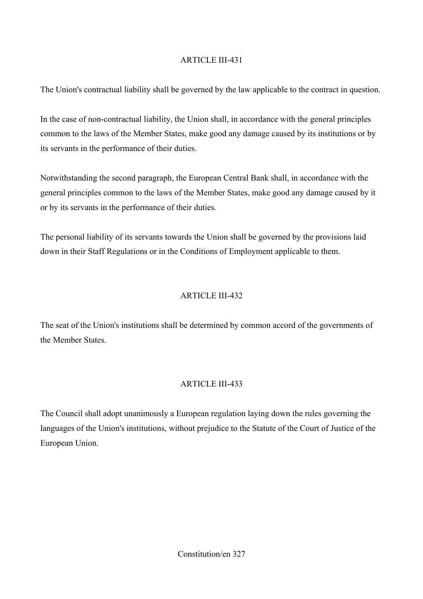The Union's contractual liability shall be governed by the law applicable to the contract in question.

In the case of non-contractual liability, the Union shall, in accordance with the general principles common to the laws of the Member States, make good any damage caused by its institutions or by its servants in the performance of their duties.

Notwithstanding the second paragraph, the European Central Bank shall, in accordance with the general principles common to the laws of the Member States, make good any damage caused by it or by its servants in the performance of their duties.

The personal liability of its servants towards the Union shall be governed by the provisions laid down in their Staff Regulations or in the Conditions of Employment applicable to them.

# ARTICLE III-432

The seat of the Union's institutions shall be determined by common accord of the governments of the Member States.

# ARTICLE III-433

The Council shall adopt unanimously a European regulation laying down the rules governing the languages of the Union's institutions, without prejudice to the Statute of the Court of Justice of the European Union.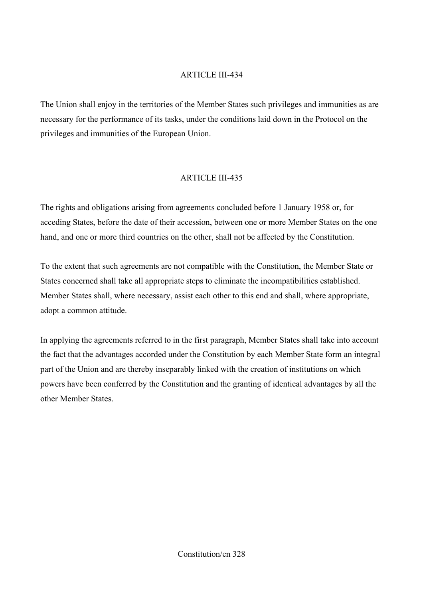The Union shall enjoy in the territories of the Member States such privileges and immunities as are necessary for the performance of its tasks, under the conditions laid down in the Protocol on the privileges and immunities of the European Union.

### ARTICLE III-435

The rights and obligations arising from agreements concluded before 1 January 1958 or, for acceding States, before the date of their accession, between one or more Member States on the one hand, and one or more third countries on the other, shall not be affected by the Constitution.

To the extent that such agreements are not compatible with the Constitution, the Member State or States concerned shall take all appropriate steps to eliminate the incompatibilities established. Member States shall, where necessary, assist each other to this end and shall, where appropriate, adopt a common attitude.

In applying the agreements referred to in the first paragraph, Member States shall take into account the fact that the advantages accorded under the Constitution by each Member State form an integral part of the Union and are thereby inseparably linked with the creation of institutions on which powers have been conferred by the Constitution and the granting of identical advantages by all the other Member States.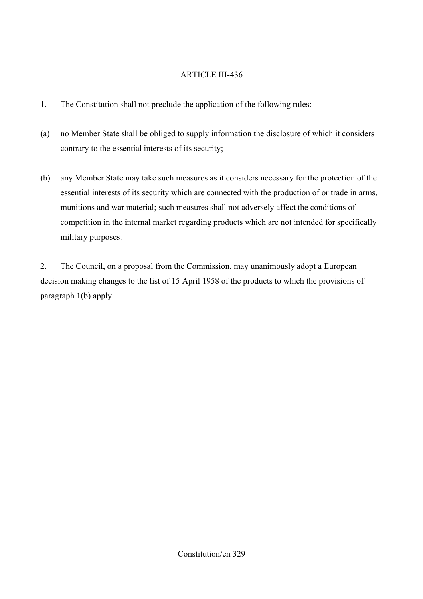- 1. The Constitution shall not preclude the application of the following rules:
- (a) no Member State shall be obliged to supply information the disclosure of which it considers contrary to the essential interests of its security;
- (b) any Member State may take such measures as it considers necessary for the protection of the essential interests of its security which are connected with the production of or trade in arms, munitions and war material; such measures shall not adversely affect the conditions of competition in the internal market regarding products which are not intended for specifically military purposes.

2. The Council, on a proposal from the Commission, may unanimously adopt a European decision making changes to the list of 15 April 1958 of the products to which the provisions of paragraph 1(b) apply.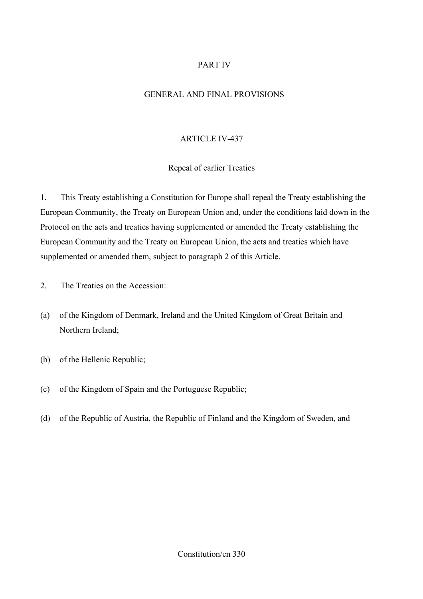# PART IV

# GENERAL AND FINAL PROVISIONS

# ARTICLE IV-437

# Repeal of earlier Treaties

1. This Treaty establishing a Constitution for Europe shall repeal the Treaty establishing the European Community, the Treaty on European Union and, under the conditions laid down in the Protocol on the acts and treaties having supplemented or amended the Treaty establishing the European Community and the Treaty on European Union, the acts and treaties which have supplemented or amended them, subject to paragraph 2 of this Article.

- 2. The Treaties on the Accession:
- (a) of the Kingdom of Denmark, Ireland and the United Kingdom of Great Britain and Northern Ireland;
- (b) of the Hellenic Republic;
- (c) of the Kingdom of Spain and the Portuguese Republic;
- (d) of the Republic of Austria, the Republic of Finland and the Kingdom of Sweden, and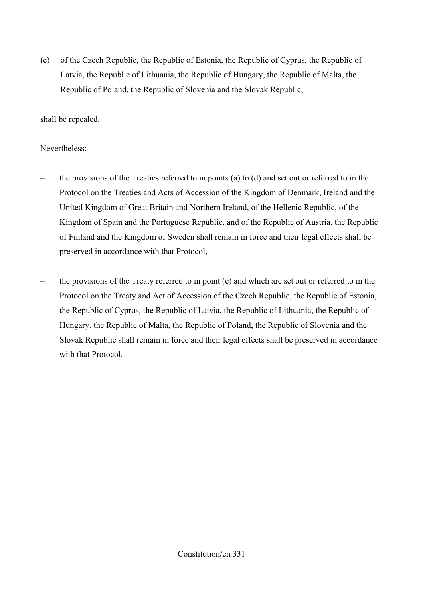(e) of the Czech Republic, the Republic of Estonia, the Republic of Cyprus, the Republic of Latvia, the Republic of Lithuania, the Republic of Hungary, the Republic of Malta, the Republic of Poland, the Republic of Slovenia and the Slovak Republic,

shall be repealed.

# Nevertheless:

- the provisions of the Treaties referred to in points (a) to (d) and set out or referred to in the Protocol on the Treaties and Acts of Accession of the Kingdom of Denmark, Ireland and the United Kingdom of Great Britain and Northern Ireland, of the Hellenic Republic, of the Kingdom of Spain and the Portuguese Republic, and of the Republic of Austria, the Republic of Finland and the Kingdom of Sweden shall remain in force and their legal effects shall be preserved in accordance with that Protocol,
- the provisions of the Treaty referred to in point (e) and which are set out or referred to in the Protocol on the Treaty and Act of Accession of the Czech Republic, the Republic of Estonia, the Republic of Cyprus, the Republic of Latvia, the Republic of Lithuania, the Republic of Hungary, the Republic of Malta, the Republic of Poland, the Republic of Slovenia and the Slovak Republic shall remain in force and their legal effects shall be preserved in accordance with that Protocol.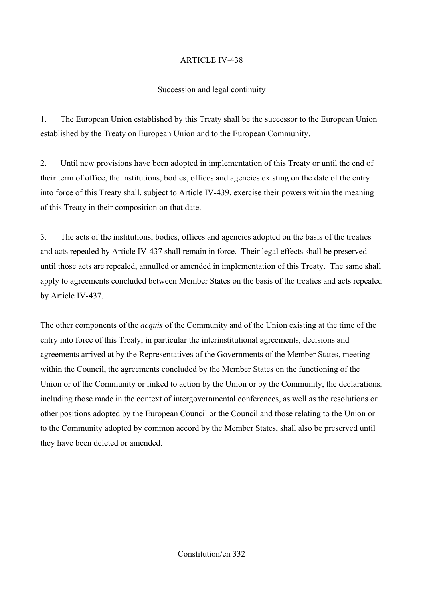### Succession and legal continuity

1. The European Union established by this Treaty shall be the successor to the European Union established by the Treaty on European Union and to the European Community.

2. Until new provisions have been adopted in implementation of this Treaty or until the end of their term of office, the institutions, bodies, offices and agencies existing on the date of the entry into force of this Treaty shall, subject to Article IV-439, exercise their powers within the meaning of this Treaty in their composition on that date.

3. The acts of the institutions, bodies, offices and agencies adopted on the basis of the treaties and acts repealed by Article IV-437 shall remain in force. Their legal effects shall be preserved until those acts are repealed, annulled or amended in implementation of this Treaty. The same shall apply to agreements concluded between Member States on the basis of the treaties and acts repealed by Article IV-437.

The other components of the *acquis* of the Community and of the Union existing at the time of the entry into force of this Treaty, in particular the interinstitutional agreements, decisions and agreements arrived at by the Representatives of the Governments of the Member States, meeting within the Council, the agreements concluded by the Member States on the functioning of the Union or of the Community or linked to action by the Union or by the Community, the declarations, including those made in the context of intergovernmental conferences, as well as the resolutions or other positions adopted by the European Council or the Council and those relating to the Union or to the Community adopted by common accord by the Member States, shall also be preserved until they have been deleted or amended.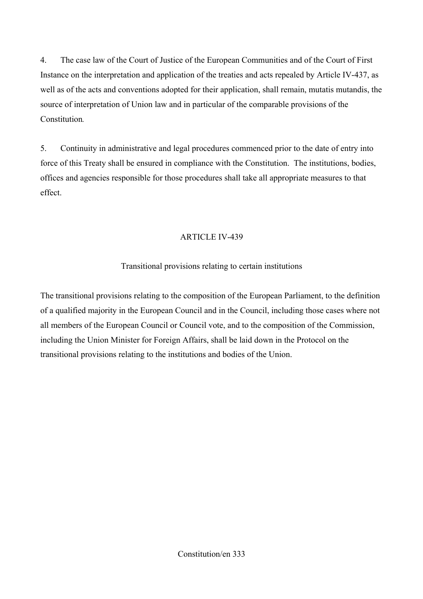4. The case law of the Court of Justice of the European Communities and of the Court of First Instance on the interpretation and application of the treaties and acts repealed by Article IV-437, as well as of the acts and conventions adopted for their application, shall remain, mutatis mutandis, the source of interpretation of Union law and in particular of the comparable provisions of the Constitution*.* 

5. Continuity in administrative and legal procedures commenced prior to the date of entry into force of this Treaty shall be ensured in compliance with the Constitution. The institutions, bodies, offices and agencies responsible for those procedures shall take all appropriate measures to that effect.

# ARTICLE IV-439

# Transitional provisions relating to certain institutions

The transitional provisions relating to the composition of the European Parliament, to the definition of a qualified majority in the European Council and in the Council, including those cases where not all members of the European Council or Council vote, and to the composition of the Commission, including the Union Minister for Foreign Affairs, shall be laid down in the Protocol on the transitional provisions relating to the institutions and bodies of the Union.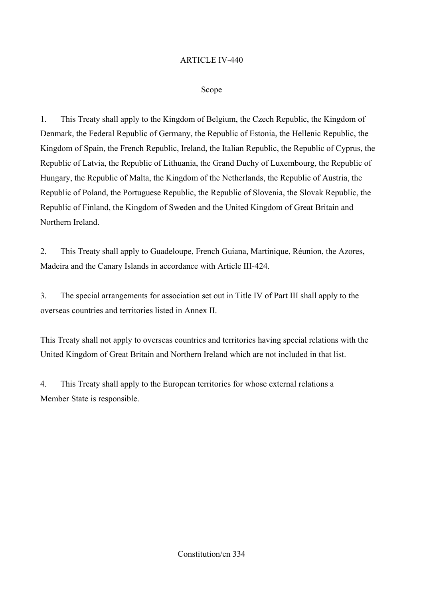#### Scope

1. This Treaty shall apply to the Kingdom of Belgium, the Czech Republic, the Kingdom of Denmark, the Federal Republic of Germany, the Republic of Estonia, the Hellenic Republic, the Kingdom of Spain, the French Republic, Ireland, the Italian Republic, the Republic of Cyprus, the Republic of Latvia, the Republic of Lithuania, the Grand Duchy of Luxembourg, the Republic of Hungary, the Republic of Malta, the Kingdom of the Netherlands, the Republic of Austria, the Republic of Poland, the Portuguese Republic, the Republic of Slovenia, the Slovak Republic, the Republic of Finland, the Kingdom of Sweden and the United Kingdom of Great Britain and Northern Ireland.

2. This Treaty shall apply to Guadeloupe, French Guiana, Martinique, Réunion, the Azores, Madeira and the Canary Islands in accordance with Article III-424.

3. The special arrangements for association set out in Title IV of Part III shall apply to the overseas countries and territories listed in Annex II.

This Treaty shall not apply to overseas countries and territories having special relations with the United Kingdom of Great Britain and Northern Ireland which are not included in that list.

4. This Treaty shall apply to the European territories for whose external relations a Member State is responsible.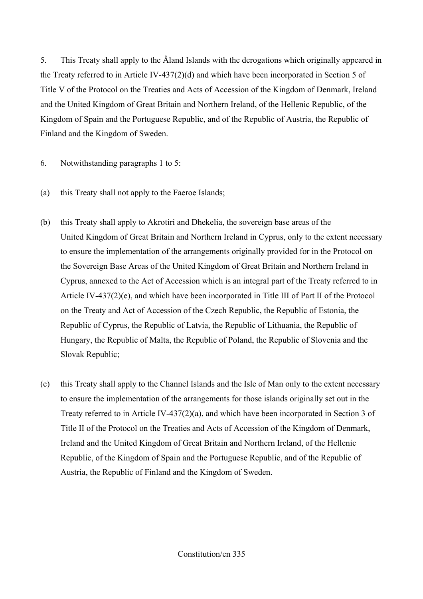5. This Treaty shall apply to the Åland Islands with the derogations which originally appeared in the Treaty referred to in Article IV-437(2)(d) and which have been incorporated in Section 5 of Title V of the Protocol on the Treaties and Acts of Accession of the Kingdom of Denmark, Ireland and the United Kingdom of Great Britain and Northern Ireland, of the Hellenic Republic, of the Kingdom of Spain and the Portuguese Republic, and of the Republic of Austria, the Republic of Finland and the Kingdom of Sweden.

- 6. Notwithstanding paragraphs 1 to 5:
- (a) this Treaty shall not apply to the Faeroe Islands;
- (b) this Treaty shall apply to Akrotiri and Dhekelia, the sovereign base areas of the United Kingdom of Great Britain and Northern Ireland in Cyprus, only to the extent necessary to ensure the implementation of the arrangements originally provided for in the Protocol on the Sovereign Base Areas of the United Kingdom of Great Britain and Northern Ireland in Cyprus, annexed to the Act of Accession which is an integral part of the Treaty referred to in Article IV-437(2)(e), and which have been incorporated in Title III of Part II of the Protocol on the Treaty and Act of Accession of the Czech Republic, the Republic of Estonia, the Republic of Cyprus, the Republic of Latvia, the Republic of Lithuania, the Republic of Hungary, the Republic of Malta, the Republic of Poland, the Republic of Slovenia and the Slovak Republic;
- (c) this Treaty shall apply to the Channel Islands and the Isle of Man only to the extent necessary to ensure the implementation of the arrangements for those islands originally set out in the Treaty referred to in Article IV-437(2)(a), and which have been incorporated in Section 3 of Title II of the Protocol on the Treaties and Acts of Accession of the Kingdom of Denmark, Ireland and the United Kingdom of Great Britain and Northern Ireland, of the Hellenic Republic, of the Kingdom of Spain and the Portuguese Republic, and of the Republic of Austria, the Republic of Finland and the Kingdom of Sweden.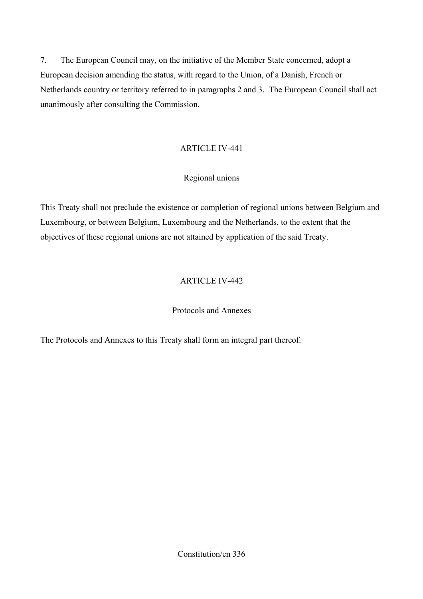7. The European Council may, on the initiative of the Member State concerned, adopt a European decision amending the status, with regard to the Union, of a Danish, French or Netherlands country or territory referred to in paragraphs 2 and 3. The European Council shall act unanimously after consulting the Commission.

# ARTICLE IV-441

# Regional unions

This Treaty shall not preclude the existence or completion of regional unions between Belgium and Luxembourg, or between Belgium, Luxembourg and the Netherlands, to the extent that the objectives of these regional unions are not attained by application of the said Treaty.

# ARTICLE IV-442

# Protocols and Annexes

The Protocols and Annexes to this Treaty shall form an integral part thereof.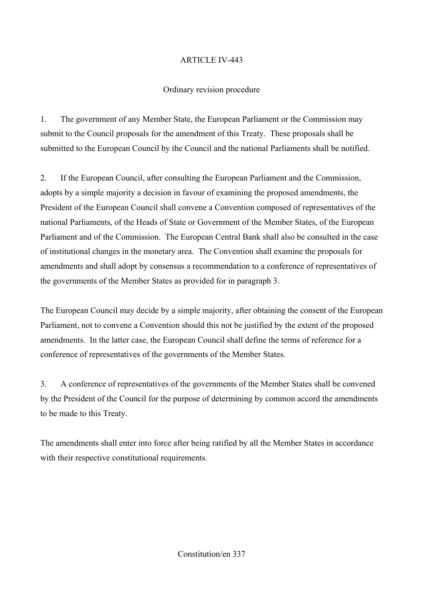### Ordinary revision procedure

1. The government of any Member State, the European Parliament or the Commission may submit to the Council proposals for the amendment of this Treaty. These proposals shall be submitted to the European Council by the Council and the national Parliaments shall be notified.

2. If the European Council, after consulting the European Parliament and the Commission, adopts by a simple majority a decision in favour of examining the proposed amendments, the President of the European Council shall convene a Convention composed of representatives of the national Parliaments, of the Heads of State or Government of the Member States, of the European Parliament and of the Commission. The European Central Bank shall also be consulted in the case of institutional changes in the monetary area. The Convention shall examine the proposals for amendments and shall adopt by consensus a recommendation to a conference of representatives of the governments of the Member States as provided for in paragraph 3.

The European Council may decide by a simple majority, after obtaining the consent of the European Parliament, not to convene a Convention should this not be justified by the extent of the proposed amendments. In the latter case, the European Council shall define the terms of reference for a conference of representatives of the governments of the Member States.

3. A conference of representatives of the governments of the Member States shall be convened by the President of the Council for the purpose of determining by common accord the amendments to be made to this Treaty.

The amendments shall enter into force after being ratified by all the Member States in accordance with their respective constitutional requirements.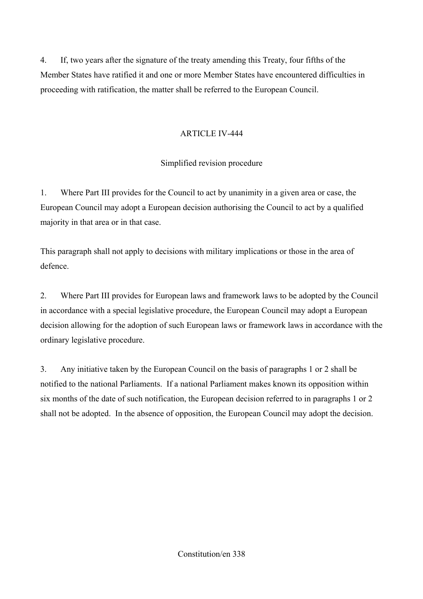4. If, two years after the signature of the treaty amending this Treaty, four fifths of the Member States have ratified it and one or more Member States have encountered difficulties in proceeding with ratification, the matter shall be referred to the European Council.

# ARTICLE IV-444

# Simplified revision procedure

1. Where Part III provides for the Council to act by unanimity in a given area or case, the European Council may adopt a European decision authorising the Council to act by a qualified majority in that area or in that case.

This paragraph shall not apply to decisions with military implications or those in the area of defence.

2. Where Part III provides for European laws and framework laws to be adopted by the Council in accordance with a special legislative procedure, the European Council may adopt a European decision allowing for the adoption of such European laws or framework laws in accordance with the ordinary legislative procedure.

3. Any initiative taken by the European Council on the basis of paragraphs 1 or 2 shall be notified to the national Parliaments. If a national Parliament makes known its opposition within six months of the date of such notification, the European decision referred to in paragraphs 1 or 2 shall not be adopted. In the absence of opposition, the European Council may adopt the decision.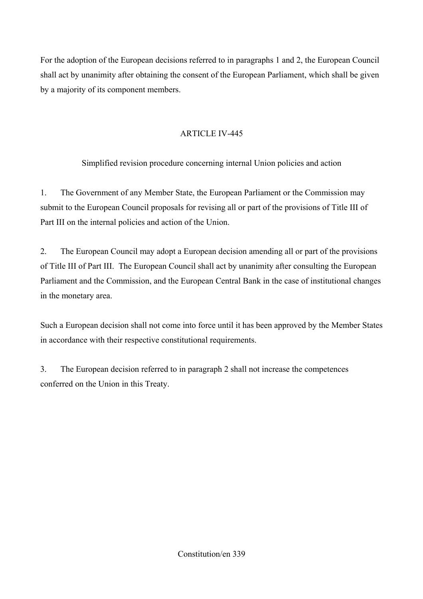For the adoption of the European decisions referred to in paragraphs 1 and 2, the European Council shall act by unanimity after obtaining the consent of the European Parliament, which shall be given by a majority of its component members.

# ARTICLE IV-445

Simplified revision procedure concerning internal Union policies and action

1. The Government of any Member State, the European Parliament or the Commission may submit to the European Council proposals for revising all or part of the provisions of Title III of Part III on the internal policies and action of the Union.

2. The European Council may adopt a European decision amending all or part of the provisions of Title III of Part III. The European Council shall act by unanimity after consulting the European Parliament and the Commission, and the European Central Bank in the case of institutional changes in the monetary area.

Such a European decision shall not come into force until it has been approved by the Member States in accordance with their respective constitutional requirements.

3. The European decision referred to in paragraph 2 shall not increase the competences conferred on the Union in this Treaty.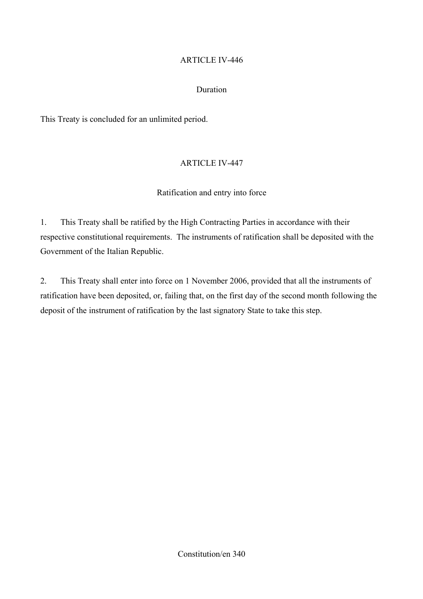### Duration

This Treaty is concluded for an unlimited period.

# ARTICLE IV-447

### Ratification and entry into force

1. This Treaty shall be ratified by the High Contracting Parties in accordance with their respective constitutional requirements. The instruments of ratification shall be deposited with the Government of the Italian Republic.

2. This Treaty shall enter into force on 1 November 2006, provided that all the instruments of ratification have been deposited, or, failing that, on the first day of the second month following the deposit of the instrument of ratification by the last signatory State to take this step.